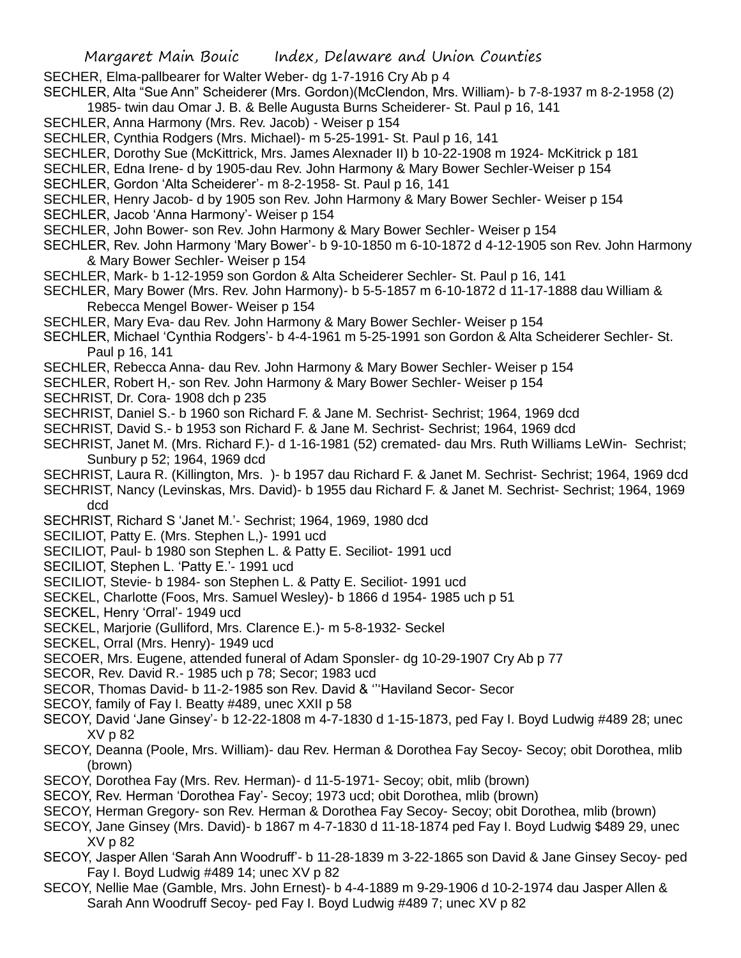SECHER, Elma-pallbearer for Walter Weber- dg 1-7-1916 Cry Ab p 4

SECHLER, Alta "Sue Ann" Scheiderer (Mrs. Gordon)(McClendon, Mrs. William)- b 7-8-1937 m 8-2-1958 (2)

1985- twin dau Omar J. B. & Belle Augusta Burns Scheiderer- St. Paul p 16, 141

SECHLER, Anna Harmony (Mrs. Rev. Jacob) - Weiser p 154

SECHLER, Cynthia Rodgers (Mrs. Michael)- m 5-25-1991- St. Paul p 16, 141

- SECHLER, Dorothy Sue (McKittrick, Mrs. James Alexnader II) b 10-22-1908 m 1924- McKitrick p 181
- SECHLER, Edna Irene- d by 1905-dau Rev. John Harmony & Mary Bower Sechler-Weiser p 154
- SECHLER, Gordon 'Alta Scheiderer'- m 8-2-1958- St. Paul p 16, 141
- SECHLER, Henry Jacob- d by 1905 son Rev. John Harmony & Mary Bower Sechler- Weiser p 154
- SECHLER, Jacob 'Anna Harmony'- Weiser p 154
- SECHLER, John Bower- son Rev. John Harmony & Mary Bower Sechler- Weiser p 154
- SECHLER, Rev. John Harmony 'Mary Bower'- b 9-10-1850 m 6-10-1872 d 4-12-1905 son Rev. John Harmony & Mary Bower Sechler- Weiser p 154
- SECHLER, Mark- b 1-12-1959 son Gordon & Alta Scheiderer Sechler- St. Paul p 16, 141
- SECHLER, Mary Bower (Mrs. Rev. John Harmony)- b 5-5-1857 m 6-10-1872 d 11-17-1888 dau William & Rebecca Mengel Bower- Weiser p 154
- SECHLER, Mary Eva- dau Rev. John Harmony & Mary Bower Sechler- Weiser p 154
- SECHLER, Michael 'Cynthia Rodgers'- b 4-4-1961 m 5-25-1991 son Gordon & Alta Scheiderer Sechler- St. Paul p 16, 141
- SECHLER, Rebecca Anna- dau Rev. John Harmony & Mary Bower Sechler- Weiser p 154
- SECHLER, Robert H,- son Rev. John Harmony & Mary Bower Sechler- Weiser p 154
- SECHRIST, Dr. Cora- 1908 dch p 235
- SECHRIST, Daniel S.- b 1960 son Richard F. & Jane M. Sechrist- Sechrist; 1964, 1969 dcd
- SECHRIST, David S.- b 1953 son Richard F. & Jane M. Sechrist- Sechrist; 1964, 1969 dcd
- SECHRIST, Janet M. (Mrs. Richard F.)- d 1-16-1981 (52) cremated- dau Mrs. Ruth Williams LeWin- Sechrist; Sunbury p 52; 1964, 1969 dcd
- SECHRIST, Laura R. (Killington, Mrs. )- b 1957 dau Richard F. & Janet M. Sechrist- Sechrist; 1964, 1969 dcd SECHRIST, Nancy (Levinskas, Mrs. David)- b 1955 dau Richard F. & Janet M. Sechrist- Sechrist; 1964, 1969 dcd
- SECHRIST, Richard S 'Janet M.'- Sechrist; 1964, 1969, 1980 dcd
- SECILIOT, Patty E. (Mrs. Stephen L,)- 1991 ucd
- SECILIOT, Paul- b 1980 son Stephen L. & Patty E. Seciliot- 1991 ucd
- SECILIOT, Stephen L. 'Patty E.'- 1991 ucd
- SECILIOT, Stevie- b 1984- son Stephen L. & Patty E. Seciliot- 1991 ucd
- SECKEL, Charlotte (Foos, Mrs. Samuel Wesley)- b 1866 d 1954- 1985 uch p 51
- SECKEL, Henry 'Orral'- 1949 ucd
- SECKEL, Marjorie (Gulliford, Mrs. Clarence E.)- m 5-8-1932- Seckel
- SECKEL, Orral (Mrs. Henry)- 1949 ucd
- SECOER, Mrs. Eugene, attended funeral of Adam Sponsler- dg 10-29-1907 Cry Ab p 77
- SECOR, Rev. David R.- 1985 uch p 78; Secor; 1983 ucd
- SECOR, Thomas David- b 11-2-1985 son Rev. David & '''Haviland Secor- Secor
- SECOY, family of Fay I. Beatty #489, unec XXII p 58
- SECOY, David 'Jane Ginsey'- b 12-22-1808 m 4-7-1830 d 1-15-1873, ped Fay I. Boyd Ludwig #489 28; unec XV p 82
- SECOY, Deanna (Poole, Mrs. William)- dau Rev. Herman & Dorothea Fay Secoy- Secoy; obit Dorothea, mlib (brown)
- SECOY, Dorothea Fay (Mrs. Rev. Herman)- d 11-5-1971- Secoy; obit, mlib (brown)
- SECOY, Rev. Herman 'Dorothea Fay'- Secoy; 1973 ucd; obit Dorothea, mlib (brown)
- SECOY, Herman Gregory- son Rev. Herman & Dorothea Fay Secoy- Secoy; obit Dorothea, mlib (brown)
- SECOY, Jane Ginsey (Mrs. David)- b 1867 m 4-7-1830 d 11-18-1874 ped Fay I. Boyd Ludwig \$489 29, unec XV p 82
- SECOY, Jasper Allen 'Sarah Ann Woodruff'- b 11-28-1839 m 3-22-1865 son David & Jane Ginsey Secoy- ped Fay I. Boyd Ludwig #489 14; unec XV p 82
- SECOY, Nellie Mae (Gamble, Mrs. John Ernest)- b 4-4-1889 m 9-29-1906 d 10-2-1974 dau Jasper Allen & Sarah Ann Woodruff Secoy- ped Fay I. Boyd Ludwig #489 7; unec XV p 82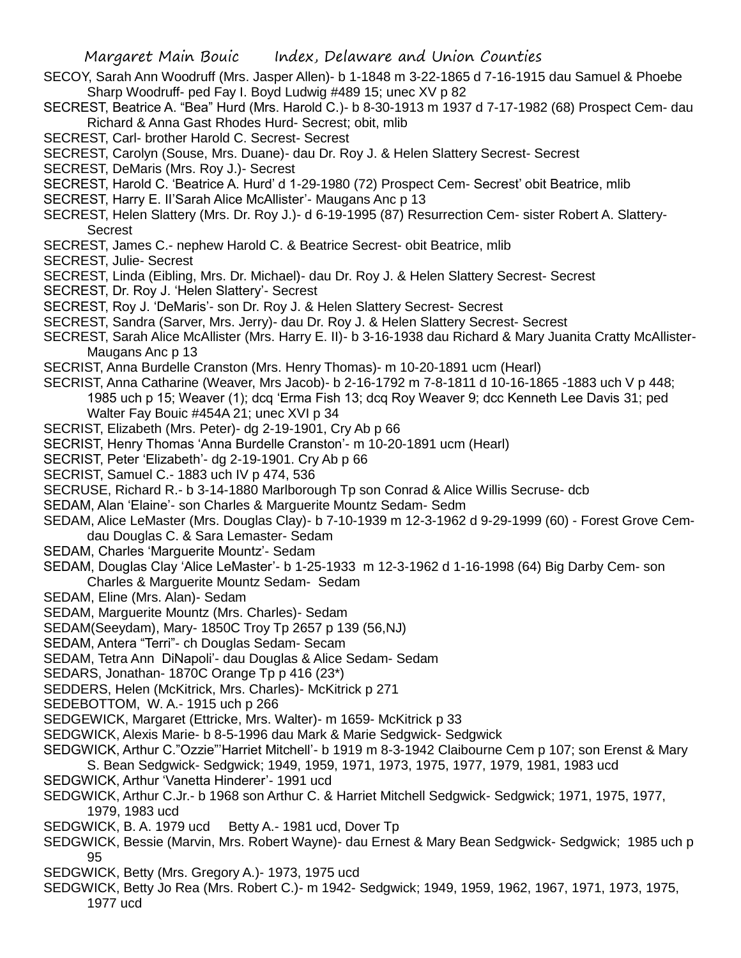- SECOY, Sarah Ann Woodruff (Mrs. Jasper Allen)- b 1-1848 m 3-22-1865 d 7-16-1915 dau Samuel & Phoebe Sharp Woodruff- ped Fay I. Boyd Ludwig #489 15; unec XV p 82
- SECREST, Beatrice A. "Bea" Hurd (Mrs. Harold C.)- b 8-30-1913 m 1937 d 7-17-1982 (68) Prospect Cem- dau Richard & Anna Gast Rhodes Hurd- Secrest; obit, mlib
- SECREST, Carl- brother Harold C. Secrest- Secrest
- SECREST, Carolyn (Souse, Mrs. Duane)- dau Dr. Roy J. & Helen Slattery Secrest- Secrest
- SECREST, DeMaris (Mrs. Roy J.)- Secrest
- SECREST, Harold C. 'Beatrice A. Hurd' d 1-29-1980 (72) Prospect Cem- Secrest' obit Beatrice, mlib
- SECREST, Harry E. II'Sarah Alice McAllister'- Maugans Anc p 13
- SECREST, Helen Slattery (Mrs. Dr. Roy J.)- d 6-19-1995 (87) Resurrection Cem- sister Robert A. Slattery-Secrest
- SECREST, James C.- nephew Harold C. & Beatrice Secrest- obit Beatrice, mlib
- SECREST, Julie- Secrest
- SECREST, Linda (Eibling, Mrs. Dr. Michael)- dau Dr. Roy J. & Helen Slattery Secrest- Secrest
- SECREST, Dr. Roy J. 'Helen Slattery'- Secrest
- SECREST, Roy J. 'DeMaris'- son Dr. Roy J. & Helen Slattery Secrest- Secrest
- SECREST, Sandra (Sarver, Mrs. Jerry)- dau Dr. Roy J. & Helen Slattery Secrest- Secrest
- SECREST, Sarah Alice McAllister (Mrs. Harry E. II)- b 3-16-1938 dau Richard & Mary Juanita Cratty McAllister-Maugans Anc p 13
- SECRIST, Anna Burdelle Cranston (Mrs. Henry Thomas)- m 10-20-1891 ucm (Hearl)
- SECRIST, Anna Catharine (Weaver, Mrs Jacob)- b 2-16-1792 m 7-8-1811 d 10-16-1865 -1883 uch V p 448; 1985 uch p 15; Weaver (1); dcq 'Erma Fish 13; dcq Roy Weaver 9; dcc Kenneth Lee Davis 31; ped
	- Walter Fay Bouic #454A 21; unec XVI p 34
- SECRIST, Elizabeth (Mrs. Peter)- dg 2-19-1901, Cry Ab p 66
- SECRIST, Henry Thomas 'Anna Burdelle Cranston'- m 10-20-1891 ucm (Hearl)
- SECRIST, Peter 'Elizabeth'- dg 2-19-1901. Cry Ab p 66
- SECRIST, Samuel C.- 1883 uch IV p 474, 536
- SECRUSE, Richard R.- b 3-14-1880 Marlborough Tp son Conrad & Alice Willis Secruse- dcb
- SEDAM, Alan 'Elaine'- son Charles & Marguerite Mountz Sedam- Sedm
- SEDAM, Alice LeMaster (Mrs. Douglas Clay)- b 7-10-1939 m 12-3-1962 d 9-29-1999 (60) Forest Grove Cemdau Douglas C. & Sara Lemaster- Sedam
- SEDAM, Charles 'Marguerite Mountz'- Sedam
- SEDAM, Douglas Clay 'Alice LeMaster'- b 1-25-1933 m 12-3-1962 d 1-16-1998 (64) Big Darby Cem- son Charles & Marguerite Mountz Sedam- Sedam
- SEDAM, Eline (Mrs. Alan)- Sedam
- SEDAM, Marguerite Mountz (Mrs. Charles)- Sedam
- SEDAM(Seeydam), Mary- 1850C Troy Tp 2657 p 139 (56,NJ)
- SEDAM, Antera "Terri"- ch Douglas Sedam- Secam
- SEDAM, Tetra Ann DiNapoli'- dau Douglas & Alice Sedam- Sedam
- SEDARS, Jonathan- 1870C Orange Tp p 416 (23\*)
- SEDDERS, Helen (McKitrick, Mrs. Charles)- McKitrick p 271
- SEDEBOTTOM, W. A.- 1915 uch p 266
- SEDGEWICK, Margaret (Ettricke, Mrs. Walter)- m 1659- McKitrick p 33
- SEDGWICK, Alexis Marie- b 8-5-1996 dau Mark & Marie Sedgwick- Sedgwick
- SEDGWICK, Arthur C."Ozzie"'Harriet Mitchell'- b 1919 m 8-3-1942 Claibourne Cem p 107; son Erenst & Mary
- S. Bean Sedgwick- Sedgwick; 1949, 1959, 1971, 1973, 1975, 1977, 1979, 1981, 1983 ucd
- SEDGWICK, Arthur 'Vanetta Hinderer'- 1991 ucd
- SEDGWICK, Arthur C.Jr.- b 1968 son Arthur C. & Harriet Mitchell Sedgwick- Sedgwick; 1971, 1975, 1977, 1979, 1983 ucd
- SEDGWICK, B. A. 1979 ucd Betty A.- 1981 ucd, Dover Tp
- SEDGWICK, Bessie (Marvin, Mrs. Robert Wayne)- dau Ernest & Mary Bean Sedgwick- Sedgwick; 1985 uch p 95
- SEDGWICK, Betty (Mrs. Gregory A.)- 1973, 1975 ucd
- SEDGWICK, Betty Jo Rea (Mrs. Robert C.)- m 1942- Sedgwick; 1949, 1959, 1962, 1967, 1971, 1973, 1975, 1977 ucd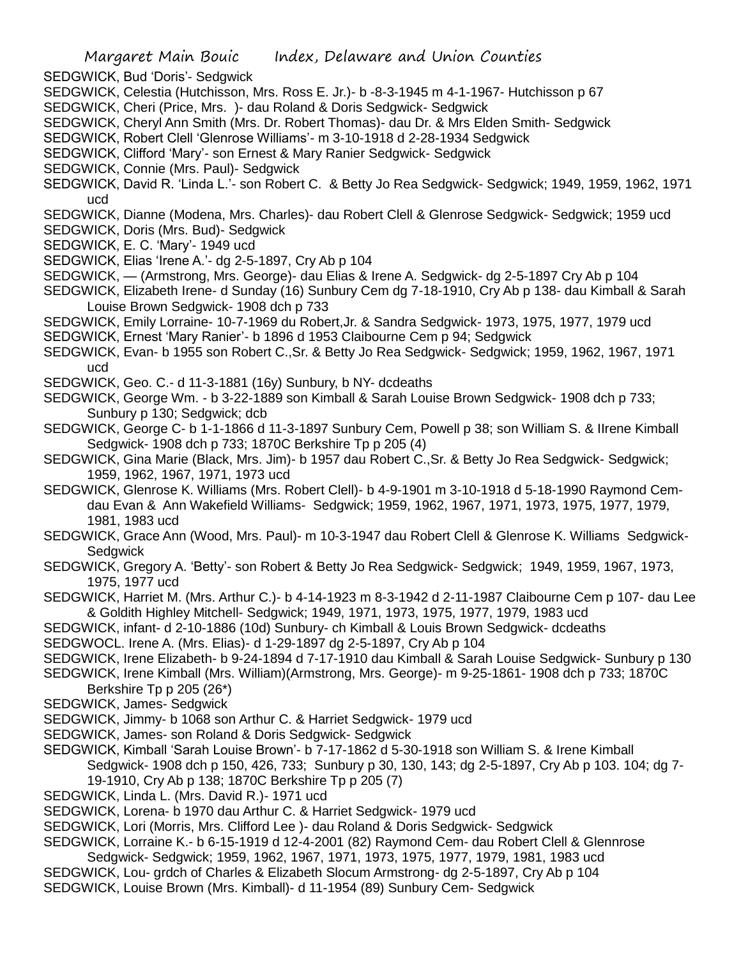SEDGWICK, Bud 'Doris'- Sedgwick

- SEDGWICK, Celestia (Hutchisson, Mrs. Ross E. Jr.)- b -8-3-1945 m 4-1-1967- Hutchisson p 67
- SEDGWICK, Cheri (Price, Mrs. )- dau Roland & Doris Sedgwick- Sedgwick
- SEDGWICK, Cheryl Ann Smith (Mrs. Dr. Robert Thomas)- dau Dr. & Mrs Elden Smith- Sedgwick
- SEDGWICK, Robert Clell 'Glenrose Williams'- m 3-10-1918 d 2-28-1934 Sedgwick
- SEDGWICK, Clifford 'Mary'- son Ernest & Mary Ranier Sedgwick- Sedgwick
- SEDGWICK, Connie (Mrs. Paul)- Sedgwick
- SEDGWICK, David R. 'Linda L.'- son Robert C. & Betty Jo Rea Sedgwick- Sedgwick; 1949, 1959, 1962, 1971 ucd
- SEDGWICK, Dianne (Modena, Mrs. Charles)- dau Robert Clell & Glenrose Sedgwick- Sedgwick; 1959 ucd
- SEDGWICK, Doris (Mrs. Bud)- Sedgwick
- SEDGWICK, E. C. 'Mary'- 1949 ucd
- SEDGWICK, Elias 'Irene A.'- dg 2-5-1897, Cry Ab p 104
- SEDGWICK, (Armstrong, Mrs. George)- dau Elias & Irene A. Sedgwick- dg 2-5-1897 Cry Ab p 104
- SEDGWICK, Elizabeth Irene- d Sunday (16) Sunbury Cem dg 7-18-1910, Cry Ab p 138- dau Kimball & Sarah Louise Brown Sedgwick- 1908 dch p 733
- SEDGWICK, Emily Lorraine- 10-7-1969 du Robert,Jr. & Sandra Sedgwick- 1973, 1975, 1977, 1979 ucd
- SEDGWICK, Ernest 'Mary Ranier'- b 1896 d 1953 Claibourne Cem p 94; Sedgwick
- SEDGWICK, Evan- b 1955 son Robert C.,Sr. & Betty Jo Rea Sedgwick- Sedgwick; 1959, 1962, 1967, 1971 ucd
- SEDGWICK, Geo. C.- d 11-3-1881 (16y) Sunbury, b NY- dcdeaths
- SEDGWICK, George Wm. b 3-22-1889 son Kimball & Sarah Louise Brown Sedgwick- 1908 dch p 733; Sunbury p 130; Sedgwick; dcb
- SEDGWICK, George C- b 1-1-1866 d 11-3-1897 Sunbury Cem, Powell p 38; son William S. & IIrene Kimball Sedgwick- 1908 dch p 733; 1870C Berkshire Tp p 205 (4)
- SEDGWICK, Gina Marie (Black, Mrs. Jim)- b 1957 dau Robert C.,Sr. & Betty Jo Rea Sedgwick- Sedgwick; 1959, 1962, 1967, 1971, 1973 ucd
- SEDGWICK, Glenrose K. Williams (Mrs. Robert Clell)- b 4-9-1901 m 3-10-1918 d 5-18-1990 Raymond Cemdau Evan & Ann Wakefield Williams- Sedgwick; 1959, 1962, 1967, 1971, 1973, 1975, 1977, 1979, 1981, 1983 ucd
- SEDGWICK, Grace Ann (Wood, Mrs. Paul)- m 10-3-1947 dau Robert Clell & Glenrose K. Williams Sedgwick-**Sedgwick**
- SEDGWICK, Gregory A. 'Betty'- son Robert & Betty Jo Rea Sedgwick- Sedgwick; 1949, 1959, 1967, 1973, 1975, 1977 ucd
- SEDGWICK, Harriet M. (Mrs. Arthur C.)- b 4-14-1923 m 8-3-1942 d 2-11-1987 Claibourne Cem p 107- dau Lee & Goldith Highley Mitchell- Sedgwick; 1949, 1971, 1973, 1975, 1977, 1979, 1983 ucd
- SEDGWICK, infant- d 2-10-1886 (10d) Sunbury- ch Kimball & Louis Brown Sedgwick- dcdeaths
- SEDGWOCL. Irene A. (Mrs. Elias)- d 1-29-1897 dg 2-5-1897, Cry Ab p 104
- SEDGWICK, Irene Elizabeth- b 9-24-1894 d 7-17-1910 dau Kimball & Sarah Louise Sedgwick- Sunbury p 130
- SEDGWICK, Irene Kimball (Mrs. William)(Armstrong, Mrs. George)- m 9-25-1861- 1908 dch p 733; 1870C Berkshire Tp p 205 (26\*)
- SEDGWICK, James- Sedgwick
- SEDGWICK, Jimmy- b 1068 son Arthur C. & Harriet Sedgwick- 1979 ucd
- SEDGWICK, James- son Roland & Doris Sedgwick- Sedgwick
- SEDGWICK, Kimball 'Sarah Louise Brown'- b 7-17-1862 d 5-30-1918 son William S. & Irene Kimball Sedgwick- 1908 dch p 150, 426, 733; Sunbury p 30, 130, 143; dg 2-5-1897, Cry Ab p 103. 104; dg 7- 19-1910, Cry Ab p 138; 1870C Berkshire Tp p 205 (7)
- SEDGWICK, Linda L. (Mrs. David R.)- 1971 ucd
- SEDGWICK, Lorena- b 1970 dau Arthur C. & Harriet Sedgwick- 1979 ucd
- SEDGWICK, Lori (Morris, Mrs. Clifford Lee )- dau Roland & Doris Sedgwick- Sedgwick
- SEDGWICK, Lorraine K.- b 6-15-1919 d 12-4-2001 (82) Raymond Cem- dau Robert Clell & Glennrose
- Sedgwick- Sedgwick; 1959, 1962, 1967, 1971, 1973, 1975, 1977, 1979, 1981, 1983 ucd SEDGWICK, Lou- grdch of Charles & Elizabeth Slocum Armstrong- dg 2-5-1897, Cry Ab p 104
- SEDGWICK, Louise Brown (Mrs. Kimball)- d 11-1954 (89) Sunbury Cem- Sedgwick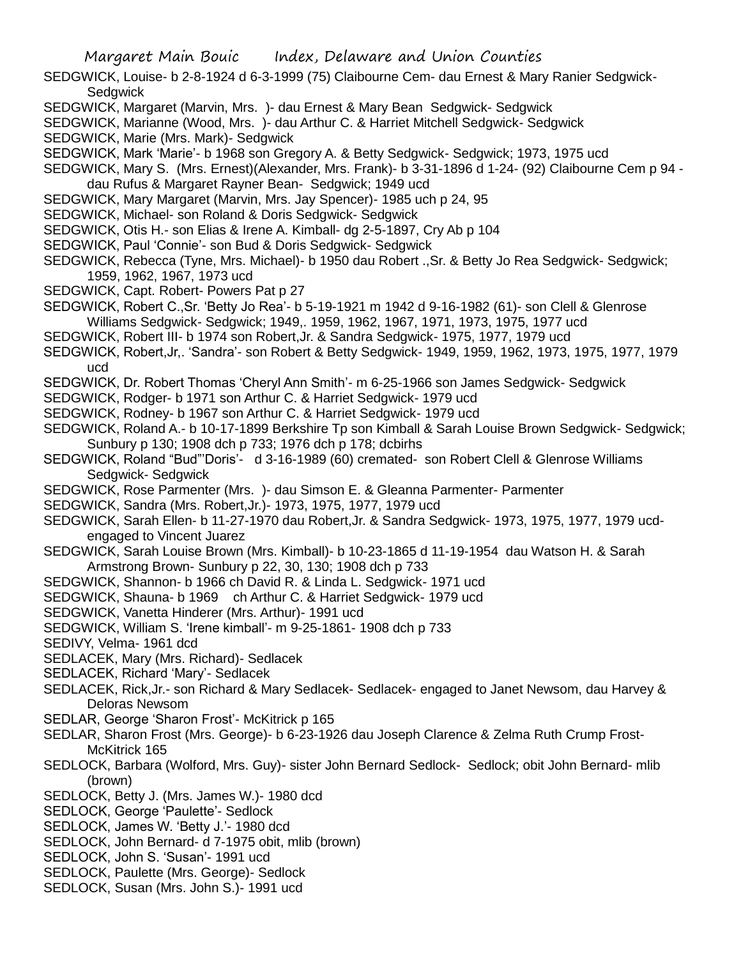SEDGWICK, Louise- b 2-8-1924 d 6-3-1999 (75) Claibourne Cem- dau Ernest & Mary Ranier Sedgwick-**Sedgwick** 

- SEDGWICK, Margaret (Marvin, Mrs. )- dau Ernest & Mary Bean Sedgwick- Sedgwick
- SEDGWICK, Marianne (Wood, Mrs. )- dau Arthur C. & Harriet Mitchell Sedgwick- Sedgwick
- SEDGWICK, Marie (Mrs. Mark)- Sedgwick
- SEDGWICK, Mark 'Marie'- b 1968 son Gregory A. & Betty Sedgwick- Sedgwick; 1973, 1975 ucd
- SEDGWICK, Mary S. (Mrs. Ernest)(Alexander, Mrs. Frank)- b 3-31-1896 d 1-24- (92) Claibourne Cem p 94 dau Rufus & Margaret Rayner Bean- Sedgwick; 1949 ucd
- SEDGWICK, Mary Margaret (Marvin, Mrs. Jay Spencer)- 1985 uch p 24, 95
- SEDGWICK, Michael- son Roland & Doris Sedgwick- Sedgwick
- SEDGWICK, Otis H.- son Elias & Irene A. Kimball- dg 2-5-1897, Cry Ab p 104
- SEDGWICK, Paul 'Connie'- son Bud & Doris Sedgwick- Sedgwick
- SEDGWICK, Rebecca (Tyne, Mrs. Michael)- b 1950 dau Robert .,Sr. & Betty Jo Rea Sedgwick- Sedgwick; 1959, 1962, 1967, 1973 ucd
- SEDGWICK, Capt. Robert- Powers Pat p 27
- SEDGWICK, Robert C.,Sr. 'Betty Jo Rea'- b 5-19-1921 m 1942 d 9-16-1982 (61)- son Clell & Glenrose Williams Sedgwick- Sedgwick; 1949,. 1959, 1962, 1967, 1971, 1973, 1975, 1977 ucd
- SEDGWICK, Robert III- b 1974 son Robert,Jr. & Sandra Sedgwick- 1975, 1977, 1979 ucd
- SEDGWICK, Robert,Jr,. 'Sandra'- son Robert & Betty Sedgwick- 1949, 1959, 1962, 1973, 1975, 1977, 1979 ucd
- SEDGWICK, Dr. Robert Thomas 'Cheryl Ann Smith'- m 6-25-1966 son James Sedgwick- Sedgwick
- SEDGWICK, Rodger- b 1971 son Arthur C. & Harriet Sedgwick- 1979 ucd
- SEDGWICK, Rodney- b 1967 son Arthur C. & Harriet Sedgwick- 1979 ucd
- SEDGWICK, Roland A.- b 10-17-1899 Berkshire Tp son Kimball & Sarah Louise Brown Sedgwick- Sedgwick; Sunbury p 130; 1908 dch p 733; 1976 dch p 178; dcbirhs
- SEDGWICK, Roland "Bud"'Doris'- d 3-16-1989 (60) cremated- son Robert Clell & Glenrose Williams Sedgwick- Sedgwick
- SEDGWICK, Rose Parmenter (Mrs. )- dau Simson E. & Gleanna Parmenter- Parmenter
- SEDGWICK, Sandra (Mrs. Robert,Jr.)- 1973, 1975, 1977, 1979 ucd
- SEDGWICK, Sarah Ellen- b 11-27-1970 dau Robert,Jr. & Sandra Sedgwick- 1973, 1975, 1977, 1979 ucdengaged to Vincent Juarez
- SEDGWICK, Sarah Louise Brown (Mrs. Kimball)- b 10-23-1865 d 11-19-1954 dau Watson H. & Sarah Armstrong Brown- Sunbury p 22, 30, 130; 1908 dch p 733
- SEDGWICK, Shannon- b 1966 ch David R. & Linda L. Sedgwick- 1971 ucd
- SEDGWICK, Shauna- b 1969 ch Arthur C. & Harriet Sedgwick- 1979 ucd
- SEDGWICK, Vanetta Hinderer (Mrs. Arthur)- 1991 ucd
- SEDGWICK, William S. 'Irene kimball'- m 9-25-1861- 1908 dch p 733
- SEDIVY, Velma- 1961 dcd
- SEDLACEK, Mary (Mrs. Richard)- Sedlacek
- SEDLACEK, Richard 'Mary'- Sedlacek
- SEDLACEK, Rick,Jr.- son Richard & Mary Sedlacek- Sedlacek- engaged to Janet Newsom, dau Harvey & Deloras Newsom
- SEDLAR, George 'Sharon Frost'- McKitrick p 165
- SEDLAR, Sharon Frost (Mrs. George)- b 6-23-1926 dau Joseph Clarence & Zelma Ruth Crump Frost-McKitrick 165
- SEDLOCK, Barbara (Wolford, Mrs. Guy)- sister John Bernard Sedlock- Sedlock; obit John Bernard- mlib (brown)
- SEDLOCK, Betty J. (Mrs. James W.)- 1980 dcd
- SEDLOCK, George 'Paulette'- Sedlock
- SEDLOCK, James W. 'Betty J.'- 1980 dcd
- SEDLOCK, John Bernard- d 7-1975 obit, mlib (brown)
- SEDLOCK, John S. 'Susan'- 1991 ucd
- SEDLOCK, Paulette (Mrs. George)- Sedlock
- SEDLOCK, Susan (Mrs. John S.)- 1991 ucd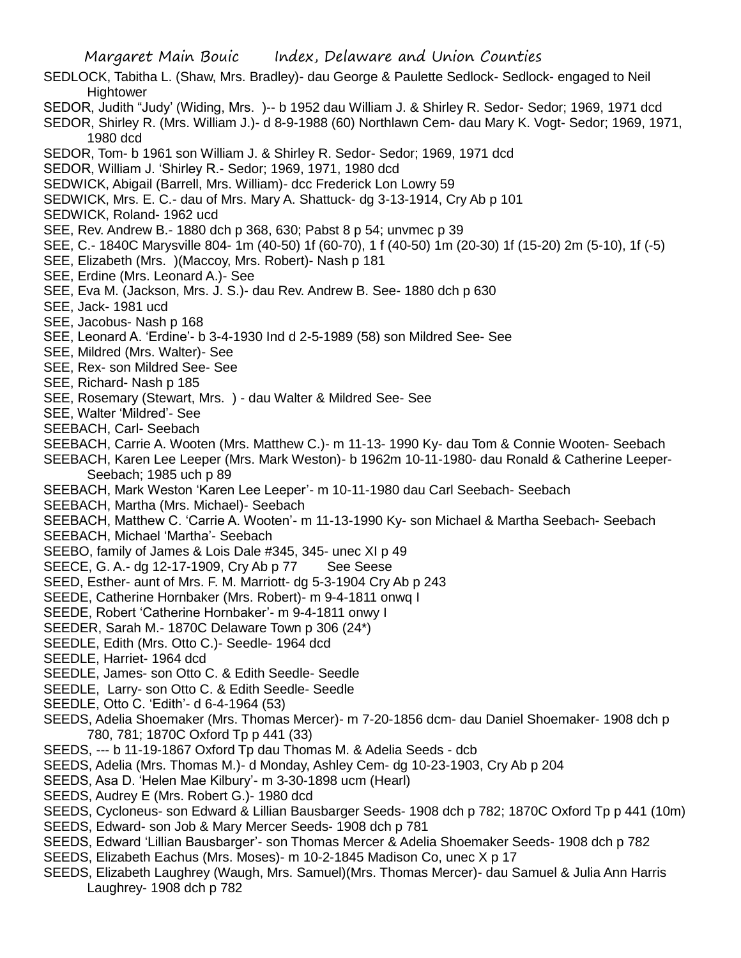- SEDLOCK, Tabitha L. (Shaw, Mrs. Bradley)- dau George & Paulette Sedlock- Sedlock- engaged to Neil **Hightower**
- SEDOR, Judith "Judy' (Widing, Mrs. )-- b 1952 dau William J. & Shirley R. Sedor- Sedor; 1969, 1971 dcd
- SEDOR, Shirley R. (Mrs. William J.)- d 8-9-1988 (60) Northlawn Cem- dau Mary K. Vogt- Sedor; 1969, 1971, 1980 dcd
- SEDOR, Tom- b 1961 son William J. & Shirley R. Sedor- Sedor; 1969, 1971 dcd
- SEDOR, William J. 'Shirley R.- Sedor; 1969, 1971, 1980 dcd
- SEDWICK, Abigail (Barrell, Mrs. William)- dcc Frederick Lon Lowry 59
- SEDWICK, Mrs. E. C.- dau of Mrs. Mary A. Shattuck- dg 3-13-1914, Cry Ab p 101
- SEDWICK, Roland- 1962 ucd
- SEE, Rev. Andrew B.- 1880 dch p 368, 630; Pabst 8 p 54; unvmec p 39
- SEE, C.- 1840C Marysville 804- 1m (40-50) 1f (60-70), 1 f (40-50) 1m (20-30) 1f (15-20) 2m (5-10), 1f (-5)
- SEE, Elizabeth (Mrs. )(Maccoy, Mrs. Robert)- Nash p 181
- SEE, Erdine (Mrs. Leonard A.)- See
- SEE, Eva M. (Jackson, Mrs. J. S.)- dau Rev. Andrew B. See- 1880 dch p 630
- SEE, Jack- 1981 ucd
- SEE, Jacobus- Nash p 168
- SEE, Leonard A. 'Erdine'- b 3-4-1930 Ind d 2-5-1989 (58) son Mildred See- See
- SEE, Mildred (Mrs. Walter)- See
- SEE, Rex- son Mildred See- See
- SEE, Richard- Nash p 185
- SEE, Rosemary (Stewart, Mrs. ) dau Walter & Mildred See- See
- SEE, Walter 'Mildred'- See
- SEEBACH, Carl- Seebach
- SEEBACH, Carrie A. Wooten (Mrs. Matthew C.)- m 11-13- 1990 Ky- dau Tom & Connie Wooten- Seebach
- SEEBACH, Karen Lee Leeper (Mrs. Mark Weston)- b 1962m 10-11-1980- dau Ronald & Catherine Leeper-Seebach; 1985 uch p 89
- SEEBACH, Mark Weston 'Karen Lee Leeper'- m 10-11-1980 dau Carl Seebach- Seebach
- SEEBACH, Martha (Mrs. Michael)- Seebach
- SEEBACH, Matthew C. 'Carrie A. Wooten'- m 11-13-1990 Ky- son Michael & Martha Seebach- Seebach
- SEEBACH, Michael 'Martha'- Seebach
- SEEBO, family of James & Lois Dale #345, 345- unec XI p 49
- SEECE, G. A.- dg 12-17-1909, Cry Ab p 77 See Seese
- SEED, Esther- aunt of Mrs. F. M. Marriott- dg 5-3-1904 Cry Ab p 243
- SEEDE, Catherine Hornbaker (Mrs. Robert)- m 9-4-1811 onwq I
- SEEDE, Robert 'Catherine Hornbaker'- m 9-4-1811 onwy I
- SEEDER, Sarah M.- 1870C Delaware Town p 306 (24\*)
- SEEDLE, Edith (Mrs. Otto C.)- Seedle- 1964 dcd
- SEEDLE, Harriet- 1964 dcd
- SEEDLE, James- son Otto C. & Edith Seedle- Seedle
- SEEDLE, Larry- son Otto C. & Edith Seedle- Seedle
- SEEDLE, Otto C. 'Edith'- d 6-4-1964 (53)
- SEEDS, Adelia Shoemaker (Mrs. Thomas Mercer)- m 7-20-1856 dcm- dau Daniel Shoemaker- 1908 dch p 780, 781; 1870C Oxford Tp p 441 (33)
- SEEDS, --- b 11-19-1867 Oxford Tp dau Thomas M. & Adelia Seeds dcb
- SEEDS, Adelia (Mrs. Thomas M.)- d Monday, Ashley Cem- dg 10-23-1903, Cry Ab p 204
- SEEDS, Asa D. 'Helen Mae Kilbury'- m 3-30-1898 ucm (Hearl)
- SEEDS, Audrey E (Mrs. Robert G.)- 1980 dcd
- SEEDS, Cycloneus- son Edward & Lillian Bausbarger Seeds- 1908 dch p 782; 1870C Oxford Tp p 441 (10m)
- SEEDS, Edward- son Job & Mary Mercer Seeds- 1908 dch p 781
- SEEDS, Edward 'Lillian Bausbarger'- son Thomas Mercer & Adelia Shoemaker Seeds- 1908 dch p 782
- SEEDS, Elizabeth Eachus (Mrs. Moses)- m 10-2-1845 Madison Co, unec X p 17
- SEEDS, Elizabeth Laughrey (Waugh, Mrs. Samuel)(Mrs. Thomas Mercer)- dau Samuel & Julia Ann Harris Laughrey- 1908 dch p 782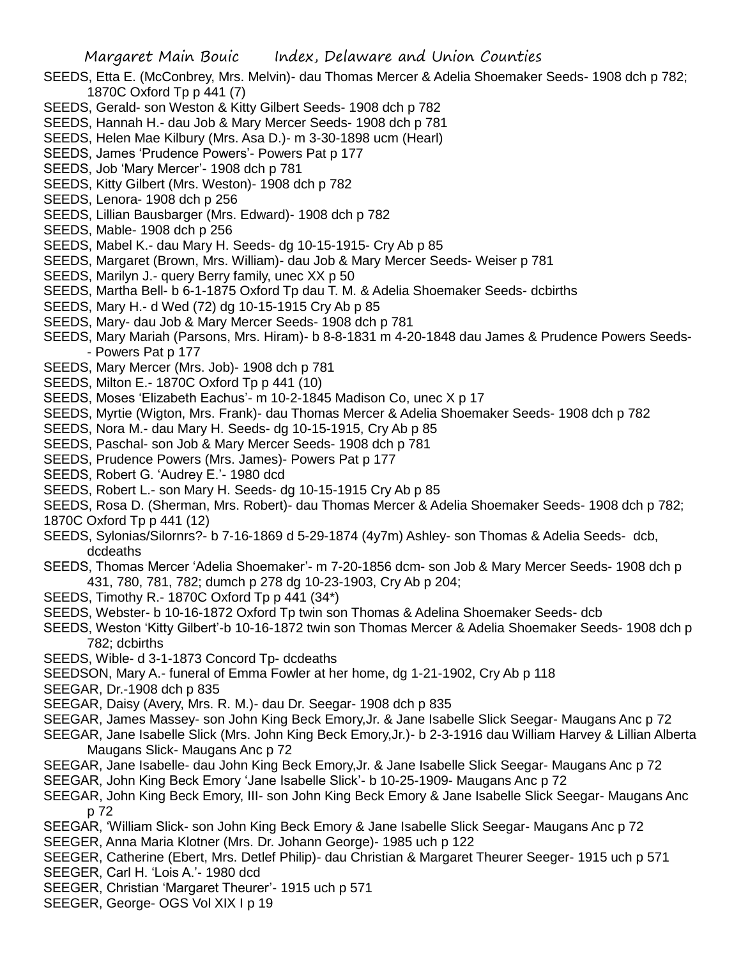- SEEDS, Etta E. (McConbrey, Mrs. Melvin)- dau Thomas Mercer & Adelia Shoemaker Seeds- 1908 dch p 782; 1870C Oxford Tp p 441 (7)
- SEEDS, Gerald- son Weston & Kitty Gilbert Seeds- 1908 dch p 782
- SEEDS, Hannah H.- dau Job & Mary Mercer Seeds- 1908 dch p 781
- SEEDS, Helen Mae Kilbury (Mrs. Asa D.)- m 3-30-1898 ucm (Hearl)
- SEEDS, James 'Prudence Powers'- Powers Pat p 177
- SEEDS, Job 'Mary Mercer'- 1908 dch p 781
- SEEDS, Kitty Gilbert (Mrs. Weston)- 1908 dch p 782
- SEEDS, Lenora- 1908 dch p 256
- SEEDS, Lillian Bausbarger (Mrs. Edward)- 1908 dch p 782
- SEEDS, Mable- 1908 dch p 256
- SEEDS, Mabel K.- dau Mary H. Seeds- dg 10-15-1915- Cry Ab p 85
- SEEDS, Margaret (Brown, Mrs. William)- dau Job & Mary Mercer Seeds- Weiser p 781
- SEEDS, Marilyn J.- query Berry family, unec XX p 50
- SEEDS, Martha Bell- b 6-1-1875 Oxford Tp dau T. M. & Adelia Shoemaker Seeds- dcbirths
- SEEDS, Mary H.- d Wed (72) dg 10-15-1915 Cry Ab p 85
- SEEDS, Mary- dau Job & Mary Mercer Seeds- 1908 dch p 781
- SEEDS, Mary Mariah (Parsons, Mrs. Hiram)- b 8-8-1831 m 4-20-1848 dau James & Prudence Powers Seeds- - Powers Pat p 177
- SEEDS, Mary Mercer (Mrs. Job)- 1908 dch p 781
- SEEDS, Milton E.- 1870C Oxford Tp p 441 (10)
- SEEDS, Moses 'Elizabeth Eachus'- m 10-2-1845 Madison Co, unec X p 17
- SEEDS, Myrtie (Wigton, Mrs. Frank)- dau Thomas Mercer & Adelia Shoemaker Seeds- 1908 dch p 782
- SEEDS, Nora M.- dau Mary H. Seeds- dg 10-15-1915, Cry Ab p 85
- SEEDS, Paschal- son Job & Mary Mercer Seeds- 1908 dch p 781
- SEEDS, Prudence Powers (Mrs. James)- Powers Pat p 177
- SEEDS, Robert G. 'Audrey E.'- 1980 dcd
- SEEDS, Robert L.- son Mary H. Seeds- dg 10-15-1915 Cry Ab p 85
- SEEDS, Rosa D. (Sherman, Mrs. Robert)- dau Thomas Mercer & Adelia Shoemaker Seeds- 1908 dch p 782; 1870C Oxford Tp p 441 (12)
- SEEDS, Sylonias/Silornrs?- b 7-16-1869 d 5-29-1874 (4y7m) Ashley- son Thomas & Adelia Seeds- dcb, dcdeaths
- SEEDS, Thomas Mercer 'Adelia Shoemaker'- m 7-20-1856 dcm- son Job & Mary Mercer Seeds- 1908 dch p 431, 780, 781, 782; dumch p 278 dg 10-23-1903, Cry Ab p 204;
- SEEDS, Timothy R.- 1870C Oxford Tp p 441 (34\*)
- SEEDS, Webster- b 10-16-1872 Oxford Tp twin son Thomas & Adelina Shoemaker Seeds- dcb
- SEEDS, Weston 'Kitty Gilbert'-b 10-16-1872 twin son Thomas Mercer & Adelia Shoemaker Seeds- 1908 dch p 782; dcbirths
- SEEDS, Wible- d 3-1-1873 Concord Tp- dcdeaths
- SEEDSON, Mary A.- funeral of Emma Fowler at her home, dg 1-21-1902, Cry Ab p 118
- SEEGAR, Dr.-1908 dch p 835
- SEEGAR, Daisy (Avery, Mrs. R. M.)- dau Dr. Seegar- 1908 dch p 835
- SEEGAR, James Massey- son John King Beck Emory,Jr. & Jane Isabelle Slick Seegar- Maugans Anc p 72
- SEEGAR, Jane Isabelle Slick (Mrs. John King Beck Emory,Jr.)- b 2-3-1916 dau William Harvey & Lillian Alberta Maugans Slick- Maugans Anc p 72
- SEEGAR, Jane Isabelle- dau John King Beck Emory,Jr. & Jane Isabelle Slick Seegar- Maugans Anc p 72
- SEEGAR, John King Beck Emory 'Jane Isabelle Slick'- b 10-25-1909- Maugans Anc p 72
- SEEGAR, John King Beck Emory, III- son John King Beck Emory & Jane Isabelle Slick Seegar- Maugans Anc p 72
- SEEGAR, 'William Slick- son John King Beck Emory & Jane Isabelle Slick Seegar- Maugans Anc p 72
- SEEGER, Anna Maria Klotner (Mrs. Dr. Johann George)- 1985 uch p 122
- SEEGER, Catherine (Ebert, Mrs. Detlef Philip)- dau Christian & Margaret Theurer Seeger- 1915 uch p 571
- SEEGER, Carl H. 'Lois A.'- 1980 dcd
- SEEGER, Christian 'Margaret Theurer'- 1915 uch p 571
- SEEGER, George- OGS Vol XIX I p 19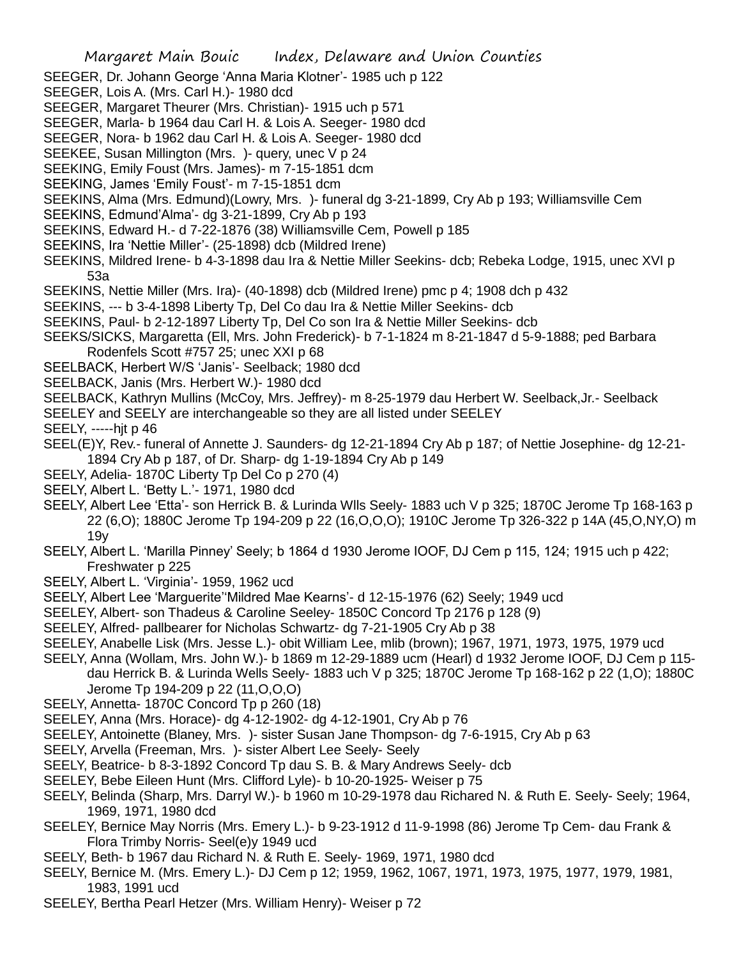- SEEGER, Dr. Johann George 'Anna Maria Klotner'- 1985 uch p 122
- SEEGER, Lois A. (Mrs. Carl H.)- 1980 dcd
- SEEGER, Margaret Theurer (Mrs. Christian)- 1915 uch p 571
- SEEGER, Marla- b 1964 dau Carl H. & Lois A. Seeger- 1980 dcd
- SEEGER, Nora- b 1962 dau Carl H. & Lois A. Seeger- 1980 dcd
- SEEKEE, Susan Millington (Mrs. )- query, unec V p 24
- SEEKING, Emily Foust (Mrs. James)- m 7-15-1851 dcm
- SEEKING, James 'Emily Foust'- m 7-15-1851 dcm
- SEEKINS, Alma (Mrs. Edmund)(Lowry, Mrs. )- funeral dg 3-21-1899, Cry Ab p 193; Williamsville Cem
- SEEKINS, Edmund'Alma'- dg 3-21-1899, Cry Ab p 193
- SEEKINS, Edward H.- d 7-22-1876 (38) Williamsville Cem, Powell p 185
- SEEKINS, Ira 'Nettie Miller'- (25-1898) dcb (Mildred Irene)
- SEEKINS, Mildred Irene- b 4-3-1898 dau Ira & Nettie Miller Seekins- dcb; Rebeka Lodge, 1915, unec XVI p 53a
- SEEKINS, Nettie Miller (Mrs. Ira)- (40-1898) dcb (Mildred Irene) pmc p 4; 1908 dch p 432
- SEEKINS, --- b 3-4-1898 Liberty Tp, Del Co dau Ira & Nettie Miller Seekins- dcb
- SEEKINS, Paul- b 2-12-1897 Liberty Tp, Del Co son Ira & Nettie Miller Seekins- dcb
- SEEKS/SICKS, Margaretta (Ell, Mrs. John Frederick)- b 7-1-1824 m 8-21-1847 d 5-9-1888; ped Barbara Rodenfels Scott #757 25; unec XXI p 68
- SEELBACK, Herbert W/S 'Janis'- Seelback; 1980 dcd
- SEELBACK, Janis (Mrs. Herbert W.)- 1980 dcd
- SEELBACK, Kathryn Mullins (McCoy, Mrs. Jeffrey)- m 8-25-1979 dau Herbert W. Seelback,Jr.- Seelback
- SEELEY and SEELY are interchangeable so they are all listed under SEELEY

SEELY, -----hjt p 46

- SEEL(E)Y, Rev.- funeral of Annette J. Saunders- dg 12-21-1894 Cry Ab p 187; of Nettie Josephine- dg 12-21- 1894 Cry Ab p 187, of Dr. Sharp- dg 1-19-1894 Cry Ab p 149
- SEELY, Adelia- 1870C Liberty Tp Del Co p 270 (4)
- SEELY, Albert L. 'Betty L.'- 1971, 1980 dcd
- SEELY, Albert Lee 'Etta'- son Herrick B. & Lurinda Wlls Seely- 1883 uch V p 325; 1870C Jerome Tp 168-163 p 22 (6,O); 1880C Jerome Tp 194-209 p 22 (16,O,O,O); 1910C Jerome Tp 326-322 p 14A (45,O,NY,O) m 19y
- SEELY, Albert L. 'Marilla Pinney' Seely; b 1864 d 1930 Jerome IOOF, DJ Cem p 115, 124; 1915 uch p 422; Freshwater p 225
- SEELY, Albert L. 'Virginia'- 1959, 1962 ucd
- SEELY, Albert Lee 'Marguerite''Mildred Mae Kearns'- d 12-15-1976 (62) Seely; 1949 ucd
- SEELEY, Albert- son Thadeus & Caroline Seeley- 1850C Concord Tp 2176 p 128 (9)
- SEELEY, Alfred- pallbearer for Nicholas Schwartz- dg 7-21-1905 Cry Ab p 38
- SEELEY, Anabelle Lisk (Mrs. Jesse L.)- obit William Lee, mlib (brown); 1967, 1971, 1973, 1975, 1979 ucd
- SEELY, Anna (Wollam, Mrs. John W.)- b 1869 m 12-29-1889 ucm (Hearl) d 1932 Jerome IOOF, DJ Cem p 115 dau Herrick B. & Lurinda Wells Seely- 1883 uch V p 325; 1870C Jerome Tp 168-162 p 22 (1,O); 1880C Jerome Tp 194-209 p 22 (11,O,O,O)
- SEELY, Annetta- 1870C Concord Tp p 260 (18)
- SEELEY, Anna (Mrs. Horace)- dg 4-12-1902- dg 4-12-1901, Cry Ab p 76
- SEELEY, Antoinette (Blaney, Mrs. )- sister Susan Jane Thompson- dg 7-6-1915, Cry Ab p 63
- SEELY, Arvella (Freeman, Mrs. )- sister Albert Lee Seely- Seely
- SEELY, Beatrice- b 8-3-1892 Concord Tp dau S. B. & Mary Andrews Seely- dcb
- SEELEY, Bebe Eileen Hunt (Mrs. Clifford Lyle)- b 10-20-1925- Weiser p 75
- SEELY, Belinda (Sharp, Mrs. Darryl W.)- b 1960 m 10-29-1978 dau Richared N. & Ruth E. Seely- Seely; 1964, 1969, 1971, 1980 dcd
- SEELEY, Bernice May Norris (Mrs. Emery L.)- b 9-23-1912 d 11-9-1998 (86) Jerome Tp Cem- dau Frank & Flora Trimby Norris- Seel(e)y 1949 ucd
- SEELY, Beth- b 1967 dau Richard N. & Ruth E. Seely- 1969, 1971, 1980 dcd
- SEELY, Bernice M. (Mrs. Emery L.)- DJ Cem p 12; 1959, 1962, 1067, 1971, 1973, 1975, 1977, 1979, 1981, 1983, 1991 ucd
- SEELEY, Bertha Pearl Hetzer (Mrs. William Henry)- Weiser p 72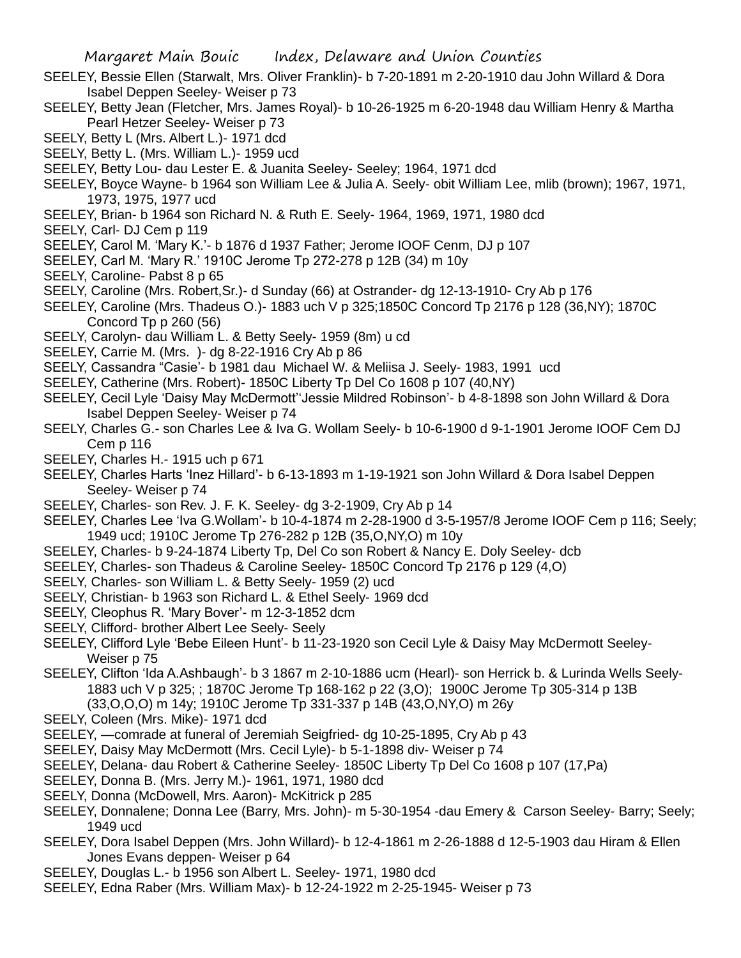- SEELEY, Bessie Ellen (Starwalt, Mrs. Oliver Franklin)- b 7-20-1891 m 2-20-1910 dau John Willard & Dora Isabel Deppen Seeley- Weiser p 73
- SEELEY, Betty Jean (Fletcher, Mrs. James Royal)- b 10-26-1925 m 6-20-1948 dau William Henry & Martha Pearl Hetzer Seeley- Weiser p 73
- SEELY, Betty L (Mrs. Albert L.)- 1971 dcd
- SEELY, Betty L. (Mrs. William L.)- 1959 ucd
- SEELEY, Betty Lou- dau Lester E. & Juanita Seeley- Seeley; 1964, 1971 dcd
- SEELEY, Boyce Wayne- b 1964 son William Lee & Julia A. Seely- obit William Lee, mlib (brown); 1967, 1971, 1973, 1975, 1977 ucd
- SEELEY, Brian- b 1964 son Richard N. & Ruth E. Seely- 1964, 1969, 1971, 1980 dcd
- SEELY, Carl- DJ Cem p 119
- SEELEY, Carol M. 'Mary K.'- b 1876 d 1937 Father; Jerome IOOF Cenm, DJ p 107
- SEELEY, Carl M. 'Mary R.' 1910C Jerome Tp 272-278 p 12B (34) m 10y
- SEELY, Caroline- Pabst 8 p 65
- SEELY, Caroline (Mrs. Robert,Sr.)- d Sunday (66) at Ostrander- dg 12-13-1910- Cry Ab p 176
- SEELEY, Caroline (Mrs. Thadeus O.)- 1883 uch V p 325;1850C Concord Tp 2176 p 128 (36,NY); 1870C Concord Tp p 260 (56)
- SEELY, Carolyn- dau William L. & Betty Seely- 1959 (8m) u cd
- SEELEY, Carrie M. (Mrs. )- dg 8-22-1916 Cry Ab p 86
- SEELY, Cassandra "Casie'- b 1981 dau Michael W. & Meliisa J. Seely- 1983, 1991 ucd
- SEELEY, Catherine (Mrs. Robert)- 1850C Liberty Tp Del Co 1608 p 107 (40,NY)
- SEELEY, Cecil Lyle 'Daisy May McDermott''Jessie Mildred Robinson'- b 4-8-1898 son John Willard & Dora Isabel Deppen Seeley- Weiser p 74
- SEELY, Charles G.- son Charles Lee & Iva G. Wollam Seely- b 10-6-1900 d 9-1-1901 Jerome IOOF Cem DJ Cem p 116
- SEELEY, Charles H.- 1915 uch p 671
- SEELEY, Charles Harts 'Inez Hillard'- b 6-13-1893 m 1-19-1921 son John Willard & Dora Isabel Deppen Seeley- Weiser p 74
- SEELEY, Charles- son Rev. J. F. K. Seeley- dg 3-2-1909, Cry Ab p 14
- SEELEY, Charles Lee 'Iva G.Wollam'- b 10-4-1874 m 2-28-1900 d 3-5-1957/8 Jerome IOOF Cem p 116; Seely; 1949 ucd; 1910C Jerome Tp 276-282 p 12B (35,O,NY,O) m 10y
- SEELEY, Charles- b 9-24-1874 Liberty Tp, Del Co son Robert & Nancy E. Doly Seeley- dcb
- SEELEY, Charles- son Thadeus & Caroline Seeley- 1850C Concord Tp 2176 p 129 (4,O)
- SEELY, Charles- son William L. & Betty Seely- 1959 (2) ucd
- SEELY, Christian- b 1963 son Richard L. & Ethel Seely- 1969 dcd
- SEELY, Cleophus R. 'Mary Bover'- m 12-3-1852 dcm
- SEELY, Clifford- brother Albert Lee Seely- Seely
- SEELEY, Clifford Lyle 'Bebe Eileen Hunt'- b 11-23-1920 son Cecil Lyle & Daisy May McDermott Seeley-Weiser p 75
- SEELEY, Clifton 'Ida A.Ashbaugh'- b 3 1867 m 2-10-1886 ucm (Hearl)- son Herrick b. & Lurinda Wells Seely-1883 uch V p 325; ; 1870C Jerome Tp 168-162 p 22 (3,O); 1900C Jerome Tp 305-314 p 13B (33,O,O,O) m 14y; 1910C Jerome Tp 331-337 p 14B (43,O,NY,O) m 26y
- SEELY, Coleen (Mrs. Mike)- 1971 dcd
- SEELEY, —comrade at funeral of Jeremiah Seigfried- dg 10-25-1895, Cry Ab p 43
- SEELEY, Daisy May McDermott (Mrs. Cecil Lyle)- b 5-1-1898 div- Weiser p 74
- SEELEY, Delana- dau Robert & Catherine Seeley- 1850C Liberty Tp Del Co 1608 p 107 (17,Pa)
- SEELEY, Donna B. (Mrs. Jerry M.)- 1961, 1971, 1980 dcd
- SEELY, Donna (McDowell, Mrs. Aaron)- McKitrick p 285
- SEELEY, Donnalene; Donna Lee (Barry, Mrs. John)- m 5-30-1954 -dau Emery & Carson Seeley- Barry; Seely; 1949 ucd
- SEELEY, Dora Isabel Deppen (Mrs. John Willard)- b 12-4-1861 m 2-26-1888 d 12-5-1903 dau Hiram & Ellen Jones Evans deppen- Weiser p 64
- SEELEY, Douglas L.- b 1956 son Albert L. Seeley- 1971, 1980 dcd
- SEELEY, Edna Raber (Mrs. William Max)- b 12-24-1922 m 2-25-1945- Weiser p 73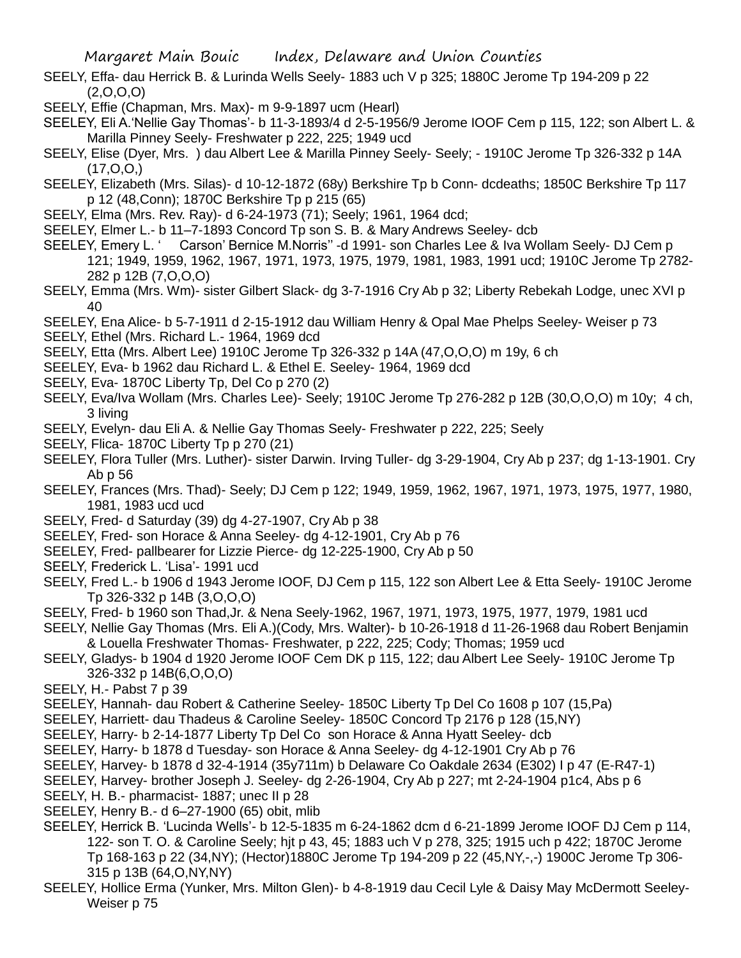SEELY, Effa- dau Herrick B. & Lurinda Wells Seely- 1883 uch V p 325; 1880C Jerome Tp 194-209 p 22  $(2,0,0,0)$ 

SEELY, Effie (Chapman, Mrs. Max)- m 9-9-1897 ucm (Hearl)

SEELEY, Eli A.'Nellie Gay Thomas'- b 11-3-1893/4 d 2-5-1956/9 Jerome IOOF Cem p 115, 122; son Albert L. & Marilla Pinney Seely- Freshwater p 222, 225; 1949 ucd

SEELY, Elise (Dyer, Mrs. ) dau Albert Lee & Marilla Pinney Seely- Seely; - 1910C Jerome Tp 326-332 p 14A  $(17,0,0)$ 

SEELEY, Elizabeth (Mrs. Silas)- d 10-12-1872 (68y) Berkshire Tp b Conn- dcdeaths; 1850C Berkshire Tp 117 p 12 (48,Conn); 1870C Berkshire Tp p 215 (65)

- SEELY, Elma (Mrs. Rev. Ray)- d 6-24-1973 (71); Seely; 1961, 1964 dcd;
- SEELEY, Elmer L.- b 11–7-1893 Concord Tp son S. B. & Mary Andrews Seeley- dcb
- SEELEY, Emery L. ' Carson' Bernice M.Norris'' -d 1991- son Charles Lee & Iva Wollam Seely- DJ Cem p 121; 1949, 1959, 1962, 1967, 1971, 1973, 1975, 1979, 1981, 1983, 1991 ucd; 1910C Jerome Tp 2782- 282 p 12B (7,O,O,O)
- SEELY, Emma (Mrs. Wm)- sister Gilbert Slack- dg 3-7-1916 Cry Ab p 32; Liberty Rebekah Lodge, unec XVI p 40
- SEELEY, Ena Alice- b 5-7-1911 d 2-15-1912 dau William Henry & Opal Mae Phelps Seeley- Weiser p 73 SEELY, Ethel (Mrs. Richard L.- 1964, 1969 dcd
- SEELY, Etta (Mrs. Albert Lee) 1910C Jerome Tp 326-332 p 14A (47,O,O,O) m 19y, 6 ch
- SEELEY, Eva- b 1962 dau Richard L. & Ethel E. Seeley- 1964, 1969 dcd
- SEELY, Eva- 1870C Liberty Tp, Del Co p 270 (2)
- SEELY, Eva/Iva Wollam (Mrs. Charles Lee)- Seely; 1910C Jerome Tp 276-282 p 12B (30,O,O,O) m 10y; 4 ch, 3 living
- SEELY, Evelyn- dau Eli A. & Nellie Gay Thomas Seely- Freshwater p 222, 225; Seely
- SEELY, Flica- 1870C Liberty Tp p 270 (21)
- SEELEY, Flora Tuller (Mrs. Luther)- sister Darwin. Irving Tuller- dg 3-29-1904, Cry Ab p 237; dg 1-13-1901. Cry Ab p 56
- SEELEY, Frances (Mrs. Thad)- Seely; DJ Cem p 122; 1949, 1959, 1962, 1967, 1971, 1973, 1975, 1977, 1980, 1981, 1983 ucd ucd
- SEELY, Fred- d Saturday (39) dg 4-27-1907, Cry Ab p 38
- SEELEY, Fred- son Horace & Anna Seeley- dg 4-12-1901, Cry Ab p 76
- SEELEY, Fred- pallbearer for Lizzie Pierce- dg 12-225-1900, Cry Ab p 50
- SEELY, Frederick L. 'Lisa'- 1991 ucd
- SEELY, Fred L.- b 1906 d 1943 Jerome IOOF, DJ Cem p 115, 122 son Albert Lee & Etta Seely- 1910C Jerome Tp 326-332 p 14B (3,O,O,O)
- SEELY, Fred- b 1960 son Thad,Jr. & Nena Seely-1962, 1967, 1971, 1973, 1975, 1977, 1979, 1981 ucd
- SEELY, Nellie Gay Thomas (Mrs. Eli A.)(Cody, Mrs. Walter)- b 10-26-1918 d 11-26-1968 dau Robert Benjamin & Louella Freshwater Thomas- Freshwater, p 222, 225; Cody; Thomas; 1959 ucd
- SEELY, Gladys- b 1904 d 1920 Jerome IOOF Cem DK p 115, 122; dau Albert Lee Seely- 1910C Jerome Tp 326-332 p 14B(6,O,O,O)
- SEELY, H.- Pabst 7 p 39
- SEELEY, Hannah- dau Robert & Catherine Seeley- 1850C Liberty Tp Del Co 1608 p 107 (15,Pa)
- SEELEY, Harriett- dau Thadeus & Caroline Seeley- 1850C Concord Tp 2176 p 128 (15,NY)
- SEELEY, Harry- b 2-14-1877 Liberty Tp Del Co son Horace & Anna Hyatt Seeley- dcb
- SEELEY, Harry- b 1878 d Tuesday- son Horace & Anna Seeley- dg 4-12-1901 Cry Ab p 76
- SEELEY, Harvey- b 1878 d 32-4-1914 (35y711m) b Delaware Co Oakdale 2634 (E302) I p 47 (E-R47-1)
- SEELEY, Harvey- brother Joseph J. Seeley- dg 2-26-1904, Cry Ab p 227; mt 2-24-1904 p1c4, Abs p 6
- SEELY, H. B.- pharmacist- 1887; unec II p 28
- SEELEY, Henry B.- d 6–27-1900 (65) obit, mlib
- SEELEY, Herrick B. 'Lucinda Wells'- b 12-5-1835 m 6-24-1862 dcm d 6-21-1899 Jerome IOOF DJ Cem p 114, 122- son T. O. & Caroline Seely; hjt p 43, 45; 1883 uch V p 278, 325; 1915 uch p 422; 1870C Jerome Tp 168-163 p 22 (34,NY); (Hector)1880C Jerome Tp 194-209 p 22 (45,NY,-,-) 1900C Jerome Tp 306- 315 p 13B (64,O,NY,NY)
- SEELEY, Hollice Erma (Yunker, Mrs. Milton Glen)- b 4-8-1919 dau Cecil Lyle & Daisy May McDermott Seeley-Weiser p 75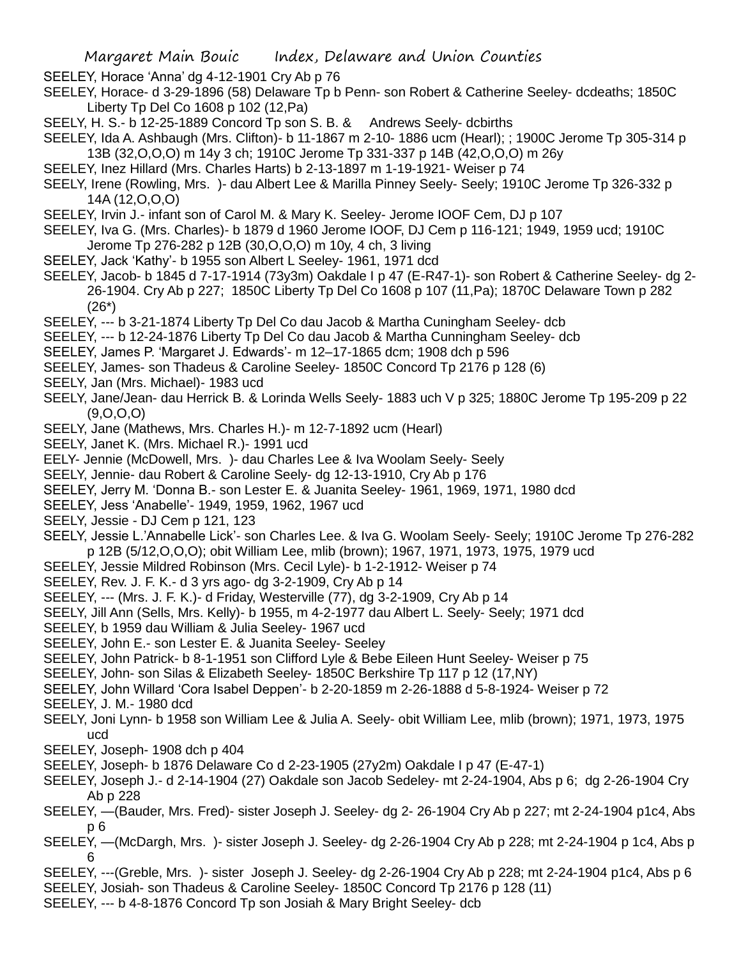SEELEY, Horace 'Anna' dg 4-12-1901 Cry Ab p 76

- SEELEY, Horace- d 3-29-1896 (58) Delaware Tp b Penn- son Robert & Catherine Seeley- dcdeaths; 1850C Liberty Tp Del Co 1608 p 102 (12,Pa)
- SEELY, H. S.- b 12-25-1889 Concord Tp son S. B. & Andrews Seely- dcbirths
- SEELEY, Ida A. Ashbaugh (Mrs. Clifton)- b 11-1867 m 2-10- 1886 ucm (Hearl); ; 1900C Jerome Tp 305-314 p 13B (32,O,O,O) m 14y 3 ch; 1910C Jerome Tp 331-337 p 14B (42,O,O,O) m 26y
- SEELEY, Inez Hillard (Mrs. Charles Harts) b 2-13-1897 m 1-19-1921- Weiser p 74
- SEELY, Irene (Rowling, Mrs. )- dau Albert Lee & Marilla Pinney Seely- Seely; 1910C Jerome Tp 326-332 p 14A (12,O,O,O)
- SEELEY, Irvin J.- infant son of Carol M. & Mary K. Seeley- Jerome IOOF Cem, DJ p 107
- SEELEY, Iva G. (Mrs. Charles)- b 1879 d 1960 Jerome IOOF, DJ Cem p 116-121; 1949, 1959 ucd; 1910C Jerome Tp 276-282 p 12B (30,O,O,O) m 10y, 4 ch, 3 living
- SEELEY, Jack 'Kathy'- b 1955 son Albert L Seeley- 1961, 1971 dcd
- SEELEY, Jacob- b 1845 d 7-17-1914 (73y3m) Oakdale I p 47 (E-R47-1)- son Robert & Catherine Seeley- dg 2- 26-1904. Cry Ab p 227; 1850C Liberty Tp Del Co 1608 p 107 (11,Pa); 1870C Delaware Town p 282 (26\*)
- SEELEY, --- b 3-21-1874 Liberty Tp Del Co dau Jacob & Martha Cuningham Seeley- dcb
- SEELEY, --- b 12-24-1876 Liberty Tp Del Co dau Jacob & Martha Cunningham Seeley- dcb
- SEELEY, James P. 'Margaret J. Edwards'- m 12–17-1865 dcm; 1908 dch p 596
- SEELEY, James- son Thadeus & Caroline Seeley- 1850C Concord Tp 2176 p 128 (6)
- SEELY, Jan (Mrs. Michael)- 1983 ucd
- SEELY, Jane/Jean- dau Herrick B. & Lorinda Wells Seely- 1883 uch V p 325; 1880C Jerome Tp 195-209 p 22 (9,O,O,O)
- SEELY, Jane (Mathews, Mrs. Charles H.)- m 12-7-1892 ucm (Hearl)
- SEELY, Janet K. (Mrs. Michael R.)- 1991 ucd
- EELY- Jennie (McDowell, Mrs. )- dau Charles Lee & Iva Woolam Seely- Seely
- SEELY, Jennie- dau Robert & Caroline Seely- dg 12-13-1910, Cry Ab p 176
- SEELEY, Jerry M. 'Donna B.- son Lester E. & Juanita Seeley- 1961, 1969, 1971, 1980 dcd
- SEELEY, Jess 'Anabelle'- 1949, 1959, 1962, 1967 ucd
- SEELY, Jessie DJ Cem p 121, 123
- SEELY, Jessie L.'Annabelle Lick'- son Charles Lee. & Iva G. Woolam Seely- Seely; 1910C Jerome Tp 276-282 p 12B (5/12,O,O,O); obit William Lee, mlib (brown); 1967, 1971, 1973, 1975, 1979 ucd
- SEELEY, Jessie Mildred Robinson (Mrs. Cecil Lyle)- b 1-2-1912- Weiser p 74
- SEELEY, Rev. J. F. K.- d 3 yrs ago- dg 3-2-1909, Cry Ab p 14
- SEELEY, --- (Mrs. J. F. K.)- d Friday, Westerville (77), dg 3-2-1909, Cry Ab p 14
- SEELY, Jill Ann (Sells, Mrs. Kelly)- b 1955, m 4-2-1977 dau Albert L. Seely- Seely; 1971 dcd
- SEELEY, b 1959 dau William & Julia Seeley- 1967 ucd
- SEELEY, John E.- son Lester E. & Juanita Seeley- Seeley
- SEELEY, John Patrick- b 8-1-1951 son Clifford Lyle & Bebe Eileen Hunt Seeley- Weiser p 75
- SEELEY, John- son Silas & Elizabeth Seeley- 1850C Berkshire Tp 117 p 12 (17,NY)
- SEELEY, John Willard 'Cora Isabel Deppen'- b 2-20-1859 m 2-26-1888 d 5-8-1924- Weiser p 72 SEELEY, J. M.- 1980 dcd
- SEELY, Joni Lynn- b 1958 son William Lee & Julia A. Seely- obit William Lee, mlib (brown); 1971, 1973, 1975 ucd
- SEELEY, Joseph- 1908 dch p 404
- SEELEY, Joseph- b 1876 Delaware Co d 2-23-1905 (27y2m) Oakdale I p 47 (E-47-1)
- SEELEY, Joseph J.- d 2-14-1904 (27) Oakdale son Jacob Sedeley- mt 2-24-1904, Abs p 6; dg 2-26-1904 Cry Ab p 228
- SEELEY, —(Bauder, Mrs. Fred)- sister Joseph J. Seeley- dg 2- 26-1904 Cry Ab p 227; mt 2-24-1904 p1c4, Abs p 6
- SEELEY, —(McDargh, Mrs. )- sister Joseph J. Seeley- dg 2-26-1904 Cry Ab p 228; mt 2-24-1904 p 1c4, Abs p 6
- SEELEY, ---(Greble, Mrs. )- sister Joseph J. Seeley- dg 2-26-1904 Cry Ab p 228; mt 2-24-1904 p1c4, Abs p 6
- SEELEY, Josiah- son Thadeus & Caroline Seeley- 1850C Concord Tp 2176 p 128 (11)
- SEELEY, --- b 4-8-1876 Concord Tp son Josiah & Mary Bright Seeley- dcb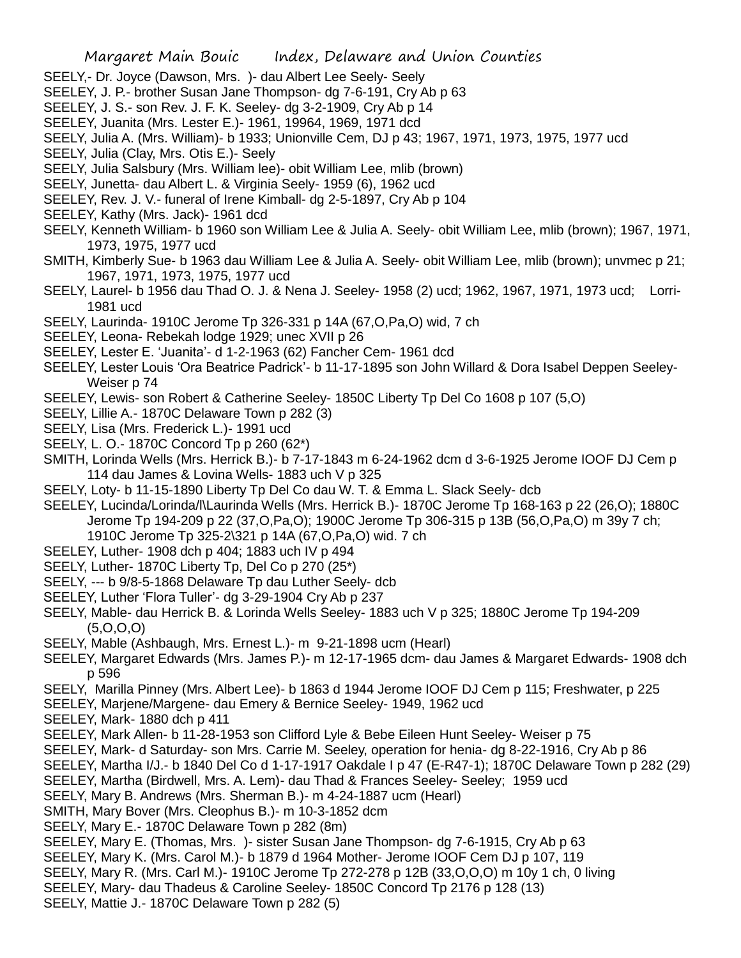- SEELY,- Dr. Joyce (Dawson, Mrs. )- dau Albert Lee Seely- Seely
- SEELEY, J. P.- brother Susan Jane Thompson- dg 7-6-191, Cry Ab p 63
- SEELEY, J. S.- son Rev. J. F. K. Seeley- dg 3-2-1909, Cry Ab p 14
- SEELEY, Juanita (Mrs. Lester E.)- 1961, 19964, 1969, 1971 dcd
- SEELY, Julia A. (Mrs. William)- b 1933; Unionville Cem, DJ p 43; 1967, 1971, 1973, 1975, 1977 ucd
- SEELY, Julia (Clay, Mrs. Otis E.)- Seely
- SEELY, Julia Salsbury (Mrs. William lee)- obit William Lee, mlib (brown)
- SEELY, Junetta- dau Albert L. & Virginia Seely- 1959 (6), 1962 ucd
- SEELEY, Rev. J. V.- funeral of Irene Kimball- dg 2-5-1897, Cry Ab p 104
- SEELEY, Kathy (Mrs. Jack)- 1961 dcd
- SEELY, Kenneth William- b 1960 son William Lee & Julia A. Seely- obit William Lee, mlib (brown); 1967, 1971, 1973, 1975, 1977 ucd
- SMITH, Kimberly Sue- b 1963 dau William Lee & Julia A. Seely- obit William Lee, mlib (brown); unvmec p 21; 1967, 1971, 1973, 1975, 1977 ucd
- SEELY, Laurel- b 1956 dau Thad O. J. & Nena J. Seeley- 1958 (2) ucd; 1962, 1967, 1971, 1973 ucd; Lorri-1981 ucd
- SEELY, Laurinda- 1910C Jerome Tp 326-331 p 14A (67,O,Pa,O) wid, 7 ch
- SEELEY, Leona- Rebekah lodge 1929; unec XVII p 26
- SEELEY, Lester E. 'Juanita'- d 1-2-1963 (62) Fancher Cem- 1961 dcd
- SEELEY, Lester Louis 'Ora Beatrice Padrick'- b 11-17-1895 son John Willard & Dora Isabel Deppen Seeley-Weiser p 74
- SEELEY, Lewis- son Robert & Catherine Seeley- 1850C Liberty Tp Del Co 1608 p 107 (5,O)
- SEELY, Lillie A.- 1870C Delaware Town p 282 (3)
- SEELY, Lisa (Mrs. Frederick L.)- 1991 ucd
- SEELY, L. O.- 1870C Concord Tp p 260 (62\*)
- SMITH, Lorinda Wells (Mrs. Herrick B.)- b 7-17-1843 m 6-24-1962 dcm d 3-6-1925 Jerome IOOF DJ Cem p 114 dau James & Lovina Wells- 1883 uch V p 325
- SEELY, Loty- b 11-15-1890 Liberty Tp Del Co dau W. T. & Emma L. Slack Seely- dcb
- SEELEY, Lucinda/Lorinda/l\Laurinda Wells (Mrs. Herrick B.)- 1870C Jerome Tp 168-163 p 22 (26,O); 1880C Jerome Tp 194-209 p 22 (37,O,Pa,O); 1900C Jerome Tp 306-315 p 13B (56,O,Pa,O) m 39y 7 ch; 1910C Jerome Tp 325-2\321 p 14A (67,O,Pa,O) wid. 7 ch
- SEELEY, Luther- 1908 dch p 404; 1883 uch IV p 494
- SEELY, Luther- 1870C Liberty Tp, Del Co p 270 (25\*)
- SEELY, --- b 9/8-5-1868 Delaware Tp dau Luther Seely- dcb
- SEELEY, Luther 'Flora Tuller'- dg 3-29-1904 Cry Ab p 237
- SEELY, Mable- dau Herrick B. & Lorinda Wells Seeley- 1883 uch V p 325; 1880C Jerome Tp 194-209  $(5,0,0,0)$
- SEELY, Mable (Ashbaugh, Mrs. Ernest L.)- m 9-21-1898 ucm (Hearl)
- SEELEY, Margaret Edwards (Mrs. James P.)- m 12-17-1965 dcm- dau James & Margaret Edwards- 1908 dch p 596
- SEELY, Marilla Pinney (Mrs. Albert Lee)- b 1863 d 1944 Jerome IOOF DJ Cem p 115; Freshwater, p 225
- SEELEY, Marjene/Margene- dau Emery & Bernice Seeley- 1949, 1962 ucd
- SEELEY, Mark- 1880 dch p 411
- SEELEY, Mark Allen- b 11-28-1953 son Clifford Lyle & Bebe Eileen Hunt Seeley- Weiser p 75
- SEELEY, Mark- d Saturday- son Mrs. Carrie M. Seeley, operation for henia- dg 8-22-1916, Cry Ab p 86
- SEELEY, Martha I/J.- b 1840 Del Co d 1-17-1917 Oakdale I p 47 (E-R47-1); 1870C Delaware Town p 282 (29)
- SEELEY, Martha (Birdwell, Mrs. A. Lem)- dau Thad & Frances Seeley- Seeley; 1959 ucd
- SEELY, Mary B. Andrews (Mrs. Sherman B.)- m 4-24-1887 ucm (Hearl)
- SMITH, Mary Bover (Mrs. Cleophus B.)- m 10-3-1852 dcm
- SEELY, Mary E.- 1870C Delaware Town p 282 (8m)
- SEELEY, Mary E. (Thomas, Mrs. )- sister Susan Jane Thompson- dg 7-6-1915, Cry Ab p 63
- SEELEY, Mary K. (Mrs. Carol M.)- b 1879 d 1964 Mother- Jerome IOOF Cem DJ p 107, 119
- SEELY, Mary R. (Mrs. Carl M.)- 1910C Jerome Tp 272-278 p 12B (33,O,O,O) m 10y 1 ch, 0 living
- SEELEY, Mary- dau Thadeus & Caroline Seeley- 1850C Concord Tp 2176 p 128 (13)
- SEELY, Mattie J.- 1870C Delaware Town p 282 (5)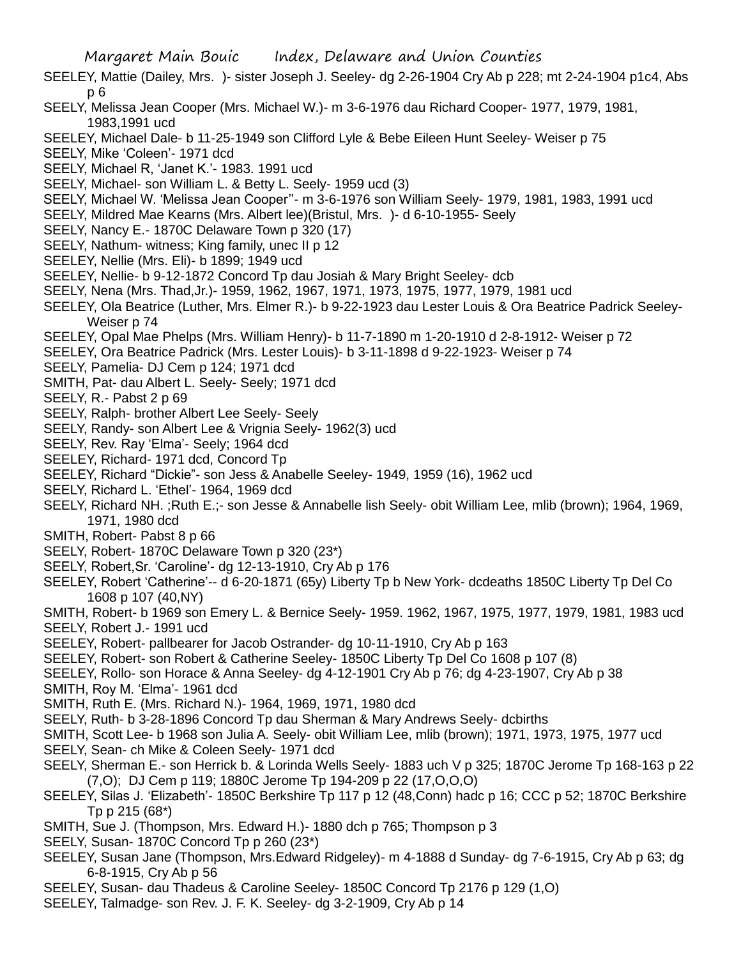- SEELEY, Mattie (Dailey, Mrs. )- sister Joseph J. Seeley- dg 2-26-1904 Cry Ab p 228; mt 2-24-1904 p1c4, Abs p 6
- SEELY, Melissa Jean Cooper (Mrs. Michael W.)- m 3-6-1976 dau Richard Cooper- 1977, 1979, 1981, 1983,1991 ucd
- SEELEY, Michael Dale- b 11-25-1949 son Clifford Lyle & Bebe Eileen Hunt Seeley- Weiser p 75
- SEELY, Mike 'Coleen'- 1971 dcd
- SEELY, Michael R, 'Janet K.'- 1983. 1991 ucd
- SEELY, Michael- son William L. & Betty L. Seely- 1959 ucd (3)
- SEELY, Michael W. 'Melissa Jean Cooper''- m 3-6-1976 son William Seely- 1979, 1981, 1983, 1991 ucd
- SEELY, Mildred Mae Kearns (Mrs. Albert lee)(Bristul, Mrs. )- d 6-10-1955- Seely
- SEELY, Nancy E.- 1870C Delaware Town p 320 (17)
- SEELY, Nathum- witness; King family, unec II p 12
- SEELEY, Nellie (Mrs. Eli)- b 1899; 1949 ucd
- SEELEY, Nellie- b 9-12-1872 Concord Tp dau Josiah & Mary Bright Seeley- dcb
- SEELY, Nena (Mrs. Thad,Jr.)- 1959, 1962, 1967, 1971, 1973, 1975, 1977, 1979, 1981 ucd
- SEELEY, Ola Beatrice (Luther, Mrs. Elmer R.)- b 9-22-1923 dau Lester Louis & Ora Beatrice Padrick Seeley-Weiser p 74
- SEELEY, Opal Mae Phelps (Mrs. William Henry)- b 11-7-1890 m 1-20-1910 d 2-8-1912- Weiser p 72
- SEELEY, Ora Beatrice Padrick (Mrs. Lester Louis)- b 3-11-1898 d 9-22-1923- Weiser p 74
- SEELY, Pamelia- DJ Cem p 124; 1971 dcd
- SMITH, Pat- dau Albert L. Seely- Seely; 1971 dcd
- SEELY, R.- Pabst 2 p 69
- SEELY, Ralph- brother Albert Lee Seely- Seely
- SEELY, Randy- son Albert Lee & Vrignia Seely- 1962(3) ucd
- SEELY, Rev. Ray 'Elma'- Seely; 1964 dcd
- SEELEY, Richard- 1971 dcd, Concord Tp
- SEELEY, Richard "Dickie"- son Jess & Anabelle Seeley- 1949, 1959 (16), 1962 ucd
- SEELY, Richard L. 'Ethel'- 1964, 1969 dcd
- SEELY, Richard NH. ;Ruth E.;- son Jesse & Annabelle lish Seely- obit William Lee, mlib (brown); 1964, 1969, 1971, 1980 dcd
- SMITH, Robert- Pabst 8 p 66
- SEELY, Robert- 1870C Delaware Town p 320 (23\*)
- SEELY, Robert,Sr. 'Caroline'- dg 12-13-1910, Cry Ab p 176
- SEELEY, Robert 'Catherine'-- d 6-20-1871 (65y) Liberty Tp b New York- dcdeaths 1850C Liberty Tp Del Co 1608 p 107 (40,NY)
- SMITH, Robert- b 1969 son Emery L. & Bernice Seely- 1959. 1962, 1967, 1975, 1977, 1979, 1981, 1983 ucd SEELY, Robert J.- 1991 ucd
- 
- SEELEY, Robert- pallbearer for Jacob Ostrander- dg 10-11-1910, Cry Ab p 163
- SEELEY, Robert- son Robert & Catherine Seeley- 1850C Liberty Tp Del Co 1608 p 107 (8)
- SEELEY, Rollo- son Horace & Anna Seeley- dg 4-12-1901 Cry Ab p 76; dg 4-23-1907, Cry Ab p 38
- SMITH, Roy M. 'Elma'- 1961 dcd
- SMITH, Ruth E. (Mrs. Richard N.)- 1964, 1969, 1971, 1980 dcd
- SEELY, Ruth- b 3-28-1896 Concord Tp dau Sherman & Mary Andrews Seely- dcbirths
- SMITH, Scott Lee- b 1968 son Julia A. Seely- obit William Lee, mlib (brown); 1971, 1973, 1975, 1977 ucd
- SEELY, Sean- ch Mike & Coleen Seely- 1971 dcd
- SEELY, Sherman E.- son Herrick b. & Lorinda Wells Seely- 1883 uch V p 325; 1870C Jerome Tp 168-163 p 22 (7,O); DJ Cem p 119; 1880C Jerome Tp 194-209 p 22 (17,O,O,O)
- SEELEY, Silas J. 'Elizabeth'- 1850C Berkshire Tp 117 p 12 (48,Conn) hadc p 16; CCC p 52; 1870C Berkshire Tp p 215 (68\*)
- SMITH, Sue J. (Thompson, Mrs. Edward H.)- 1880 dch p 765; Thompson p 3
- SEELY, Susan- 1870C Concord Tp p 260 (23\*)
- SEELEY, Susan Jane (Thompson, Mrs.Edward Ridgeley)- m 4-1888 d Sunday- dg 7-6-1915, Cry Ab p 63; dg 6-8-1915, Cry Ab p 56
- SEELEY, Susan- dau Thadeus & Caroline Seeley- 1850C Concord Tp 2176 p 129 (1,O)
- SEELEY, Talmadge- son Rev. J. F. K. Seeley- dg 3-2-1909, Cry Ab p 14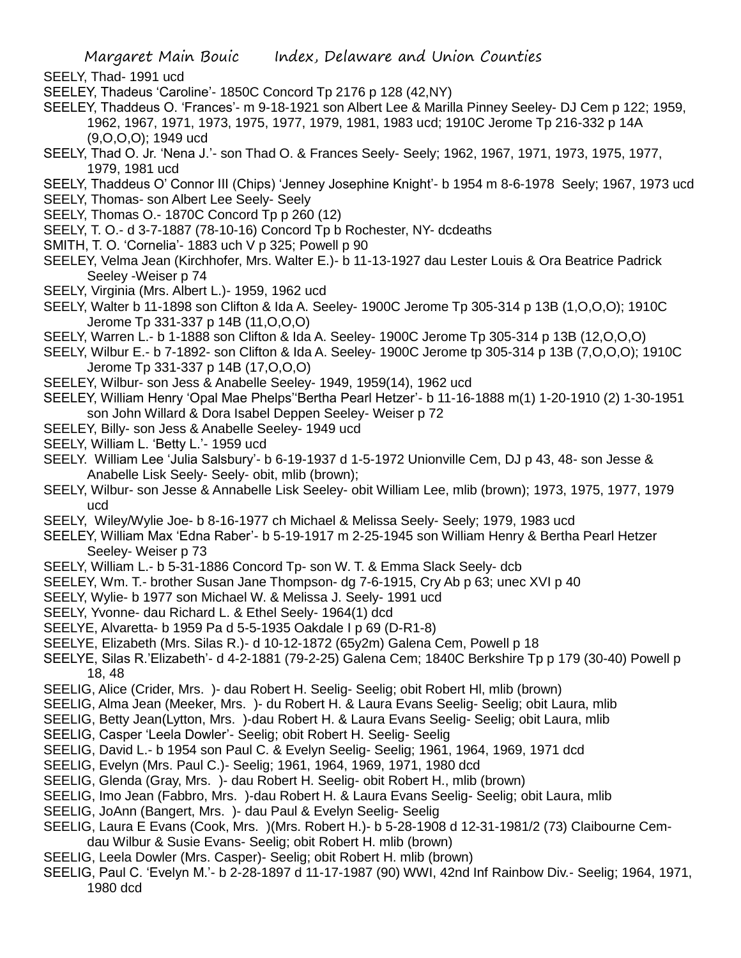- SEELY, Thad- 1991 ucd
- SEELEY, Thadeus 'Caroline'- 1850C Concord Tp 2176 p 128 (42,NY)
- SEELEY, Thaddeus O. 'Frances'- m 9-18-1921 son Albert Lee & Marilla Pinney Seeley- DJ Cem p 122; 1959, 1962, 1967, 1971, 1973, 1975, 1977, 1979, 1981, 1983 ucd; 1910C Jerome Tp 216-332 p 14A (9,O,O,O); 1949 ucd
- SEELY, Thad O. Jr. 'Nena J.'- son Thad O. & Frances Seely- Seely; 1962, 1967, 1971, 1973, 1975, 1977, 1979, 1981 ucd
- SEELY, Thaddeus O' Connor III (Chips) 'Jenney Josephine Knight'- b 1954 m 8-6-1978 Seely; 1967, 1973 ucd
- SEELY, Thomas- son Albert Lee Seely- Seely
- SEELY, Thomas O.- 1870C Concord Tp p 260 (12)
- SEELY, T. O.- d 3-7-1887 (78-10-16) Concord Tp b Rochester, NY- dcdeaths
- SMITH, T. O. 'Cornelia'- 1883 uch V p 325; Powell p 90
- SEELEY, Velma Jean (Kirchhofer, Mrs. Walter E.)- b 11-13-1927 dau Lester Louis & Ora Beatrice Padrick Seeley -Weiser p 74
- SEELY, Virginia (Mrs. Albert L.)- 1959, 1962 ucd
- SEELY, Walter b 11-1898 son Clifton & Ida A. Seeley- 1900C Jerome Tp 305-314 p 13B (1,O,O,O); 1910C Jerome Tp 331-337 p 14B (11,O,O,O)
- SEELY, Warren L.- b 1-1888 son Clifton & Ida A. Seeley- 1900C Jerome Tp 305-314 p 13B (12,O,O,O)
- SEELY, Wilbur E.- b 7-1892- son Clifton & Ida A. Seeley- 1900C Jerome tp 305-314 p 13B (7,O,O,O); 1910C Jerome Tp 331-337 p 14B (17,O,O,O)
- SEELEY, Wilbur- son Jess & Anabelle Seeley- 1949, 1959(14), 1962 ucd
- SEELEY, William Henry 'Opal Mae Phelps''Bertha Pearl Hetzer'- b 11-16-1888 m(1) 1-20-1910 (2) 1-30-1951 son John Willard & Dora Isabel Deppen Seeley- Weiser p 72
- SEELEY, Billy- son Jess & Anabelle Seeley- 1949 ucd
- SEELY, William L. 'Betty L.'- 1959 ucd
- SEELY. William Lee 'Julia Salsbury'- b 6-19-1937 d 1-5-1972 Unionville Cem, DJ p 43, 48- son Jesse & Anabelle Lisk Seely- Seely- obit, mlib (brown);
- SEELY, Wilbur- son Jesse & Annabelle Lisk Seeley- obit William Lee, mlib (brown); 1973, 1975, 1977, 1979 ucd
- SEELY, Wiley/Wylie Joe- b 8-16-1977 ch Michael & Melissa Seely- Seely; 1979, 1983 ucd
- SEELEY, William Max 'Edna Raber'- b 5-19-1917 m 2-25-1945 son William Henry & Bertha Pearl Hetzer Seeley- Weiser p 73
- SEELY, William L.- b 5-31-1886 Concord Tp- son W. T. & Emma Slack Seely- dcb
- SEELEY, Wm. T.- brother Susan Jane Thompson- dg 7-6-1915, Cry Ab p 63; unec XVI p 40
- SEELY, Wylie- b 1977 son Michael W. & Melissa J. Seely- 1991 ucd
- SEELY, Yvonne- dau Richard L. & Ethel Seely- 1964(1) dcd
- SEELYE, Alvaretta- b 1959 Pa d 5-5-1935 Oakdale I p 69 (D-R1-8)
- SEELYE, Elizabeth (Mrs. Silas R.)- d 10-12-1872 (65y2m) Galena Cem, Powell p 18
- SEELYE, Silas R.'Elizabeth'- d 4-2-1881 (79-2-25) Galena Cem; 1840C Berkshire Tp p 179 (30-40) Powell p 18, 48
- SEELIG, Alice (Crider, Mrs. )- dau Robert H. Seelig- Seelig; obit Robert Hl, mlib (brown)
- SEELIG, Alma Jean (Meeker, Mrs. )- du Robert H. & Laura Evans Seelig- Seelig; obit Laura, mlib
- SEELIG, Betty Jean(Lytton, Mrs. )-dau Robert H. & Laura Evans Seelig- Seelig; obit Laura, mlib
- SEELIG, Casper 'Leela Dowler'- Seelig; obit Robert H. Seelig- Seelig
- SEELIG, David L.- b 1954 son Paul C. & Evelyn Seelig- Seelig; 1961, 1964, 1969, 1971 dcd
- SEELIG, Evelyn (Mrs. Paul C.)- Seelig; 1961, 1964, 1969, 1971, 1980 dcd
- SEELIG, Glenda (Gray, Mrs. )- dau Robert H. Seelig- obit Robert H., mlib (brown)
- SEELIG, Imo Jean (Fabbro, Mrs. )-dau Robert H. & Laura Evans Seelig- Seelig; obit Laura, mlib
- SEELIG, JoAnn (Bangert, Mrs. )- dau Paul & Evelyn Seelig- Seelig
- SEELIG, Laura E Evans (Cook, Mrs. )(Mrs. Robert H.)- b 5-28-1908 d 12-31-1981/2 (73) Claibourne Cemdau Wilbur & Susie Evans- Seelig; obit Robert H. mlib (brown)
- SEELIG, Leela Dowler (Mrs. Casper)- Seelig; obit Robert H. mlib (brown)
- SEELIG, Paul C. 'Evelyn M.'- b 2-28-1897 d 11-17-1987 (90) WWI, 42nd Inf Rainbow Div.- Seelig; 1964, 1971, 1980 dcd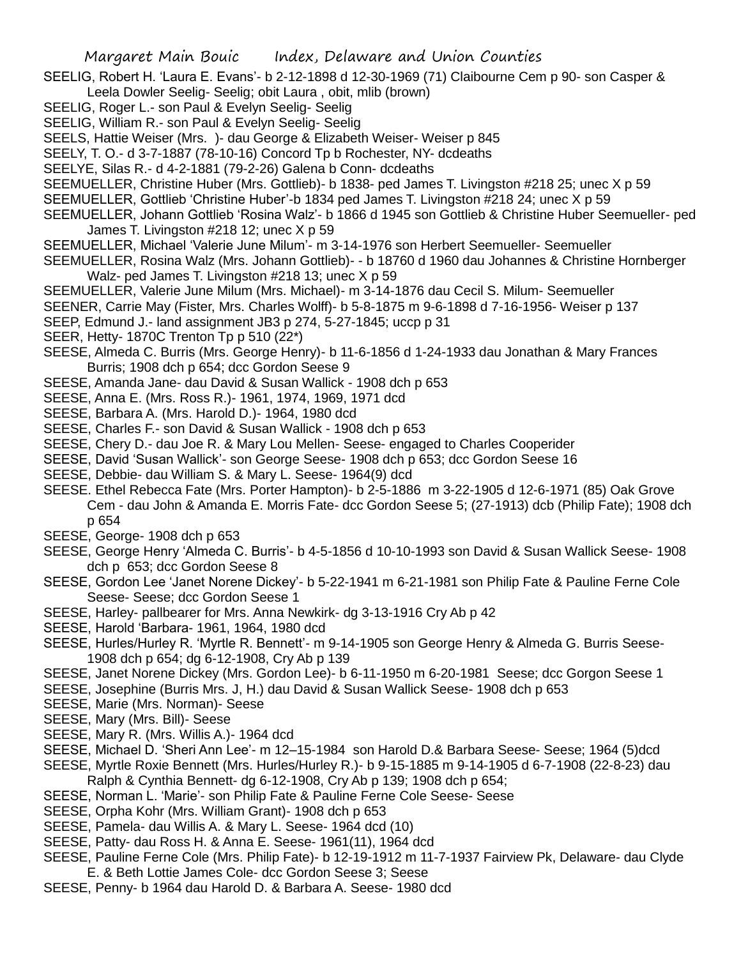- SEELIG, Robert H. 'Laura E. Evans'- b 2-12-1898 d 12-30-1969 (71) Claibourne Cem p 90- son Casper & Leela Dowler Seelig- Seelig; obit Laura , obit, mlib (brown)
- SEELIG, Roger L.- son Paul & Evelyn Seelig- Seelig
- SEELIG, William R.- son Paul & Evelyn Seelig- Seelig
- SEELS, Hattie Weiser (Mrs. )- dau George & Elizabeth Weiser- Weiser p 845

SEELY, T. O.- d 3-7-1887 (78-10-16) Concord Tp b Rochester, NY- dcdeaths

- SEELYE, Silas R.- d 4-2-1881 (79-2-26) Galena b Conn- dcdeaths
- SEEMUELLER, Christine Huber (Mrs. Gottlieb)- b 1838- ped James T. Livingston #218 25; unec X p 59
- SEEMUELLER, Gottlieb 'Christine Huber'-b 1834 ped James T. Livingston #218 24; unec X p 59
- SEEMUELLER, Johann Gottlieb 'Rosina Walz'- b 1866 d 1945 son Gottlieb & Christine Huber Seemueller- ped James T. Livingston #218 12; unec X p 59
- SEEMUELLER, Michael 'Valerie June Milum'- m 3-14-1976 son Herbert Seemueller- Seemueller
- SEEMUELLER, Rosina Walz (Mrs. Johann Gottlieb)- b 18760 d 1960 dau Johannes & Christine Hornberger Walz- ped James T. Livingston #218 13; unec X p 59
- SEEMUELLER, Valerie June Milum (Mrs. Michael)- m 3-14-1876 dau Cecil S. Milum- Seemueller
- SEENER, Carrie May (Fister, Mrs. Charles Wolff)- b 5-8-1875 m 9-6-1898 d 7-16-1956- Weiser p 137
- SEEP, Edmund J.- land assignment JB3 p 274, 5-27-1845; uccp p 31
- SEER, Hetty- 1870C Trenton Tp p 510 (22\*)
- SEESE, Almeda C. Burris (Mrs. George Henry)- b 11-6-1856 d 1-24-1933 dau Jonathan & Mary Frances Burris; 1908 dch p 654; dcc Gordon Seese 9
- SEESE, Amanda Jane- dau David & Susan Wallick 1908 dch p 653
- SEESE, Anna E. (Mrs. Ross R.)- 1961, 1974, 1969, 1971 dcd
- SEESE, Barbara A. (Mrs. Harold D.)- 1964, 1980 dcd
- SEESE, Charles F.- son David & Susan Wallick 1908 dch p 653
- SEESE, Chery D.- dau Joe R. & Mary Lou Mellen- Seese- engaged to Charles Cooperider
- SEESE, David 'Susan Wallick'- son George Seese- 1908 dch p 653; dcc Gordon Seese 16
- SEESE, Debbie- dau William S. & Mary L. Seese- 1964(9) dcd
- SEESE. Ethel Rebecca Fate (Mrs. Porter Hampton)- b 2-5-1886 m 3-22-1905 d 12-6-1971 (85) Oak Grove Cem - dau John & Amanda E. Morris Fate- dcc Gordon Seese 5; (27-1913) dcb (Philip Fate); 1908 dch p 654
- SEESE, George- 1908 dch p 653
- SEESE, George Henry 'Almeda C. Burris'- b 4-5-1856 d 10-10-1993 son David & Susan Wallick Seese- 1908 dch p 653; dcc Gordon Seese 8
- SEESE, Gordon Lee 'Janet Norene Dickey'- b 5-22-1941 m 6-21-1981 son Philip Fate & Pauline Ferne Cole Seese- Seese; dcc Gordon Seese 1
- SEESE, Harley- pallbearer for Mrs. Anna Newkirk- dg 3-13-1916 Cry Ab p 42
- SEESE, Harold 'Barbara- 1961, 1964, 1980 dcd
- SEESE, Hurles/Hurley R. 'Myrtle R. Bennett'- m 9-14-1905 son George Henry & Almeda G. Burris Seese-1908 dch p 654; dg 6-12-1908, Cry Ab p 139
- SEESE, Janet Norene Dickey (Mrs. Gordon Lee)- b 6-11-1950 m 6-20-1981 Seese; dcc Gorgon Seese 1
- SEESE, Josephine (Burris Mrs. J, H.) dau David & Susan Wallick Seese- 1908 dch p 653
- SEESE, Marie (Mrs. Norman)- Seese
- SEESE, Mary (Mrs. Bill)- Seese
- SEESE, Mary R. (Mrs. Willis A.)- 1964 dcd
- SEESE, Michael D. 'Sheri Ann Lee'- m 12–15-1984 son Harold D.& Barbara Seese- Seese; 1964 (5)dcd
- SEESE, Myrtle Roxie Bennett (Mrs. Hurles/Hurley R.)- b 9-15-1885 m 9-14-1905 d 6-7-1908 (22-8-23) dau Ralph & Cynthia Bennett- dg 6-12-1908, Cry Ab p 139; 1908 dch p 654;
- SEESE, Norman L. 'Marie'- son Philip Fate & Pauline Ferne Cole Seese- Seese
- SEESE, Orpha Kohr (Mrs. William Grant)- 1908 dch p 653
- SEESE, Pamela- dau Willis A. & Mary L. Seese- 1964 dcd (10)
- SEESE, Patty- dau Ross H. & Anna E. Seese- 1961(11), 1964 dcd
- SEESE, Pauline Ferne Cole (Mrs. Philip Fate)- b 12-19-1912 m 11-7-1937 Fairview Pk, Delaware- dau Clyde E. & Beth Lottie James Cole- dcc Gordon Seese 3; Seese
- SEESE, Penny- b 1964 dau Harold D. & Barbara A. Seese- 1980 dcd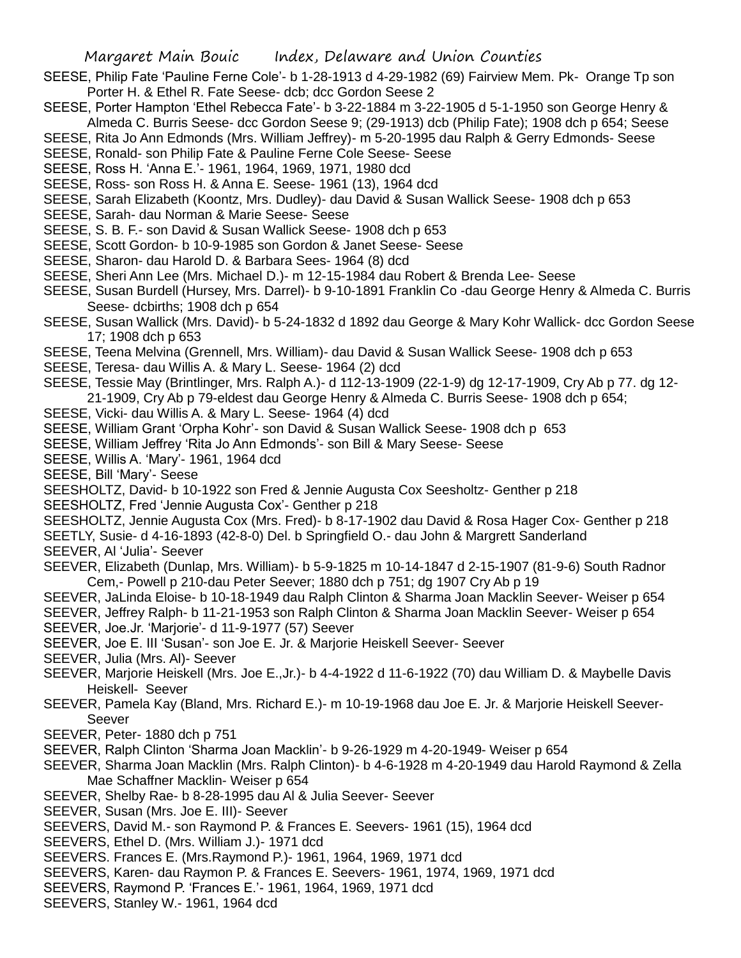- SEESE, Philip Fate 'Pauline Ferne Cole'- b 1-28-1913 d 4-29-1982 (69) Fairview Mem. Pk- Orange Tp son Porter H. & Ethel R. Fate Seese- dcb; dcc Gordon Seese 2
- SEESE, Porter Hampton 'Ethel Rebecca Fate'- b 3-22-1884 m 3-22-1905 d 5-1-1950 son George Henry & Almeda C. Burris Seese- dcc Gordon Seese 9; (29-1913) dcb (Philip Fate); 1908 dch p 654; Seese
- SEESE, Rita Jo Ann Edmonds (Mrs. William Jeffrey)- m 5-20-1995 dau Ralph & Gerry Edmonds- Seese
- SEESE, Ronald- son Philip Fate & Pauline Ferne Cole Seese- Seese
- SEESE, Ross H. 'Anna E.'- 1961, 1964, 1969, 1971, 1980 dcd
- SEESE, Ross- son Ross H. & Anna E. Seese- 1961 (13), 1964 dcd
- SEESE, Sarah Elizabeth (Koontz, Mrs. Dudley)- dau David & Susan Wallick Seese- 1908 dch p 653
- SEESE, Sarah- dau Norman & Marie Seese- Seese
- SEESE, S. B. F.- son David & Susan Wallick Seese- 1908 dch p 653
- SEESE, Scott Gordon- b 10-9-1985 son Gordon & Janet Seese- Seese
- SEESE, Sharon- dau Harold D. & Barbara Sees- 1964 (8) dcd
- SEESE, Sheri Ann Lee (Mrs. Michael D.)- m 12-15-1984 dau Robert & Brenda Lee- Seese
- SEESE, Susan Burdell (Hursey, Mrs. Darrel)- b 9-10-1891 Franklin Co -dau George Henry & Almeda C. Burris Seese- dcbirths; 1908 dch p 654
- SEESE, Susan Wallick (Mrs. David)- b 5-24-1832 d 1892 dau George & Mary Kohr Wallick- dcc Gordon Seese 17; 1908 dch p 653
- SEESE, Teena Melvina (Grennell, Mrs. William)- dau David & Susan Wallick Seese- 1908 dch p 653
- SEESE, Teresa- dau Willis A. & Mary L. Seese- 1964 (2) dcd
- SEESE, Tessie May (Brintlinger, Mrs. Ralph A.)- d 112-13-1909 (22-1-9) dg 12-17-1909, Cry Ab p 77. dg 12- 21-1909, Cry Ab p 79-eldest dau George Henry & Almeda C. Burris Seese- 1908 dch p 654;
- SEESE, Vicki- dau Willis A. & Mary L. Seese- 1964 (4) dcd
- SEESE, William Grant 'Orpha Kohr'- son David & Susan Wallick Seese- 1908 dch p 653
- SEESE, William Jeffrey 'Rita Jo Ann Edmonds'- son Bill & Mary Seese- Seese
- SEESE, Willis A. 'Mary'- 1961, 1964 dcd
- SEESE, Bill 'Mary'- Seese
- SEESHOLTZ, David- b 10-1922 son Fred & Jennie Augusta Cox Seesholtz- Genther p 218
- SEESHOLTZ, Fred 'Jennie Augusta Cox'- Genther p 218
- SEESHOLTZ, Jennie Augusta Cox (Mrs. Fred)- b 8-17-1902 dau David & Rosa Hager Cox- Genther p 218
- SEETLY, Susie- d 4-16-1893 (42-8-0) Del. b Springfield O.- dau John & Margrett Sanderland SEEVER, Al 'Julia'- Seever
- SEEVER, Elizabeth (Dunlap, Mrs. William)- b 5-9-1825 m 10-14-1847 d 2-15-1907 (81-9-6) South Radnor Cem,- Powell p 210-dau Peter Seever; 1880 dch p 751; dg 1907 Cry Ab p 19
- SEEVER, JaLinda Eloise- b 10-18-1949 dau Ralph Clinton & Sharma Joan Macklin Seever- Weiser p 654
- SEEVER, Jeffrey Ralph- b 11-21-1953 son Ralph Clinton & Sharma Joan Macklin Seever- Weiser p 654 SEEVER, Joe.Jr. 'Marjorie'- d 11-9-1977 (57) Seever
- SEEVER, Joe E. III 'Susan'- son Joe E. Jr. & Marjorie Heiskell Seever- Seever
- SEEVER, Julia (Mrs. Al)- Seever
- SEEVER, Marjorie Heiskell (Mrs. Joe E.,Jr.)- b 4-4-1922 d 11-6-1922 (70) dau William D. & Maybelle Davis Heiskell- Seever
- SEEVER, Pamela Kay (Bland, Mrs. Richard E.)- m 10-19-1968 dau Joe E. Jr. & Marjorie Heiskell Seever-Seever
- SEEVER, Peter- 1880 dch p 751
- SEEVER, Ralph Clinton 'Sharma Joan Macklin'- b 9-26-1929 m 4-20-1949- Weiser p 654
- SEEVER, Sharma Joan Macklin (Mrs. Ralph Clinton)- b 4-6-1928 m 4-20-1949 dau Harold Raymond & Zella Mae Schaffner Macklin- Weiser p 654
- SEEVER, Shelby Rae- b 8-28-1995 dau Al & Julia Seever- Seever
- SEEVER, Susan (Mrs. Joe E. III)- Seever
- SEEVERS, David M.- son Raymond P. & Frances E. Seevers- 1961 (15), 1964 dcd
- SEEVERS, Ethel D. (Mrs. William J.)- 1971 dcd
- SEEVERS. Frances E. (Mrs.Raymond P.)- 1961, 1964, 1969, 1971 dcd
- SEEVERS, Karen- dau Raymon P. & Frances E. Seevers- 1961, 1974, 1969, 1971 dcd
- SEEVERS, Raymond P. 'Frances E.'- 1961, 1964, 1969, 1971 dcd
- SEEVERS, Stanley W.- 1961, 1964 dcd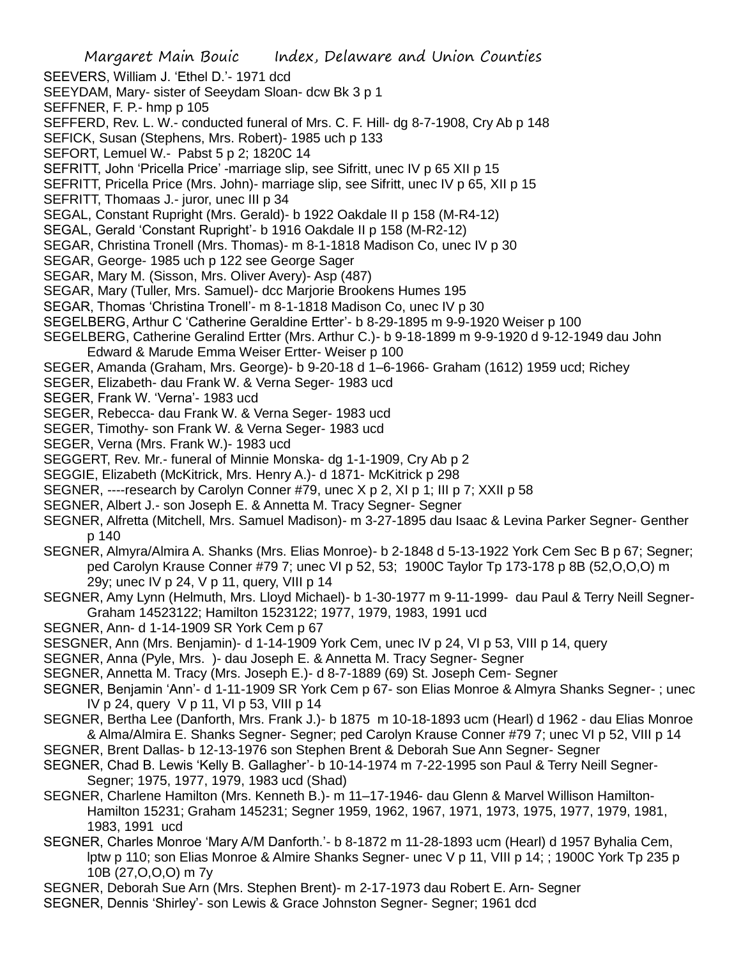- Margaret Main Bouic Index, Delaware and Union Counties SEEVERS, William J. 'Ethel D.'- 1971 dcd SEEYDAM, Mary- sister of Seeydam Sloan- dcw Bk 3 p 1 SEFFNER, F. P.- hmp p 105 SEFFERD, Rev. L. W.- conducted funeral of Mrs. C. F. Hill- dg 8-7-1908, Cry Ab p 148 SEFICK, Susan (Stephens, Mrs. Robert)- 1985 uch p 133 SEFORT, Lemuel W.- Pabst 5 p 2; 1820C 14 SEFRITT, John 'Pricella Price' -marriage slip, see Sifritt, unec IV p 65 XII p 15 SEFRITT, Pricella Price (Mrs. John)- marriage slip, see Sifritt, unec IV p 65, XII p 15 SEFRITT, Thomaas J.- juror, unec III p 34 SEGAL, Constant Rupright (Mrs. Gerald)- b 1922 Oakdale II p 158 (M-R4-12) SEGAL, Gerald 'Constant Rupright'- b 1916 Oakdale II p 158 (M-R2-12) SEGAR, Christina Tronell (Mrs. Thomas)- m 8-1-1818 Madison Co, unec IV p 30 SEGAR, George- 1985 uch p 122 see George Sager SEGAR, Mary M. (Sisson, Mrs. Oliver Avery)- Asp (487) SEGAR, Mary (Tuller, Mrs. Samuel)- dcc Marjorie Brookens Humes 195 SEGAR, Thomas 'Christina Tronell'- m 8-1-1818 Madison Co, unec IV p 30 SEGELBERG, Arthur C 'Catherine Geraldine Ertter'- b 8-29-1895 m 9-9-1920 Weiser p 100 SEGELBERG, Catherine Geralind Ertter (Mrs. Arthur C.)- b 9-18-1899 m 9-9-1920 d 9-12-1949 dau John Edward & Marude Emma Weiser Ertter- Weiser p 100 SEGER, Amanda (Graham, Mrs. George)- b 9-20-18 d 1–6-1966- Graham (1612) 1959 ucd; Richey SEGER, Elizabeth- dau Frank W. & Verna Seger- 1983 ucd SEGER, Frank W. 'Verna'- 1983 ucd SEGER, Rebecca- dau Frank W. & Verna Seger- 1983 ucd SEGER, Timothy- son Frank W. & Verna Seger- 1983 ucd SEGER, Verna (Mrs. Frank W.)- 1983 ucd SEGGERT, Rev. Mr.- funeral of Minnie Monska- dg 1-1-1909, Cry Ab p 2 SEGGIE, Elizabeth (McKitrick, Mrs. Henry A.)- d 1871- McKitrick p 298 SEGNER, ----research by Carolyn Conner #79, unec X p 2, XI p 1; III p 7; XXII p 58 SEGNER, Albert J.- son Joseph E. & Annetta M. Tracy Segner- Segner SEGNER, Alfretta (Mitchell, Mrs. Samuel Madison)- m 3-27-1895 dau Isaac & Levina Parker Segner- Genther p 140 SEGNER, Almyra/Almira A. Shanks (Mrs. Elias Monroe)- b 2-1848 d 5-13-1922 York Cem Sec B p 67; Segner; ped Carolyn Krause Conner #79 7; unec VI p 52, 53; 1900C Taylor Tp 173-178 p 8B (52,O,O,O) m 29y; unec IV p 24, V p 11, query, VIII p 14 SEGNER, Amy Lynn (Helmuth, Mrs. Lloyd Michael)- b 1-30-1977 m 9-11-1999- dau Paul & Terry Neill Segner-Graham 14523122; Hamilton 1523122; 1977, 1979, 1983, 1991 ucd SEGNER, Ann- d 1-14-1909 SR York Cem p 67 SESGNER, Ann (Mrs. Benjamin)- d 1-14-1909 York Cem, unec IV p 24, VI p 53, VIII p 14, query SEGNER, Anna (Pyle, Mrs. )- dau Joseph E. & Annetta M. Tracy Segner- Segner SEGNER, Annetta M. Tracy (Mrs. Joseph E.)- d 8-7-1889 (69) St. Joseph Cem- Segner SEGNER, Benjamin 'Ann'- d 1-11-1909 SR York Cem p 67- son Elias Monroe & Almyra Shanks Segner- ; unec IV p 24, query V p 11, VI p 53, VIII p 14 SEGNER, Bertha Lee (Danforth, Mrs. Frank J.)- b 1875 m 10-18-1893 ucm (Hearl) d 1962 - dau Elias Monroe & Alma/Almira E. Shanks Segner- Segner; ped Carolyn Krause Conner #79 7; unec VI p 52, VIII p 14 SEGNER, Brent Dallas- b 12-13-1976 son Stephen Brent & Deborah Sue Ann Segner- Segner SEGNER, Chad B. Lewis 'Kelly B. Gallagher'- b 10-14-1974 m 7-22-1995 son Paul & Terry Neill Segner-Segner; 1975, 1977, 1979, 1983 ucd (Shad) SEGNER, Charlene Hamilton (Mrs. Kenneth B.)- m 11–17-1946- dau Glenn & Marvel Willison Hamilton-
	- Hamilton 15231; Graham 145231; Segner 1959, 1962, 1967, 1971, 1973, 1975, 1977, 1979, 1981, 1983, 1991 ucd
- SEGNER, Charles Monroe 'Mary A/M Danforth.'- b 8-1872 m 11-28-1893 ucm (Hearl) d 1957 Byhalia Cem, lptw p 110; son Elias Monroe & Almire Shanks Segner- unec V p 11, VIII p 14; ; 1900C York Tp 235 p 10B (27,O,O,O) m 7y
- SEGNER, Deborah Sue Arn (Mrs. Stephen Brent)- m 2-17-1973 dau Robert E. Arn- Segner
- SEGNER, Dennis 'Shirley'- son Lewis & Grace Johnston Segner- Segner; 1961 dcd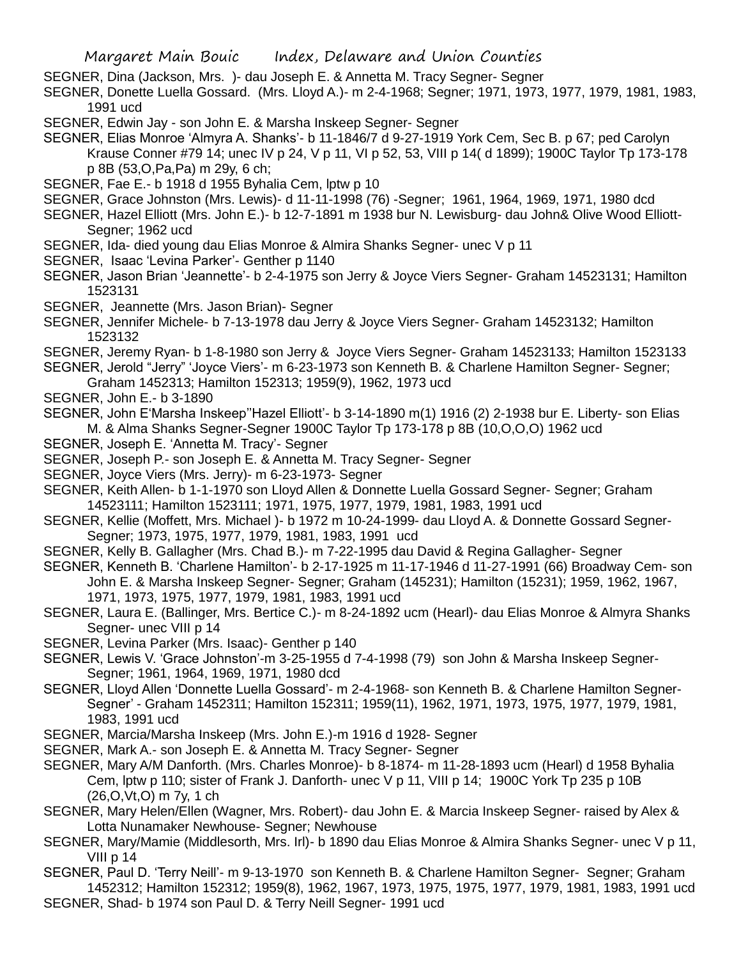SEGNER, Dina (Jackson, Mrs. )- dau Joseph E. & Annetta M. Tracy Segner- Segner

SEGNER, Donette Luella Gossard. (Mrs. Lloyd A.)- m 2-4-1968; Segner; 1971, 1973, 1977, 1979, 1981, 1983, 1991 ucd

SEGNER, Edwin Jay - son John E. & Marsha Inskeep Segner- Segner

SEGNER, Elias Monroe 'Almyra A. Shanks'- b 11-1846/7 d 9-27-1919 York Cem, Sec B. p 67; ped Carolyn Krause Conner #79 14; unec IV p 24, V p 11, VI p 52, 53, VIII p 14( d 1899); 1900C Taylor Tp 173-178 p 8B (53,O,Pa,Pa) m 29y, 6 ch;

- SEGNER, Fae E.- b 1918 d 1955 Byhalia Cem, lptw p 10
- SEGNER, Grace Johnston (Mrs. Lewis)- d 11-11-1998 (76) -Segner; 1961, 1964, 1969, 1971, 1980 dcd
- SEGNER, Hazel Elliott (Mrs. John E.)- b 12-7-1891 m 1938 bur N. Lewisburg- dau John& Olive Wood Elliott-Segner; 1962 ucd
- SEGNER, Ida- died young dau Elias Monroe & Almira Shanks Segner- unec V p 11
- SEGNER, Isaac 'Levina Parker'- Genther p 1140
- SEGNER, Jason Brian 'Jeannette'- b 2-4-1975 son Jerry & Joyce Viers Segner- Graham 14523131; Hamilton 1523131
- SEGNER, Jeannette (Mrs. Jason Brian)- Segner
- SEGNER, Jennifer Michele- b 7-13-1978 dau Jerry & Joyce Viers Segner- Graham 14523132; Hamilton 1523132
- SEGNER, Jeremy Ryan- b 1-8-1980 son Jerry & Joyce Viers Segner- Graham 14523133; Hamilton 1523133
- SEGNER, Jerold "Jerry" 'Joyce Viers'- m 6-23-1973 son Kenneth B. & Charlene Hamilton Segner- Segner; Graham 1452313; Hamilton 152313; 1959(9), 1962, 1973 ucd
- SEGNER, John E.- b 3-1890
- SEGNER, John E'Marsha Inskeep''Hazel Elliott'- b 3-14-1890 m(1) 1916 (2) 2-1938 bur E. Liberty- son Elias M. & Alma Shanks Segner-Segner 1900C Taylor Tp 173-178 p 8B (10,O,O,O) 1962 ucd
- SEGNER, Joseph E. 'Annetta M. Tracy'- Segner
- SEGNER, Joseph P.- son Joseph E. & Annetta M. Tracy Segner- Segner
- SEGNER, Joyce Viers (Mrs. Jerry)- m 6-23-1973- Segner
- SEGNER, Keith Allen- b 1-1-1970 son Lloyd Allen & Donnette Luella Gossard Segner- Segner; Graham 14523111; Hamilton 1523111; 1971, 1975, 1977, 1979, 1981, 1983, 1991 ucd
- SEGNER, Kellie (Moffett, Mrs. Michael )- b 1972 m 10-24-1999- dau Lloyd A. & Donnette Gossard Segner-Segner; 1973, 1975, 1977, 1979, 1981, 1983, 1991 ucd
- SEGNER, Kelly B. Gallagher (Mrs. Chad B.)- m 7-22-1995 dau David & Regina Gallagher- Segner
- SEGNER, Kenneth B. 'Charlene Hamilton'- b 2-17-1925 m 11-17-1946 d 11-27-1991 (66) Broadway Cem- son John E. & Marsha Inskeep Segner- Segner; Graham (145231); Hamilton (15231); 1959, 1962, 1967, 1971, 1973, 1975, 1977, 1979, 1981, 1983, 1991 ucd
- SEGNER, Laura E. (Ballinger, Mrs. Bertice C.)- m 8-24-1892 ucm (Hearl)- dau Elias Monroe & Almyra Shanks Segner- unec VIII p 14
- SEGNER, Levina Parker (Mrs. Isaac)- Genther p 140
- SEGNER, Lewis V. 'Grace Johnston'-m 3-25-1955 d 7-4-1998 (79) son John & Marsha Inskeep Segner-Segner; 1961, 1964, 1969, 1971, 1980 dcd
- SEGNER, Lloyd Allen 'Donnette Luella Gossard'- m 2-4-1968- son Kenneth B. & Charlene Hamilton Segner-Segner' - Graham 1452311; Hamilton 152311; 1959(11), 1962, 1971, 1973, 1975, 1977, 1979, 1981, 1983, 1991 ucd
- SEGNER, Marcia/Marsha Inskeep (Mrs. John E.)-m 1916 d 1928- Segner
- SEGNER, Mark A.- son Joseph E. & Annetta M. Tracy Segner- Segner
- SEGNER, Mary A/M Danforth. (Mrs. Charles Monroe)- b 8-1874- m 11-28-1893 ucm (Hearl) d 1958 Byhalia Cem, lptw p 110; sister of Frank J. Danforth- unec V p 11, VIII p 14; 1900C York Tp 235 p 10B (26,O,Vt,O) m 7y, 1 ch
- SEGNER, Mary Helen/Ellen (Wagner, Mrs. Robert)- dau John E. & Marcia Inskeep Segner- raised by Alex & Lotta Nunamaker Newhouse- Segner; Newhouse
- SEGNER, Mary/Mamie (Middlesorth, Mrs. Irl)- b 1890 dau Elias Monroe & Almira Shanks Segner- unec V p 11, VIII p 14
- SEGNER, Paul D. 'Terry Neill'- m 9-13-1970 son Kenneth B. & Charlene Hamilton Segner- Segner; Graham 1452312; Hamilton 152312; 1959(8), 1962, 1967, 1973, 1975, 1975, 1977, 1979, 1981, 1983, 1991 ucd SEGNER, Shad- b 1974 son Paul D. & Terry Neill Segner- 1991 ucd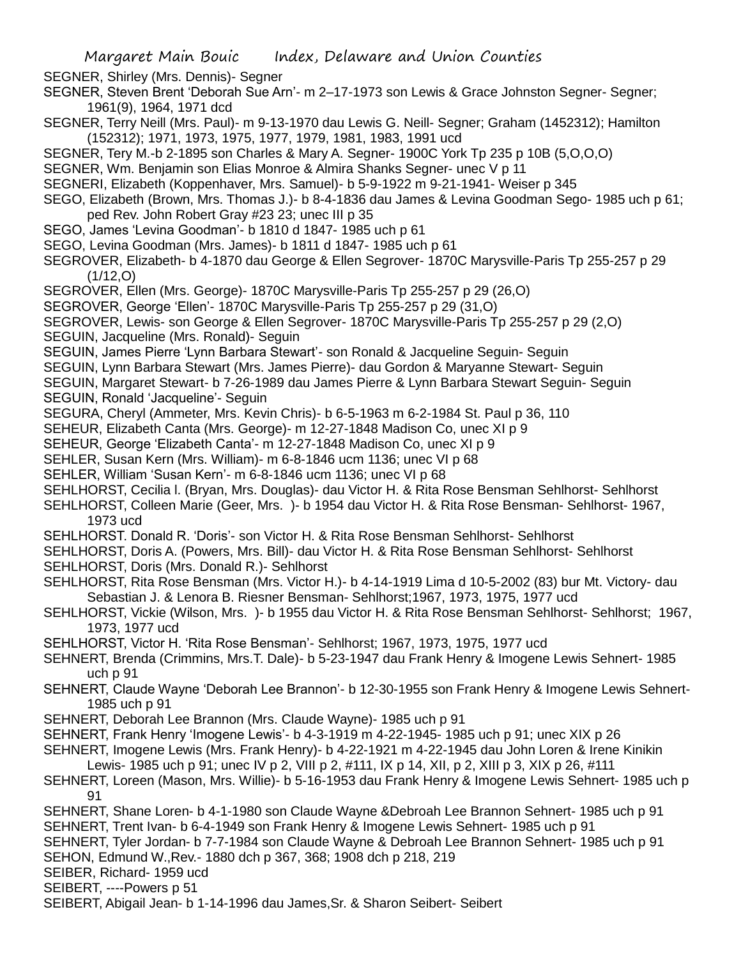SEGNER, Shirley (Mrs. Dennis)- Segner

- SEGNER, Steven Brent 'Deborah Sue Arn'- m 2–17-1973 son Lewis & Grace Johnston Segner- Segner; 1961(9), 1964, 1971 dcd
- SEGNER, Terry Neill (Mrs. Paul)- m 9-13-1970 dau Lewis G. Neill- Segner; Graham (1452312); Hamilton (152312); 1971, 1973, 1975, 1977, 1979, 1981, 1983, 1991 ucd
- SEGNER, Tery M.-b 2-1895 son Charles & Mary A. Segner- 1900C York Tp 235 p 10B (5,O,O,O)
- SEGNER, Wm. Benjamin son Elias Monroe & Almira Shanks Segner- unec V p 11
- SEGNERI, Elizabeth (Koppenhaver, Mrs. Samuel)- b 5-9-1922 m 9-21-1941- Weiser p 345
- SEGO, Elizabeth (Brown, Mrs. Thomas J.)- b 8-4-1836 dau James & Levina Goodman Sego- 1985 uch p 61; ped Rev. John Robert Gray #23 23; unec III p 35
- SEGO, James 'Levina Goodman'- b 1810 d 1847- 1985 uch p 61
- SEGO, Levina Goodman (Mrs. James)- b 1811 d 1847- 1985 uch p 61
- SEGROVER, Elizabeth- b 4-1870 dau George & Ellen Segrover- 1870C Marysville-Paris Tp 255-257 p 29  $(1/12,0)$
- SEGROVER, Ellen (Mrs. George)- 1870C Marysville-Paris Tp 255-257 p 29 (26,O)
- SEGROVER, George 'Ellen'- 1870C Marysville-Paris Tp 255-257 p 29 (31,O)
- SEGROVER, Lewis- son George & Ellen Segrover- 1870C Marysville-Paris Tp 255-257 p 29 (2,O)
- SEGUIN, Jacqueline (Mrs. Ronald)- Seguin
- SEGUIN, James Pierre 'Lynn Barbara Stewart'- son Ronald & Jacqueline Seguin- Seguin
- SEGUIN, Lynn Barbara Stewart (Mrs. James Pierre)- dau Gordon & Maryanne Stewart- Seguin
- SEGUIN, Margaret Stewart- b 7-26-1989 dau James Pierre & Lynn Barbara Stewart Seguin- Seguin SEGUIN, Ronald 'Jacqueline'- Seguin
- SEGURA, Cheryl (Ammeter, Mrs. Kevin Chris)- b 6-5-1963 m 6-2-1984 St. Paul p 36, 110
- SEHEUR, Elizabeth Canta (Mrs. George)- m 12-27-1848 Madison Co, unec XI p 9
- SEHEUR, George 'Elizabeth Canta'- m 12-27-1848 Madison Co, unec XI p 9
- SEHLER, Susan Kern (Mrs. William)- m 6-8-1846 ucm 1136; unec VI p 68
- SEHLER, William 'Susan Kern'- m 6-8-1846 ucm 1136; unec VI p 68
- SEHLHORST, Cecilia l. (Bryan, Mrs. Douglas)- dau Victor H. & Rita Rose Bensman Sehlhorst- Sehlhorst
- SEHLHORST, Colleen Marie (Geer, Mrs. )- b 1954 dau Victor H. & Rita Rose Bensman- Sehlhorst- 1967, 1973 ucd
- SEHLHORST. Donald R. 'Doris'- son Victor H. & Rita Rose Bensman Sehlhorst- Sehlhorst
- SEHLHORST, Doris A. (Powers, Mrs. Bill)- dau Victor H. & Rita Rose Bensman Sehlhorst- Sehlhorst
- SEHLHORST, Doris (Mrs. Donald R.)- Sehlhorst
- SEHLHORST, Rita Rose Bensman (Mrs. Victor H.)- b 4-14-1919 Lima d 10-5-2002 (83) bur Mt. Victory- dau Sebastian J. & Lenora B. Riesner Bensman- Sehlhorst;1967, 1973, 1975, 1977 ucd
- SEHLHORST, Vickie (Wilson, Mrs. )- b 1955 dau Victor H. & Rita Rose Bensman Sehlhorst- Sehlhorst; 1967, 1973, 1977 ucd
- SEHLHORST, Victor H. 'Rita Rose Bensman'- Sehlhorst; 1967, 1973, 1975, 1977 ucd
- SEHNERT, Brenda (Crimmins, Mrs.T. Dale)- b 5-23-1947 dau Frank Henry & Imogene Lewis Sehnert- 1985 uch p 91
- SEHNERT, Claude Wayne 'Deborah Lee Brannon'- b 12-30-1955 son Frank Henry & Imogene Lewis Sehnert-1985 uch p 91
- SEHNERT, Deborah Lee Brannon (Mrs. Claude Wayne)- 1985 uch p 91
- SEHNERT, Frank Henry 'Imogene Lewis'- b 4-3-1919 m 4-22-1945- 1985 uch p 91; unec XIX p 26
- SEHNERT, Imogene Lewis (Mrs. Frank Henry)- b 4-22-1921 m 4-22-1945 dau John Loren & Irene Kinikin
- Lewis- 1985 uch p 91; unec IV p 2, VIII p 2, #111, IX p 14, XII, p 2, XIII p 3, XIX p 26, #111
- SEHNERT, Loreen (Mason, Mrs. Willie)- b 5-16-1953 dau Frank Henry & Imogene Lewis Sehnert- 1985 uch p 91
- SEHNERT, Shane Loren- b 4-1-1980 son Claude Wayne &Debroah Lee Brannon Sehnert- 1985 uch p 91 SEHNERT, Trent Ivan- b 6-4-1949 son Frank Henry & Imogene Lewis Sehnert- 1985 uch p 91 SEHNERT, Tyler Jordan- b 7-7-1984 son Claude Wayne & Debroah Lee Brannon Sehnert- 1985 uch p 91
- SEHON, Edmund W.,Rev.- 1880 dch p 367, 368; 1908 dch p 218, 219
- SEIBER, Richard- 1959 ucd
- SEIBERT, ----Powers p 51
- SEIBERT, Abigail Jean- b 1-14-1996 dau James,Sr. & Sharon Seibert- Seibert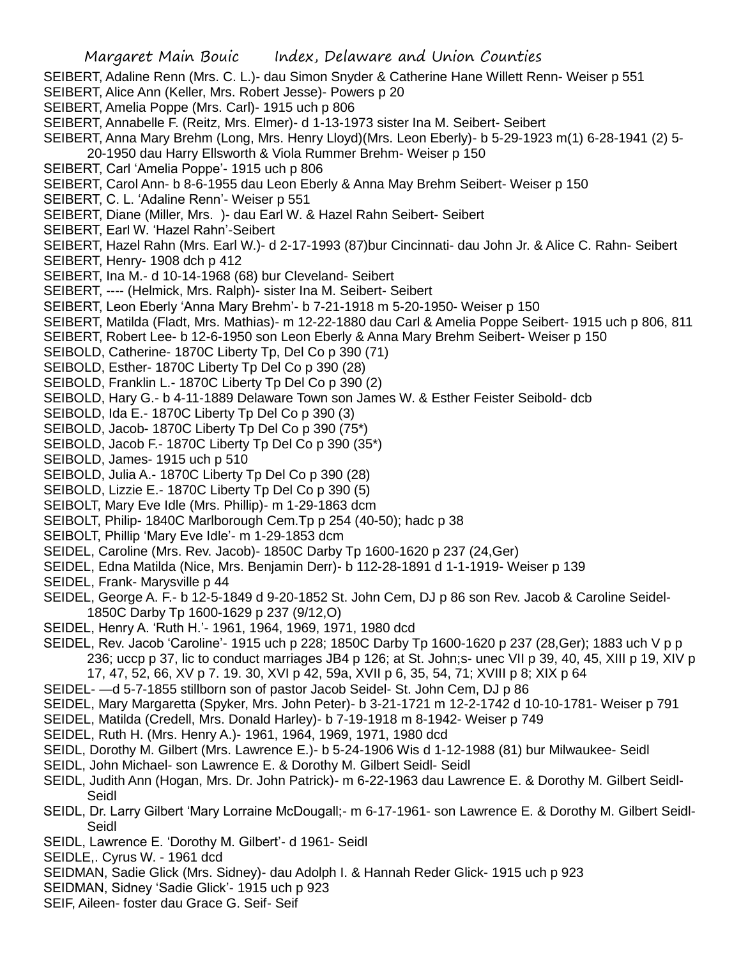- SEIBERT, Adaline Renn (Mrs. C. L.)- dau Simon Snyder & Catherine Hane Willett Renn- Weiser p 551
- SEIBERT, Alice Ann (Keller, Mrs. Robert Jesse)- Powers p 20
- SEIBERT, Amelia Poppe (Mrs. Carl)- 1915 uch p 806
- SEIBERT, Annabelle F. (Reitz, Mrs. Elmer)- d 1-13-1973 sister Ina M. Seibert- Seibert
- SEIBERT, Anna Mary Brehm (Long, Mrs. Henry Lloyd)(Mrs. Leon Eberly)- b 5-29-1923 m(1) 6-28-1941 (2) 5-
- 20-1950 dau Harry Ellsworth & Viola Rummer Brehm- Weiser p 150
- SEIBERT, Carl 'Amelia Poppe'- 1915 uch p 806
- SEIBERT, Carol Ann- b 8-6-1955 dau Leon Eberly & Anna May Brehm Seibert- Weiser p 150
- SEIBERT, C. L. 'Adaline Renn'- Weiser p 551
- SEIBERT, Diane (Miller, Mrs. )- dau Earl W. & Hazel Rahn Seibert- Seibert
- SEIBERT, Earl W. 'Hazel Rahn'-Seibert
- SEIBERT, Hazel Rahn (Mrs. Earl W.)- d 2-17-1993 (87)bur Cincinnati- dau John Jr. & Alice C. Rahn- Seibert
- SEIBERT, Henry- 1908 dch p 412
- SEIBERT, Ina M.- d 10-14-1968 (68) bur Cleveland- Seibert
- SEIBERT, ---- (Helmick, Mrs. Ralph)- sister Ina M. Seibert- Seibert
- SEIBERT, Leon Eberly 'Anna Mary Brehm'- b 7-21-1918 m 5-20-1950- Weiser p 150
- SEIBERT, Matilda (Fladt, Mrs. Mathias)- m 12-22-1880 dau Carl & Amelia Poppe Seibert- 1915 uch p 806, 811
- SEIBERT, Robert Lee- b 12-6-1950 son Leon Eberly & Anna Mary Brehm Seibert- Weiser p 150
- SEIBOLD, Catherine- 1870C Liberty Tp, Del Co p 390 (71)
- SEIBOLD, Esther- 1870C Liberty Tp Del Co p 390 (28)
- SEIBOLD, Franklin L.- 1870C Liberty Tp Del Co p 390 (2)
- SEIBOLD, Hary G.- b 4-11-1889 Delaware Town son James W. & Esther Feister Seibold- dcb
- SEIBOLD, Ida E.- 1870C Liberty Tp Del Co p 390 (3)
- SEIBOLD, Jacob- 1870C Liberty Tp Del Co p 390 (75\*)
- SEIBOLD, Jacob F.- 1870C Liberty Tp Del Co p 390 (35\*)
- SEIBOLD, James- 1915 uch p 510
- SEIBOLD, Julia A.- 1870C Liberty Tp Del Co p 390 (28)
- SEIBOLD, Lizzie E.- 1870C Liberty Tp Del Co p 390 (5)
- SEIBOLT, Mary Eve Idle (Mrs. Phillip)- m 1-29-1863 dcm
- SEIBOLT, Philip- 1840C Marlborough Cem.Tp p 254 (40-50); hadc p 38
- SEIBOLT, Phillip 'Mary Eve Idle'- m 1-29-1853 dcm
- SEIDEL, Caroline (Mrs. Rev. Jacob)- 1850C Darby Tp 1600-1620 p 237 (24,Ger)
- SEIDEL, Edna Matilda (Nice, Mrs. Benjamin Derr)- b 112-28-1891 d 1-1-1919- Weiser p 139
- SEIDEL, Frank- Marysville p 44
- SEIDEL, George A. F.- b 12-5-1849 d 9-20-1852 St. John Cem, DJ p 86 son Rev. Jacob & Caroline Seidel-1850C Darby Tp 1600-1629 p 237 (9/12,O)
- SEIDEL, Henry A. 'Ruth H.'- 1961, 1964, 1969, 1971, 1980 dcd
- SEIDEL, Rev. Jacob 'Caroline'- 1915 uch p 228; 1850C Darby Tp 1600-1620 p 237 (28,Ger); 1883 uch V p p 236; uccp p 37, lic to conduct marriages JB4 p 126; at St. John;s- unec VII p 39, 40, 45, XIII p 19, XIV p 17, 47, 52, 66, XV p 7. 19. 30, XVI p 42, 59a, XVII p 6, 35, 54, 71; XVIII p 8; XIX p 64
- SEIDEL- —d 5-7-1855 stillborn son of pastor Jacob Seidel- St. John Cem, DJ p 86
- SEIDEL, Mary Margaretta (Spyker, Mrs. John Peter)- b 3-21-1721 m 12-2-1742 d 10-10-1781- Weiser p 791
- SEIDEL, Matilda (Credell, Mrs. Donald Harley)- b 7-19-1918 m 8-1942- Weiser p 749
- SEIDEL, Ruth H. (Mrs. Henry A.)- 1961, 1964, 1969, 1971, 1980 dcd
- SEIDL, Dorothy M. Gilbert (Mrs. Lawrence E.)- b 5-24-1906 Wis d 1-12-1988 (81) bur Milwaukee- Seidl
- SEIDL, John Michael- son Lawrence E. & Dorothy M. Gilbert Seidl- Seidl
- SEIDL, Judith Ann (Hogan, Mrs. Dr. John Patrick)- m 6-22-1963 dau Lawrence E. & Dorothy M. Gilbert Seidl-Seidl
- SEIDL, Dr. Larry Gilbert 'Mary Lorraine McDougall;- m 6-17-1961- son Lawrence E. & Dorothy M. Gilbert Seidl-Seidl
- SEIDL, Lawrence E. 'Dorothy M. Gilbert'- d 1961- Seidl
- SEIDLE,. Cyrus W. 1961 dcd
- SEIDMAN, Sadie Glick (Mrs. Sidney)- dau Adolph I. & Hannah Reder Glick- 1915 uch p 923
- SEIDMAN, Sidney 'Sadie Glick'- 1915 uch p 923
- SEIF, Aileen- foster dau Grace G. Seif- Seif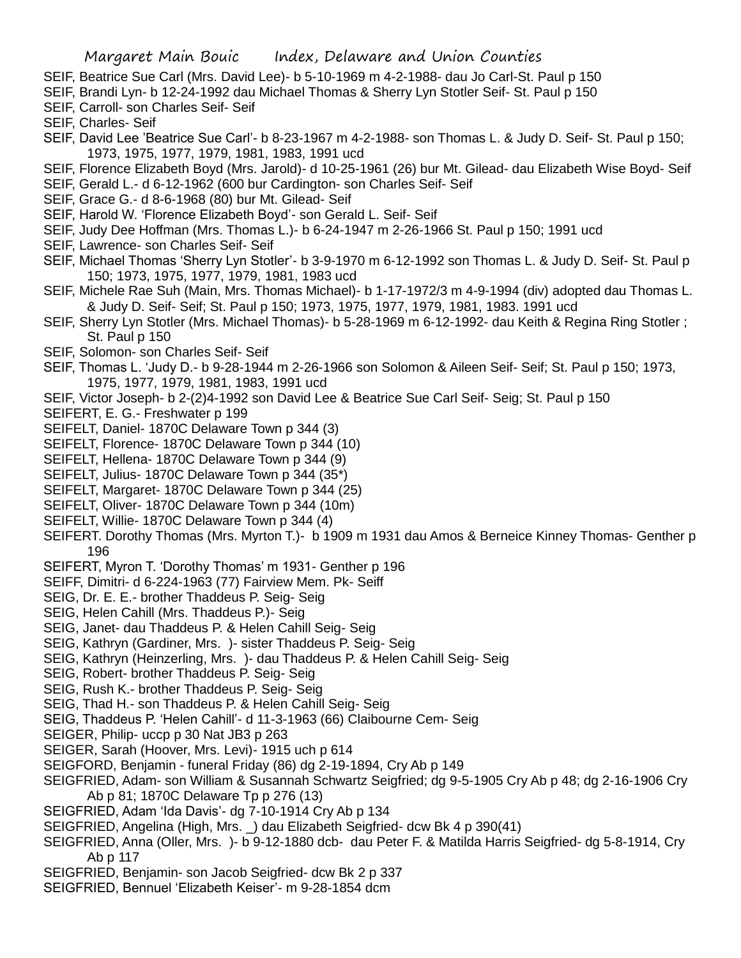- SEIF, Beatrice Sue Carl (Mrs. David Lee)- b 5-10-1969 m 4-2-1988- dau Jo Carl-St. Paul p 150
- SEIF, Brandi Lyn- b 12-24-1992 dau Michael Thomas & Sherry Lyn Stotler Seif- St. Paul p 150
- SEIF, Carroll- son Charles Seif- Seif
- SEIF, Charles- Seif
- SEIF, David Lee 'Beatrice Sue Carl'- b 8-23-1967 m 4-2-1988- son Thomas L. & Judy D. Seif- St. Paul p 150; 1973, 1975, 1977, 1979, 1981, 1983, 1991 ucd
- SEIF, Florence Elizabeth Boyd (Mrs. Jarold)- d 10-25-1961 (26) bur Mt. Gilead- dau Elizabeth Wise Boyd- Seif
- SEIF, Gerald L.- d 6-12-1962 (600 bur Cardington- son Charles Seif- Seif
- SEIF, Grace G.- d 8-6-1968 (80) bur Mt. Gilead- Seif
- SEIF, Harold W. 'Florence Elizabeth Boyd'- son Gerald L. Seif- Seif
- SEIF, Judy Dee Hoffman (Mrs. Thomas L.)- b 6-24-1947 m 2-26-1966 St. Paul p 150; 1991 ucd
- SEIF, Lawrence- son Charles Seif- Seif
- SEIF, Michael Thomas 'Sherry Lyn Stotler'- b 3-9-1970 m 6-12-1992 son Thomas L. & Judy D. Seif- St. Paul p 150; 1973, 1975, 1977, 1979, 1981, 1983 ucd
- SEIF, Michele Rae Suh (Main, Mrs. Thomas Michael)- b 1-17-1972/3 m 4-9-1994 (div) adopted dau Thomas L. & Judy D. Seif- Seif; St. Paul p 150; 1973, 1975, 1977, 1979, 1981, 1983. 1991 ucd
- SEIF, Sherry Lyn Stotler (Mrs. Michael Thomas)- b 5-28-1969 m 6-12-1992- dau Keith & Regina Ring Stotler ; St. Paul p 150
- SEIF, Solomon- son Charles Seif- Seif
- SEIF, Thomas L. 'Judy D.- b 9-28-1944 m 2-26-1966 son Solomon & Aileen Seif- Seif; St. Paul p 150; 1973, 1975, 1977, 1979, 1981, 1983, 1991 ucd
- SEIF, Victor Joseph- b 2-(2)4-1992 son David Lee & Beatrice Sue Carl Seif- Seig; St. Paul p 150
- SEIFERT, E. G.- Freshwater p 199
- SEIFELT, Daniel- 1870C Delaware Town p 344 (3)
- SEIFELT, Florence- 1870C Delaware Town p 344 (10)
- SEIFELT, Hellena- 1870C Delaware Town p 344 (9)
- SEIFELT, Julius- 1870C Delaware Town p 344 (35\*)
- SEIFELT, Margaret- 1870C Delaware Town p 344 (25)
- SEIFELT, Oliver- 1870C Delaware Town p 344 (10m)
- SEIFELT, Willie- 1870C Delaware Town p 344 (4)
- SEIFERT. Dorothy Thomas (Mrs. Myrton T.)- b 1909 m 1931 dau Amos & Berneice Kinney Thomas- Genther p 196
- SEIFERT, Myron T. 'Dorothy Thomas' m 1931- Genther p 196
- SEIFF, Dimitri- d 6-224-1963 (77) Fairview Mem. Pk- Seiff
- SEIG, Dr. E. E.- brother Thaddeus P. Seig- Seig
- SEIG, Helen Cahill (Mrs. Thaddeus P.)- Seig
- SEIG, Janet- dau Thaddeus P. & Helen Cahill Seig- Seig
- SEIG, Kathryn (Gardiner, Mrs. )- sister Thaddeus P. Seig- Seig
- SEIG, Kathryn (Heinzerling, Mrs. )- dau Thaddeus P. & Helen Cahill Seig- Seig
- SEIG, Robert- brother Thaddeus P. Seig- Seig
- SEIG, Rush K.- brother Thaddeus P. Seig- Seig
- SEIG, Thad H.- son Thaddeus P. & Helen Cahill Seig- Seig
- SEIG, Thaddeus P. 'Helen Cahill'- d 11-3-1963 (66) Claibourne Cem- Seig
- SEIGER, Philip- uccp p 30 Nat JB3 p 263
- SEIGER, Sarah (Hoover, Mrs. Levi)- 1915 uch p 614
- SEIGFORD, Benjamin funeral Friday (86) dg 2-19-1894, Cry Ab p 149
- SEIGFRIED, Adam- son William & Susannah Schwartz Seigfried; dg 9-5-1905 Cry Ab p 48; dg 2-16-1906 Cry Ab p 81; 1870C Delaware Tp p 276 (13)
- SEIGFRIED, Adam 'Ida Davis'- dg 7-10-1914 Cry Ab p 134
- SEIGFRIED, Angelina (High, Mrs. \_) dau Elizabeth Seigfried- dcw Bk 4 p 390(41)
- SEIGFRIED, Anna (Oller, Mrs. )- b 9-12-1880 dcb- dau Peter F. & Matilda Harris Seigfried- dg 5-8-1914, Cry Ab p 117
- SEIGFRIED, Benjamin- son Jacob Seigfried- dcw Bk 2 p 337
- SEIGFRIED, Bennuel 'Elizabeth Keiser'- m 9-28-1854 dcm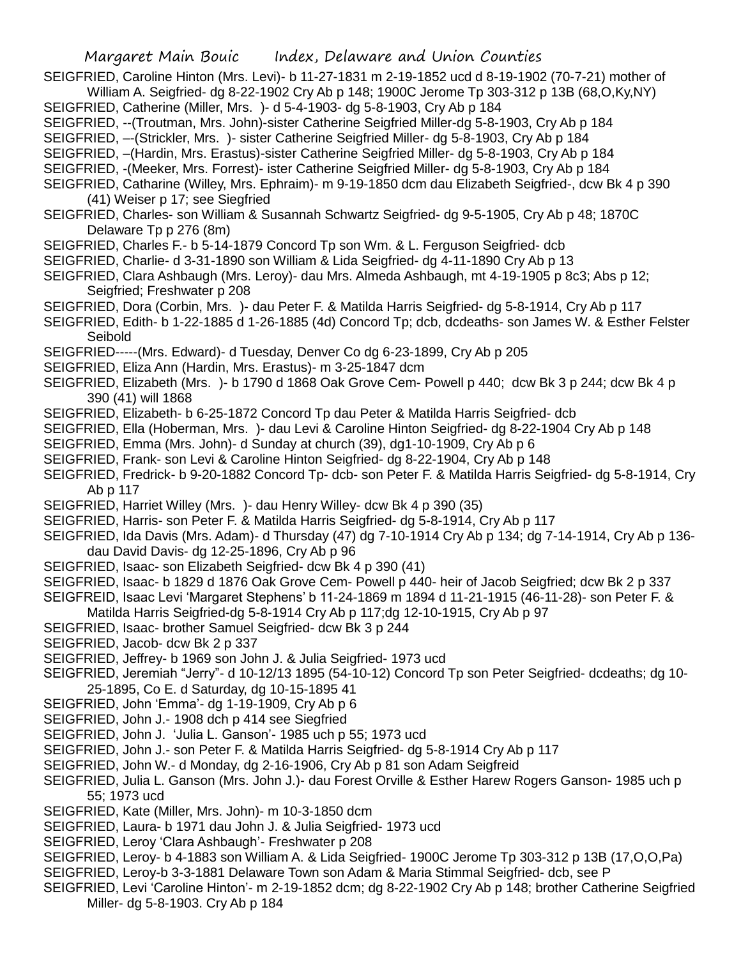- SEIGFRIED, Caroline Hinton (Mrs. Levi)- b 11-27-1831 m 2-19-1852 ucd d 8-19-1902 (70-7-21) mother of William A. Seigfried- dg 8-22-1902 Cry Ab p 148; 1900C Jerome Tp 303-312 p 13B (68,O,Ky,NY)
- SEIGFRIED, Catherine (Miller, Mrs. )- d 5-4-1903- dg 5-8-1903, Cry Ab p 184
- SEIGFRIED, --(Troutman, Mrs. John)-sister Catherine Seigfried Miller-dg 5-8-1903, Cry Ab p 184
- SEIGFRIED, –-(Strickler, Mrs. )- sister Catherine Seigfried Miller- dg 5-8-1903, Cry Ab p 184
- SEIGFRIED, –(Hardin, Mrs. Erastus)-sister Catherine Seigfried Miller- dg 5-8-1903, Cry Ab p 184
- SEIGFRIED, -(Meeker, Mrs. Forrest)- ister Catherine Seigfried Miller- dg 5-8-1903, Cry Ab p 184
- SEIGFRIED, Catharine (Willey, Mrs. Ephraim)- m 9-19-1850 dcm dau Elizabeth Seigfried-, dcw Bk 4 p 390 (41) Weiser p 17; see Siegfried
- SEIGFRIED, Charles- son William & Susannah Schwartz Seigfried- dg 9-5-1905, Cry Ab p 48; 1870C Delaware Tp p 276 (8m)
- SEIGFRIED, Charles F.- b 5-14-1879 Concord Tp son Wm. & L. Ferguson Seigfried- dcb
- SEIGFRIED, Charlie- d 3-31-1890 son William & Lida Seigfried- dg 4-11-1890 Cry Ab p 13
- SEIGFRIED, Clara Ashbaugh (Mrs. Leroy)- dau Mrs. Almeda Ashbaugh, mt 4-19-1905 p 8c3; Abs p 12; Seigfried; Freshwater p 208
- SEIGFRIED, Dora (Corbin, Mrs. )- dau Peter F. & Matilda Harris Seigfried- dg 5-8-1914, Cry Ab p 117
- SEIGFRIED, Edith- b 1-22-1885 d 1-26-1885 (4d) Concord Tp; dcb, dcdeaths- son James W. & Esther Felster Seibold
- SEIGFRIED-----(Mrs. Edward)- d Tuesday, Denver Co dg 6-23-1899, Cry Ab p 205
- SEIGFRIED, Eliza Ann (Hardin, Mrs. Erastus)- m 3-25-1847 dcm
- SEIGFRIED, Elizabeth (Mrs. )- b 1790 d 1868 Oak Grove Cem- Powell p 440; dcw Bk 3 p 244; dcw Bk 4 p 390 (41) will 1868
- SEIGFRIED, Elizabeth- b 6-25-1872 Concord Tp dau Peter & Matilda Harris Seigfried- dcb
- SEIGFRIED, Ella (Hoberman, Mrs. )- dau Levi & Caroline Hinton Seigfried- dg 8-22-1904 Cry Ab p 148
- SEIGFRIED, Emma (Mrs. John)- d Sunday at church (39), dg1-10-1909, Cry Ab p 6
- SEIGFRIED, Frank- son Levi & Caroline Hinton Seigfried- dg 8-22-1904, Cry Ab p 148
- SEIGFRIED, Fredrick- b 9-20-1882 Concord Tp- dcb- son Peter F. & Matilda Harris Seigfried- dg 5-8-1914, Cry Ab p 117
- SEIGFRIED, Harriet Willey (Mrs. )- dau Henry Willey- dcw Bk 4 p 390 (35)
- SEIGFRIED, Harris- son Peter F. & Matilda Harris Seigfried- dg 5-8-1914, Cry Ab p 117
- SEIGFRIED, Ida Davis (Mrs. Adam)- d Thursday (47) dg 7-10-1914 Cry Ab p 134; dg 7-14-1914, Cry Ab p 136 dau David Davis- dg 12-25-1896, Cry Ab p 96
- SEIGFRIED, Isaac- son Elizabeth Seigfried- dcw Bk 4 p 390 (41)
- SEIGFRIED, Isaac- b 1829 d 1876 Oak Grove Cem- Powell p 440- heir of Jacob Seigfried; dcw Bk 2 p 337
- SEIGFREID, Isaac Levi 'Margaret Stephens' b 11-24-1869 m 1894 d 11-21-1915 (46-11-28)- son Peter F. &
- Matilda Harris Seigfried-dg 5-8-1914 Cry Ab p 117;dg 12-10-1915, Cry Ab p 97
- SEIGFRIED, Isaac- brother Samuel Seigfried- dcw Bk 3 p 244
- SEIGFRIED, Jacob- dcw Bk 2 p 337
- SEIGFRIED, Jeffrey- b 1969 son John J. & Julia Seigfried- 1973 ucd
- SEIGFRIED, Jeremiah "Jerry"- d 10-12/13 1895 (54-10-12) Concord Tp son Peter Seigfried- dcdeaths; dg 10- 25-1895, Co E. d Saturday, dg 10-15-1895 41
- SEIGFRIED, John 'Emma'- dg 1-19-1909, Cry Ab p 6
- SEIGFRIED, John J.- 1908 dch p 414 see Siegfried
- SEIGFRIED, John J. 'Julia L. Ganson'- 1985 uch p 55; 1973 ucd
- SEIGFRIED, John J.- son Peter F. & Matilda Harris Seigfried- dg 5-8-1914 Cry Ab p 117
- SEIGFRIED, John W.- d Monday, dg 2-16-1906, Cry Ab p 81 son Adam Seigfreid
- SEIGFRIED, Julia L. Ganson (Mrs. John J.)- dau Forest Orville & Esther Harew Rogers Ganson- 1985 uch p 55; 1973 ucd
- SEIGFRIED, Kate (Miller, Mrs. John)- m 10-3-1850 dcm
- SEIGFRIED, Laura- b 1971 dau John J. & Julia Seigfried- 1973 ucd
- SEIGFRIED, Leroy 'Clara Ashbaugh'- Freshwater p 208
- SEIGFRIED, Leroy- b 4-1883 son William A. & Lida Seigfried- 1900C Jerome Tp 303-312 p 13B (17,O,O,Pa)
- SEIGFRIED, Leroy-b 3-3-1881 Delaware Town son Adam & Maria Stimmal Seigfried- dcb, see P
- SEIGFRIED, Levi 'Caroline Hinton'- m 2-19-1852 dcm; dg 8-22-1902 Cry Ab p 148; brother Catherine Seigfried Miller- dg 5-8-1903. Cry Ab p 184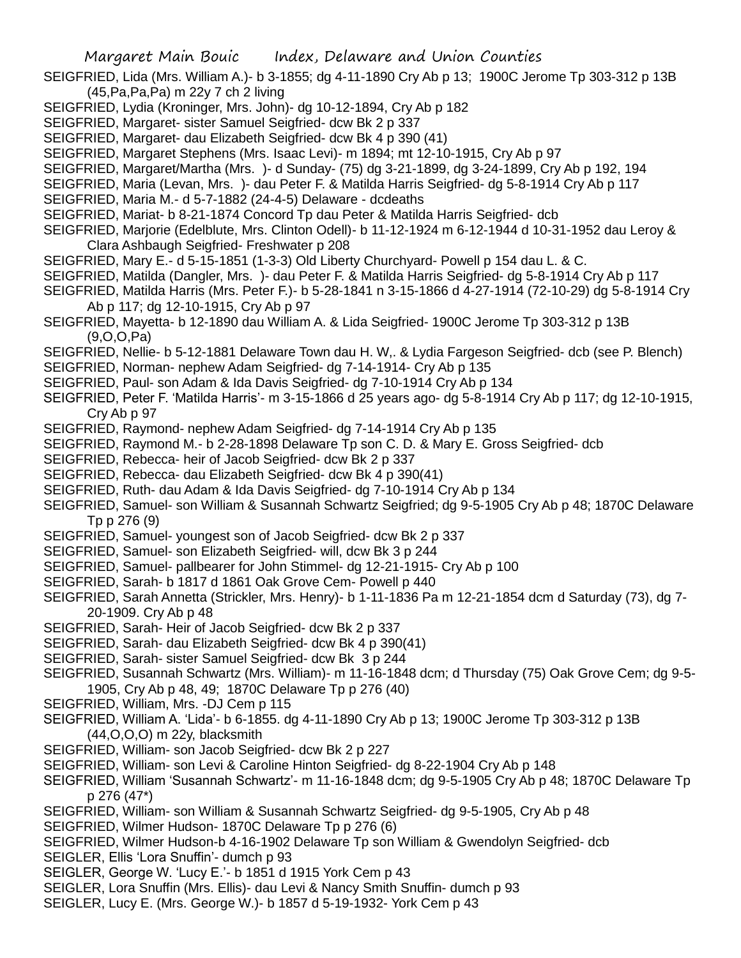- SEIGFRIED, Lida (Mrs. William A.)- b 3-1855; dg 4-11-1890 Cry Ab p 13; 1900C Jerome Tp 303-312 p 13B (45,Pa,Pa,Pa) m 22y 7 ch 2 living
- SEIGFRIED, Lydia (Kroninger, Mrs. John)- dg 10-12-1894, Cry Ab p 182
- SEIGFRIED, Margaret- sister Samuel Seigfried- dcw Bk 2 p 337
- SEIGFRIED, Margaret- dau Elizabeth Seigfried- dcw Bk 4 p 390 (41)
- SEIGFRIED, Margaret Stephens (Mrs. Isaac Levi)- m 1894; mt 12-10-1915, Cry Ab p 97
- SEIGFRIED, Margaret/Martha (Mrs. )- d Sunday- (75) dg 3-21-1899, dg 3-24-1899, Cry Ab p 192, 194
- SEIGFRIED, Maria (Levan, Mrs. )- dau Peter F. & Matilda Harris Seigfried- dg 5-8-1914 Cry Ab p 117
- SEIGFRIED, Maria M.- d 5-7-1882 (24-4-5) Delaware dcdeaths
- SEIGFRIED, Mariat- b 8-21-1874 Concord Tp dau Peter & Matilda Harris Seigfried- dcb
- SEIGFRIED, Marjorie (Edelblute, Mrs. Clinton Odell)- b 11-12-1924 m 6-12-1944 d 10-31-1952 dau Leroy & Clara Ashbaugh Seigfried- Freshwater p 208
- SEIGFRIED, Mary E.- d 5-15-1851 (1-3-3) Old Liberty Churchyard- Powell p 154 dau L. & C.
- SEIGFRIED, Matilda (Dangler, Mrs. )- dau Peter F. & Matilda Harris Seigfried- dg 5-8-1914 Cry Ab p 117
- SEIGFRIED, Matilda Harris (Mrs. Peter F.)- b 5-28-1841 n 3-15-1866 d 4-27-1914 (72-10-29) dg 5-8-1914 Cry Ab p 117; dg 12-10-1915, Cry Ab p 97
- SEIGFRIED, Mayetta- b 12-1890 dau William A. & Lida Seigfried- 1900C Jerome Tp 303-312 p 13B (9,O,O,Pa)
- SEIGFRIED, Nellie- b 5-12-1881 Delaware Town dau H. W,. & Lydia Fargeson Seigfried- dcb (see P. Blench)
- SEIGFRIED, Norman- nephew Adam Seigfried- dg 7-14-1914- Cry Ab p 135
- SEIGFRIED, Paul- son Adam & Ida Davis Seigfried- dg 7-10-1914 Cry Ab p 134
- SEIGFRIED, Peter F. 'Matilda Harris'- m 3-15-1866 d 25 years ago- dg 5-8-1914 Cry Ab p 117; dg 12-10-1915, Cry Ab p 97
- SEIGFRIED, Raymond- nephew Adam Seigfried- dg 7-14-1914 Cry Ab p 135
- SEIGFRIED, Raymond M.- b 2-28-1898 Delaware Tp son C. D. & Mary E. Gross Seigfried- dcb
- SEIGFRIED, Rebecca- heir of Jacob Seigfried- dcw Bk 2 p 337
- SEIGFRIED, Rebecca- dau Elizabeth Seigfried- dcw Bk 4 p 390(41)
- SEIGFRIED, Ruth- dau Adam & Ida Davis Seigfried- dg 7-10-1914 Cry Ab p 134
- SEIGFRIED, Samuel- son William & Susannah Schwartz Seigfried; dg 9-5-1905 Cry Ab p 48; 1870C Delaware Tp p 276 (9)
- SEIGFRIED, Samuel- youngest son of Jacob Seigfried- dcw Bk 2 p 337
- SEIGFRIED, Samuel- son Elizabeth Seigfried- will, dcw Bk 3 p 244
- SEIGFRIED, Samuel- pallbearer for John Stimmel- dg 12-21-1915- Cry Ab p 100
- SEIGFRIED, Sarah- b 1817 d 1861 Oak Grove Cem- Powell p 440
- SEIGFRIED, Sarah Annetta (Strickler, Mrs. Henry)- b 1-11-1836 Pa m 12-21-1854 dcm d Saturday (73), dg 7- 20-1909. Cry Ab p 48
- SEIGFRIED, Sarah- Heir of Jacob Seigfried- dcw Bk 2 p 337
- SEIGFRIED, Sarah- dau Elizabeth Seigfried- dcw Bk 4 p 390(41)
- SEIGFRIED, Sarah- sister Samuel Seigfried- dcw Bk 3 p 244
- SEIGFRIED, Susannah Schwartz (Mrs. William)- m 11-16-1848 dcm; d Thursday (75) Oak Grove Cem; dg 9-5- 1905, Cry Ab p 48, 49; 1870C Delaware Tp p 276 (40)
- SEIGFRIED, William, Mrs. -DJ Cem p 115
- SEIGFRIED, William A. 'Lida'- b 6-1855. dg 4-11-1890 Cry Ab p 13; 1900C Jerome Tp 303-312 p 13B (44,O,O,O) m 22y, blacksmith
- SEIGFRIED, William- son Jacob Seigfried- dcw Bk 2 p 227
- SEIGFRIED, William- son Levi & Caroline Hinton Seigfried- dg 8-22-1904 Cry Ab p 148
- SEIGFRIED, William 'Susannah Schwartz'- m 11-16-1848 dcm; dg 9-5-1905 Cry Ab p 48; 1870C Delaware Tp p 276 (47\*)
- SEIGFRIED, William- son William & Susannah Schwartz Seigfried- dg 9-5-1905, Cry Ab p 48
- SEIGFRIED, Wilmer Hudson- 1870C Delaware Tp p 276 (6)
- SEIGFRIED, Wilmer Hudson-b 4-16-1902 Delaware Tp son William & Gwendolyn Seigfried- dcb
- SEIGLER, Ellis 'Lora Snuffin'- dumch p 93
- SEIGLER, George W. 'Lucy E.'- b 1851 d 1915 York Cem p 43
- SEIGLER, Lora Snuffin (Mrs. Ellis)- dau Levi & Nancy Smith Snuffin- dumch p 93
- SEIGLER, Lucy E. (Mrs. George W.)- b 1857 d 5-19-1932- York Cem p 43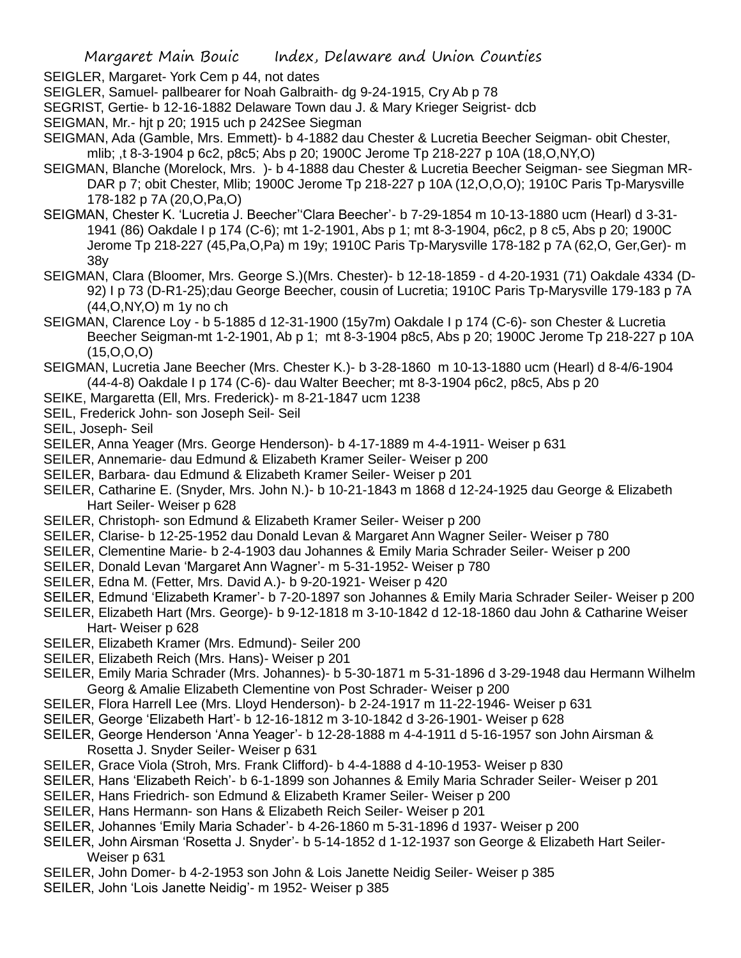SEIGLER, Margaret- York Cem p 44, not dates

- SEIGLER, Samuel- pallbearer for Noah Galbraith- dg 9-24-1915, Cry Ab p 78
- SEGRIST, Gertie- b 12-16-1882 Delaware Town dau J. & Mary Krieger Seigrist- dcb
- SEIGMAN, Mr.- hjt p 20; 1915 uch p 242See Siegman
- SEIGMAN, Ada (Gamble, Mrs. Emmett)- b 4-1882 dau Chester & Lucretia Beecher Seigman- obit Chester, mlib; ,t 8-3-1904 p 6c2, p8c5; Abs p 20; 1900C Jerome Tp 218-227 p 10A (18,O,NY,O)
- SEIGMAN, Blanche (Morelock, Mrs. )- b 4-1888 dau Chester & Lucretia Beecher Seigman- see Siegman MR-DAR p 7; obit Chester, Mlib; 1900C Jerome Tp 218-227 p 10A (12,O,O,O); 1910C Paris Tp-Marysville 178-182 p 7A (20,O,Pa,O)
- SEIGMAN, Chester K. 'Lucretia J. Beecher''Clara Beecher'- b 7-29-1854 m 10-13-1880 ucm (Hearl) d 3-31- 1941 (86) Oakdale I p 174 (C-6); mt 1-2-1901, Abs p 1; mt 8-3-1904, p6c2, p 8 c5, Abs p 20; 1900C Jerome Tp 218-227 (45,Pa,O,Pa) m 19y; 1910C Paris Tp-Marysville 178-182 p 7A (62,O, Ger,Ger)- m 38y
- SEIGMAN, Clara (Bloomer, Mrs. George S.)(Mrs. Chester)- b 12-18-1859 d 4-20-1931 (71) Oakdale 4334 (D-92) I p 73 (D-R1-25);dau George Beecher, cousin of Lucretia; 1910C Paris Tp-Marysville 179-183 p 7A (44,O,NY,O) m 1y no ch
- SEIGMAN, Clarence Loy b 5-1885 d 12-31-1900 (15y7m) Oakdale I p 174 (C-6)- son Chester & Lucretia Beecher Seigman-mt 1-2-1901, Ab p 1; mt 8-3-1904 p8c5, Abs p 20; 1900C Jerome Tp 218-227 p 10A (15,O,O,O)
- SEIGMAN, Lucretia Jane Beecher (Mrs. Chester K.)- b 3-28-1860 m 10-13-1880 ucm (Hearl) d 8-4/6-1904 (44-4-8) Oakdale I p 174 (C-6)- dau Walter Beecher; mt 8-3-1904 p6c2, p8c5, Abs p 20
- SEIKE, Margaretta (Ell, Mrs. Frederick)- m 8-21-1847 ucm 1238
- SEIL, Frederick John- son Joseph Seil- Seil

SEIL, Joseph- Seil

SEILER, Anna Yeager (Mrs. George Henderson)- b 4-17-1889 m 4-4-1911- Weiser p 631

- SEILER, Annemarie- dau Edmund & Elizabeth Kramer Seiler- Weiser p 200
- SEILER, Barbara- dau Edmund & Elizabeth Kramer Seiler- Weiser p 201
- SEILER, Catharine E. (Snyder, Mrs. John N.)- b 10-21-1843 m 1868 d 12-24-1925 dau George & Elizabeth Hart Seiler- Weiser p 628
- SEILER, Christoph- son Edmund & Elizabeth Kramer Seiler- Weiser p 200
- SEILER, Clarise- b 12-25-1952 dau Donald Levan & Margaret Ann Wagner Seiler- Weiser p 780
- SEILER, Clementine Marie- b 2-4-1903 dau Johannes & Emily Maria Schrader Seiler- Weiser p 200
- SEILER, Donald Levan 'Margaret Ann Wagner'- m 5-31-1952- Weiser p 780
- SEILER, Edna M. (Fetter, Mrs. David A.)- b 9-20-1921- Weiser p 420
- SEILER, Edmund 'Elizabeth Kramer'- b 7-20-1897 son Johannes & Emily Maria Schrader Seiler- Weiser p 200
- SEILER, Elizabeth Hart (Mrs. George)- b 9-12-1818 m 3-10-1842 d 12-18-1860 dau John & Catharine Weiser Hart- Weiser p 628
- SEILER, Elizabeth Kramer (Mrs. Edmund)- Seiler 200
- SEILER, Elizabeth Reich (Mrs. Hans)- Weiser p 201
- SEILER, Emily Maria Schrader (Mrs. Johannes)- b 5-30-1871 m 5-31-1896 d 3-29-1948 dau Hermann Wilhelm Georg & Amalie Elizabeth Clementine von Post Schrader- Weiser p 200
- SEILER, Flora Harrell Lee (Mrs. Lloyd Henderson)- b 2-24-1917 m 11-22-1946- Weiser p 631
- SEILER, George 'Elizabeth Hart'- b 12-16-1812 m 3-10-1842 d 3-26-1901- Weiser p 628
- SEILER, George Henderson 'Anna Yeager'- b 12-28-1888 m 4-4-1911 d 5-16-1957 son John Airsman & Rosetta J. Snyder Seiler- Weiser p 631
- SEILER, Grace Viola (Stroh, Mrs. Frank Clifford)- b 4-4-1888 d 4-10-1953- Weiser p 830
- SEILER, Hans 'Elizabeth Reich'- b 6-1-1899 son Johannes & Emily Maria Schrader Seiler- Weiser p 201
- SEILER, Hans Friedrich- son Edmund & Elizabeth Kramer Seiler- Weiser p 200
- SEILER, Hans Hermann- son Hans & Elizabeth Reich Seiler- Weiser p 201
- SEILER, Johannes 'Emily Maria Schader'- b 4-26-1860 m 5-31-1896 d 1937- Weiser p 200
- SEILER, John Airsman 'Rosetta J. Snyder'- b 5-14-1852 d 1-12-1937 son George & Elizabeth Hart Seiler-Weiser p 631
- SEILER, John Domer- b 4-2-1953 son John & Lois Janette Neidig Seiler- Weiser p 385
- SEILER, John 'Lois Janette Neidig'- m 1952- Weiser p 385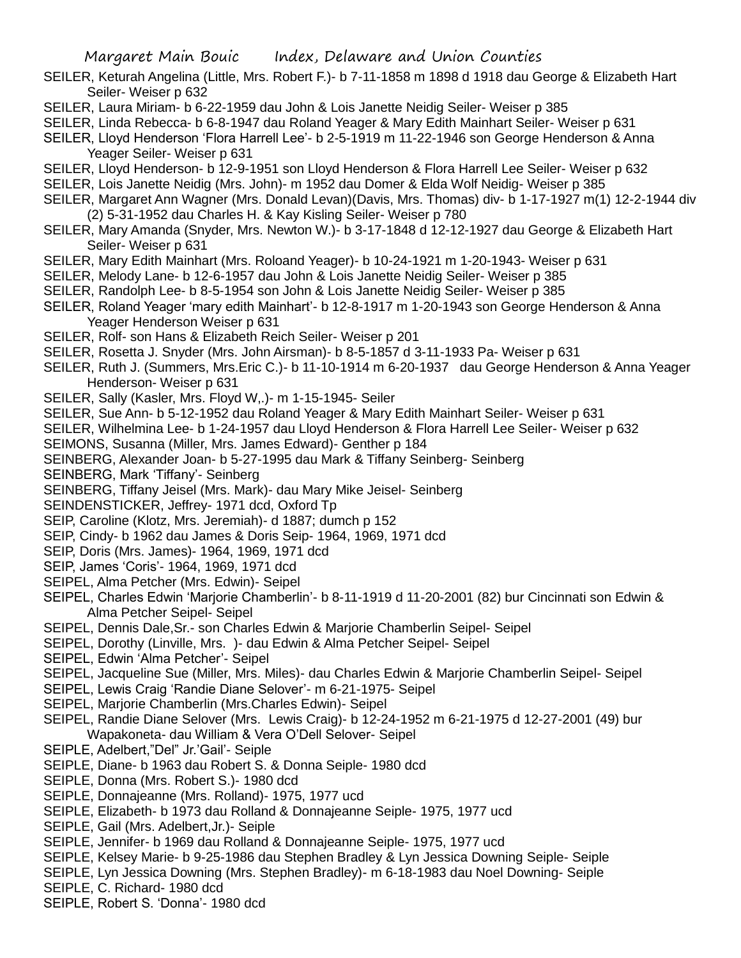- SEILER, Keturah Angelina (Little, Mrs. Robert F.)- b 7-11-1858 m 1898 d 1918 dau George & Elizabeth Hart Seiler- Weiser p 632
- SEILER, Laura Miriam- b 6-22-1959 dau John & Lois Janette Neidig Seiler- Weiser p 385
- SEILER, Linda Rebecca- b 6-8-1947 dau Roland Yeager & Mary Edith Mainhart Seiler- Weiser p 631
- SEILER, Lloyd Henderson 'Flora Harrell Lee'- b 2-5-1919 m 11-22-1946 son George Henderson & Anna Yeager Seiler- Weiser p 631
- SEILER, Lloyd Henderson- b 12-9-1951 son Lloyd Henderson & Flora Harrell Lee Seiler- Weiser p 632
- SEILER, Lois Janette Neidig (Mrs. John)- m 1952 dau Domer & Elda Wolf Neidig- Weiser p 385
- SEILER, Margaret Ann Wagner (Mrs. Donald Levan)(Davis, Mrs. Thomas) div- b 1-17-1927 m(1) 12-2-1944 div (2) 5-31-1952 dau Charles H. & Kay Kisling Seiler- Weiser p 780
- SEILER, Mary Amanda (Snyder, Mrs. Newton W.)- b 3-17-1848 d 12-12-1927 dau George & Elizabeth Hart Seiler- Weiser p 631
- SEILER, Mary Edith Mainhart (Mrs. Roloand Yeager)- b 10-24-1921 m 1-20-1943- Weiser p 631
- SEILER, Melody Lane- b 12-6-1957 dau John & Lois Janette Neidig Seiler- Weiser p 385
- SEILER, Randolph Lee- b 8-5-1954 son John & Lois Janette Neidig Seiler- Weiser p 385
- SEILER, Roland Yeager 'mary edith Mainhart'- b 12-8-1917 m 1-20-1943 son George Henderson & Anna Yeager Henderson Weiser p 631
- SEILER, Rolf- son Hans & Elizabeth Reich Seiler- Weiser p 201
- SEILER, Rosetta J. Snyder (Mrs. John Airsman)- b 8-5-1857 d 3-11-1933 Pa- Weiser p 631
- SEILER, Ruth J. (Summers, Mrs.Eric C.)- b 11-10-1914 m 6-20-1937 dau George Henderson & Anna Yeager Henderson- Weiser p 631
- SEILER, Sally (Kasler, Mrs. Floyd W,.)- m 1-15-1945- Seiler
- SEILER, Sue Ann- b 5-12-1952 dau Roland Yeager & Mary Edith Mainhart Seiler- Weiser p 631
- SEILER, Wilhelmina Lee- b 1-24-1957 dau Lloyd Henderson & Flora Harrell Lee Seiler- Weiser p 632
- SEIMONS, Susanna (Miller, Mrs. James Edward)- Genther p 184
- SEINBERG, Alexander Joan- b 5-27-1995 dau Mark & Tiffany Seinberg- Seinberg
- SEINBERG, Mark 'Tiffany'- Seinberg
- SEINBERG, Tiffany Jeisel (Mrs. Mark)- dau Mary Mike Jeisel- Seinberg
- SEINDENSTICKER, Jeffrey- 1971 dcd, Oxford Tp
- SEIP, Caroline (Klotz, Mrs. Jeremiah)- d 1887; dumch p 152
- SEIP, Cindy- b 1962 dau James & Doris Seip- 1964, 1969, 1971 dcd
- SEIP, Doris (Mrs. James)- 1964, 1969, 1971 dcd
- SEIP, James 'Coris'- 1964, 1969, 1971 dcd
- SEIPEL, Alma Petcher (Mrs. Edwin)- Seipel
- SEIPEL, Charles Edwin 'Marjorie Chamberlin'- b 8-11-1919 d 11-20-2001 (82) bur Cincinnati son Edwin & Alma Petcher Seipel- Seipel
- SEIPEL, Dennis Dale,Sr.- son Charles Edwin & Marjorie Chamberlin Seipel- Seipel
- SEIPEL, Dorothy (Linville, Mrs. )- dau Edwin & Alma Petcher Seipel- Seipel
- SEIPEL, Edwin 'Alma Petcher'- Seipel
- SEIPEL, Jacqueline Sue (Miller, Mrs. Miles)- dau Charles Edwin & Marjorie Chamberlin Seipel- Seipel
- SEIPEL, Lewis Craig 'Randie Diane Selover'- m 6-21-1975- Seipel
- SEIPEL, Marjorie Chamberlin (Mrs.Charles Edwin)- Seipel
- SEIPEL, Randie Diane Selover (Mrs. Lewis Craig)- b 12-24-1952 m 6-21-1975 d 12-27-2001 (49) bur Wapakoneta- dau William & Vera O'Dell Selover- Seipel
- SEIPLE, Adelbert,"Del" Jr.'Gail'- Seiple
- SEIPLE, Diane- b 1963 dau Robert S. & Donna Seiple- 1980 dcd
- SEIPLE, Donna (Mrs. Robert S.)- 1980 dcd
- SEIPLE, Donnajeanne (Mrs. Rolland)- 1975, 1977 ucd
- SEIPLE, Elizabeth- b 1973 dau Rolland & Donnajeanne Seiple- 1975, 1977 ucd
- SEIPLE, Gail (Mrs. Adelbert,Jr.)- Seiple
- SEIPLE, Jennifer- b 1969 dau Rolland & Donnajeanne Seiple- 1975, 1977 ucd
- SEIPLE, Kelsey Marie- b 9-25-1986 dau Stephen Bradley & Lyn Jessica Downing Seiple- Seiple
- SEIPLE, Lyn Jessica Downing (Mrs. Stephen Bradley)- m 6-18-1983 dau Noel Downing- Seiple
- SEIPLE, C. Richard- 1980 dcd
- SEIPLE, Robert S. 'Donna'- 1980 dcd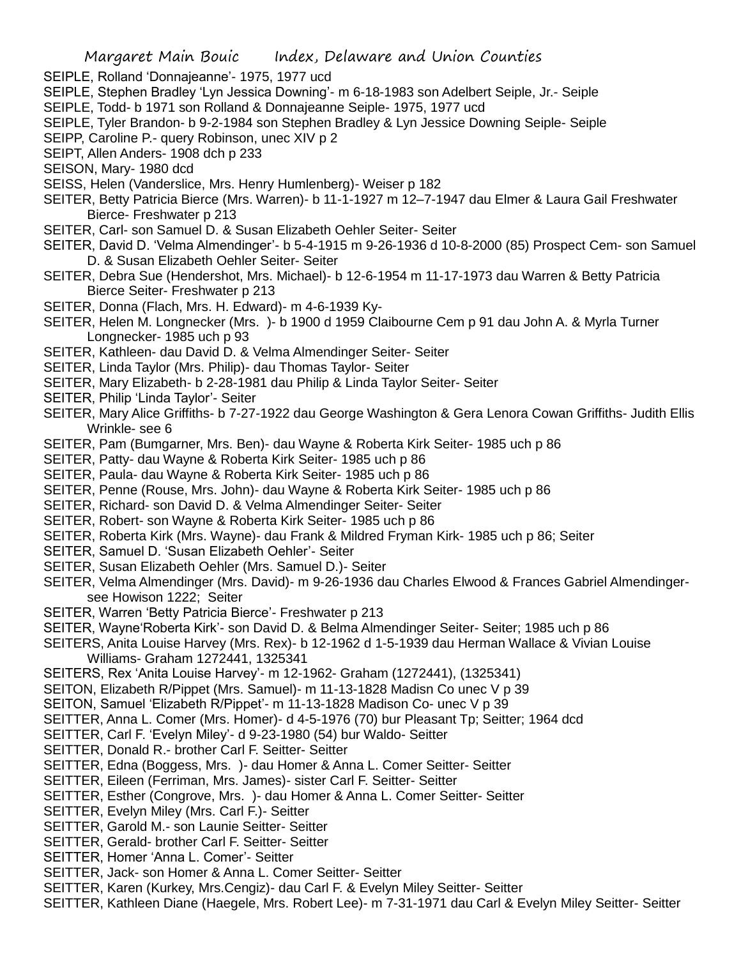- SEIPLE, Rolland 'Donnajeanne'- 1975, 1977 ucd
- SEIPLE, Stephen Bradley 'Lyn Jessica Downing'- m 6-18-1983 son Adelbert Seiple, Jr.- Seiple
- SEIPLE, Todd- b 1971 son Rolland & Donnajeanne Seiple- 1975, 1977 ucd
- SEIPLE, Tyler Brandon- b 9-2-1984 son Stephen Bradley & Lyn Jessice Downing Seiple- Seiple
- SEIPP, Caroline P.- query Robinson, unec XIV p 2
- SEIPT, Allen Anders- 1908 dch p 233
- SEISON, Mary- 1980 dcd
- SEISS, Helen (Vanderslice, Mrs. Henry Humlenberg)- Weiser p 182
- SEITER, Betty Patricia Bierce (Mrs. Warren)- b 11-1-1927 m 12–7-1947 dau Elmer & Laura Gail Freshwater Bierce- Freshwater p 213
- SEITER, Carl- son Samuel D. & Susan Elizabeth Oehler Seiter- Seiter
- SEITER, David D. 'Velma Almendinger'- b 5-4-1915 m 9-26-1936 d 10-8-2000 (85) Prospect Cem- son Samuel D. & Susan Elizabeth Oehler Seiter- Seiter
- SEITER, Debra Sue (Hendershot, Mrs. Michael)- b 12-6-1954 m 11-17-1973 dau Warren & Betty Patricia Bierce Seiter- Freshwater p 213
- SEITER, Donna (Flach, Mrs. H. Edward)- m 4-6-1939 Ky-
- SEITER, Helen M. Longnecker (Mrs. )- b 1900 d 1959 Claibourne Cem p 91 dau John A. & Myrla Turner Longnecker- 1985 uch p 93
- SEITER, Kathleen- dau David D. & Velma Almendinger Seiter- Seiter
- SEITER, Linda Taylor (Mrs. Philip)- dau Thomas Taylor- Seiter
- SEITER, Mary Elizabeth- b 2-28-1981 dau Philip & Linda Taylor Seiter- Seiter
- SEITER, Philip 'Linda Taylor'- Seiter
- SEITER, Mary Alice Griffiths- b 7-27-1922 dau George Washington & Gera Lenora Cowan Griffiths- Judith Ellis Wrinkle- see 6
- SEITER, Pam (Bumgarner, Mrs. Ben)- dau Wayne & Roberta Kirk Seiter- 1985 uch p 86
- SEITER, Patty- dau Wayne & Roberta Kirk Seiter- 1985 uch p 86
- SEITER, Paula- dau Wayne & Roberta Kirk Seiter- 1985 uch p 86
- SEITER, Penne (Rouse, Mrs. John)- dau Wayne & Roberta Kirk Seiter- 1985 uch p 86
- SEITER, Richard- son David D. & Velma Almendinger Seiter- Seiter
- SEITER, Robert- son Wayne & Roberta Kirk Seiter- 1985 uch p 86
- SEITER, Roberta Kirk (Mrs. Wayne)- dau Frank & Mildred Fryman Kirk- 1985 uch p 86; Seiter
- SEITER, Samuel D. 'Susan Elizabeth Oehler'- Seiter
- SEITER, Susan Elizabeth Oehler (Mrs. Samuel D.)- Seiter
- SEITER, Velma Almendinger (Mrs. David)- m 9-26-1936 dau Charles Elwood & Frances Gabriel Almendingersee Howison 1222; Seiter
- SEITER, Warren 'Betty Patricia Bierce'- Freshwater p 213
- SEITER, Wayne'Roberta Kirk'- son David D. & Belma Almendinger Seiter- Seiter; 1985 uch p 86
- SEITERS, Anita Louise Harvey (Mrs. Rex)- b 12-1962 d 1-5-1939 dau Herman Wallace & Vivian Louise Williams- Graham 1272441, 1325341
- SEITERS, Rex 'Anita Louise Harvey'- m 12-1962- Graham (1272441), (1325341)
- SEITON, Elizabeth R/Pippet (Mrs. Samuel)- m 11-13-1828 Madisn Co unec V p 39
- SEITON, Samuel 'Elizabeth R/Pippet'- m 11-13-1828 Madison Co- unec V p 39
- SEITTER, Anna L. Comer (Mrs. Homer)- d 4-5-1976 (70) bur Pleasant Tp; Seitter; 1964 dcd
- SEITTER, Carl F. 'Evelyn Miley'- d 9-23-1980 (54) bur Waldo- Seitter
- SEITTER, Donald R.- brother Carl F. Seitter- Seitter
- SEITTER, Edna (Boggess, Mrs. )- dau Homer & Anna L. Comer Seitter- Seitter
- SEITTER, Eileen (Ferriman, Mrs. James)- sister Carl F. Seitter- Seitter
- SEITTER, Esther (Congrove, Mrs. )- dau Homer & Anna L. Comer Seitter- Seitter
- SEITTER, Evelyn Miley (Mrs. Carl F.)- Seitter
- SEITTER, Garold M.- son Launie Seitter- Seitter
- SEITTER, Gerald- brother Carl F. Seitter- Seitter
- SEITTER, Homer 'Anna L. Comer'- Seitter
- SEITTER, Jack- son Homer & Anna L. Comer Seitter- Seitter
- SEITTER, Karen (Kurkey, Mrs.Cengiz)- dau Carl F. & Evelyn Miley Seitter- Seitter
- SEITTER, Kathleen Diane (Haegele, Mrs. Robert Lee)- m 7-31-1971 dau Carl & Evelyn Miley Seitter- Seitter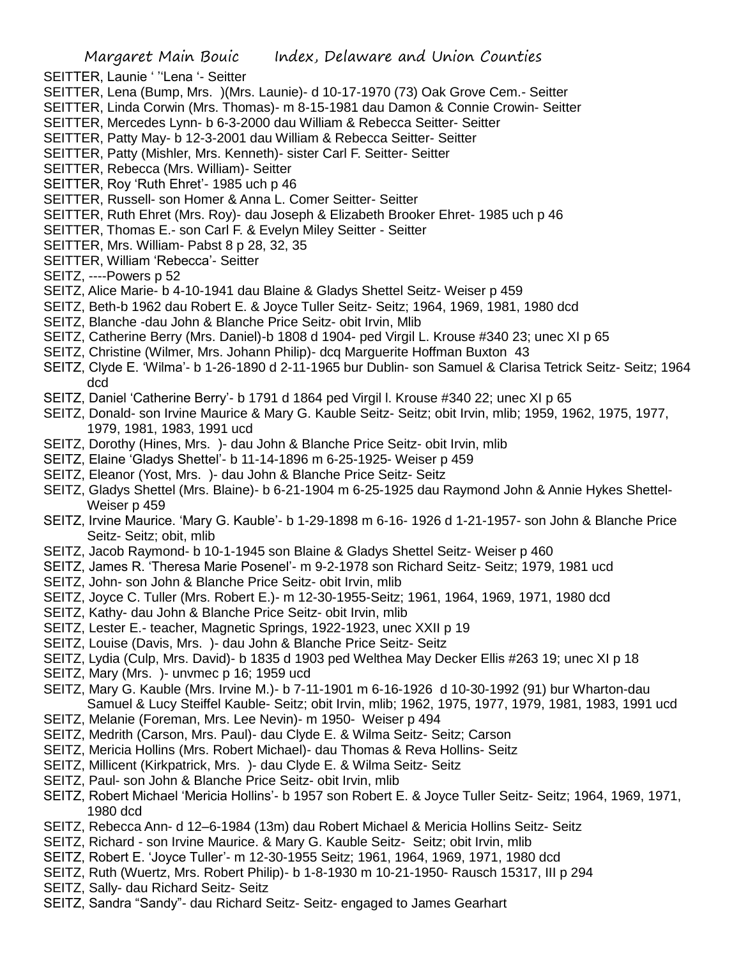- SEITTER, Launie ' ''Lena '- Seitter
- SEITTER, Lena (Bump, Mrs. )(Mrs. Launie)- d 10-17-1970 (73) Oak Grove Cem.- Seitter
- SEITTER, Linda Corwin (Mrs. Thomas)- m 8-15-1981 dau Damon & Connie Crowin- Seitter
- SEITTER, Mercedes Lynn- b 6-3-2000 dau William & Rebecca Seitter- Seitter
- SEITTER, Patty May- b 12-3-2001 dau William & Rebecca Seitter- Seitter
- SEITTER, Patty (Mishler, Mrs. Kenneth)- sister Carl F. Seitter- Seitter
- SEITTER, Rebecca (Mrs. William)- Seitter
- SEITTER, Roy 'Ruth Ehret'- 1985 uch p 46
- SEITTER, Russell- son Homer & Anna L. Comer Seitter- Seitter
- SEITTER, Ruth Ehret (Mrs. Roy)- dau Joseph & Elizabeth Brooker Ehret- 1985 uch p 46
- SEITTER, Thomas E.- son Carl F. & Evelyn Miley Seitter Seitter
- SEITTER, Mrs. William- Pabst 8 p 28, 32, 35
- SEITTER, William 'Rebecca'- Seitter
- SEITZ, ----Powers p 52
- SEITZ, Alice Marie- b 4-10-1941 dau Blaine & Gladys Shettel Seitz- Weiser p 459
- SEITZ, Beth-b 1962 dau Robert E. & Joyce Tuller Seitz- Seitz; 1964, 1969, 1981, 1980 dcd
- SEITZ, Blanche -dau John & Blanche Price Seitz- obit Irvin, Mlib
- SEITZ, Catherine Berry (Mrs. Daniel)-b 1808 d 1904- ped Virgil L. Krouse #340 23; unec XI p 65
- SEITZ, Christine (Wilmer, Mrs. Johann Philip)- dcq Marguerite Hoffman Buxton 43
- SEITZ, Clyde E. 'Wilma'- b 1-26-1890 d 2-11-1965 bur Dublin- son Samuel & Clarisa Tetrick Seitz- Seitz; 1964 dcd
- SEITZ, Daniel 'Catherine Berry'- b 1791 d 1864 ped Virgil l. Krouse #340 22; unec XI p 65
- SEITZ, Donald- son Irvine Maurice & Mary G. Kauble Seitz- Seitz; obit Irvin, mlib; 1959, 1962, 1975, 1977, 1979, 1981, 1983, 1991 ucd
- SEITZ, Dorothy (Hines, Mrs. )- dau John & Blanche Price Seitz- obit Irvin, mlib
- SEITZ, Elaine 'Gladys Shettel'- b 11-14-1896 m 6-25-1925- Weiser p 459
- SEITZ, Eleanor (Yost, Mrs. )- dau John & Blanche Price Seitz- Seitz
- SEITZ, Gladys Shettel (Mrs. Blaine)- b 6-21-1904 m 6-25-1925 dau Raymond John & Annie Hykes Shettel-Weiser p 459
- SEITZ, Irvine Maurice. 'Mary G. Kauble'- b 1-29-1898 m 6-16- 1926 d 1-21-1957- son John & Blanche Price Seitz- Seitz; obit, mlib
- SEITZ, Jacob Raymond- b 10-1-1945 son Blaine & Gladys Shettel Seitz- Weiser p 460
- SEITZ, James R. 'Theresa Marie Posenel'- m 9-2-1978 son Richard Seitz- Seitz; 1979, 1981 ucd
- SEITZ, John- son John & Blanche Price Seitz- obit Irvin, mlib
- SEITZ, Joyce C. Tuller (Mrs. Robert E.)- m 12-30-1955-Seitz; 1961, 1964, 1969, 1971, 1980 dcd
- SEITZ, Kathy- dau John & Blanche Price Seitz- obit Irvin, mlib
- SEITZ, Lester E.- teacher, Magnetic Springs, 1922-1923, unec XXII p 19
- SEITZ, Louise (Davis, Mrs. )- dau John & Blanche Price Seitz- Seitz
- SEITZ, Lydia (Culp, Mrs. David)- b 1835 d 1903 ped Welthea May Decker Ellis #263 19; unec XI p 18
- SEITZ, Mary (Mrs. )- unvmec p 16; 1959 ucd
- SEITZ, Mary G. Kauble (Mrs. Irvine M.)- b 7-11-1901 m 6-16-1926 d 10-30-1992 (91) bur Wharton-dau Samuel & Lucy Steiffel Kauble- Seitz; obit Irvin, mlib; 1962, 1975, 1977, 1979, 1981, 1983, 1991 ucd
- SEITZ, Melanie (Foreman, Mrs. Lee Nevin)- m 1950- Weiser p 494
- SEITZ, Medrith (Carson, Mrs. Paul)- dau Clyde E. & Wilma Seitz- Seitz; Carson
- SEITZ, Mericia Hollins (Mrs. Robert Michael)- dau Thomas & Reva Hollins- Seitz
- SEITZ, Millicent (Kirkpatrick, Mrs. )- dau Clyde E. & Wilma Seitz- Seitz
- SEITZ, Paul- son John & Blanche Price Seitz- obit Irvin, mlib
- SEITZ, Robert Michael 'Mericia Hollins'- b 1957 son Robert E. & Joyce Tuller Seitz- Seitz; 1964, 1969, 1971, 1980 dcd
- SEITZ, Rebecca Ann- d 12–6-1984 (13m) dau Robert Michael & Mericia Hollins Seitz- Seitz
- SEITZ, Richard son Irvine Maurice. & Mary G. Kauble Seitz- Seitz; obit Irvin, mlib
- SEITZ, Robert E. 'Joyce Tuller'- m 12-30-1955 Seitz; 1961, 1964, 1969, 1971, 1980 dcd
- SEITZ, Ruth (Wuertz, Mrs. Robert Philip)- b 1-8-1930 m 10-21-1950- Rausch 15317, III p 294
- SEITZ, Sally- dau Richard Seitz- Seitz
- SEITZ, Sandra "Sandy"- dau Richard Seitz- Seitz- engaged to James Gearhart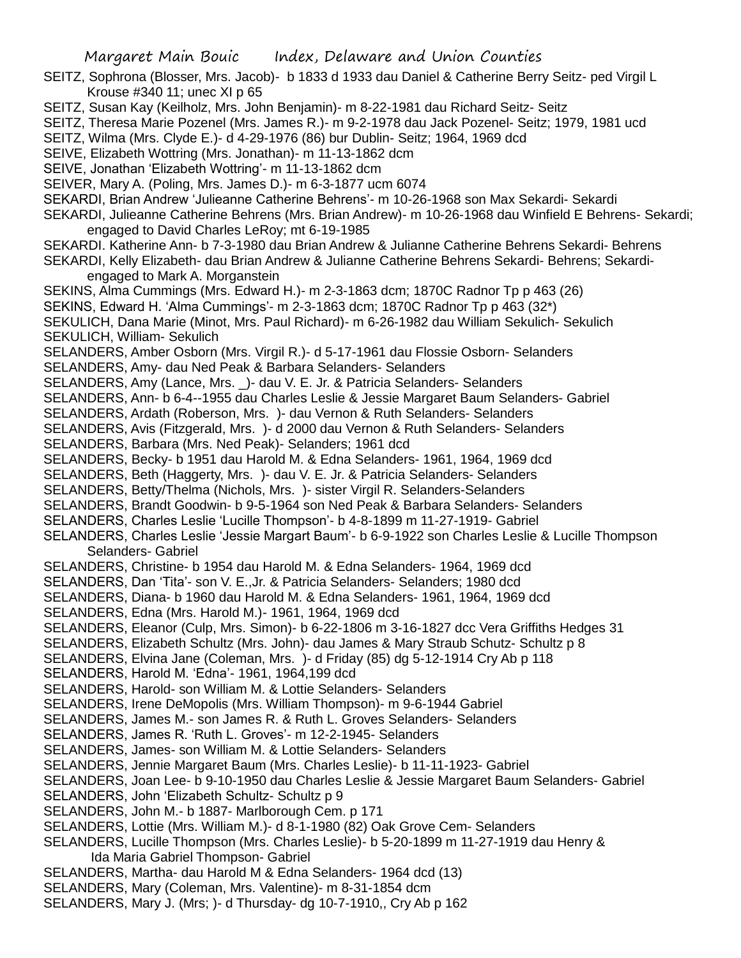- SEITZ, Sophrona (Blosser, Mrs. Jacob)- b 1833 d 1933 dau Daniel & Catherine Berry Seitz- ped Virgil L Krouse #340 11; unec XI p 65
- SEITZ, Susan Kay (Keilholz, Mrs. John Benjamin)- m 8-22-1981 dau Richard Seitz- Seitz
- SEITZ, Theresa Marie Pozenel (Mrs. James R.)- m 9-2-1978 dau Jack Pozenel- Seitz; 1979, 1981 ucd
- SEITZ, Wilma (Mrs. Clyde E.)- d 4-29-1976 (86) bur Dublin- Seitz; 1964, 1969 dcd
- SEIVE, Elizabeth Wottring (Mrs. Jonathan)- m 11-13-1862 dcm
- SEIVE, Jonathan 'Elizabeth Wottring'- m 11-13-1862 dcm
- SEIVER, Mary A. (Poling, Mrs. James D.)- m 6-3-1877 ucm 6074
- SEKARDI, Brian Andrew 'Julieanne Catherine Behrens'- m 10-26-1968 son Max Sekardi- Sekardi
- SEKARDI, Julieanne Catherine Behrens (Mrs. Brian Andrew)- m 10-26-1968 dau Winfield E Behrens- Sekardi; engaged to David Charles LeRoy; mt 6-19-1985
- SEKARDI. Katherine Ann- b 7-3-1980 dau Brian Andrew & Julianne Catherine Behrens Sekardi- Behrens SEKARDI, Kelly Elizabeth- dau Brian Andrew & Julianne Catherine Behrens Sekardi- Behrens; Sekardiengaged to Mark A. Morganstein
- SEKINS, Alma Cummings (Mrs. Edward H.)- m 2-3-1863 dcm; 1870C Radnor Tp p 463 (26)
- SEKINS, Edward H. 'Alma Cummings'- m 2-3-1863 dcm; 1870C Radnor Tp p 463 (32\*)
- SEKULICH, Dana Marie (Minot, Mrs. Paul Richard)- m 6-26-1982 dau William Sekulich- Sekulich SEKULICH, William- Sekulich
- SELANDERS, Amber Osborn (Mrs. Virgil R.)- d 5-17-1961 dau Flossie Osborn- Selanders
- SELANDERS, Amy- dau Ned Peak & Barbara Selanders- Selanders
- SELANDERS, Amy (Lance, Mrs. \_)- dau V. E. Jr. & Patricia Selanders- Selanders
- SELANDERS, Ann- b 6-4--1955 dau Charles Leslie & Jessie Margaret Baum Selanders- Gabriel
- SELANDERS, Ardath (Roberson, Mrs. )- dau Vernon & Ruth Selanders- Selanders
- SELANDERS, Avis (Fitzgerald, Mrs. )- d 2000 dau Vernon & Ruth Selanders- Selanders
- SELANDERS, Barbara (Mrs. Ned Peak)- Selanders; 1961 dcd
- SELANDERS, Becky- b 1951 dau Harold M. & Edna Selanders- 1961, 1964, 1969 dcd
- SELANDERS, Beth (Haggerty, Mrs. )- dau V. E. Jr. & Patricia Selanders- Selanders
- SELANDERS, Betty/Thelma (Nichols, Mrs. )- sister Virgil R. Selanders-Selanders
- SELANDERS, Brandt Goodwin- b 9-5-1964 son Ned Peak & Barbara Selanders- Selanders
- SELANDERS, Charles Leslie 'Lucille Thompson'- b 4-8-1899 m 11-27-1919- Gabriel
- SELANDERS, Charles Leslie 'Jessie Margart Baum'- b 6-9-1922 son Charles Leslie & Lucille Thompson Selanders- Gabriel
- SELANDERS, Christine- b 1954 dau Harold M. & Edna Selanders- 1964, 1969 dcd
- SELANDERS, Dan 'Tita'- son V. E.,Jr. & Patricia Selanders- Selanders; 1980 dcd
- SELANDERS, Diana- b 1960 dau Harold M. & Edna Selanders- 1961, 1964, 1969 dcd
- SELANDERS, Edna (Mrs. Harold M.)- 1961, 1964, 1969 dcd
- SELANDERS, Eleanor (Culp, Mrs. Simon)- b 6-22-1806 m 3-16-1827 dcc Vera Griffiths Hedges 31
- SELANDERS, Elizabeth Schultz (Mrs. John)- dau James & Mary Straub Schutz- Schultz p 8
- SELANDERS, Elvina Jane (Coleman, Mrs. )- d Friday (85) dg 5-12-1914 Cry Ab p 118
- SELANDERS, Harold M. 'Edna'- 1961, 1964,199 dcd
- SELANDERS, Harold- son William M. & Lottie Selanders- Selanders
- SELANDERS, Irene DeMopolis (Mrs. William Thompson)- m 9-6-1944 Gabriel
- SELANDERS, James M.- son James R. & Ruth L. Groves Selanders- Selanders
- SELANDERS, James R. 'Ruth L. Groves'- m 12-2-1945- Selanders
- SELANDERS, James- son William M. & Lottie Selanders- Selanders
- SELANDERS, Jennie Margaret Baum (Mrs. Charles Leslie)- b 11-11-1923- Gabriel
- SELANDERS, Joan Lee- b 9-10-1950 dau Charles Leslie & Jessie Margaret Baum Selanders- Gabriel
- SELANDERS, John 'Elizabeth Schultz- Schultz p 9
- SELANDERS, John M.- b 1887- Marlborough Cem. p 171
- SELANDERS, Lottie (Mrs. William M.)- d 8-1-1980 (82) Oak Grove Cem- Selanders
- SELANDERS, Lucille Thompson (Mrs. Charles Leslie)- b 5-20-1899 m 11-27-1919 dau Henry & Ida Maria Gabriel Thompson- Gabriel
- SELANDERS, Martha- dau Harold M & Edna Selanders- 1964 dcd (13)
- SELANDERS, Mary (Coleman, Mrs. Valentine)- m 8-31-1854 dcm
- SELANDERS, Mary J. (Mrs; )- d Thursday- dg 10-7-1910,, Cry Ab p 162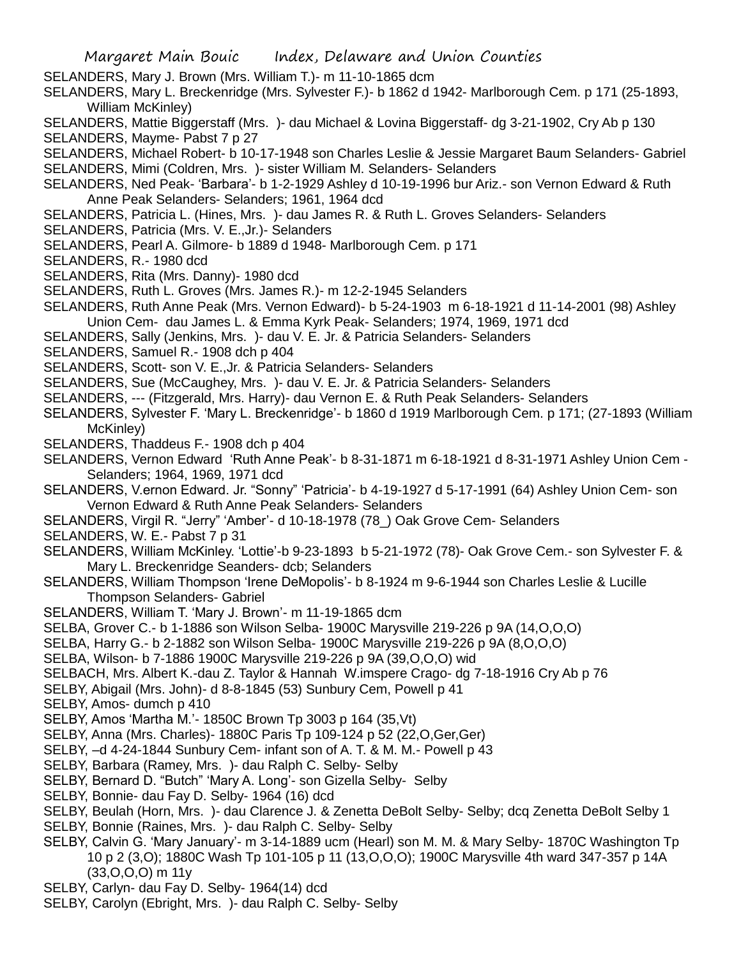- SELANDERS, Mary J. Brown (Mrs. William T.)- m 11-10-1865 dcm
- SELANDERS, Mary L. Breckenridge (Mrs. Sylvester F.)- b 1862 d 1942- Marlborough Cem. p 171 (25-1893, William McKinley)
- SELANDERS, Mattie Biggerstaff (Mrs. )- dau Michael & Lovina Biggerstaff- dg 3-21-1902, Cry Ab p 130 SELANDERS, Mayme- Pabst 7 p 27
- SELANDERS, Michael Robert- b 10-17-1948 son Charles Leslie & Jessie Margaret Baum Selanders- Gabriel
- SELANDERS, Mimi (Coldren, Mrs. )- sister William M. Selanders- Selanders
- SELANDERS, Ned Peak- 'Barbara'- b 1-2-1929 Ashley d 10-19-1996 bur Ariz.- son Vernon Edward & Ruth Anne Peak Selanders- Selanders; 1961, 1964 dcd
- SELANDERS, Patricia L. (Hines, Mrs. )- dau James R. & Ruth L. Groves Selanders- Selanders
- SELANDERS, Patricia (Mrs. V. E.,Jr.)- Selanders
- SELANDERS, Pearl A. Gilmore- b 1889 d 1948- Marlborough Cem. p 171
- SELANDERS, R.- 1980 dcd
- SELANDERS, Rita (Mrs. Danny)- 1980 dcd
- SELANDERS, Ruth L. Groves (Mrs. James R.)- m 12-2-1945 Selanders
- SELANDERS, Ruth Anne Peak (Mrs. Vernon Edward)- b 5-24-1903 m 6-18-1921 d 11-14-2001 (98) Ashley Union Cem- dau James L. & Emma Kyrk Peak- Selanders; 1974, 1969, 1971 dcd
- SELANDERS, Sally (Jenkins, Mrs. )- dau V. E. Jr. & Patricia Selanders- Selanders
- SELANDERS, Samuel R.- 1908 dch p 404
- SELANDERS, Scott- son V. E.,Jr. & Patricia Selanders- Selanders
- SELANDERS, Sue (McCaughey, Mrs. )- dau V. E. Jr. & Patricia Selanders- Selanders
- SELANDERS, --- (Fitzgerald, Mrs. Harry)- dau Vernon E. & Ruth Peak Selanders- Selanders
- SELANDERS, Sylvester F. 'Mary L. Breckenridge'- b 1860 d 1919 Marlborough Cem. p 171; (27-1893 (William McKinley)
- SELANDERS, Thaddeus F.- 1908 dch p 404
- SELANDERS, Vernon Edward 'Ruth Anne Peak'- b 8-31-1871 m 6-18-1921 d 8-31-1971 Ashley Union Cem Selanders; 1964, 1969, 1971 dcd
- SELANDERS, V.ernon Edward. Jr. "Sonny" 'Patricia'- b 4-19-1927 d 5-17-1991 (64) Ashley Union Cem- son Vernon Edward & Ruth Anne Peak Selanders- Selanders
- SELANDERS, Virgil R. "Jerry" 'Amber'- d 10-18-1978 (78\_) Oak Grove Cem- Selanders
- SELANDERS, W. E.- Pabst 7 p 31
- SELANDERS, William McKinley. 'Lottie'-b 9-23-1893 b 5-21-1972 (78)- Oak Grove Cem.- son Sylvester F. & Mary L. Breckenridge Seanders- dcb; Selanders
- SELANDERS, William Thompson 'Irene DeMopolis'- b 8-1924 m 9-6-1944 son Charles Leslie & Lucille Thompson Selanders- Gabriel
- SELANDERS, William T. 'Mary J. Brown'- m 11-19-1865 dcm
- SELBA, Grover C.- b 1-1886 son Wilson Selba- 1900C Marysville 219-226 p 9A (14,O,O,O)
- SELBA, Harry G.- b 2-1882 son Wilson Selba- 1900C Marysville 219-226 p 9A (8,O,O,O)
- SELBA, Wilson- b 7-1886 1900C Marysville 219-226 p 9A (39,O,O,O) wid
- SELBACH, Mrs. Albert K.-dau Z. Taylor & Hannah W.imspere Crago- dg 7-18-1916 Cry Ab p 76
- SELBY, Abigail (Mrs. John)- d 8-8-1845 (53) Sunbury Cem, Powell p 41
- SELBY, Amos- dumch p 410
- SELBY, Amos 'Martha M.'- 1850C Brown Tp 3003 p 164 (35,Vt)
- SELBY, Anna (Mrs. Charles)- 1880C Paris Tp 109-124 p 52 (22,O,Ger,Ger)
- SELBY, –d 4-24-1844 Sunbury Cem- infant son of A. T. & M. M.- Powell p 43
- SELBY, Barbara (Ramey, Mrs. )- dau Ralph C. Selby- Selby
- SELBY, Bernard D. "Butch" 'Mary A. Long'- son Gizella Selby- Selby
- SELBY, Bonnie- dau Fay D. Selby- 1964 (16) dcd
- SELBY, Beulah (Horn, Mrs. )- dau Clarence J. & Zenetta DeBolt Selby- Selby; dcq Zenetta DeBolt Selby 1
- SELBY, Bonnie (Raines, Mrs. )- dau Ralph C. Selby- Selby
- SELBY, Calvin G. 'Mary January'- m 3-14-1889 ucm (Hearl) son M. M. & Mary Selby- 1870C Washington Tp 10 p 2 (3,O); 1880C Wash Tp 101-105 p 11 (13,O,O,O); 1900C Marysville 4th ward 347-357 p 14A (33,O,O,O) m 11y
- SELBY, Carlyn- dau Fay D. Selby- 1964(14) dcd
- SELBY, Carolyn (Ebright, Mrs. )- dau Ralph C. Selby- Selby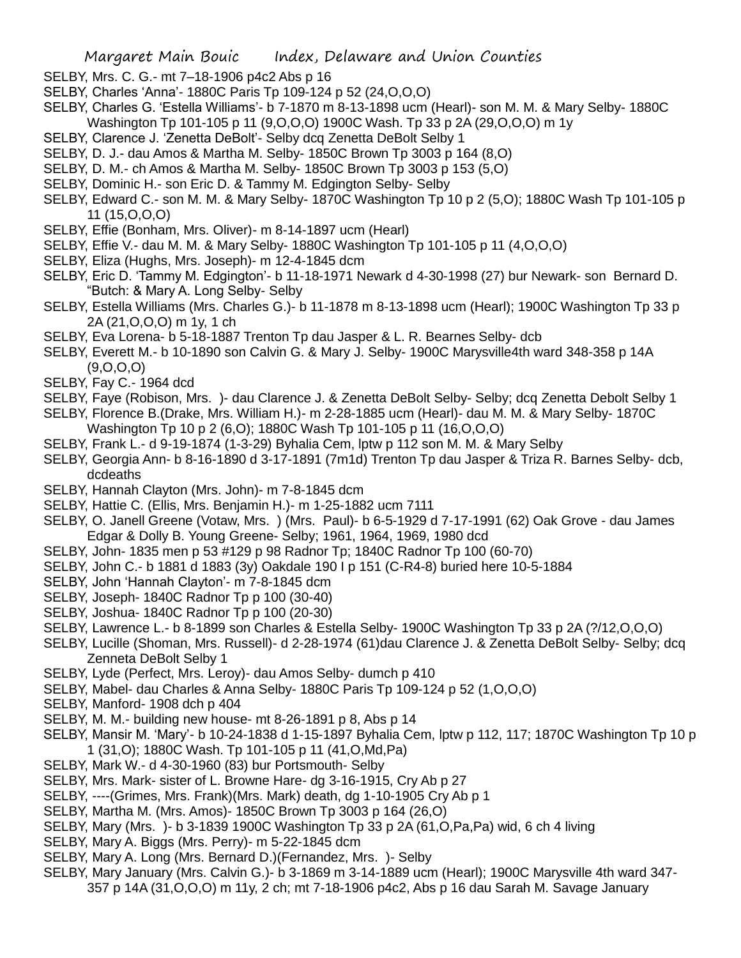- SELBY, Mrs. C. G.- mt 7–18-1906 p4c2 Abs p 16
- SELBY, Charles 'Anna'- 1880C Paris Tp 109-124 p 52 (24,O,O,O)
- SELBY, Charles G. 'Estella Williams'- b 7-1870 m 8-13-1898 ucm (Hearl)- son M. M. & Mary Selby- 1880C Washington Tp 101-105 p 11 (9,O,O,O) 1900C Wash. Tp 33 p 2A (29,O,O,O) m 1y
- SELBY, Clarence J. 'Zenetta DeBolt'- Selby dcq Zenetta DeBolt Selby 1
- SELBY, D. J.- dau Amos & Martha M. Selby- 1850C Brown Tp 3003 p 164 (8,O)
- SELBY, D. M.- ch Amos & Martha M. Selby- 1850C Brown Tp 3003 p 153 (5,O)
- SELBY, Dominic H.- son Eric D. & Tammy M. Edgington Selby- Selby
- SELBY, Edward C.- son M. M. & Mary Selby- 1870C Washington Tp 10 p 2 (5,O); 1880C Wash Tp 101-105 p 11 (15,O,O,O)
- SELBY, Effie (Bonham, Mrs. Oliver)- m 8-14-1897 ucm (Hearl)
- SELBY, Effie V.- dau M. M. & Mary Selby- 1880C Washington Tp 101-105 p 11 (4,O,O,O)
- SELBY, Eliza (Hughs, Mrs. Joseph)- m 12-4-1845 dcm
- SELBY, Eric D. 'Tammy M. Edgington'- b 11-18-1971 Newark d 4-30-1998 (27) bur Newark- son Bernard D. "Butch: & Mary A. Long Selby- Selby
- SELBY, Estella Williams (Mrs. Charles G.)- b 11-1878 m 8-13-1898 ucm (Hearl); 1900C Washington Tp 33 p 2A (21,O,O,O) m 1y, 1 ch
- SELBY, Eva Lorena- b 5-18-1887 Trenton Tp dau Jasper & L. R. Bearnes Selby- dcb
- SELBY, Everett M.- b 10-1890 son Calvin G. & Mary J. Selby- 1900C Marysville4th ward 348-358 p 14A (9,O,O,O)
- SELBY, Fay C.- 1964 dcd
- SELBY, Faye (Robison, Mrs. )- dau Clarence J. & Zenetta DeBolt Selby- Selby; dcq Zenetta Debolt Selby 1
- SELBY, Florence B.(Drake, Mrs. William H.)- m 2-28-1885 ucm (Hearl)- dau M. M. & Mary Selby- 1870C
	- Washington Tp 10 p 2 (6,O); 1880C Wash Tp 101-105 p 11 (16,O,O,O)
- SELBY, Frank L.- d 9-19-1874 (1-3-29) Byhalia Cem, lptw p 112 son M. M. & Mary Selby
- SELBY, Georgia Ann- b 8-16-1890 d 3-17-1891 (7m1d) Trenton Tp dau Jasper & Triza R. Barnes Selby- dcb, dcdeaths
- SELBY, Hannah Clayton (Mrs. John)- m 7-8-1845 dcm
- SELBY, Hattie C. (Ellis, Mrs. Benjamin H.)- m 1-25-1882 ucm 7111
- SELBY, O. Janell Greene (Votaw, Mrs. ) (Mrs. Paul)- b 6-5-1929 d 7-17-1991 (62) Oak Grove dau James Edgar & Dolly B. Young Greene- Selby; 1961, 1964, 1969, 1980 dcd
- SELBY, John- 1835 men p 53 #129 p 98 Radnor Tp; 1840C Radnor Tp 100 (60-70)
- SELBY, John C.- b 1881 d 1883 (3y) Oakdale 190 I p 151 (C-R4-8) buried here 10-5-1884
- SELBY, John 'Hannah Clayton'- m 7-8-1845 dcm
- SELBY, Joseph- 1840C Radnor Tp p 100 (30-40)
- SELBY, Joshua- 1840C Radnor Tp p 100 (20-30)
- SELBY, Lawrence L.- b 8-1899 son Charles & Estella Selby- 1900C Washington Tp 33 p 2A (?/12,O,O,O)
- SELBY, Lucille (Shoman, Mrs. Russell)- d 2-28-1974 (61)dau Clarence J. & Zenetta DeBolt Selby- Selby; dcq Zenneta DeBolt Selby 1
- SELBY, Lyde (Perfect, Mrs. Leroy)- dau Amos Selby- dumch p 410
- SELBY, Mabel- dau Charles & Anna Selby- 1880C Paris Tp 109-124 p 52 (1,O,O,O)
- SELBY, Manford- 1908 dch p 404
- SELBY, M. M.- building new house- mt 8-26-1891 p 8, Abs p 14
- SELBY, Mansir M. 'Mary'- b 10-24-1838 d 1-15-1897 Byhalia Cem, lptw p 112, 117; 1870C Washington Tp 10 p 1 (31,O); 1880C Wash. Tp 101-105 p 11 (41,O,Md,Pa)
- SELBY, Mark W.- d 4-30-1960 (83) bur Portsmouth- Selby
- SELBY, Mrs. Mark- sister of L. Browne Hare- dg 3-16-1915, Cry Ab p 27
- SELBY, ----(Grimes, Mrs. Frank)(Mrs. Mark) death, dg 1-10-1905 Cry Ab p 1
- SELBY, Martha M. (Mrs. Amos)- 1850C Brown Tp 3003 p 164 (26,O)
- SELBY, Mary (Mrs. )- b 3-1839 1900C Washington Tp 33 p 2A (61,O,Pa,Pa) wid, 6 ch 4 living
- SELBY, Mary A. Biggs (Mrs. Perry)- m 5-22-1845 dcm
- SELBY, Mary A. Long (Mrs. Bernard D.)(Fernandez, Mrs. )- Selby
- SELBY, Mary January (Mrs. Calvin G.)- b 3-1869 m 3-14-1889 ucm (Hearl); 1900C Marysville 4th ward 347- 357 p 14A (31,O,O,O) m 11y, 2 ch; mt 7-18-1906 p4c2, Abs p 16 dau Sarah M. Savage January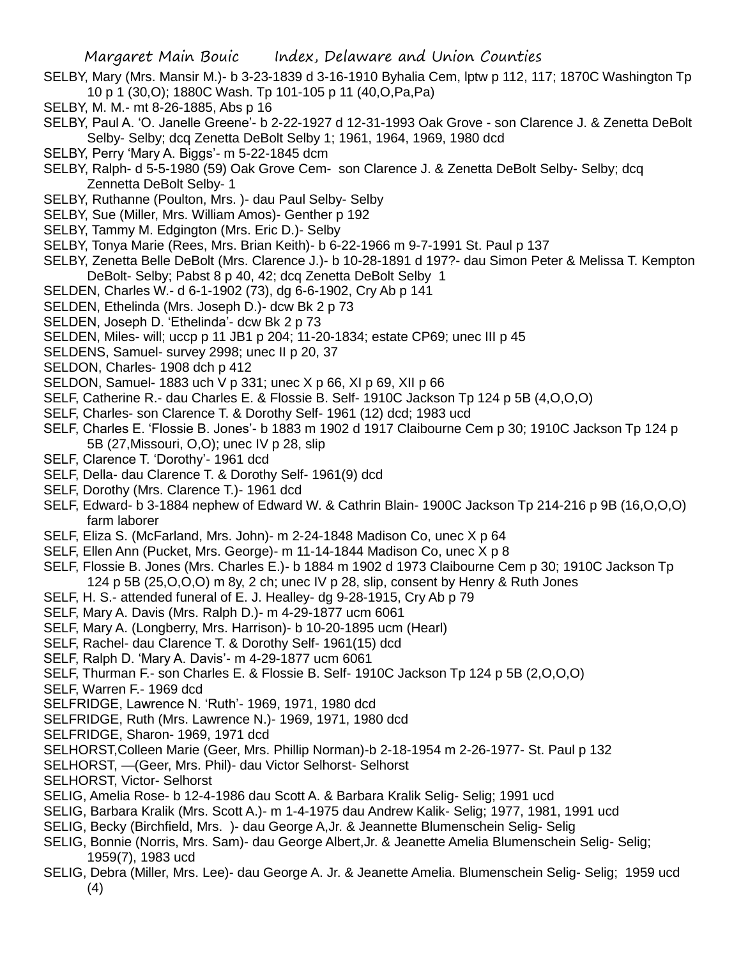- SELBY, Mary (Mrs. Mansir M.)- b 3-23-1839 d 3-16-1910 Byhalia Cem, lptw p 112, 117; 1870C Washington Tp 10 p 1 (30,O); 1880C Wash. Tp 101-105 p 11 (40,O,Pa,Pa)
- SELBY, M. M.- mt 8-26-1885, Abs p 16
- SELBY, Paul A. 'O. Janelle Greene'- b 2-22-1927 d 12-31-1993 Oak Grove son Clarence J. & Zenetta DeBolt Selby- Selby; dcq Zenetta DeBolt Selby 1; 1961, 1964, 1969, 1980 dcd
- SELBY, Perry 'Mary A. Biggs'- m 5-22-1845 dcm
- SELBY, Ralph- d 5-5-1980 (59) Oak Grove Cem- son Clarence J. & Zenetta DeBolt Selby- Selby; dcq Zennetta DeBolt Selby- 1
- SELBY, Ruthanne (Poulton, Mrs. )- dau Paul Selby- Selby
- SELBY, Sue (Miller, Mrs. William Amos)- Genther p 192
- SELBY, Tammy M. Edgington (Mrs. Eric D.)- Selby
- SELBY, Tonya Marie (Rees, Mrs. Brian Keith)- b 6-22-1966 m 9-7-1991 St. Paul p 137
- SELBY, Zenetta Belle DeBolt (Mrs. Clarence J.)- b 10-28-1891 d 197?- dau Simon Peter & Melissa T. Kempton DeBolt- Selby; Pabst 8 p 40, 42; dcq Zenetta DeBolt Selby 1
- SELDEN, Charles W.- d 6-1-1902 (73), dg 6-6-1902, Cry Ab p 141
- SELDEN, Ethelinda (Mrs. Joseph D.)- dcw Bk 2 p 73
- SELDEN, Joseph D. 'Ethelinda'- dcw Bk 2 p 73
- SELDEN, Miles- will; uccp p 11 JB1 p 204; 11-20-1834; estate CP69; unec III p 45
- SELDENS, Samuel- survey 2998; unec II p 20, 37
- SELDON, Charles- 1908 dch p 412
- SELDON, Samuel- 1883 uch V p 331; unec X p 66, XI p 69, XII p 66
- SELF, Catherine R.- dau Charles E. & Flossie B. Self- 1910C Jackson Tp 124 p 5B (4,O,O,O)
- SELF, Charles- son Clarence T. & Dorothy Self- 1961 (12) dcd; 1983 ucd
- SELF, Charles E. 'Flossie B. Jones'- b 1883 m 1902 d 1917 Claibourne Cem p 30; 1910C Jackson Tp 124 p 5B (27,Missouri, O,O); unec IV p 28, slip
- SELF, Clarence T. 'Dorothy'- 1961 dcd
- SELF, Della- dau Clarence T. & Dorothy Self- 1961(9) dcd
- SELF, Dorothy (Mrs. Clarence T.)- 1961 dcd
- SELF, Edward- b 3-1884 nephew of Edward W. & Cathrin Blain- 1900C Jackson Tp 214-216 p 9B (16,O,O,O) farm laborer
- SELF, Eliza S. (McFarland, Mrs. John)- m 2-24-1848 Madison Co, unec X p 64
- SELF, Ellen Ann (Pucket, Mrs. George)- m 11-14-1844 Madison Co, unec X p 8
- SELF, Flossie B. Jones (Mrs. Charles E.)- b 1884 m 1902 d 1973 Claibourne Cem p 30; 1910C Jackson Tp 124 p 5B (25,O,O,O) m 8y, 2 ch; unec IV p 28, slip, consent by Henry & Ruth Jones
- SELF, H. S.- attended funeral of E. J. Healley- dg 9-28-1915, Cry Ab p 79
- SELF, Mary A. Davis (Mrs. Ralph D.)- m 4-29-1877 ucm 6061
- SELF, Mary A. (Longberry, Mrs. Harrison)- b 10-20-1895 ucm (Hearl)
- SELF, Rachel- dau Clarence T. & Dorothy Self- 1961(15) dcd
- SELF, Ralph D. 'Mary A. Davis'- m 4-29-1877 ucm 6061
- SELF, Thurman F.- son Charles E. & Flossie B. Self- 1910C Jackson Tp 124 p 5B (2,O,O,O)
- SELF, Warren F.- 1969 dcd
- SELFRIDGE, Lawrence N. 'Ruth'- 1969, 1971, 1980 dcd
- SELFRIDGE, Ruth (Mrs. Lawrence N.)- 1969, 1971, 1980 dcd
- SELFRIDGE, Sharon- 1969, 1971 dcd
- SELHORST,Colleen Marie (Geer, Mrs. Phillip Norman)-b 2-18-1954 m 2-26-1977- St. Paul p 132
- SELHORST, —(Geer, Mrs. Phil)- dau Victor Selhorst- Selhorst
- SELHORST, Victor- Selhorst
- SELIG, Amelia Rose- b 12-4-1986 dau Scott A. & Barbara Kralik Selig- Selig; 1991 ucd
- SELIG, Barbara Kralik (Mrs. Scott A.)- m 1-4-1975 dau Andrew Kalik- Selig; 1977, 1981, 1991 ucd
- SELIG, Becky (Birchfield, Mrs. )- dau George A,Jr. & Jeannette Blumenschein Selig- Selig
- SELIG, Bonnie (Norris, Mrs. Sam)- dau George Albert,Jr. & Jeanette Amelia Blumenschein Selig- Selig; 1959(7), 1983 ucd
- SELIG, Debra (Miller, Mrs. Lee)- dau George A. Jr. & Jeanette Amelia. Blumenschein Selig- Selig; 1959 ucd (4)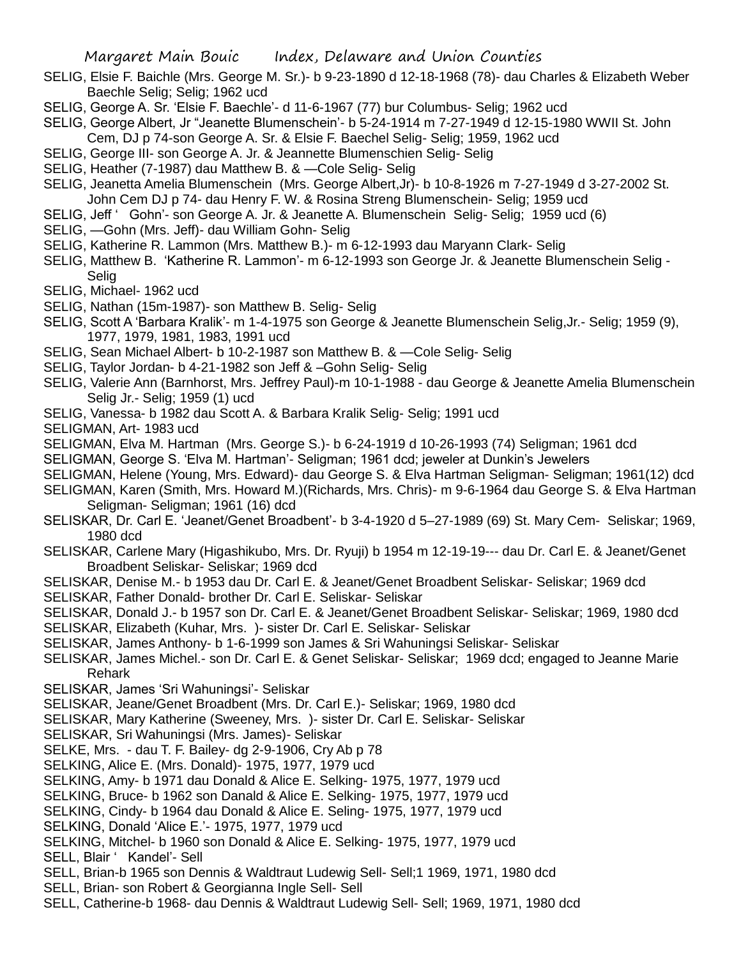- SELIG, Elsie F. Baichle (Mrs. George M. Sr.)- b 9-23-1890 d 12-18-1968 (78)- dau Charles & Elizabeth Weber Baechle Selig; Selig; 1962 ucd
- SELIG, George A. Sr. 'Elsie F. Baechle'- d 11-6-1967 (77) bur Columbus- Selig; 1962 ucd
- SELIG, George Albert, Jr "Jeanette Blumenschein'- b 5-24-1914 m 7-27-1949 d 12-15-1980 WWII St. John Cem, DJ p 74-son George A. Sr. & Elsie F. Baechel Selig- Selig; 1959, 1962 ucd
- SELIG, George III- son George A. Jr. & Jeannette Blumenschien Selig- Selig
- SELIG, Heather (7-1987) dau Matthew B. & —Cole Selig- Selig
- SELIG, Jeanetta Amelia Blumenschein (Mrs. George Albert,Jr)- b 10-8-1926 m 7-27-1949 d 3-27-2002 St. John Cem DJ p 74- dau Henry F. W. & Rosina Streng Blumenschein- Selig; 1959 ucd
- SELIG, Jeff ' Gohn'- son George A. Jr. & Jeanette A. Blumenschein Selig- Selig; 1959 ucd (6)
- SELIG, —Gohn (Mrs. Jeff)- dau William Gohn- Selig
- SELIG, Katherine R. Lammon (Mrs. Matthew B.)- m 6-12-1993 dau Maryann Clark- Selig
- SELIG, Matthew B. 'Katherine R. Lammon'- m 6-12-1993 son George Jr. & Jeanette Blumenschein Selig Selig
- SELIG, Michael- 1962 ucd
- SELIG, Nathan (15m-1987)- son Matthew B. Selig- Selig
- SELIG, Scott A 'Barbara Kralik'- m 1-4-1975 son George & Jeanette Blumenschein Selig,Jr.- Selig; 1959 (9), 1977, 1979, 1981, 1983, 1991 ucd
- SELIG, Sean Michael Albert- b 10-2-1987 son Matthew B. & —Cole Selig- Selig
- SELIG, Taylor Jordan- b 4-21-1982 son Jeff & –Gohn Selig- Selig
- SELIG, Valerie Ann (Barnhorst, Mrs. Jeffrey Paul)-m 10-1-1988 dau George & Jeanette Amelia Blumenschein Selig Jr.- Selig; 1959 (1) ucd
- SELIG, Vanessa- b 1982 dau Scott A. & Barbara Kralik Selig- Selig; 1991 ucd
- SELIGMAN, Art- 1983 ucd
- SELIGMAN, Elva M. Hartman (Mrs. George S.)- b 6-24-1919 d 10-26-1993 (74) Seligman; 1961 dcd
- SELIGMAN, George S. 'Elva M. Hartman'- Seligman; 1961 dcd; jeweler at Dunkin's Jewelers
- SELIGMAN, Helene (Young, Mrs. Edward)- dau George S. & Elva Hartman Seligman- Seligman; 1961(12) dcd
- SELIGMAN, Karen (Smith, Mrs. Howard M.)(Richards, Mrs. Chris)- m 9-6-1964 dau George S. & Elva Hartman Seligman- Seligman; 1961 (16) dcd
- SELISKAR, Dr. Carl E. 'Jeanet/Genet Broadbent'- b 3-4-1920 d 5–27-1989 (69) St. Mary Cem- Seliskar; 1969, 1980 dcd
- SELISKAR, Carlene Mary (Higashikubo, Mrs. Dr. Ryuji) b 1954 m 12-19-19--- dau Dr. Carl E. & Jeanet/Genet Broadbent Seliskar- Seliskar; 1969 dcd
- SELISKAR, Denise M.- b 1953 dau Dr. Carl E. & Jeanet/Genet Broadbent Seliskar- Seliskar; 1969 dcd
- SELISKAR, Father Donald- brother Dr. Carl E. Seliskar- Seliskar
- SELISKAR, Donald J.- b 1957 son Dr. Carl E. & Jeanet/Genet Broadbent Seliskar- Seliskar; 1969, 1980 dcd
- SELISKAR, Elizabeth (Kuhar, Mrs. )- sister Dr. Carl E. Seliskar- Seliskar
- SELISKAR, James Anthony- b 1-6-1999 son James & Sri Wahuningsi Seliskar- Seliskar
- SELISKAR, James Michel.- son Dr. Carl E. & Genet Seliskar- Seliskar; 1969 dcd; engaged to Jeanne Marie Rehark
- SELISKAR, James 'Sri Wahuningsi'- Seliskar
- SELISKAR, Jeane/Genet Broadbent (Mrs. Dr. Carl E.)- Seliskar; 1969, 1980 dcd
- SELISKAR, Mary Katherine (Sweeney, Mrs. )- sister Dr. Carl E. Seliskar- Seliskar
- SELISKAR, Sri Wahuningsi (Mrs. James)- Seliskar
- SELKE, Mrs. dau T. F. Bailey- dg 2-9-1906, Cry Ab p 78
- SELKING, Alice E. (Mrs. Donald)- 1975, 1977, 1979 ucd
- SELKING, Amy- b 1971 dau Donald & Alice E. Selking- 1975, 1977, 1979 ucd
- SELKING, Bruce- b 1962 son Danald & Alice E. Selking- 1975, 1977, 1979 ucd
- SELKING, Cindy- b 1964 dau Donald & Alice E. Seling- 1975, 1977, 1979 ucd
- SELKING, Donald 'Alice E.'- 1975, 1977, 1979 ucd
- SELKING, Mitchel- b 1960 son Donald & Alice E. Selking- 1975, 1977, 1979 ucd
- SELL, Blair ' Kandel'- Sell
- SELL, Brian-b 1965 son Dennis & Waldtraut Ludewig Sell- Sell;1 1969, 1971, 1980 dcd
- SELL, Brian- son Robert & Georgianna Ingle Sell- Sell
- SELL, Catherine-b 1968- dau Dennis & Waldtraut Ludewig Sell- Sell; 1969, 1971, 1980 dcd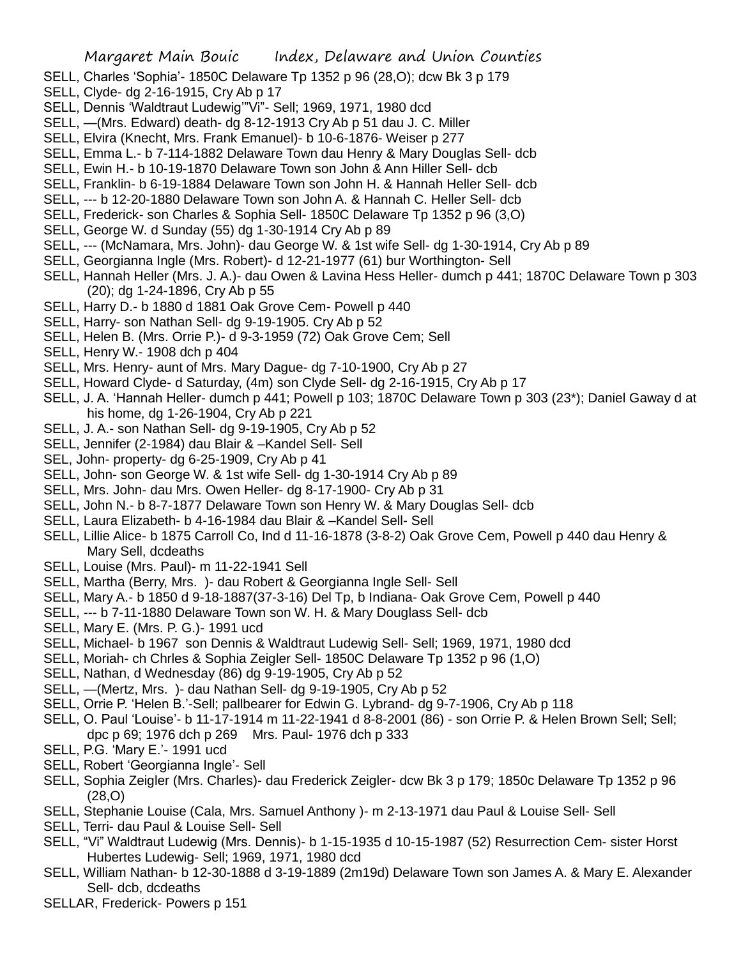- SELL, Charles 'Sophia'- 1850C Delaware Tp 1352 p 96 (28,O); dcw Bk 3 p 179
- SELL, Clyde- dg 2-16-1915, Cry Ab p 17
- SELL, Dennis 'Waldtraut Ludewig'"Vi"- Sell; 1969, 1971, 1980 dcd
- SELL, —(Mrs. Edward) death- dg 8-12-1913 Cry Ab p 51 dau J. C. Miller
- SELL, Elvira (Knecht, Mrs. Frank Emanuel)- b 10-6-1876- Weiser p 277
- SELL, Emma L.- b 7-114-1882 Delaware Town dau Henry & Mary Douglas Sell- dcb
- SELL, Ewin H.- b 10-19-1870 Delaware Town son John & Ann Hiller Sell- dcb
- SELL, Franklin- b 6-19-1884 Delaware Town son John H. & Hannah Heller Sell- dcb
- SELL, --- b 12-20-1880 Delaware Town son John A. & Hannah C. Heller Sell- dcb
- SELL, Frederick- son Charles & Sophia Sell- 1850C Delaware Tp 1352 p 96 (3,O)
- SELL, George W. d Sunday (55) dg 1-30-1914 Cry Ab p 89
- SELL, --- (McNamara, Mrs. John)- dau George W. & 1st wife Sell- dg 1-30-1914, Cry Ab p 89
- SELL, Georgianna Ingle (Mrs. Robert)- d 12-21-1977 (61) bur Worthington- Sell
- SELL, Hannah Heller (Mrs. J. A.)- dau Owen & Lavina Hess Heller- dumch p 441; 1870C Delaware Town p 303 (20); dg 1-24-1896, Cry Ab p 55
- SELL, Harry D.- b 1880 d 1881 Oak Grove Cem- Powell p 440
- SELL, Harry- son Nathan Sell- dg 9-19-1905. Cry Ab p 52
- SELL, Helen B. (Mrs. Orrie P.)- d 9-3-1959 (72) Oak Grove Cem; Sell
- SELL, Henry W.- 1908 dch p 404
- SELL, Mrs. Henry- aunt of Mrs. Mary Dague- dg 7-10-1900, Cry Ab p 27
- SELL, Howard Clyde- d Saturday, (4m) son Clyde Sell- dg 2-16-1915, Cry Ab p 17
- SELL, J. A. 'Hannah Heller- dumch p 441; Powell p 103; 1870C Delaware Town p 303 (23\*); Daniel Gaway d at his home, dg 1-26-1904, Cry Ab p 221
- SELL, J. A.- son Nathan Sell- dg 9-19-1905, Cry Ab p 52
- SELL, Jennifer (2-1984) dau Blair & –Kandel Sell- Sell
- SEL, John- property- dg 6-25-1909, Cry Ab p 41
- SELL, John- son George W. & 1st wife Sell- dg 1-30-1914 Cry Ab p 89
- SELL, Mrs. John- dau Mrs. Owen Heller- dg 8-17-1900- Cry Ab p 31
- SELL, John N.- b 8-7-1877 Delaware Town son Henry W. & Mary Douglas Sell- dcb
- SELL, Laura Elizabeth- b 4-16-1984 dau Blair & –Kandel Sell- Sell
- SELL, Lillie Alice- b 1875 Carroll Co, Ind d 11-16-1878 (3-8-2) Oak Grove Cem, Powell p 440 dau Henry & Mary Sell, dcdeaths
- SELL, Louise (Mrs. Paul)- m 11-22-1941 Sell
- SELL, Martha (Berry, Mrs. )- dau Robert & Georgianna Ingle Sell- Sell
- SELL, Mary A.- b 1850 d 9-18-1887(37-3-16) Del Tp, b Indiana- Oak Grove Cem, Powell p 440
- SELL, --- b 7-11-1880 Delaware Town son W. H. & Mary Douglass Sell- dcb
- SELL, Mary E. (Mrs. P. G.)- 1991 ucd
- SELL, Michael- b 1967 son Dennis & Waldtraut Ludewig Sell- Sell; 1969, 1971, 1980 dcd
- SELL, Moriah- ch Chrles & Sophia Zeigler Sell- 1850C Delaware Tp 1352 p 96 (1,O)
- SELL, Nathan, d Wednesday (86) dg 9-19-1905, Cry Ab p 52
- SELL, —(Mertz, Mrs. )- dau Nathan Sell- dg 9-19-1905, Cry Ab p 52
- SELL, Orrie P. 'Helen B.'-Sell; pallbearer for Edwin G. Lybrand- dg 9-7-1906, Cry Ab p 118
- SELL, O. Paul 'Louise'- b 11-17-1914 m 11-22-1941 d 8-8-2001 (86) son Orrie P. & Helen Brown Sell; Sell; dpc p 69; 1976 dch p 269 Mrs. Paul- 1976 dch p 333
- SELL, P.G. 'Mary E.'- 1991 ucd
- SELL, Robert 'Georgianna Ingle'- Sell
- SELL, Sophia Zeigler (Mrs. Charles)- dau Frederick Zeigler- dcw Bk 3 p 179; 1850c Delaware Tp 1352 p 96 (28,O)
- SELL, Stephanie Louise (Cala, Mrs. Samuel Anthony )- m 2-13-1971 dau Paul & Louise Sell- Sell
- SELL, Terri- dau Paul & Louise Sell- Sell
- SELL, "Vi" Waldtraut Ludewig (Mrs. Dennis)- b 1-15-1935 d 10-15-1987 (52) Resurrection Cem- sister Horst Hubertes Ludewig- Sell; 1969, 1971, 1980 dcd
- SELL, William Nathan- b 12-30-1888 d 3-19-1889 (2m19d) Delaware Town son James A. & Mary E. Alexander Sell- dcb, dcdeaths
- SELLAR, Frederick- Powers p 151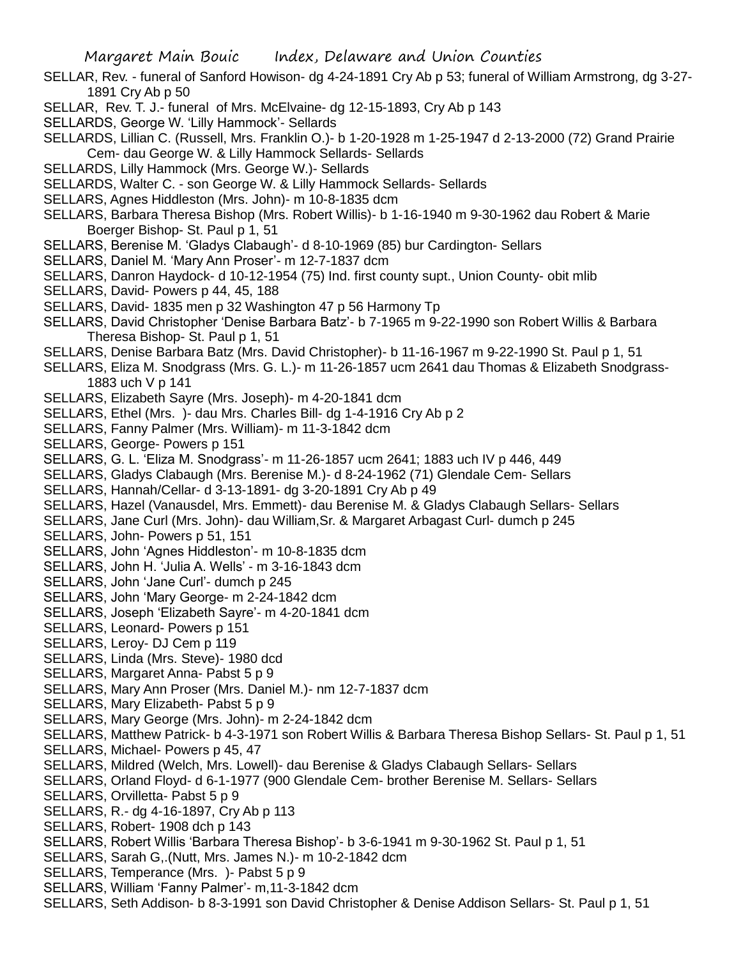- SELLAR, Rev. funeral of Sanford Howison- dg 4-24-1891 Cry Ab p 53; funeral of William Armstrong, dg 3-27- 1891 Cry Ab p 50
- SELLAR, Rev. T. J.- funeral of Mrs. McElvaine- dg 12-15-1893, Cry Ab p 143
- SELLARDS, George W. 'Lilly Hammock'- Sellards

SELLARDS, Lillian C. (Russell, Mrs. Franklin O.)- b 1-20-1928 m 1-25-1947 d 2-13-2000 (72) Grand Prairie Cem- dau George W. & Lilly Hammock Sellards- Sellards

- SELLARDS, Lilly Hammock (Mrs. George W.)- Sellards
- SELLARDS, Walter C. son George W. & Lilly Hammock Sellards- Sellards
- SELLARS, Agnes Hiddleston (Mrs. John)- m 10-8-1835 dcm
- SELLARS, Barbara Theresa Bishop (Mrs. Robert Willis)- b 1-16-1940 m 9-30-1962 dau Robert & Marie Boerger Bishop- St. Paul p 1, 51
- SELLARS, Berenise M. 'Gladys Clabaugh'- d 8-10-1969 (85) bur Cardington- Sellars
- SELLARS, Daniel M. 'Mary Ann Proser'- m 12-7-1837 dcm
- SELLARS, Danron Haydock- d 10-12-1954 (75) Ind. first county supt., Union County- obit mlib
- SELLARS, David- Powers p 44, 45, 188
- SELLARS, David- 1835 men p 32 Washington 47 p 56 Harmony Tp
- SELLARS, David Christopher 'Denise Barbara Batz'- b 7-1965 m 9-22-1990 son Robert Willis & Barbara Theresa Bishop- St. Paul p 1, 51
- SELLARS, Denise Barbara Batz (Mrs. David Christopher)- b 11-16-1967 m 9-22-1990 St. Paul p 1, 51
- SELLARS, Eliza M. Snodgrass (Mrs. G. L.)- m 11-26-1857 ucm 2641 dau Thomas & Elizabeth Snodgrass-1883 uch V p 141
- SELLARS, Elizabeth Sayre (Mrs. Joseph)- m 4-20-1841 dcm
- SELLARS, Ethel (Mrs. )- dau Mrs. Charles Bill- dg 1-4-1916 Cry Ab p 2
- SELLARS, Fanny Palmer (Mrs. William)- m 11-3-1842 dcm
- SELLARS, George- Powers p 151
- SELLARS, G. L. 'Eliza M. Snodgrass'- m 11-26-1857 ucm 2641; 1883 uch IV p 446, 449
- SELLARS, Gladys Clabaugh (Mrs. Berenise M.)- d 8-24-1962 (71) Glendale Cem- Sellars
- SELLARS, Hannah/Cellar- d 3-13-1891- dg 3-20-1891 Cry Ab p 49
- SELLARS, Hazel (Vanausdel, Mrs. Emmett)- dau Berenise M. & Gladys Clabaugh Sellars- Sellars
- SELLARS, Jane Curl (Mrs. John)- dau William,Sr. & Margaret Arbagast Curl- dumch p 245
- SELLARS, John- Powers p 51, 151
- SELLARS, John 'Agnes Hiddleston'- m 10-8-1835 dcm
- SELLARS, John H. 'Julia A. Wells' m 3-16-1843 dcm
- SELLARS, John 'Jane Curl'- dumch p 245
- SELLARS, John 'Mary George- m 2-24-1842 dcm
- SELLARS, Joseph 'Elizabeth Sayre'- m 4-20-1841 dcm
- SELLARS, Leonard- Powers p 151
- SELLARS, Leroy- DJ Cem p 119
- SELLARS, Linda (Mrs. Steve)- 1980 dcd
- SELLARS, Margaret Anna- Pabst 5 p 9
- SELLARS, Mary Ann Proser (Mrs. Daniel M.)- nm 12-7-1837 dcm
- SELLARS, Mary Elizabeth- Pabst 5 p 9
- SELLARS, Mary George (Mrs. John)- m 2-24-1842 dcm
- SELLARS, Matthew Patrick- b 4-3-1971 son Robert Willis & Barbara Theresa Bishop Sellars- St. Paul p 1, 51
- SELLARS, Michael- Powers p 45, 47
- SELLARS, Mildred (Welch, Mrs. Lowell)- dau Berenise & Gladys Clabaugh Sellars- Sellars
- SELLARS, Orland Floyd- d 6-1-1977 (900 Glendale Cem- brother Berenise M. Sellars- Sellars
- SELLARS, Orvilletta- Pabst 5 p 9
- SELLARS, R.- dg 4-16-1897, Cry Ab p 113
- SELLARS, Robert- 1908 dch p 143
- SELLARS, Robert Willis 'Barbara Theresa Bishop'- b 3-6-1941 m 9-30-1962 St. Paul p 1, 51
- SELLARS, Sarah G,.(Nutt, Mrs. James N.)- m 10-2-1842 dcm
- SELLARS, Temperance (Mrs. )- Pabst 5 p 9
- SELLARS, William 'Fanny Palmer'- m,11-3-1842 dcm
- SELLARS, Seth Addison- b 8-3-1991 son David Christopher & Denise Addison Sellars- St. Paul p 1, 51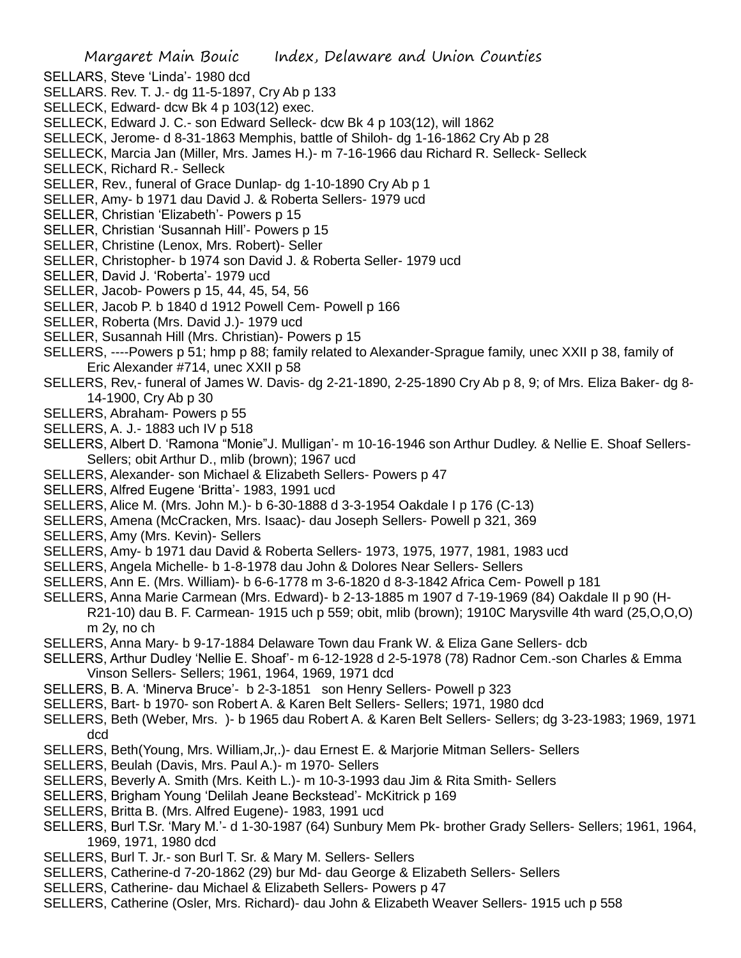- SELLARS, Steve 'Linda'- 1980 dcd
- SELLARS. Rev. T. J.- dg 11-5-1897, Cry Ab p 133
- SELLECK, Edward- dcw Bk 4 p 103(12) exec.
- SELLECK, Edward J. C.- son Edward Selleck- dcw Bk 4 p 103(12), will 1862
- SELLECK, Jerome- d 8-31-1863 Memphis, battle of Shiloh- dg 1-16-1862 Cry Ab p 28
- SELLECK, Marcia Jan (Miller, Mrs. James H.)- m 7-16-1966 dau Richard R. Selleck- Selleck
- SELLECK, Richard R.- Selleck
- SELLER, Rev., funeral of Grace Dunlap- dg 1-10-1890 Cry Ab p 1
- SELLER, Amy- b 1971 dau David J. & Roberta Sellers- 1979 ucd
- SELLER, Christian 'Elizabeth'- Powers p 15
- SELLER, Christian 'Susannah Hill'- Powers p 15
- SELLER, Christine (Lenox, Mrs. Robert)- Seller
- SELLER, Christopher- b 1974 son David J. & Roberta Seller- 1979 ucd
- SELLER, David J. 'Roberta'- 1979 ucd
- SELLER, Jacob- Powers p 15, 44, 45, 54, 56
- SELLER, Jacob P. b 1840 d 1912 Powell Cem- Powell p 166
- SELLER, Roberta (Mrs. David J.)- 1979 ucd
- SELLER, Susannah Hill (Mrs. Christian)- Powers p 15
- SELLERS, ----Powers p 51; hmp p 88; family related to Alexander-Sprague family, unec XXII p 38, family of Eric Alexander #714, unec XXII p 58
- SELLERS, Rev,- funeral of James W. Davis- dg 2-21-1890, 2-25-1890 Cry Ab p 8, 9; of Mrs. Eliza Baker- dg 8- 14-1900, Cry Ab p 30
- SELLERS, Abraham- Powers p 55
- SELLERS, A. J.- 1883 uch IV p 518
- SELLERS, Albert D. 'Ramona "Monie"J. Mulligan'- m 10-16-1946 son Arthur Dudley. & Nellie E. Shoaf Sellers-Sellers; obit Arthur D., mlib (brown); 1967 ucd
- SELLERS, Alexander- son Michael & Elizabeth Sellers- Powers p 47
- SELLERS, Alfred Eugene 'Britta'- 1983, 1991 ucd
- SELLERS, Alice M. (Mrs. John M.)- b 6-30-1888 d 3-3-1954 Oakdale I p 176 (C-13)
- SELLERS, Amena (McCracken, Mrs. Isaac)- dau Joseph Sellers- Powell p 321, 369
- SELLERS, Amy (Mrs. Kevin)- Sellers
- SELLERS, Amy- b 1971 dau David & Roberta Sellers- 1973, 1975, 1977, 1981, 1983 ucd
- SELLERS, Angela Michelle- b 1-8-1978 dau John & Dolores Near Sellers- Sellers
- SELLERS, Ann E. (Mrs. William)- b 6-6-1778 m 3-6-1820 d 8-3-1842 Africa Cem- Powell p 181
- SELLERS, Anna Marie Carmean (Mrs. Edward)- b 2-13-1885 m 1907 d 7-19-1969 (84) Oakdale II p 90 (H-R21-10) dau B. F. Carmean- 1915 uch p 559; obit, mlib (brown); 1910C Marysville 4th ward (25,O,O,O) m 2y, no ch
- SELLERS, Anna Mary- b 9-17-1884 Delaware Town dau Frank W. & Eliza Gane Sellers- dcb
- SELLERS, Arthur Dudley 'Nellie E. Shoaf'- m 6-12-1928 d 2-5-1978 (78) Radnor Cem.-son Charles & Emma Vinson Sellers- Sellers; 1961, 1964, 1969, 1971 dcd
- SELLERS, B. A. 'Minerva Bruce'- b 2-3-1851 son Henry Sellers- Powell p 323
- SELLERS, Bart- b 1970- son Robert A. & Karen Belt Sellers- Sellers; 1971, 1980 dcd
- SELLERS, Beth (Weber, Mrs. )- b 1965 dau Robert A. & Karen Belt Sellers- Sellers; dg 3-23-1983; 1969, 1971 dcd
- SELLERS, Beth(Young, Mrs. William,Jr,.)- dau Ernest E. & Marjorie Mitman Sellers- Sellers
- SELLERS, Beulah (Davis, Mrs. Paul A.)- m 1970- Sellers
- SELLERS, Beverly A. Smith (Mrs. Keith L.)- m 10-3-1993 dau Jim & Rita Smith- Sellers
- SELLERS, Brigham Young 'Delilah Jeane Beckstead'- McKitrick p 169
- SELLERS, Britta B. (Mrs. Alfred Eugene)- 1983, 1991 ucd
- SELLERS, Burl T.Sr. 'Mary M.'- d 1-30-1987 (64) Sunbury Mem Pk- brother Grady Sellers- Sellers; 1961, 1964, 1969, 1971, 1980 dcd
- SELLERS, Burl T. Jr.- son Burl T. Sr. & Mary M. Sellers- Sellers
- SELLERS, Catherine-d 7-20-1862 (29) bur Md- dau George & Elizabeth Sellers- Sellers
- SELLERS, Catherine- dau Michael & Elizabeth Sellers- Powers p 47
- SELLERS, Catherine (Osler, Mrs. Richard)- dau John & Elizabeth Weaver Sellers- 1915 uch p 558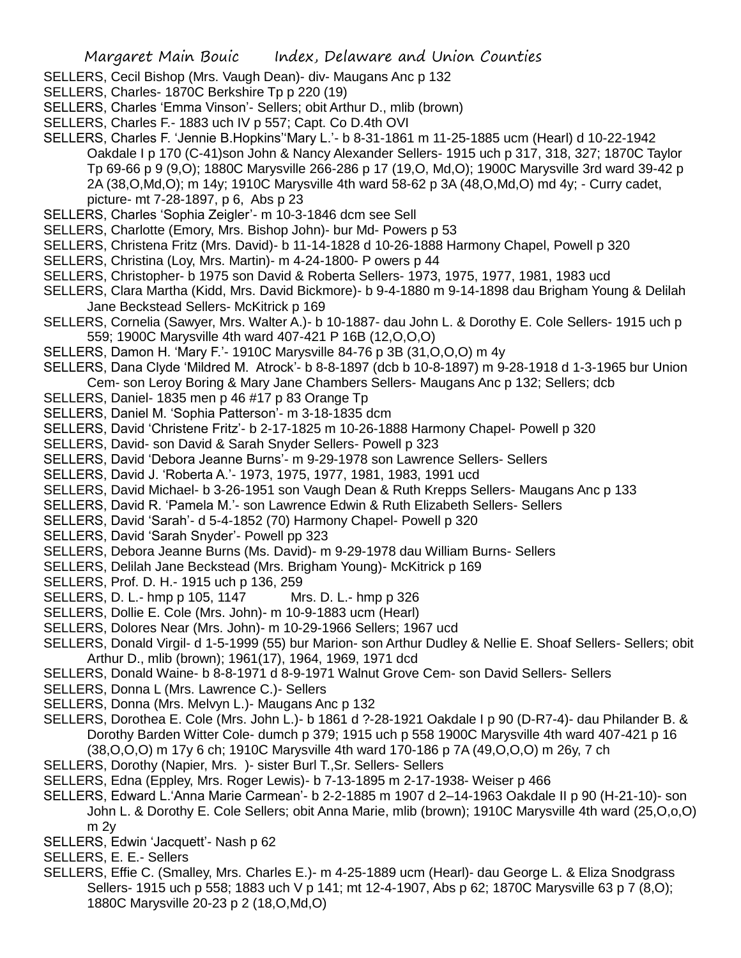- SELLERS, Cecil Bishop (Mrs. Vaugh Dean)- div- Maugans Anc p 132
- SELLERS, Charles- 1870C Berkshire Tp p 220 (19)
- SELLERS, Charles 'Emma Vinson'- Sellers; obit Arthur D., mlib (brown)
- SELLERS, Charles F.- 1883 uch IV p 557; Capt. Co D.4th OVI
- SELLERS, Charles F. 'Jennie B.Hopkins''Mary L.'- b 8-31-1861 m 11-25-1885 ucm (Hearl) d 10-22-1942 Oakdale I p 170 (C-41)son John & Nancy Alexander Sellers- 1915 uch p 317, 318, 327; 1870C Taylor Tp 69-66 p 9 (9,O); 1880C Marysville 266-286 p 17 (19,O, Md,O); 1900C Marysville 3rd ward 39-42 p 2A (38,O,Md,O); m 14y; 1910C Marysville 4th ward 58-62 p 3A (48,O,Md,O) md 4y; - Curry cadet, picture- mt 7-28-1897, p 6, Abs p 23
- SELLERS, Charles 'Sophia Zeigler'- m 10-3-1846 dcm see Sell
- SELLERS, Charlotte (Emory, Mrs. Bishop John)- bur Md- Powers p 53
- SELLERS, Christena Fritz (Mrs. David)- b 11-14-1828 d 10-26-1888 Harmony Chapel, Powell p 320
- SELLERS, Christina (Loy, Mrs. Martin)- m 4-24-1800- P owers p 44
- SELLERS, Christopher- b 1975 son David & Roberta Sellers- 1973, 1975, 1977, 1981, 1983 ucd
- SELLERS, Clara Martha (Kidd, Mrs. David Bickmore)- b 9-4-1880 m 9-14-1898 dau Brigham Young & Delilah Jane Beckstead Sellers- McKitrick p 169
- SELLERS, Cornelia (Sawyer, Mrs. Walter A.)- b 10-1887- dau John L. & Dorothy E. Cole Sellers- 1915 uch p 559; 1900C Marysville 4th ward 407-421 P 16B (12,O,O,O)
- SELLERS, Damon H. 'Mary F.'- 1910C Marysville 84-76 p 3B (31,O,O,O) m 4y
- SELLERS, Dana Clyde 'Mildred M. Atrock'- b 8-8-1897 (dcb b 10-8-1897) m 9-28-1918 d 1-3-1965 bur Union Cem- son Leroy Boring & Mary Jane Chambers Sellers- Maugans Anc p 132; Sellers; dcb
- SELLERS, Daniel- 1835 men p 46 #17 p 83 Orange Tp
- SELLERS, Daniel M. 'Sophia Patterson'- m 3-18-1835 dcm
- SELLERS, David 'Christene Fritz'- b 2-17-1825 m 10-26-1888 Harmony Chapel- Powell p 320
- SELLERS, David- son David & Sarah Snyder Sellers- Powell p 323
- SELLERS, David 'Debora Jeanne Burns'- m 9-29-1978 son Lawrence Sellers- Sellers
- SELLERS, David J. 'Roberta A.'- 1973, 1975, 1977, 1981, 1983, 1991 ucd
- SELLERS, David Michael- b 3-26-1951 son Vaugh Dean & Ruth Krepps Sellers- Maugans Anc p 133
- SELLERS, David R. 'Pamela M.'- son Lawrence Edwin & Ruth Elizabeth Sellers- Sellers
- SELLERS, David 'Sarah'- d 5-4-1852 (70) Harmony Chapel- Powell p 320
- SELLERS, David 'Sarah Snyder'- Powell pp 323
- SELLERS, Debora Jeanne Burns (Ms. David)- m 9-29-1978 dau William Burns- Sellers
- SELLERS, Delilah Jane Beckstead (Mrs. Brigham Young)- McKitrick p 169
- SELLERS, Prof. D. H.- 1915 uch p 136, 259
- SELLERS, D. L.- hmp p 105, 1147 Mrs. D. L.- hmp p 326
- SELLERS, Dollie E. Cole (Mrs. John)- m 10-9-1883 ucm (Hearl)
- SELLERS, Dolores Near (Mrs. John)- m 10-29-1966 Sellers; 1967 ucd
- SELLERS, Donald Virgil- d 1-5-1999 (55) bur Marion- son Arthur Dudley & Nellie E. Shoaf Sellers- Sellers; obit Arthur D., mlib (brown); 1961(17), 1964, 1969, 1971 dcd
- SELLERS, Donald Waine- b 8-8-1971 d 8-9-1971 Walnut Grove Cem- son David Sellers- Sellers
- SELLERS, Donna L (Mrs. Lawrence C.)- Sellers
- SELLERS, Donna (Mrs. Melvyn L.)- Maugans Anc p 132
- SELLERS, Dorothea E. Cole (Mrs. John L.)- b 1861 d ?-28-1921 Oakdale I p 90 (D-R7-4)- dau Philander B. & Dorothy Barden Witter Cole- dumch p 379; 1915 uch p 558 1900C Marysville 4th ward 407-421 p 16 (38,O,O,O) m 17y 6 ch; 1910C Marysville 4th ward 170-186 p 7A (49,O,O,O) m 26y, 7 ch
- SELLERS, Dorothy (Napier, Mrs. )- sister Burl T.,Sr. Sellers- Sellers
- SELLERS, Edna (Eppley, Mrs. Roger Lewis)- b 7-13-1895 m 2-17-1938- Weiser p 466
- SELLERS, Edward L.'Anna Marie Carmean'- b 2-2-1885 m 1907 d 2–14-1963 Oakdale II p 90 (H-21-10)- son John L. & Dorothy E. Cole Sellers; obit Anna Marie, mlib (brown); 1910C Marysville 4th ward (25,O,o,O) m 2y
- SELLERS, Edwin 'Jacquett'- Nash p 62
- SELLERS, E. E.- Sellers
- SELLERS, Effie C. (Smalley, Mrs. Charles E.)- m 4-25-1889 ucm (Hearl)- dau George L. & Eliza Snodgrass Sellers- 1915 uch p 558; 1883 uch V p 141; mt 12-4-1907, Abs p 62; 1870C Marysville 63 p 7 (8,0); 1880C Marysville 20-23 p 2 (18,O,Md,O)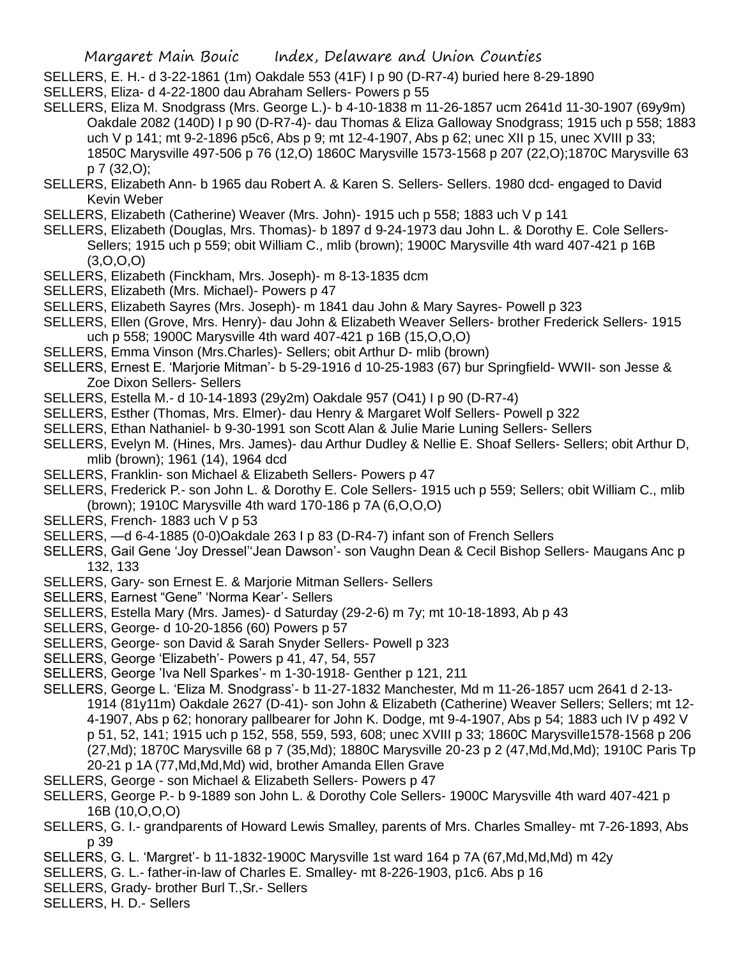- SELLERS, E. H.- d 3-22-1861 (1m) Oakdale 553 (41F) I p 90 (D-R7-4) buried here 8-29-1890
- SELLERS, Eliza- d 4-22-1800 dau Abraham Sellers- Powers p 55
- SELLERS, Eliza M. Snodgrass (Mrs. George L.)- b 4-10-1838 m 11-26-1857 ucm 2641d 11-30-1907 (69y9m) Oakdale 2082 (140D) I p 90 (D-R7-4)- dau Thomas & Eliza Galloway Snodgrass; 1915 uch p 558; 1883 uch V p 141; mt 9-2-1896 p5c6, Abs p 9; mt 12-4-1907, Abs p 62; unec XII p 15, unec XVIII p 33; 1850C Marysville 497-506 p 76 (12,O) 1860C Marysville 1573-1568 p 207 (22,O);1870C Marysville 63 p 7 (32,O);
- SELLERS, Elizabeth Ann- b 1965 dau Robert A. & Karen S. Sellers- Sellers. 1980 dcd- engaged to David Kevin Weber
- SELLERS, Elizabeth (Catherine) Weaver (Mrs. John)- 1915 uch p 558; 1883 uch V p 141
- SELLERS, Elizabeth (Douglas, Mrs. Thomas)- b 1897 d 9-24-1973 dau John L. & Dorothy E. Cole Sellers-Sellers; 1915 uch p 559; obit William C., mlib (brown); 1900C Marysville 4th ward 407-421 p 16B (3,O,O,O)
- SELLERS, Elizabeth (Finckham, Mrs. Joseph)- m 8-13-1835 dcm
- SELLERS, Elizabeth (Mrs. Michael)- Powers p 47
- SELLERS, Elizabeth Sayres (Mrs. Joseph)- m 1841 dau John & Mary Sayres- Powell p 323
- SELLERS, Ellen (Grove, Mrs. Henry)- dau John & Elizabeth Weaver Sellers- brother Frederick Sellers- 1915 uch p 558; 1900C Marysville 4th ward 407-421 p 16B (15,O,O,O)
- SELLERS, Emma Vinson (Mrs.Charles)- Sellers; obit Arthur D- mlib (brown)
- SELLERS, Ernest E. 'Marjorie Mitman'- b 5-29-1916 d 10-25-1983 (67) bur Springfield- WWII- son Jesse & Zoe Dixon Sellers- Sellers
- SELLERS, Estella M.- d 10-14-1893 (29y2m) Oakdale 957 (O41) I p 90 (D-R7-4)
- SELLERS, Esther (Thomas, Mrs. Elmer)- dau Henry & Margaret Wolf Sellers- Powell p 322
- SELLERS, Ethan Nathaniel- b 9-30-1991 son Scott Alan & Julie Marie Luning Sellers- Sellers
- SELLERS, Evelyn M. (Hines, Mrs. James)- dau Arthur Dudley & Nellie E. Shoaf Sellers- Sellers; obit Arthur D, mlib (brown); 1961 (14), 1964 dcd
- SELLERS, Franklin- son Michael & Elizabeth Sellers- Powers p 47
- SELLERS, Frederick P.- son John L. & Dorothy E. Cole Sellers- 1915 uch p 559; Sellers; obit William C., mlib (brown); 1910C Marysville 4th ward 170-186 p 7A (6,O,O,O)
- SELLERS, French- 1883 uch V p 53
- SELLERS, —d 6-4-1885 (0-0)Oakdale 263 I p 83 (D-R4-7) infant son of French Sellers
- SELLERS, Gail Gene 'Joy Dressel''Jean Dawson'- son Vaughn Dean & Cecil Bishop Sellers- Maugans Anc p 132, 133
- SELLERS, Gary- son Ernest E. & Marjorie Mitman Sellers- Sellers
- SELLERS, Earnest "Gene" 'Norma Kear'- Sellers
- SELLERS, Estella Mary (Mrs. James)- d Saturday (29-2-6) m 7y; mt 10-18-1893, Ab p 43
- SELLERS, George- d 10-20-1856 (60) Powers p 57
- SELLERS, George- son David & Sarah Snyder Sellers- Powell p 323
- SELLERS, George 'Elizabeth'- Powers p 41, 47, 54, 557
- SELLERS, George 'Iva Nell Sparkes'- m 1-30-1918- Genther p 121, 211
- SELLERS, George L. 'Eliza M. Snodgrass'- b 11-27-1832 Manchester, Md m 11-26-1857 ucm 2641 d 2-13- 1914 (81y11m) Oakdale 2627 (D-41)- son John & Elizabeth (Catherine) Weaver Sellers; Sellers; mt 12- 4-1907, Abs p 62; honorary pallbearer for John K. Dodge, mt 9-4-1907, Abs p 54; 1883 uch IV p 492 V p 51, 52, 141; 1915 uch p 152, 558, 559, 593, 608; unec XVIII p 33; 1860C Marysville1578-1568 p 206 (27,Md); 1870C Marysville 68 p 7 (35,Md); 1880C Marysville 20-23 p 2 (47,Md,Md,Md); 1910C Paris Tp 20-21 p 1A (77,Md,Md,Md) wid, brother Amanda Ellen Grave
- SELLERS, George son Michael & Elizabeth Sellers- Powers p 47
- SELLERS, George P.- b 9-1889 son John L. & Dorothy Cole Sellers- 1900C Marysville 4th ward 407-421 p 16B (10,O,O,O)
- SELLERS, G. I.- grandparents of Howard Lewis Smalley, parents of Mrs. Charles Smalley- mt 7-26-1893, Abs p 39
- SELLERS, G. L. 'Margret'- b 11-1832-1900C Marysville 1st ward 164 p 7A (67,Md,Md,Md) m 42y
- SELLERS, G. L.- father-in-law of Charles E. Smalley- mt 8-226-1903, p1c6. Abs p 16
- SELLERS, Grady- brother Burl T.,Sr.- Sellers
- SELLERS, H. D.- Sellers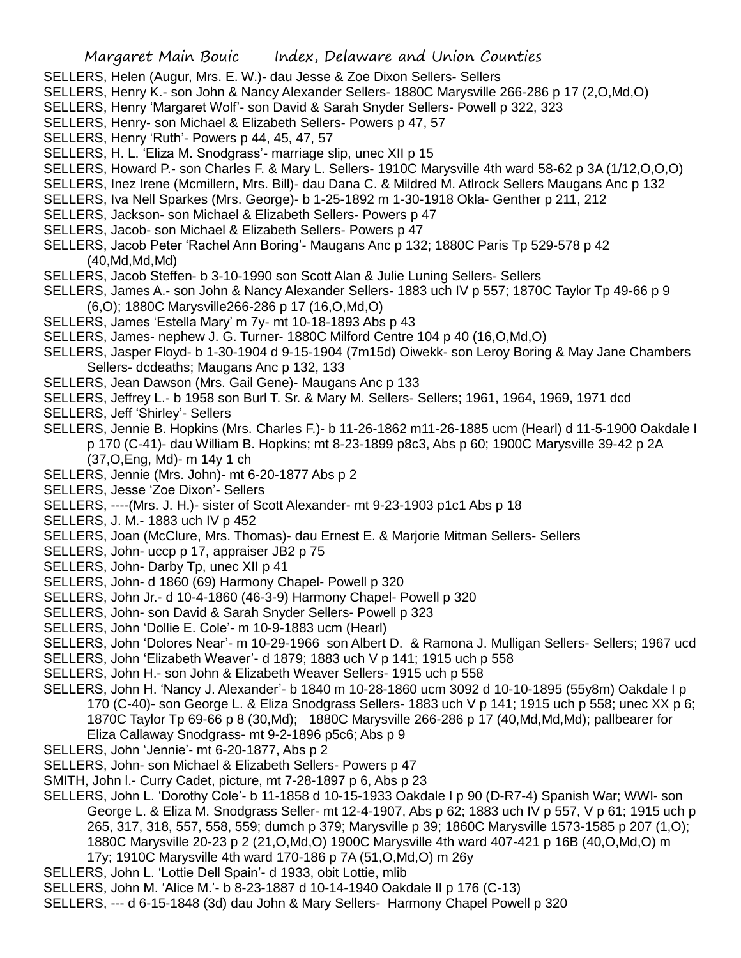- SELLERS, Helen (Augur, Mrs. E. W.)- dau Jesse & Zoe Dixon Sellers- Sellers
- SELLERS, Henry K.- son John & Nancy Alexander Sellers- 1880C Marysville 266-286 p 17 (2,O,Md,O)
- SELLERS, Henry 'Margaret Wolf'- son David & Sarah Snyder Sellers- Powell p 322, 323
- SELLERS, Henry- son Michael & Elizabeth Sellers- Powers p 47, 57
- SELLERS, Henry 'Ruth'- Powers p 44, 45, 47, 57
- SELLERS, H. L. 'Eliza M. Snodgrass'- marriage slip, unec XII p 15
- SELLERS, Howard P.- son Charles F. & Mary L. Sellers- 1910C Marysville 4th ward 58-62 p 3A (1/12,O,O,O)
- SELLERS, Inez Irene (Mcmillern, Mrs. Bill)- dau Dana C. & Mildred M. Atlrock Sellers Maugans Anc p 132
- SELLERS, Iva Nell Sparkes (Mrs. George)- b 1-25-1892 m 1-30-1918 Okla- Genther p 211, 212
- SELLERS, Jackson- son Michael & Elizabeth Sellers- Powers p 47
- SELLERS, Jacob- son Michael & Elizabeth Sellers- Powers p 47
- SELLERS, Jacob Peter 'Rachel Ann Boring'- Maugans Anc p 132; 1880C Paris Tp 529-578 p 42 (40,Md,Md,Md)
- SELLERS, Jacob Steffen- b 3-10-1990 son Scott Alan & Julie Luning Sellers- Sellers
- SELLERS, James A.- son John & Nancy Alexander Sellers- 1883 uch IV p 557; 1870C Taylor Tp 49-66 p 9 (6,O); 1880C Marysville266-286 p 17 (16,O,Md,O)
- SELLERS, James 'Estella Mary' m 7y- mt 10-18-1893 Abs p 43
- SELLERS, James- nephew J. G. Turner- 1880C Milford Centre 104 p 40 (16,O,Md,O)
- SELLERS, Jasper Floyd- b 1-30-1904 d 9-15-1904 (7m15d) Oiwekk- son Leroy Boring & May Jane Chambers Sellers- dcdeaths; Maugans Anc p 132, 133
- SELLERS, Jean Dawson (Mrs. Gail Gene)- Maugans Anc p 133
- SELLERS, Jeffrey L.- b 1958 son Burl T. Sr. & Mary M. Sellers- Sellers; 1961, 1964, 1969, 1971 dcd
- SELLERS, Jeff 'Shirley'- Sellers
- SELLERS, Jennie B. Hopkins (Mrs. Charles F.)- b 11-26-1862 m11-26-1885 ucm (Hearl) d 11-5-1900 Oakdale I p 170 (C-41)- dau William B. Hopkins; mt 8-23-1899 p8c3, Abs p 60; 1900C Marysville 39-42 p 2A (37,O,Eng, Md)- m 14y 1 ch
- SELLERS, Jennie (Mrs. John)- mt 6-20-1877 Abs p 2
- SELLERS, Jesse 'Zoe Dixon'- Sellers
- SELLERS, ----(Mrs. J. H.)- sister of Scott Alexander- mt 9-23-1903 p1c1 Abs p 18
- SELLERS, J. M.- 1883 uch IV p 452
- SELLERS, Joan (McClure, Mrs. Thomas)- dau Ernest E. & Marjorie Mitman Sellers- Sellers
- SELLERS, John- uccp p 17, appraiser JB2 p 75
- SELLERS, John- Darby Tp, unec XII p 41
- SELLERS, John- d 1860 (69) Harmony Chapel- Powell p 320
- SELLERS, John Jr.- d 10-4-1860 (46-3-9) Harmony Chapel- Powell p 320
- SELLERS, John- son David & Sarah Snyder Sellers- Powell p 323
- SELLERS, John 'Dollie E. Cole'- m 10-9-1883 ucm (Hearl)
- SELLERS, John 'Dolores Near'- m 10-29-1966 son Albert D. & Ramona J. Mulligan Sellers- Sellers; 1967 ucd
- SELLERS, John 'Elizabeth Weaver'- d 1879; 1883 uch V p 141; 1915 uch p 558
- SELLERS, John H.- son John & Elizabeth Weaver Sellers- 1915 uch p 558
- SELLERS, John H. 'Nancy J. Alexander'- b 1840 m 10-28-1860 ucm 3092 d 10-10-1895 (55y8m) Oakdale I p 170 (C-40)- son George L. & Eliza Snodgrass Sellers- 1883 uch V p 141; 1915 uch p 558; unec XX p 6; 1870C Taylor Tp 69-66 p 8 (30,Md); 1880C Marysville 266-286 p 17 (40,Md,Md,Md); pallbearer for Eliza Callaway Snodgrass- mt 9-2-1896 p5c6; Abs p 9
- SELLERS, John 'Jennie'- mt 6-20-1877, Abs p 2
- SELLERS, John- son Michael & Elizabeth Sellers- Powers p 47
- SMITH, John l.- Curry Cadet, picture, mt 7-28-1897 p 6, Abs p 23
- SELLERS, John L. 'Dorothy Cole'- b 11-1858 d 10-15-1933 Oakdale I p 90 (D-R7-4) Spanish War; WWI- son George L. & Eliza M. Snodgrass Seller- mt 12-4-1907, Abs p 62; 1883 uch IV p 557, V p 61; 1915 uch p 265, 317, 318, 557, 558, 559; dumch p 379; Marysville p 39; 1860C Marysville 1573-1585 p 207 (1,O); 1880C Marysville 20-23 p 2 (21,O,Md,O) 1900C Marysville 4th ward 407-421 p 16B (40,O,Md,O) m 17y; 1910C Marysville 4th ward 170-186 p 7A (51,O,Md,O) m 26y
- SELLERS, John L. 'Lottie Dell Spain'- d 1933, obit Lottie, mlib
- SELLERS, John M. 'Alice M.'- b 8-23-1887 d 10-14-1940 Oakdale II p 176 (C-13)
- SELLERS, --- d 6-15-1848 (3d) dau John & Mary Sellers- Harmony Chapel Powell p 320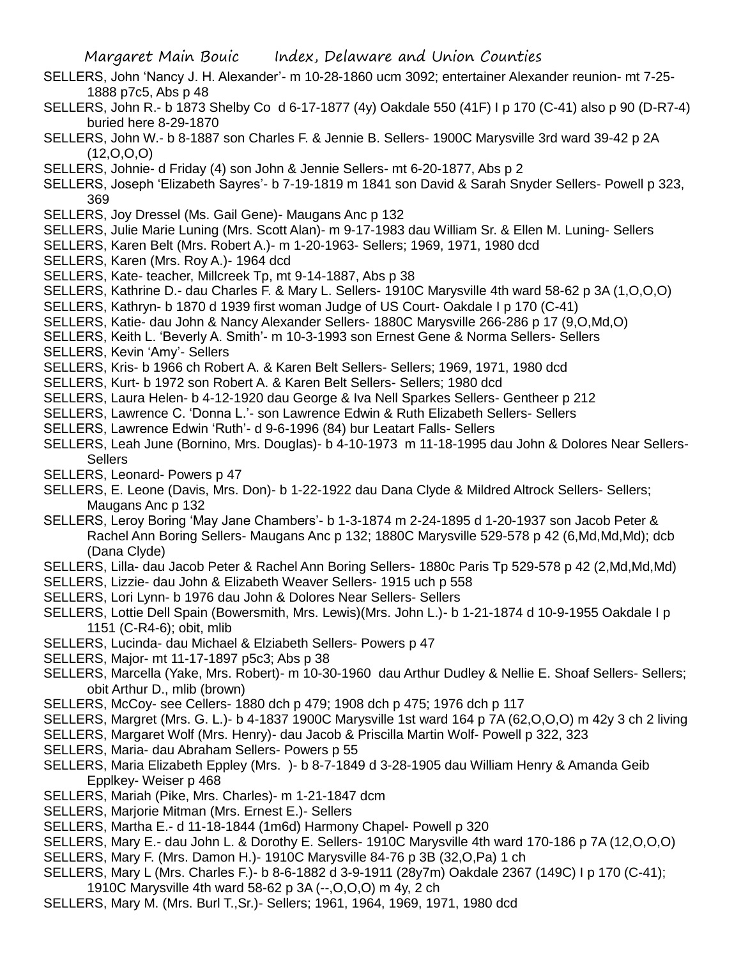- SELLERS, John 'Nancy J. H. Alexander'- m 10-28-1860 ucm 3092; entertainer Alexander reunion- mt 7-25- 1888 p7c5, Abs p 48
- SELLERS, John R.- b 1873 Shelby Co d 6-17-1877 (4y) Oakdale 550 (41F) I p 170 (C-41) also p 90 (D-R7-4) buried here 8-29-1870
- SELLERS, John W.- b 8-1887 son Charles F. & Jennie B. Sellers- 1900C Marysville 3rd ward 39-42 p 2A  $(12,0,0,0)$
- SELLERS, Johnie- d Friday (4) son John & Jennie Sellers- mt 6-20-1877, Abs p 2
- SELLERS, Joseph 'Elizabeth Sayres'- b 7-19-1819 m 1841 son David & Sarah Snyder Sellers- Powell p 323, 369
- SELLERS, Joy Dressel (Ms. Gail Gene)- Maugans Anc p 132
- SELLERS, Julie Marie Luning (Mrs. Scott Alan)- m 9-17-1983 dau William Sr. & Ellen M. Luning- Sellers
- SELLERS, Karen Belt (Mrs. Robert A.)- m 1-20-1963- Sellers; 1969, 1971, 1980 dcd
- SELLERS, Karen (Mrs. Roy A.)- 1964 dcd
- SELLERS, Kate- teacher, Millcreek Tp, mt 9-14-1887, Abs p 38
- SELLERS, Kathrine D.- dau Charles F. & Mary L. Sellers- 1910C Marysville 4th ward 58-62 p 3A (1,O,O,O)
- SELLERS, Kathryn- b 1870 d 1939 first woman Judge of US Court- Oakdale I p 170 (C-41)
- SELLERS, Katie- dau John & Nancy Alexander Sellers- 1880C Marysville 266-286 p 17 (9,O,Md,O)
- SELLERS, Keith L. 'Beverly A. Smith'- m 10-3-1993 son Ernest Gene & Norma Sellers- Sellers SELLERS, Kevin 'Amy'- Sellers
- SELLERS, Kris- b 1966 ch Robert A. & Karen Belt Sellers- Sellers; 1969, 1971, 1980 dcd
- SELLERS, Kurt- b 1972 son Robert A. & Karen Belt Sellers- Sellers; 1980 dcd
- SELLERS, Laura Helen- b 4-12-1920 dau George & Iva Nell Sparkes Sellers- Gentheer p 212
- SELLERS, Lawrence C. 'Donna L.'- son Lawrence Edwin & Ruth Elizabeth Sellers- Sellers
- SELLERS, Lawrence Edwin 'Ruth'- d 9-6-1996 (84) bur Leatart Falls- Sellers
- SELLERS, Leah June (Bornino, Mrs. Douglas)- b 4-10-1973 m 11-18-1995 dau John & Dolores Near Sellers-**Sellers**
- SELLERS, Leonard- Powers p 47
- SELLERS, E. Leone (Davis, Mrs. Don)- b 1-22-1922 dau Dana Clyde & Mildred Altrock Sellers- Sellers; Maugans Anc p 132
- SELLERS, Leroy Boring 'May Jane Chambers'- b 1-3-1874 m 2-24-1895 d 1-20-1937 son Jacob Peter & Rachel Ann Boring Sellers- Maugans Anc p 132; 1880C Marysville 529-578 p 42 (6,Md,Md,Md); dcb (Dana Clyde)
- SELLERS, Lilla- dau Jacob Peter & Rachel Ann Boring Sellers- 1880c Paris Tp 529-578 p 42 (2,Md,Md,Md)
- SELLERS, Lizzie- dau John & Elizabeth Weaver Sellers- 1915 uch p 558
- SELLERS, Lori Lynn- b 1976 dau John & Dolores Near Sellers- Sellers
- SELLERS, Lottie Dell Spain (Bowersmith, Mrs. Lewis)(Mrs. John L.)- b 1-21-1874 d 10-9-1955 Oakdale I p 1151 (C-R4-6); obit, mlib
- SELLERS, Lucinda- dau Michael & Elziabeth Sellers- Powers p 47
- SELLERS, Major- mt 11-17-1897 p5c3; Abs p 38
- SELLERS, Marcella (Yake, Mrs. Robert)- m 10-30-1960 dau Arthur Dudley & Nellie E. Shoaf Sellers- Sellers; obit Arthur D., mlib (brown)
- SELLERS, McCoy- see Cellers- 1880 dch p 479; 1908 dch p 475; 1976 dch p 117
- SELLERS, Margret (Mrs. G. L.)- b 4-1837 1900C Marysville 1st ward 164 p 7A (62,O,O,O) m 42y 3 ch 2 living
- SELLERS, Margaret Wolf (Mrs. Henry)- dau Jacob & Priscilla Martin Wolf- Powell p 322, 323
- SELLERS, Maria- dau Abraham Sellers- Powers p 55
- SELLERS, Maria Elizabeth Eppley (Mrs. )- b 8-7-1849 d 3-28-1905 dau William Henry & Amanda Geib Epplkey- Weiser p 468
- SELLERS, Mariah (Pike, Mrs. Charles)- m 1-21-1847 dcm
- SELLERS, Marjorie Mitman (Mrs. Ernest E.)- Sellers
- SELLERS, Martha E.- d 11-18-1844 (1m6d) Harmony Chapel- Powell p 320
- SELLERS, Mary E.- dau John L. & Dorothy E. Sellers- 1910C Marysville 4th ward 170-186 p 7A (12,O,O,O)
- SELLERS, Mary F. (Mrs. Damon H.)- 1910C Marysville 84-76 p 3B (32,O,Pa) 1 ch
- SELLERS, Mary L (Mrs. Charles F.)- b 8-6-1882 d 3-9-1911 (28y7m) Oakdale 2367 (149C) I p 170 (C-41);
- 1910C Marysville 4th ward 58-62 p 3A (--,O,O,O) m 4y, 2 ch
- SELLERS, Mary M. (Mrs. Burl T.,Sr.)- Sellers; 1961, 1964, 1969, 1971, 1980 dcd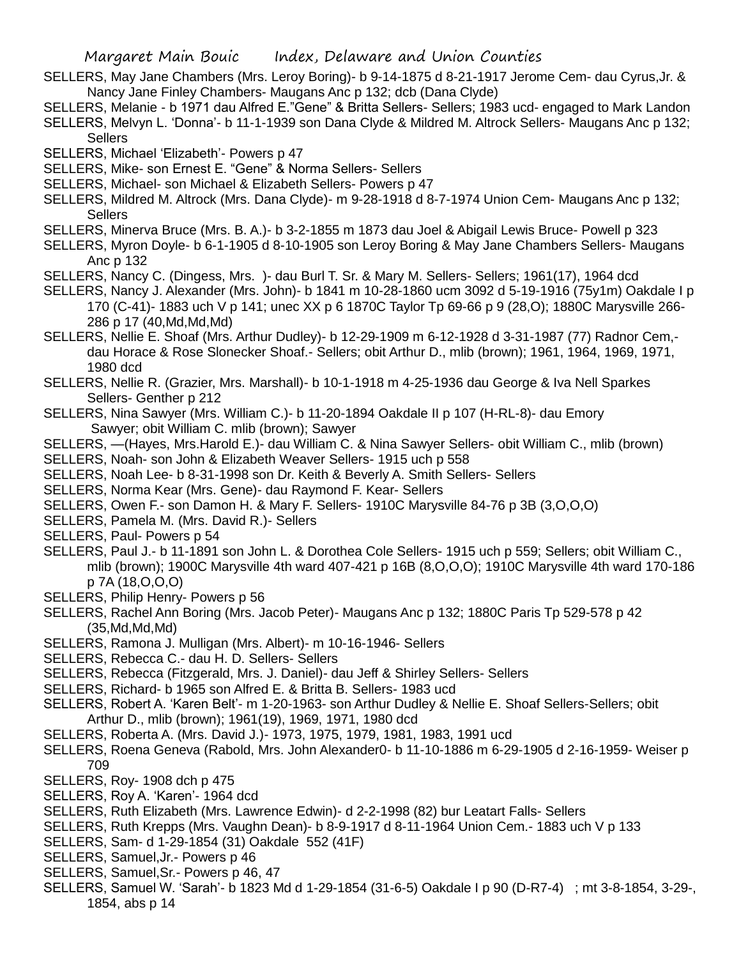- SELLERS, May Jane Chambers (Mrs. Leroy Boring)- b 9-14-1875 d 8-21-1917 Jerome Cem- dau Cyrus,Jr. & Nancy Jane Finley Chambers- Maugans Anc p 132; dcb (Dana Clyde)
- SELLERS, Melanie b 1971 dau Alfred E."Gene" & Britta Sellers- Sellers; 1983 ucd- engaged to Mark Landon SELLERS, Melvyn L. 'Donna'- b 11-1-1939 son Dana Clyde & Mildred M. Altrock Sellers- Maugans Anc p 132; **Sellers**
- SELLERS, Michael 'Elizabeth'- Powers p 47
- SELLERS, Mike- son Ernest E. "Gene" & Norma Sellers- Sellers
- SELLERS, Michael- son Michael & Elizabeth Sellers- Powers p 47
- SELLERS, Mildred M. Altrock (Mrs. Dana Clyde)- m 9-28-1918 d 8-7-1974 Union Cem- Maugans Anc p 132; **Sellers**
- SELLERS, Minerva Bruce (Mrs. B. A.)- b 3-2-1855 m 1873 dau Joel & Abigail Lewis Bruce- Powell p 323
- SELLERS, Myron Doyle- b 6-1-1905 d 8-10-1905 son Leroy Boring & May Jane Chambers Sellers- Maugans Anc p 132
- SELLERS, Nancy C. (Dingess, Mrs. )- dau Burl T. Sr. & Mary M. Sellers- Sellers; 1961(17), 1964 dcd
- SELLERS, Nancy J. Alexander (Mrs. John)- b 1841 m 10-28-1860 ucm 3092 d 5-19-1916 (75y1m) Oakdale I p 170 (C-41)- 1883 uch V p 141; unec XX p 6 1870C Taylor Tp 69-66 p 9 (28,O); 1880C Marysville 266- 286 p 17 (40,Md,Md,Md)
- SELLERS, Nellie E. Shoaf (Mrs. Arthur Dudley)- b 12-29-1909 m 6-12-1928 d 3-31-1987 (77) Radnor Cem, dau Horace & Rose Slonecker Shoaf.- Sellers; obit Arthur D., mlib (brown); 1961, 1964, 1969, 1971, 1980 dcd
- SELLERS, Nellie R. (Grazier, Mrs. Marshall)- b 10-1-1918 m 4-25-1936 dau George & Iva Nell Sparkes Sellers- Genther p 212
- SELLERS, Nina Sawyer (Mrs. William C.)- b 11-20-1894 Oakdale II p 107 (H-RL-8)- dau Emory Sawyer; obit William C. mlib (brown); Sawyer

SELLERS, —(Hayes, Mrs.Harold E.)- dau William C. & Nina Sawyer Sellers- obit William C., mlib (brown)

- SELLERS, Noah- son John & Elizabeth Weaver Sellers- 1915 uch p 558
- SELLERS, Noah Lee- b 8-31-1998 son Dr. Keith & Beverly A. Smith Sellers- Sellers
- SELLERS, Norma Kear (Mrs. Gene)- dau Raymond F. Kear- Sellers
- SELLERS, Owen F.- son Damon H. & Mary F. Sellers- 1910C Marysville 84-76 p 3B (3,O,O,O)
- SELLERS, Pamela M. (Mrs. David R.)- Sellers
- SELLERS, Paul- Powers p 54
- SELLERS, Paul J.- b 11-1891 son John L. & Dorothea Cole Sellers- 1915 uch p 559; Sellers; obit William C., mlib (brown); 1900C Marysville 4th ward 407-421 p 16B (8,O,O,O); 1910C Marysville 4th ward 170-186 p 7A (18,O,O,O)
- SELLERS, Philip Henry- Powers p 56
- SELLERS, Rachel Ann Boring (Mrs. Jacob Peter)- Maugans Anc p 132; 1880C Paris Tp 529-578 p 42  $(35, Md, Md, Md)$
- SELLERS, Ramona J. Mulligan (Mrs. Albert)- m 10-16-1946- Sellers
- SELLERS, Rebecca C.- dau H. D. Sellers- Sellers
- SELLERS, Rebecca (Fitzgerald, Mrs. J. Daniel)- dau Jeff & Shirley Sellers- Sellers
- SELLERS, Richard- b 1965 son Alfred E. & Britta B. Sellers- 1983 ucd
- SELLERS, Robert A. 'Karen Belt'- m 1-20-1963- son Arthur Dudley & Nellie E. Shoaf Sellers-Sellers; obit Arthur D., mlib (brown); 1961(19), 1969, 1971, 1980 dcd
- SELLERS, Roberta A. (Mrs. David J.)- 1973, 1975, 1979, 1981, 1983, 1991 ucd
- SELLERS, Roena Geneva (Rabold, Mrs. John Alexander0- b 11-10-1886 m 6-29-1905 d 2-16-1959- Weiser p 709
- SELLERS, Roy- 1908 dch p 475
- SELLERS, Roy A. 'Karen'- 1964 dcd
- SELLERS, Ruth Elizabeth (Mrs. Lawrence Edwin)- d 2-2-1998 (82) bur Leatart Falls- Sellers
- SELLERS, Ruth Krepps (Mrs. Vaughn Dean)- b 8-9-1917 d 8-11-1964 Union Cem.- 1883 uch V p 133
- SELLERS, Sam- d 1-29-1854 (31) Oakdale 552 (41F)
- SELLERS, Samuel,Jr.- Powers p 46
- SELLERS, Samuel,Sr.- Powers p 46, 47
- SELLERS, Samuel W. 'Sarah'- b 1823 Md d 1-29-1854 (31-6-5) Oakdale I p 90 (D-R7-4) ; mt 3-8-1854, 3-29-, 1854, abs p 14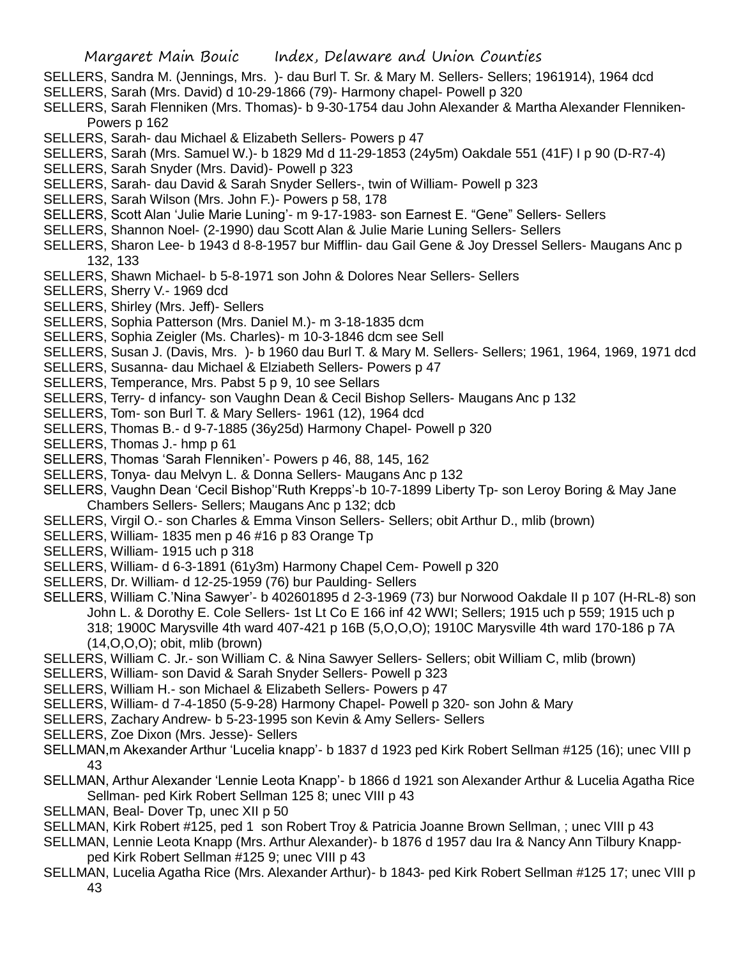- SELLERS, Sandra M. (Jennings, Mrs. )- dau Burl T. Sr. & Mary M. Sellers- Sellers; 1961914), 1964 dcd
- SELLERS, Sarah (Mrs. David) d 10-29-1866 (79)- Harmony chapel- Powell p 320
- SELLERS, Sarah Flenniken (Mrs. Thomas)- b 9-30-1754 dau John Alexander & Martha Alexander Flenniken-Powers p 162
- SELLERS, Sarah- dau Michael & Elizabeth Sellers- Powers p 47
- SELLERS, Sarah (Mrs. Samuel W.)- b 1829 Md d 11-29-1853 (24y5m) Oakdale 551 (41F) I p 90 (D-R7-4)
- SELLERS, Sarah Snyder (Mrs. David)- Powell p 323
- SELLERS, Sarah- dau David & Sarah Snyder Sellers-, twin of William- Powell p 323
- SELLERS, Sarah Wilson (Mrs. John F.)- Powers p 58, 178
- SELLERS, Scott Alan 'Julie Marie Luning'- m 9-17-1983- son Earnest E. "Gene" Sellers- Sellers
- SELLERS, Shannon Noel- (2-1990) dau Scott Alan & Julie Marie Luning Sellers- Sellers
- SELLERS, Sharon Lee- b 1943 d 8-8-1957 bur Mifflin- dau Gail Gene & Joy Dressel Sellers- Maugans Anc p 132, 133
- SELLERS, Shawn Michael- b 5-8-1971 son John & Dolores Near Sellers- Sellers
- SELLERS, Sherry V.- 1969 dcd
- SELLERS, Shirley (Mrs. Jeff)- Sellers
- SELLERS, Sophia Patterson (Mrs. Daniel M.)- m 3-18-1835 dcm
- SELLERS, Sophia Zeigler (Ms. Charles)- m 10-3-1846 dcm see Sell
- SELLERS, Susan J. (Davis, Mrs. )- b 1960 dau Burl T. & Mary M. Sellers- Sellers; 1961, 1964, 1969, 1971 dcd
- SELLERS, Susanna- dau Michael & Elziabeth Sellers- Powers p 47
- SELLERS, Temperance, Mrs. Pabst 5 p 9, 10 see Sellars
- SELLERS, Terry- d infancy- son Vaughn Dean & Cecil Bishop Sellers- Maugans Anc p 132
- SELLERS, Tom- son Burl T. & Mary Sellers- 1961 (12), 1964 dcd
- SELLERS, Thomas B.- d 9-7-1885 (36y25d) Harmony Chapel- Powell p 320
- SELLERS, Thomas J.- hmp p 61
- SELLERS, Thomas 'Sarah Flenniken'- Powers p 46, 88, 145, 162
- SELLERS, Tonya- dau Melvyn L. & Donna Sellers- Maugans Anc p 132
- SELLERS, Vaughn Dean 'Cecil Bishop''Ruth Krepps'-b 10-7-1899 Liberty Tp- son Leroy Boring & May Jane Chambers Sellers- Sellers; Maugans Anc p 132; dcb
- SELLERS, Virgil O.- son Charles & Emma Vinson Sellers- Sellers; obit Arthur D., mlib (brown)
- SELLERS, William- 1835 men p 46 #16 p 83 Orange Tp
- SELLERS, William- 1915 uch p 318
- SELLERS, William- d 6-3-1891 (61y3m) Harmony Chapel Cem- Powell p 320
- SELLERS, Dr. William- d 12-25-1959 (76) bur Paulding- Sellers
- SELLERS, William C.'Nina Sawyer'- b 402601895 d 2-3-1969 (73) bur Norwood Oakdale II p 107 (H-RL-8) son John L. & Dorothy E. Cole Sellers- 1st Lt Co E 166 inf 42 WWI; Sellers; 1915 uch p 559; 1915 uch p 318; 1900C Marysville 4th ward 407-421 p 16B (5,O,O,O); 1910C Marysville 4th ward 170-186 p 7A (14,O,O,O); obit, mlib (brown)
- SELLERS, William C. Jr.- son William C. & Nina Sawyer Sellers- Sellers; obit William C, mlib (brown)
- SELLERS, William- son David & Sarah Snyder Sellers- Powell p 323
- SELLERS, William H.- son Michael & Elizabeth Sellers- Powers p 47
- SELLERS, William- d 7-4-1850 (5-9-28) Harmony Chapel- Powell p 320- son John & Mary
- SELLERS, Zachary Andrew- b 5-23-1995 son Kevin & Amy Sellers- Sellers
- SELLERS, Zoe Dixon (Mrs. Jesse)- Sellers
- SELLMAN,m Akexander Arthur 'Lucelia knapp'- b 1837 d 1923 ped Kirk Robert Sellman #125 (16); unec VIII p 43
- SELLMAN, Arthur Alexander 'Lennie Leota Knapp'- b 1866 d 1921 son Alexander Arthur & Lucelia Agatha Rice Sellman- ped Kirk Robert Sellman 125 8; unec VIII p 43
- SELLMAN, Beal- Dover Tp, unec XII p 50
- SELLMAN, Kirk Robert #125, ped 1 son Robert Troy & Patricia Joanne Brown Sellman, ; unec VIII p 43
- SELLMAN, Lennie Leota Knapp (Mrs. Arthur Alexander)- b 1876 d 1957 dau Ira & Nancy Ann Tilbury Knappped Kirk Robert Sellman #125 9; unec VIII p 43
- SELLMAN, Lucelia Agatha Rice (Mrs. Alexander Arthur)- b 1843- ped Kirk Robert Sellman #125 17; unec VIII p 43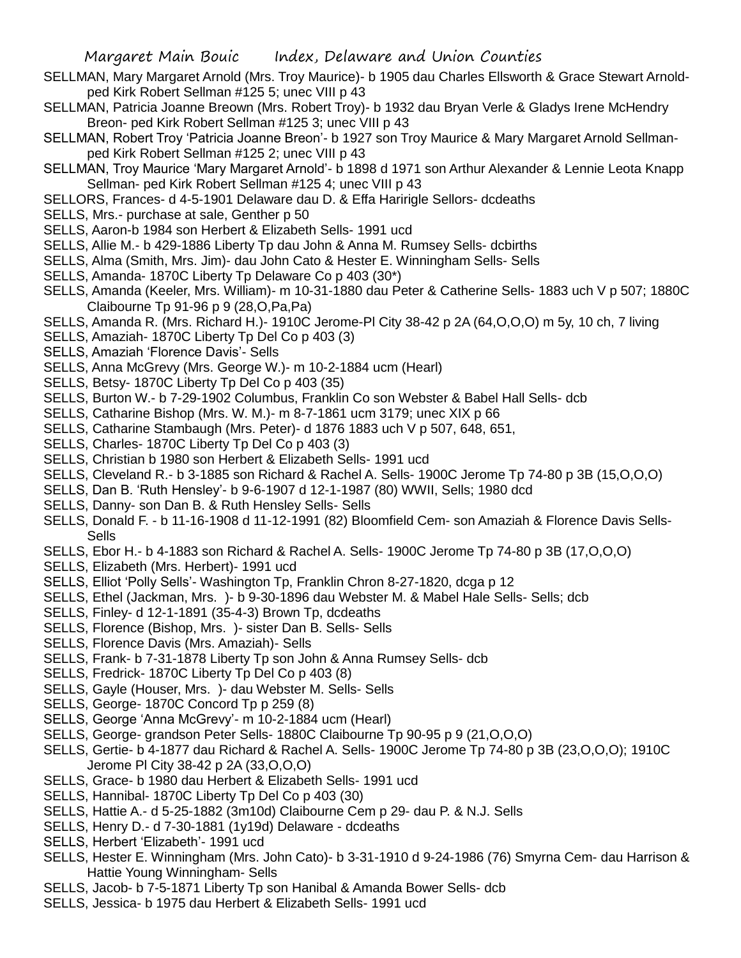- SELLMAN, Mary Margaret Arnold (Mrs. Troy Maurice)- b 1905 dau Charles Ellsworth & Grace Stewart Arnoldped Kirk Robert Sellman #125 5; unec VIII p 43
- SELLMAN, Patricia Joanne Breown (Mrs. Robert Troy)- b 1932 dau Bryan Verle & Gladys Irene McHendry Breon- ped Kirk Robert Sellman #125 3; unec VIII p 43
- SELLMAN, Robert Troy 'Patricia Joanne Breon'- b 1927 son Troy Maurice & Mary Margaret Arnold Sellmanped Kirk Robert Sellman #125 2; unec VIII p 43
- SELLMAN, Troy Maurice 'Mary Margaret Arnold'- b 1898 d 1971 son Arthur Alexander & Lennie Leota Knapp Sellman- ped Kirk Robert Sellman #125 4; unec VIII p 43
- SELLORS, Frances- d 4-5-1901 Delaware dau D. & Effa Haririgle Sellors- dcdeaths
- SELLS, Mrs.- purchase at sale, Genther p 50
- SELLS, Aaron-b 1984 son Herbert & Elizabeth Sells- 1991 ucd
- SELLS, Allie M.- b 429-1886 Liberty Tp dau John & Anna M. Rumsey Sells- dcbirths
- SELLS, Alma (Smith, Mrs. Jim)- dau John Cato & Hester E. Winningham Sells- Sells
- SELLS, Amanda- 1870C Liberty Tp Delaware Co p 403 (30\*)
- SELLS, Amanda (Keeler, Mrs. William)- m 10-31-1880 dau Peter & Catherine Sells- 1883 uch V p 507; 1880C Claibourne Tp 91-96 p 9 (28,O,Pa,Pa)
- SELLS, Amanda R. (Mrs. Richard H.)- 1910C Jerome-Pl City 38-42 p 2A (64,O,O,O) m 5y, 10 ch, 7 living
- SELLS, Amaziah- 1870C Liberty Tp Del Co p 403 (3)
- SELLS, Amaziah 'Florence Davis'- Sells
- SELLS, Anna McGrevy (Mrs. George W.)- m 10-2-1884 ucm (Hearl)
- SELLS, Betsy- 1870C Liberty Tp Del Co p 403 (35)
- SELLS, Burton W.- b 7-29-1902 Columbus, Franklin Co son Webster & Babel Hall Sells- dcb
- SELLS, Catharine Bishop (Mrs. W. M.)- m 8-7-1861 ucm 3179; unec XIX p 66
- SELLS, Catharine Stambaugh (Mrs. Peter)- d 1876 1883 uch V p 507, 648, 651,
- SELLS, Charles- 1870C Liberty Tp Del Co p 403 (3)
- SELLS, Christian b 1980 son Herbert & Elizabeth Sells- 1991 ucd
- SELLS, Cleveland R.- b 3-1885 son Richard & Rachel A. Sells- 1900C Jerome Tp 74-80 p 3B (15,O,O,O)
- SELLS, Dan B. 'Ruth Hensley'- b 9-6-1907 d 12-1-1987 (80) WWII, Sells; 1980 dcd
- SELLS, Danny- son Dan B. & Ruth Hensley Sells- Sells
- SELLS, Donald F. b 11-16-1908 d 11-12-1991 (82) Bloomfield Cem- son Amaziah & Florence Davis Sells-Sells
- SELLS, Ebor H.- b 4-1883 son Richard & Rachel A. Sells- 1900C Jerome Tp 74-80 p 3B (17,O,O,O)
- SELLS, Elizabeth (Mrs. Herbert)- 1991 ucd
- SELLS, Elliot 'Polly Sells'- Washington Tp, Franklin Chron 8-27-1820, dcga p 12
- SELLS, Ethel (Jackman, Mrs. )- b 9-30-1896 dau Webster M. & Mabel Hale Sells- Sells; dcb
- SELLS, Finley- d 12-1-1891 (35-4-3) Brown Tp, dcdeaths
- SELLS, Florence (Bishop, Mrs. )- sister Dan B. Sells- Sells
- SELLS, Florence Davis (Mrs. Amaziah)- Sells
- SELLS, Frank- b 7-31-1878 Liberty Tp son John & Anna Rumsey Sells- dcb
- SELLS, Fredrick- 1870C Liberty Tp Del Co p 403 (8)
- SELLS, Gayle (Houser, Mrs. )- dau Webster M. Sells- Sells
- SELLS, George- 1870C Concord Tp p 259 (8)
- SELLS, George 'Anna McGrevy'- m 10-2-1884 ucm (Hearl)
- SELLS, George- grandson Peter Sells- 1880C Claibourne Tp 90-95 p 9 (21,O,O,O)
- SELLS, Gertie- b 4-1877 dau Richard & Rachel A. Sells- 1900C Jerome Tp 74-80 p 3B (23,O,O,O); 1910C Jerome Pl City 38-42 p 2A (33,O,O,O)
- SELLS, Grace- b 1980 dau Herbert & Elizabeth Sells- 1991 ucd
- SELLS, Hannibal- 1870C Liberty Tp Del Co p 403 (30)
- SELLS, Hattie A.- d 5-25-1882 (3m10d) Claibourne Cem p 29- dau P. & N.J. Sells
- SELLS, Henry D.- d 7-30-1881 (1y19d) Delaware dcdeaths
- SELLS, Herbert 'Elizabeth'- 1991 ucd
- SELLS, Hester E. Winningham (Mrs. John Cato)- b 3-31-1910 d 9-24-1986 (76) Smyrna Cem- dau Harrison & Hattie Young Winningham- Sells
- SELLS, Jacob- b 7-5-1871 Liberty Tp son Hanibal & Amanda Bower Sells- dcb
- SELLS, Jessica- b 1975 dau Herbert & Elizabeth Sells- 1991 ucd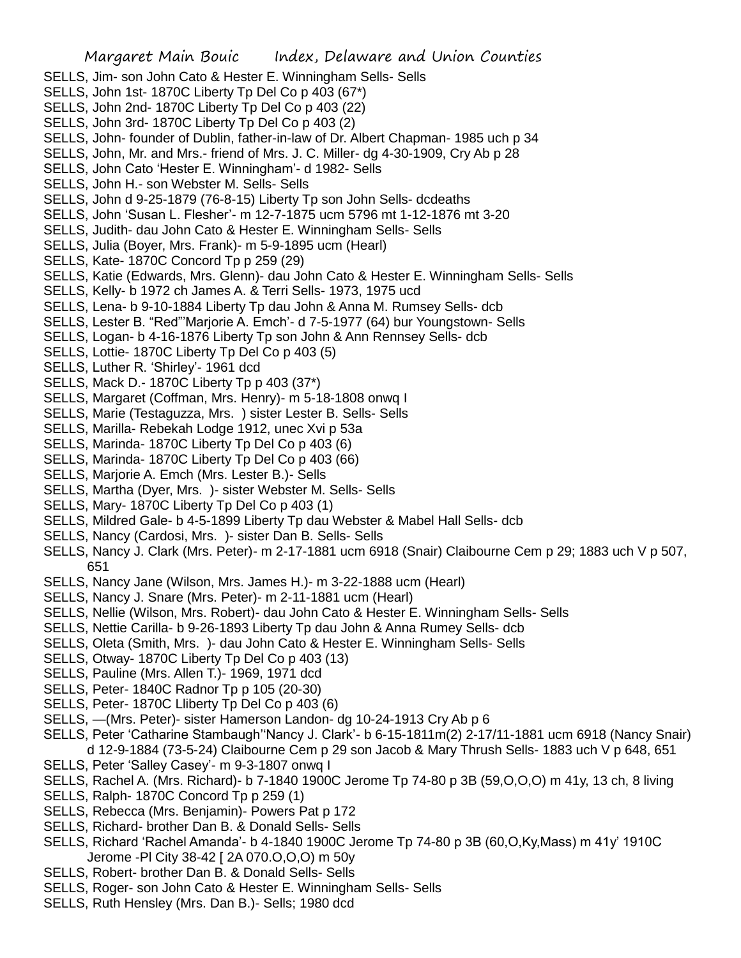- SELLS, Jim- son John Cato & Hester E. Winningham Sells- Sells
- SELLS, John 1st- 1870C Liberty Tp Del Co p 403 (67\*)
- SELLS, John 2nd- 1870C Liberty Tp Del Co p 403 (22)
- SELLS, John 3rd- 1870C Liberty Tp Del Co p 403 (2)
- SELLS, John- founder of Dublin, father-in-law of Dr. Albert Chapman- 1985 uch p 34
- SELLS, John, Mr. and Mrs.- friend of Mrs. J. C. Miller- dg 4-30-1909, Cry Ab p 28
- SELLS, John Cato 'Hester E. Winningham'- d 1982- Sells
- SELLS, John H.- son Webster M. Sells- Sells
- SELLS, John d 9-25-1879 (76-8-15) Liberty Tp son John Sells- dcdeaths
- SELLS, John 'Susan L. Flesher'- m 12-7-1875 ucm 5796 mt 1-12-1876 mt 3-20
- SELLS, Judith- dau John Cato & Hester E. Winningham Sells- Sells
- SELLS, Julia (Boyer, Mrs. Frank)- m 5-9-1895 ucm (Hearl)
- SELLS, Kate- 1870C Concord Tp p 259 (29)
- SELLS, Katie (Edwards, Mrs. Glenn)- dau John Cato & Hester E. Winningham Sells- Sells
- SELLS, Kelly- b 1972 ch James A. & Terri Sells- 1973, 1975 ucd
- SELLS, Lena- b 9-10-1884 Liberty Tp dau John & Anna M. Rumsey Sells- dcb
- SELLS, Lester B. "Red"'Marjorie A. Emch'- d 7-5-1977 (64) bur Youngstown- Sells
- SELLS, Logan- b 4-16-1876 Liberty Tp son John & Ann Rennsey Sells- dcb
- SELLS, Lottie- 1870C Liberty Tp Del Co p 403 (5)
- SELLS, Luther R. 'Shirley'- 1961 dcd
- SELLS, Mack D.- 1870C Liberty Tp p 403 (37\*)
- SELLS, Margaret (Coffman, Mrs. Henry)- m 5-18-1808 onwq I
- SELLS, Marie (Testaguzza, Mrs. ) sister Lester B. Sells- Sells
- SELLS, Marilla- Rebekah Lodge 1912, unec Xvi p 53a
- SELLS, Marinda- 1870C Liberty Tp Del Co p 403 (6)
- SELLS, Marinda- 1870C Liberty Tp Del Co p 403 (66)
- SELLS, Marjorie A. Emch (Mrs. Lester B.)- Sells
- SELLS, Martha (Dyer, Mrs. )- sister Webster M. Sells- Sells
- SELLS, Mary- 1870C Liberty Tp Del Co p 403 (1)
- SELLS, Mildred Gale- b 4-5-1899 Liberty Tp dau Webster & Mabel Hall Sells- dcb
- SELLS, Nancy (Cardosi, Mrs. )- sister Dan B. Sells- Sells
- SELLS, Nancy J. Clark (Mrs. Peter)- m 2-17-1881 ucm 6918 (Snair) Claibourne Cem p 29; 1883 uch V p 507, 651
- SELLS, Nancy Jane (Wilson, Mrs. James H.)- m 3-22-1888 ucm (Hearl)
- SELLS, Nancy J. Snare (Mrs. Peter)- m 2-11-1881 ucm (Hearl)
- SELLS, Nellie (Wilson, Mrs. Robert)- dau John Cato & Hester E. Winningham Sells- Sells
- SELLS, Nettie Carilla- b 9-26-1893 Liberty Tp dau John & Anna Rumey Sells- dcb
- SELLS, Oleta (Smith, Mrs. )- dau John Cato & Hester E. Winningham Sells- Sells
- SELLS, Otway- 1870C Liberty Tp Del Co p 403 (13)
- SELLS, Pauline (Mrs. Allen T.)- 1969, 1971 dcd
- SELLS, Peter- 1840C Radnor Tp p 105 (20-30)
- SELLS, Peter- 1870C Lliberty Tp Del Co p 403 (6)
- SELLS, —(Mrs. Peter)- sister Hamerson Landon- dg 10-24-1913 Cry Ab p 6
- SELLS, Peter 'Catharine Stambaugh''Nancy J. Clark'- b 6-15-1811m(2) 2-17/11-1881 ucm 6918 (Nancy Snair) d 12-9-1884 (73-5-24) Claibourne Cem p 29 son Jacob & Mary Thrush Sells- 1883 uch V p 648, 651
- SELLS, Peter 'Salley Casey'- m 9-3-1807 onwq I
- SELLS, Rachel A. (Mrs. Richard)- b 7-1840 1900C Jerome Tp 74-80 p 3B (59,O,O,O) m 41y, 13 ch, 8 living
- SELLS, Ralph- 1870C Concord Tp p 259 (1)
- SELLS, Rebecca (Mrs. Benjamin)- Powers Pat p 172
- SELLS, Richard- brother Dan B. & Donald Sells- Sells
- SELLS, Richard 'Rachel Amanda'- b 4-1840 1900C Jerome Tp 74-80 p 3B (60,O,Ky,Mass) m 41y' 1910C Jerome -Pl City 38-42 [ 2A 070.O,O,O) m 50y
- SELLS, Robert- brother Dan B. & Donald Sells- Sells
- SELLS, Roger- son John Cato & Hester E. Winningham Sells- Sells
- SELLS, Ruth Hensley (Mrs. Dan B.)- Sells; 1980 dcd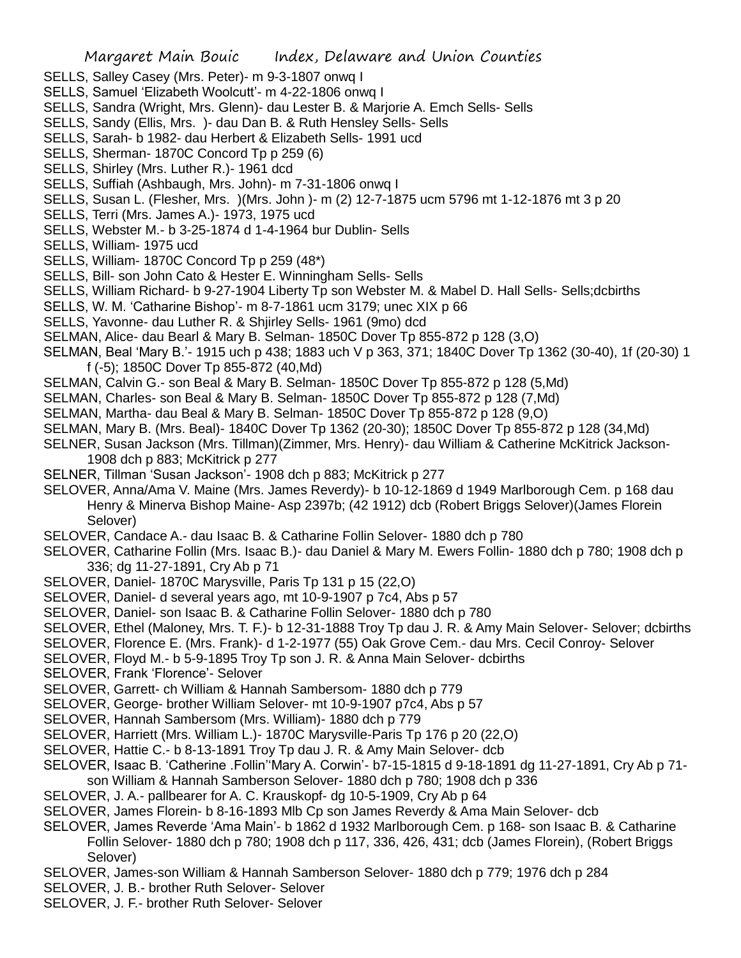- SELLS, Salley Casey (Mrs. Peter)- m 9-3-1807 onwq I
- SELLS, Samuel 'Elizabeth Woolcutt'- m 4-22-1806 onwq I
- SELLS, Sandra (Wright, Mrs. Glenn)- dau Lester B. & Marjorie A. Emch Sells- Sells
- SELLS, Sandy (Ellis, Mrs. )- dau Dan B. & Ruth Hensley Sells- Sells
- SELLS, Sarah- b 1982- dau Herbert & Elizabeth Sells- 1991 ucd
- SELLS, Sherman-1870C Concord Tp p 259 (6)
- SELLS, Shirley (Mrs. Luther R.)- 1961 dcd
- SELLS, Suffiah (Ashbaugh, Mrs. John)- m 7-31-1806 onwq I
- SELLS, Susan L. (Flesher, Mrs. )(Mrs. John )- m (2) 12-7-1875 ucm 5796 mt 1-12-1876 mt 3 p 20
- SELLS, Terri (Mrs. James A.)- 1973, 1975 ucd
- SELLS, Webster M.- b 3-25-1874 d 1-4-1964 bur Dublin- Sells
- SELLS, William- 1975 ucd
- SELLS, William- 1870C Concord Tp p 259 (48\*)
- SELLS, Bill- son John Cato & Hester E. Winningham Sells- Sells
- SELLS, William Richard- b 9-27-1904 Liberty Tp son Webster M. & Mabel D. Hall Sells- Sells;dcbirths
- SELLS, W. M. 'Catharine Bishop'- m 8-7-1861 ucm 3179; unec XIX p 66
- SELLS, Yavonne- dau Luther R. & Shjirley Sells- 1961 (9mo) dcd
- SELMAN, Alice- dau Bearl & Mary B. Selman- 1850C Dover Tp 855-872 p 128 (3,O)
- SELMAN, Beal 'Mary B.'- 1915 uch p 438; 1883 uch V p 363, 371; 1840C Dover Tp 1362 (30-40), 1f (20-30) 1 f (-5); 1850C Dover Tp 855-872 (40,Md)
- SELMAN, Calvin G.- son Beal & Mary B. Selman- 1850C Dover Tp 855-872 p 128 (5,Md)
- SELMAN, Charles- son Beal & Mary B. Selman- 1850C Dover Tp 855-872 p 128 (7,Md)
- SELMAN, Martha- dau Beal & Mary B. Selman- 1850C Dover Tp 855-872 p 128 (9,O)
- SELMAN, Mary B. (Mrs. Beal)- 1840C Dover Tp 1362 (20-30); 1850C Dover Tp 855-872 p 128 (34,Md)
- SELNER, Susan Jackson (Mrs. Tillman)(Zimmer, Mrs. Henry)- dau William & Catherine McKitrick Jackson-1908 dch p 883; McKitrick p 277
- SELNER, Tillman 'Susan Jackson'- 1908 dch p 883; McKitrick p 277
- SELOVER, Anna/Ama V. Maine (Mrs. James Reverdy)- b 10-12-1869 d 1949 Marlborough Cem. p 168 dau Henry & Minerva Bishop Maine- Asp 2397b; (42 1912) dcb (Robert Briggs Selover)(James Florein Selover)
- SELOVER, Candace A.- dau Isaac B. & Catharine Follin Selover- 1880 dch p 780
- SELOVER, Catharine Follin (Mrs. Isaac B.)- dau Daniel & Mary M. Ewers Follin- 1880 dch p 780; 1908 dch p 336; dg 11-27-1891, Cry Ab p 71
- SELOVER, Daniel- 1870C Marysville, Paris Tp 131 p 15 (22,O)
- SELOVER, Daniel- d several years ago, mt 10-9-1907 p 7c4, Abs p 57
- SELOVER, Daniel- son Isaac B. & Catharine Follin Selover- 1880 dch p 780
- SELOVER, Ethel (Maloney, Mrs. T. F.)- b 12-31-1888 Troy Tp dau J. R. & Amy Main Selover- Selover; dcbirths
- SELOVER, Florence E. (Mrs. Frank)- d 1-2-1977 (55) Oak Grove Cem.- dau Mrs. Cecil Conroy- Selover
- SELOVER, Floyd M.- b 5-9-1895 Troy Tp son J. R. & Anna Main Selover- dcbirths
- SELOVER, Frank 'Florence'- Selover
- SELOVER, Garrett- ch William & Hannah Sambersom- 1880 dch p 779
- SELOVER, George- brother William Selover- mt 10-9-1907 p7c4, Abs p 57
- SELOVER, Hannah Sambersom (Mrs. William)- 1880 dch p 779
- SELOVER, Harriett (Mrs. William L.)- 1870C Marysville-Paris Tp 176 p 20 (22,O)
- SELOVER, Hattie C.- b 8-13-1891 Troy Tp dau J. R. & Amy Main Selover- dcb
- SELOVER, Isaac B. 'Catherine .Follin''Mary A. Corwin'- b7-15-1815 d 9-18-1891 dg 11-27-1891, Cry Ab p 71 son William & Hannah Samberson Selover- 1880 dch p 780; 1908 dch p 336
- SELOVER, J. A.- pallbearer for A. C. Krauskopf- dg 10-5-1909, Cry Ab p 64
- SELOVER, James Florein- b 8-16-1893 Mlb Cp son James Reverdy & Ama Main Selover- dcb
- SELOVER, James Reverde 'Ama Main'- b 1862 d 1932 Marlborough Cem. p 168- son Isaac B. & Catharine Follin Selover- 1880 dch p 780; 1908 dch p 117, 336, 426, 431; dcb (James Florein), (Robert Briggs Selover)
- SELOVER, James-son William & Hannah Samberson Selover- 1880 dch p 779; 1976 dch p 284
- SELOVER, J. B.- brother Ruth Selover- Selover
- SELOVER, J. F.- brother Ruth Selover- Selover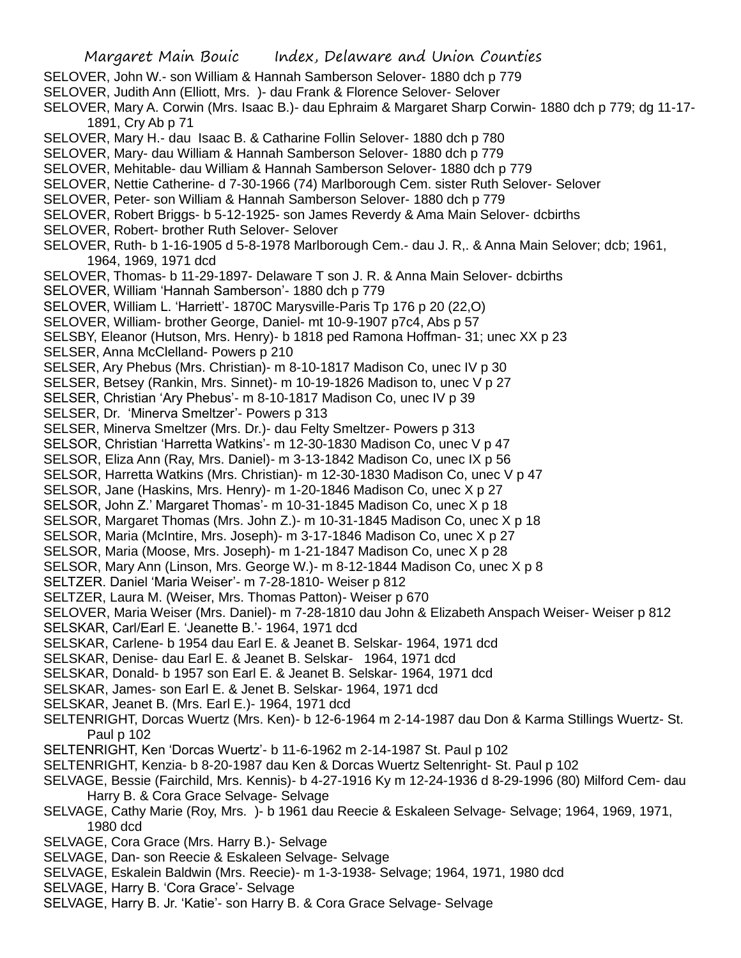- SELOVER, John W.- son William & Hannah Samberson Selover- 1880 dch p 779
- SELOVER, Judith Ann (Elliott, Mrs. )- dau Frank & Florence Selover- Selover
- SELOVER, Mary A. Corwin (Mrs. Isaac B.)- dau Ephraim & Margaret Sharp Corwin- 1880 dch p 779; dg 11-17- 1891, Cry Ab p 71
- SELOVER, Mary H.- dau Isaac B. & Catharine Follin Selover- 1880 dch p 780
- SELOVER, Mary- dau William & Hannah Samberson Selover- 1880 dch p 779
- SELOVER, Mehitable- dau William & Hannah Samberson Selover- 1880 dch p 779
- SELOVER, Nettie Catherine- d 7-30-1966 (74) Marlborough Cem. sister Ruth Selover- Selover
- SELOVER, Peter- son William & Hannah Samberson Selover- 1880 dch p 779
- SELOVER, Robert Briggs- b 5-12-1925- son James Reverdy & Ama Main Selover- dcbirths
- SELOVER, Robert- brother Ruth Selover- Selover
- SELOVER, Ruth- b 1-16-1905 d 5-8-1978 Marlborough Cem.- dau J. R,. & Anna Main Selover; dcb; 1961, 1964, 1969, 1971 dcd
- SELOVER, Thomas- b 11-29-1897- Delaware T son J. R. & Anna Main Selover- dcbirths
- SELOVER, William 'Hannah Samberson'- 1880 dch p 779
- SELOVER, William L. 'Harriett'- 1870C Marysville-Paris Tp 176 p 20 (22,O)
- SELOVER, William- brother George, Daniel- mt 10-9-1907 p7c4, Abs p 57
- SELSBY, Eleanor (Hutson, Mrs. Henry)- b 1818 ped Ramona Hoffman- 31; unec XX p 23
- SELSER, Anna McClelland- Powers p 210
- SELSER, Ary Phebus (Mrs. Christian)- m 8-10-1817 Madison Co, unec IV p 30
- SELSER, Betsey (Rankin, Mrs. Sinnet)- m 10-19-1826 Madison to, unec V p 27
- SELSER, Christian 'Ary Phebus'- m 8-10-1817 Madison Co, unec IV p 39
- SELSER, Dr. 'Minerva Smeltzer'- Powers p 313
- SELSER, Minerva Smeltzer (Mrs. Dr.)- dau Felty Smeltzer- Powers p 313
- SELSOR, Christian 'Harretta Watkins'- m 12-30-1830 Madison Co, unec V p 47
- SELSOR, Eliza Ann (Ray, Mrs. Daniel)- m 3-13-1842 Madison Co, unec IX p 56
- SELSOR, Harretta Watkins (Mrs. Christian)- m 12-30-1830 Madison Co, unec V p 47
- SELSOR, Jane (Haskins, Mrs. Henry)- m 1-20-1846 Madison Co, unec X p 27
- SELSOR, John Z.' Margaret Thomas'- m 10-31-1845 Madison Co, unec X p 18
- SELSOR, Margaret Thomas (Mrs. John Z.)- m 10-31-1845 Madison Co, unec X p 18
- SELSOR, Maria (McIntire, Mrs. Joseph)- m 3-17-1846 Madison Co, unec X p 27
- SELSOR, Maria (Moose, Mrs. Joseph)- m 1-21-1847 Madison Co, unec X p 28
- SELSOR, Mary Ann (Linson, Mrs. George W.)- m 8-12-1844 Madison Co, unec X p 8
- SELTZER. Daniel 'Maria Weiser'- m 7-28-1810- Weiser p 812
- SELTZER, Laura M. (Weiser, Mrs. Thomas Patton)- Weiser p 670
- SELOVER, Maria Weiser (Mrs. Daniel)- m 7-28-1810 dau John & Elizabeth Anspach Weiser- Weiser p 812
- SELSKAR, Carl/Earl E. 'Jeanette B.'- 1964, 1971 dcd
- SELSKAR, Carlene- b 1954 dau Earl E. & Jeanet B. Selskar- 1964, 1971 dcd
- SELSKAR, Denise- dau Earl E. & Jeanet B. Selskar- 1964, 1971 dcd
- SELSKAR, Donald- b 1957 son Earl E. & Jeanet B. Selskar- 1964, 1971 dcd
- SELSKAR, James- son Earl E. & Jenet B. Selskar- 1964, 1971 dcd
- SELSKAR, Jeanet B. (Mrs. Earl E.)- 1964, 1971 dcd
- SELTENRIGHT, Dorcas Wuertz (Mrs. Ken)- b 12-6-1964 m 2-14-1987 dau Don & Karma Stillings Wuertz- St. Paul p 102
- SELTENRIGHT, Ken 'Dorcas Wuertz'- b 11-6-1962 m 2-14-1987 St. Paul p 102
- SELTENRIGHT, Kenzia- b 8-20-1987 dau Ken & Dorcas Wuertz Seltenright- St. Paul p 102
- SELVAGE, Bessie (Fairchild, Mrs. Kennis)- b 4-27-1916 Ky m 12-24-1936 d 8-29-1996 (80) Milford Cem- dau Harry B. & Cora Grace Selvage- Selvage
- SELVAGE, Cathy Marie (Roy, Mrs. )- b 1961 dau Reecie & Eskaleen Selvage- Selvage; 1964, 1969, 1971, 1980 dcd
- SELVAGE, Cora Grace (Mrs. Harry B.)- Selvage
- SELVAGE, Dan- son Reecie & Eskaleen Selvage- Selvage
- SELVAGE, Eskalein Baldwin (Mrs. Reecie)- m 1-3-1938- Selvage; 1964, 1971, 1980 dcd
- SELVAGE, Harry B. 'Cora Grace'- Selvage
- SELVAGE, Harry B. Jr. 'Katie'- son Harry B. & Cora Grace Selvage- Selvage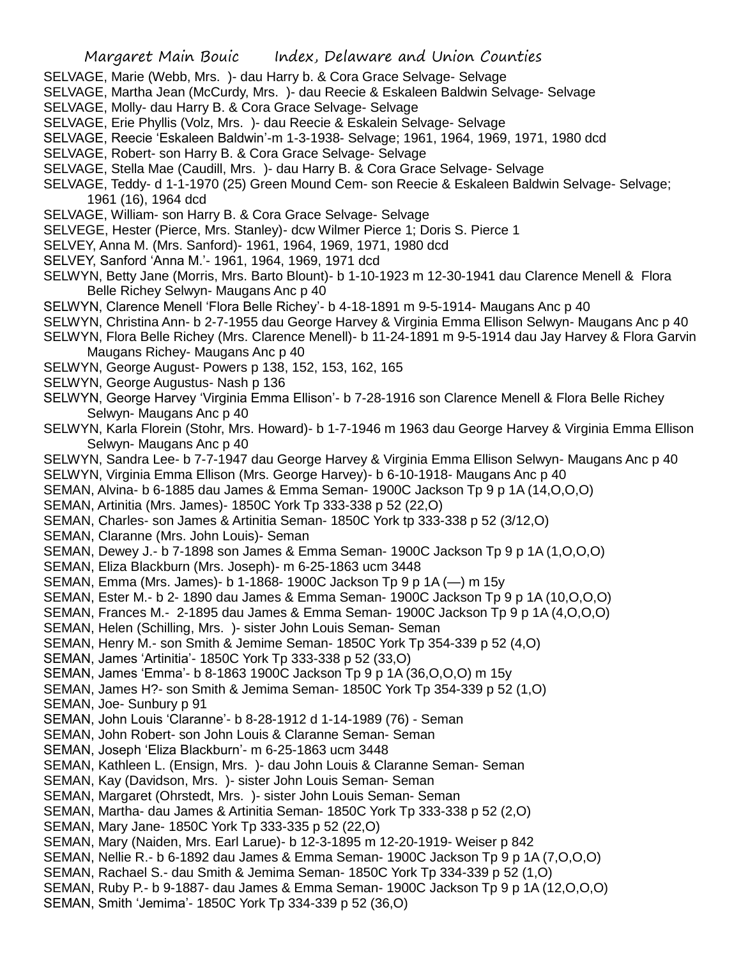- SELVAGE, Marie (Webb, Mrs. )- dau Harry b. & Cora Grace Selvage- Selvage
- SELVAGE, Martha Jean (McCurdy, Mrs. )- dau Reecie & Eskaleen Baldwin Selvage- Selvage
- SELVAGE, Molly- dau Harry B. & Cora Grace Selvage- Selvage
- SELVAGE, Erie Phyllis (Volz, Mrs. )- dau Reecie & Eskalein Selvage- Selvage
- SELVAGE, Reecie 'Eskaleen Baldwin'-m 1-3-1938- Selvage; 1961, 1964, 1969, 1971, 1980 dcd
- SELVAGE, Robert- son Harry B. & Cora Grace Selvage- Selvage
- SELVAGE, Stella Mae (Caudill, Mrs. )- dau Harry B. & Cora Grace Selvage- Selvage
- SELVAGE, Teddy- d 1-1-1970 (25) Green Mound Cem- son Reecie & Eskaleen Baldwin Selvage- Selvage; 1961 (16), 1964 dcd
- SELVAGE, William- son Harry B. & Cora Grace Selvage- Selvage
- SELVEGE, Hester (Pierce, Mrs. Stanley)- dcw Wilmer Pierce 1; Doris S. Pierce 1
- SELVEY, Anna M. (Mrs. Sanford)- 1961, 1964, 1969, 1971, 1980 dcd
- SELVEY, Sanford 'Anna M.'- 1961, 1964, 1969, 1971 dcd
- SELWYN, Betty Jane (Morris, Mrs. Barto Blount)- b 1-10-1923 m 12-30-1941 dau Clarence Menell & Flora Belle Richey Selwyn- Maugans Anc p 40
- SELWYN, Clarence Menell 'Flora Belle Richey'- b 4-18-1891 m 9-5-1914- Maugans Anc p 40
- SELWYN, Christina Ann- b 2-7-1955 dau George Harvey & Virginia Emma Ellison Selwyn- Maugans Anc p 40
- SELWYN, Flora Belle Richey (Mrs. Clarence Menell)- b 11-24-1891 m 9-5-1914 dau Jay Harvey & Flora Garvin Maugans Richey- Maugans Anc p 40
- SELWYN, George August- Powers p 138, 152, 153, 162, 165
- SELWYN, George Augustus- Nash p 136
- SELWYN, George Harvey 'Virginia Emma Ellison'- b 7-28-1916 son Clarence Menell & Flora Belle Richey Selwyn- Maugans Anc p 40
- SELWYN, Karla Florein (Stohr, Mrs. Howard)- b 1-7-1946 m 1963 dau George Harvey & Virginia Emma Ellison Selwyn- Maugans Anc p 40
- SELWYN, Sandra Lee- b 7-7-1947 dau George Harvey & Virginia Emma Ellison Selwyn- Maugans Anc p 40
- SELWYN, Virginia Emma Ellison (Mrs. George Harvey)- b 6-10-1918- Maugans Anc p 40
- SEMAN, Alvina- b 6-1885 dau James & Emma Seman- 1900C Jackson Tp 9 p 1A (14,O,O,O)
- SEMAN, Artinitia (Mrs. James)- 1850C York Tp 333-338 p 52 (22,O)
- SEMAN, Charles- son James & Artinitia Seman- 1850C York tp 333-338 p 52 (3/12,O)
- SEMAN, Claranne (Mrs. John Louis)- Seman
- SEMAN, Dewey J.- b 7-1898 son James & Emma Seman- 1900C Jackson Tp 9 p 1A (1,O,O,O)
- SEMAN, Eliza Blackburn (Mrs. Joseph)- m 6-25-1863 ucm 3448
- SEMAN, Emma (Mrs. James)- b 1-1868- 1900C Jackson Tp 9 p 1A (—) m 15y
- SEMAN, Ester M.- b 2- 1890 dau James & Emma Seman- 1900C Jackson Tp 9 p 1A (10,O,O,O)
- SEMAN, Frances M.- 2-1895 dau James & Emma Seman- 1900C Jackson Tp 9 p 1A (4,O,O,O)
- SEMAN, Helen (Schilling, Mrs. )- sister John Louis Seman- Seman
- SEMAN, Henry M.- son Smith & Jemime Seman- 1850C York Tp 354-339 p 52 (4,O)
- SEMAN, James 'Artinitia'- 1850C York Tp 333-338 p 52 (33,O)
- SEMAN, James 'Emma'- b 8-1863 1900C Jackson Tp 9 p 1A (36,O,O,O) m 15y
- SEMAN, James H?- son Smith & Jemima Seman- 1850C York Tp 354-339 p 52 (1,O)

SEMAN, Joe- Sunbury p 91

- SEMAN, John Louis 'Claranne'- b 8-28-1912 d 1-14-1989 (76) Seman
- SEMAN, John Robert- son John Louis & Claranne Seman- Seman
- SEMAN, Joseph 'Eliza Blackburn'- m 6-25-1863 ucm 3448
- SEMAN, Kathleen L. (Ensign, Mrs. )- dau John Louis & Claranne Seman- Seman
- SEMAN, Kay (Davidson, Mrs. )- sister John Louis Seman- Seman
- SEMAN, Margaret (Ohrstedt, Mrs. )- sister John Louis Seman- Seman
- SEMAN, Martha- dau James & Artinitia Seman- 1850C York Tp 333-338 p 52 (2,O)
- SEMAN, Mary Jane- 1850C York Tp 333-335 p 52 (22,O)
- SEMAN, Mary (Naiden, Mrs. Earl Larue)- b 12-3-1895 m 12-20-1919- Weiser p 842
- SEMAN, Nellie R.- b 6-1892 dau James & Emma Seman- 1900C Jackson Tp 9 p 1A (7,O,O,O)
- SEMAN, Rachael S.- dau Smith & Jemima Seman- 1850C York Tp 334-339 p 52 (1,O)
- SEMAN, Ruby P.- b 9-1887- dau James & Emma Seman- 1900C Jackson Tp 9 p 1A (12,O,O,O)
- SEMAN, Smith 'Jemima'- 1850C York Tp 334-339 p 52 (36,O)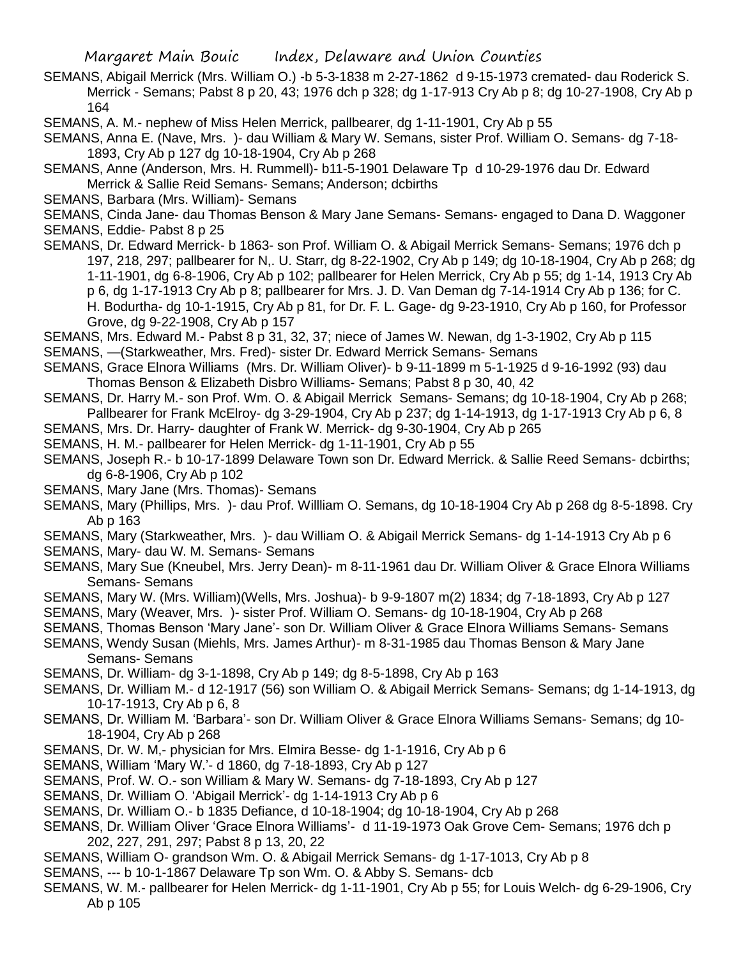- SEMANS, Abigail Merrick (Mrs. William O.) -b 5-3-1838 m 2-27-1862 d 9-15-1973 cremated- dau Roderick S. Merrick - Semans; Pabst 8 p 20, 43; 1976 dch p 328; dg 1-17-913 Cry Ab p 8; dg 10-27-1908, Cry Ab p 164
- SEMANS, A. M.- nephew of Miss Helen Merrick, pallbearer, dg 1-11-1901, Cry Ab p 55
- SEMANS, Anna E. (Nave, Mrs. )- dau William & Mary W. Semans, sister Prof. William O. Semans- dg 7-18- 1893, Cry Ab p 127 dg 10-18-1904, Cry Ab p 268
- SEMANS, Anne (Anderson, Mrs. H. Rummell)- b11-5-1901 Delaware Tp d 10-29-1976 dau Dr. Edward Merrick & Sallie Reid Semans- Semans; Anderson; dcbirths
- SEMANS, Barbara (Mrs. William)- Semans
- SEMANS, Cinda Jane- dau Thomas Benson & Mary Jane Semans- Semans- engaged to Dana D. Waggoner SEMANS, Eddie- Pabst 8 p 25
- SEMANS, Dr. Edward Merrick- b 1863- son Prof. William O. & Abigail Merrick Semans- Semans; 1976 dch p 197, 218, 297; pallbearer for N,. U. Starr, dg 8-22-1902, Cry Ab p 149; dg 10-18-1904, Cry Ab p 268; dg 1-11-1901, dg 6-8-1906, Cry Ab p 102; pallbearer for Helen Merrick, Cry Ab p 55; dg 1-14, 1913 Cry Ab p 6, dg 1-17-1913 Cry Ab p 8; pallbearer for Mrs. J. D. Van Deman dg 7-14-1914 Cry Ab p 136; for C. H. Bodurtha- dg 10-1-1915, Cry Ab p 81, for Dr. F. L. Gage- dg 9-23-1910, Cry Ab p 160, for Professor Grove, dg 9-22-1908, Cry Ab p 157
- SEMANS, Mrs. Edward M.- Pabst 8 p 31, 32, 37; niece of James W. Newan, dg 1-3-1902, Cry Ab p 115
- SEMANS, —(Starkweather, Mrs. Fred)- sister Dr. Edward Merrick Semans- Semans
- SEMANS, Grace Elnora Williams (Mrs. Dr. William Oliver)- b 9-11-1899 m 5-1-1925 d 9-16-1992 (93) dau Thomas Benson & Elizabeth Disbro Williams- Semans; Pabst 8 p 30, 40, 42
- SEMANS, Dr. Harry M.- son Prof. Wm. O. & Abigail Merrick Semans- Semans; dg 10-18-1904, Cry Ab p 268; Pallbearer for Frank McElroy- dg 3-29-1904, Cry Ab p 237; dg 1-14-1913, dg 1-17-1913 Cry Ab p 6, 8
- SEMANS, Mrs. Dr. Harry- daughter of Frank W. Merrick- dg 9-30-1904, Cry Ab p 265
- SEMANS, H. M.- pallbearer for Helen Merrick- dg 1-11-1901, Cry Ab p 55
- SEMANS, Joseph R.- b 10-17-1899 Delaware Town son Dr. Edward Merrick. & Sallie Reed Semans- dcbirths; dg 6-8-1906, Cry Ab p 102
- SEMANS, Mary Jane (Mrs. Thomas)- Semans
- SEMANS, Mary (Phillips, Mrs. )- dau Prof. Willliam O. Semans, dg 10-18-1904 Cry Ab p 268 dg 8-5-1898. Cry Ab p 163
- SEMANS, Mary (Starkweather, Mrs. )- dau William O. & Abigail Merrick Semans- dg 1-14-1913 Cry Ab p 6
- SEMANS, Mary- dau W. M. Semans- Semans
- SEMANS, Mary Sue (Kneubel, Mrs. Jerry Dean)- m 8-11-1961 dau Dr. William Oliver & Grace Elnora Williams Semans- Semans
- SEMANS, Mary W. (Mrs. William)(Wells, Mrs. Joshua)- b 9-9-1807 m(2) 1834; dg 7-18-1893, Cry Ab p 127
- SEMANS, Mary (Weaver, Mrs. )- sister Prof. William O. Semans- dg 10-18-1904, Cry Ab p 268
- SEMANS, Thomas Benson 'Mary Jane'- son Dr. William Oliver & Grace Elnora Williams Semans- Semans
- SEMANS, Wendy Susan (Miehls, Mrs. James Arthur)- m 8-31-1985 dau Thomas Benson & Mary Jane Semans- Semans
- SEMANS, Dr. William- dg 3-1-1898, Cry Ab p 149; dg 8-5-1898, Cry Ab p 163
- SEMANS, Dr. William M.- d 12-1917 (56) son William O. & Abigail Merrick Semans- Semans; dg 1-14-1913, dg 10-17-1913, Cry Ab p 6, 8
- SEMANS, Dr. William M. 'Barbara'- son Dr. William Oliver & Grace Elnora Williams Semans- Semans; dg 10- 18-1904, Cry Ab p 268
- SEMANS, Dr. W. M,- physician for Mrs. Elmira Besse- dg 1-1-1916, Cry Ab p 6
- SEMANS, William 'Mary W.'- d 1860, dg 7-18-1893, Cry Ab p 127
- SEMANS, Prof. W. O.- son William & Mary W. Semans- dg 7-18-1893, Cry Ab p 127
- SEMANS, Dr. William O. 'Abigail Merrick'- dg 1-14-1913 Cry Ab p 6
- SEMANS, Dr. William O.- b 1835 Defiance, d 10-18-1904; dg 10-18-1904, Cry Ab p 268
- SEMANS, Dr. William Oliver 'Grace Elnora Williams'- d 11-19-1973 Oak Grove Cem- Semans; 1976 dch p 202, 227, 291, 297; Pabst 8 p 13, 20, 22
- SEMANS, William O- grandson Wm. O. & Abigail Merrick Semans- dg 1-17-1013, Cry Ab p 8
- SEMANS, --- b 10-1-1867 Delaware Tp son Wm. O. & Abby S. Semans- dcb
- SEMANS, W. M.- pallbearer for Helen Merrick- dg 1-11-1901, Cry Ab p 55; for Louis Welch- dg 6-29-1906, Cry Ab p 105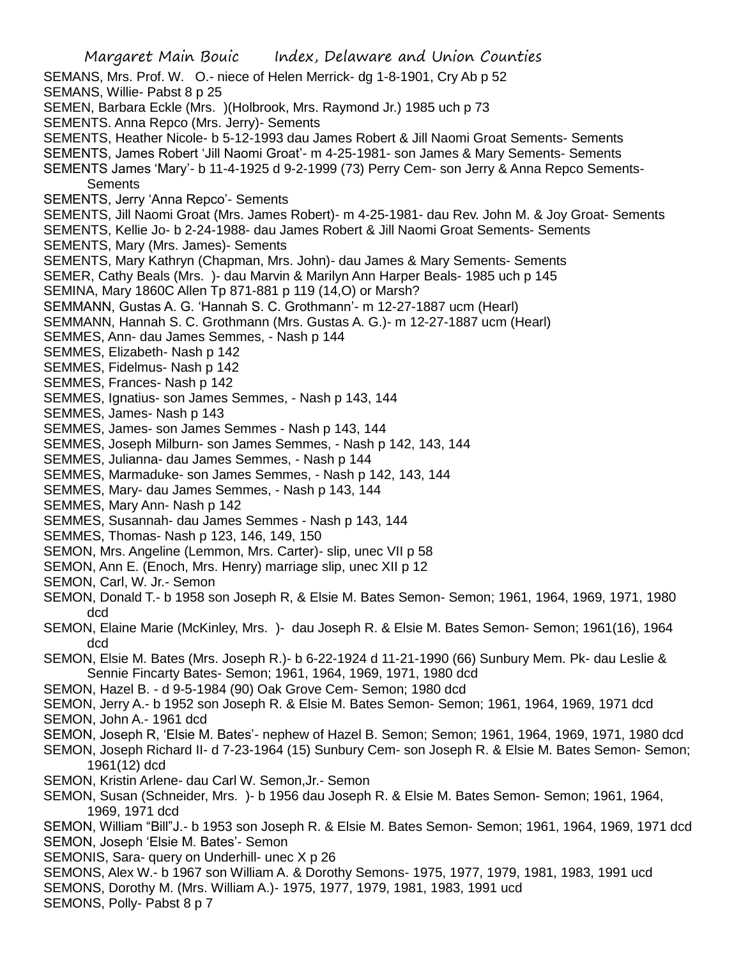Margaret Main Bouic Index, Delaware and Union Counties SEMANS, Mrs. Prof. W. O.- niece of Helen Merrick- dg 1-8-1901, Cry Ab p 52 SEMANS, Willie- Pabst 8 p 25 SEMEN, Barbara Eckle (Mrs. )(Holbrook, Mrs. Raymond Jr.) 1985 uch p 73 SEMENTS. Anna Repco (Mrs. Jerry)- Sements SEMENTS, Heather Nicole- b 5-12-1993 dau James Robert & Jill Naomi Groat Sements- Sements SEMENTS, James Robert 'Jill Naomi Groat'- m 4-25-1981- son James & Mary Sements- Sements SEMENTS James 'Mary'- b 11-4-1925 d 9-2-1999 (73) Perry Cem- son Jerry & Anna Repco Sements-**Sements** SEMENTS, Jerry 'Anna Repco'- Sements SEMENTS, Jill Naomi Groat (Mrs. James Robert)- m 4-25-1981- dau Rev. John M. & Joy Groat- Sements SEMENTS, Kellie Jo- b 2-24-1988- dau James Robert & Jill Naomi Groat Sements- Sements SEMENTS, Mary (Mrs. James)- Sements SEMENTS, Mary Kathryn (Chapman, Mrs. John)- dau James & Mary Sements- Sements SEMER, Cathy Beals (Mrs. )- dau Marvin & Marilyn Ann Harper Beals- 1985 uch p 145 SEMINA, Mary 1860C Allen Tp 871-881 p 119 (14,O) or Marsh? SEMMANN, Gustas A. G. 'Hannah S. C. Grothmann'- m 12-27-1887 ucm (Hearl) SEMMANN, Hannah S. C. Grothmann (Mrs. Gustas A. G.)- m 12-27-1887 ucm (Hearl) SEMMES, Ann- dau James Semmes, - Nash p 144 SEMMES, Elizabeth- Nash p 142 SEMMES, Fidelmus- Nash p 142 SEMMES, Frances- Nash p 142 SEMMES, Ignatius- son James Semmes, - Nash p 143, 144 SEMMES, James- Nash p 143 SEMMES, James- son James Semmes - Nash p 143, 144 SEMMES, Joseph Milburn- son James Semmes, - Nash p 142, 143, 144 SEMMES, Julianna- dau James Semmes, - Nash p 144 SEMMES, Marmaduke- son James Semmes, - Nash p 142, 143, 144 SEMMES, Mary- dau James Semmes, - Nash p 143, 144 SEMMES, Mary Ann- Nash p 142 SEMMES, Susannah- dau James Semmes - Nash p 143, 144 SEMMES, Thomas- Nash p 123, 146, 149, 150 SEMON, Mrs. Angeline (Lemmon, Mrs. Carter)- slip, unec VII p 58 SEMON, Ann E. (Enoch, Mrs. Henry) marriage slip, unec XII p 12 SEMON, Carl, W. Jr.- Semon SEMON, Donald T.- b 1958 son Joseph R, & Elsie M. Bates Semon- Semon; 1961, 1964, 1969, 1971, 1980 dcd SEMON, Elaine Marie (McKinley, Mrs. )- dau Joseph R. & Elsie M. Bates Semon- Semon; 1961(16), 1964 dcd SEMON, Elsie M. Bates (Mrs. Joseph R.)- b 6-22-1924 d 11-21-1990 (66) Sunbury Mem. Pk- dau Leslie & Sennie Fincarty Bates- Semon; 1961, 1964, 1969, 1971, 1980 dcd SEMON, Hazel B. - d 9-5-1984 (90) Oak Grove Cem- Semon; 1980 dcd SEMON, Jerry A.- b 1952 son Joseph R. & Elsie M. Bates Semon- Semon; 1961, 1964, 1969, 1971 dcd SEMON, John A.- 1961 dcd SEMON, Joseph R, 'Elsie M. Bates'- nephew of Hazel B. Semon; Semon; 1961, 1964, 1969, 1971, 1980 dcd SEMON, Joseph Richard II- d 7-23-1964 (15) Sunbury Cem- son Joseph R. & Elsie M. Bates Semon- Semon; 1961(12) dcd SEMON, Kristin Arlene- dau Carl W. Semon,Jr.- Semon SEMON, Susan (Schneider, Mrs. )- b 1956 dau Joseph R. & Elsie M. Bates Semon- Semon; 1961, 1964, 1969, 1971 dcd SEMON, William "Bill"J.- b 1953 son Joseph R. & Elsie M. Bates Semon- Semon; 1961, 1964, 1969, 1971 dcd SEMON, Joseph 'Elsie M. Bates'- Semon SEMONIS, Sara- query on Underhill- unec X p 26

- SEMONS, Alex W.- b 1967 son William A. & Dorothy Semons- 1975, 1977, 1979, 1981, 1983, 1991 ucd
- SEMONS, Dorothy M. (Mrs. William A.)- 1975, 1977, 1979, 1981, 1983, 1991 ucd
- SEMONS, Polly- Pabst 8 p 7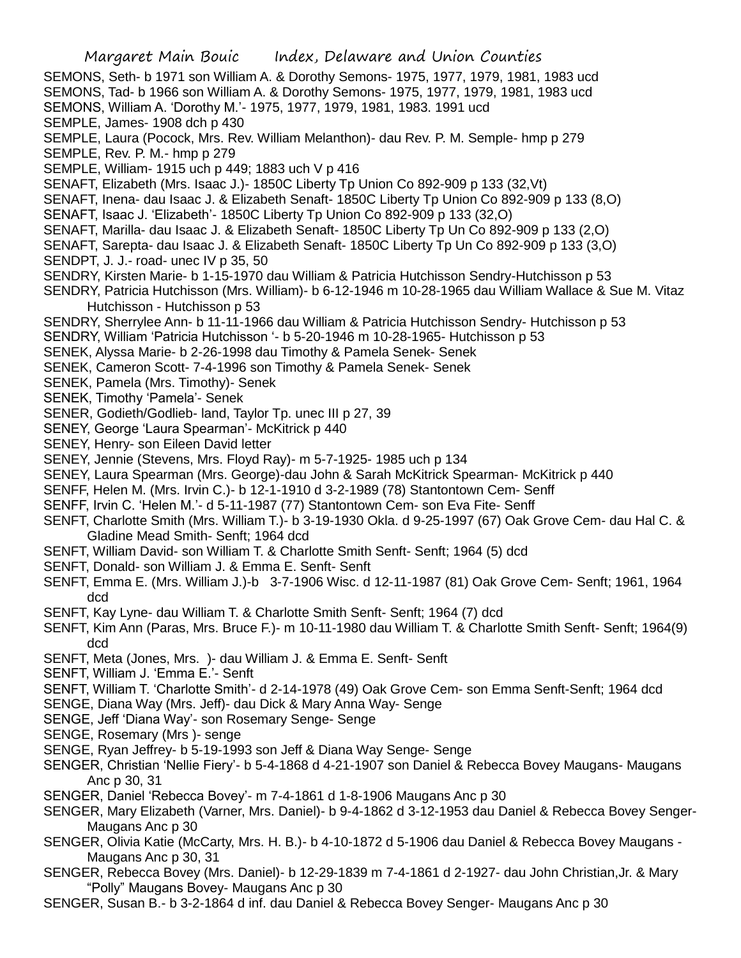- SEMONS, Seth- b 1971 son William A. & Dorothy Semons- 1975, 1977, 1979, 1981, 1983 ucd
- SEMONS, Tad- b 1966 son William A. & Dorothy Semons- 1975, 1977, 1979, 1981, 1983 ucd
- SEMONS, William A. 'Dorothy M.'- 1975, 1977, 1979, 1981, 1983. 1991 ucd
- SEMPLE, James- 1908 dch p 430
- SEMPLE, Laura (Pocock, Mrs. Rev. William Melanthon)- dau Rev. P. M. Semple- hmp p 279
- SEMPLE, Rev. P. M.- hmp p 279
- SEMPLE, William- 1915 uch p 449; 1883 uch V p 416
- SENAFT, Elizabeth (Mrs. Isaac J.)- 1850C Liberty Tp Union Co 892-909 p 133 (32,Vt)
- SENAFT, Inena- dau Isaac J. & Elizabeth Senaft- 1850C Liberty Tp Union Co 892-909 p 133 (8,O)
- SENAFT, Isaac J. 'Elizabeth'- 1850C Liberty Tp Union Co 892-909 p 133 (32,O)
- SENAFT, Marilla- dau Isaac J. & Elizabeth Senaft- 1850C Liberty Tp Un Co 892-909 p 133 (2,O)
- SENAFT, Sarepta- dau Isaac J. & Elizabeth Senaft- 1850C Liberty Tp Un Co 892-909 p 133 (3,O)
- SENDPT, J. J.- road- unec IV p 35, 50
- SENDRY, Kirsten Marie- b 1-15-1970 dau William & Patricia Hutchisson Sendry-Hutchisson p 53
- SENDRY, Patricia Hutchisson (Mrs. William)- b 6-12-1946 m 10-28-1965 dau William Wallace & Sue M. Vitaz Hutchisson - Hutchisson p 53
- SENDRY, Sherrylee Ann- b 11-11-1966 dau William & Patricia Hutchisson Sendry- Hutchisson p 53
- SENDRY, William 'Patricia Hutchisson '- b 5-20-1946 m 10-28-1965- Hutchisson p 53
- SENEK, Alyssa Marie- b 2-26-1998 dau Timothy & Pamela Senek- Senek
- SENEK, Cameron Scott- 7-4-1996 son Timothy & Pamela Senek- Senek
- SENEK, Pamela (Mrs. Timothy)- Senek
- SENEK, Timothy 'Pamela'- Senek
- SENER, Godieth/Godlieb- land, Taylor Tp. unec III p 27, 39
- SENEY, George 'Laura Spearman'- McKitrick p 440
- SENEY, Henry- son Eileen David letter
- SENEY, Jennie (Stevens, Mrs. Floyd Ray)- m 5-7-1925- 1985 uch p 134
- SENEY, Laura Spearman (Mrs. George)-dau John & Sarah McKitrick Spearman- McKitrick p 440
- SENFF, Helen M. (Mrs. Irvin C.)- b 12-1-1910 d 3-2-1989 (78) Stantontown Cem- Senff
- SENFF, Irvin C. 'Helen M.'- d 5-11-1987 (77) Stantontown Cem- son Eva Fite- Senff
- SENFT, Charlotte Smith (Mrs. William T.)- b 3-19-1930 Okla. d 9-25-1997 (67) Oak Grove Cem- dau Hal C. & Gladine Mead Smith- Senft; 1964 dcd
- SENFT, William David- son William T. & Charlotte Smith Senft- Senft; 1964 (5) dcd
- SENFT, Donald- son William J. & Emma E. Senft- Senft
- SENFT, Emma E. (Mrs. William J.)-b 3-7-1906 Wisc. d 12-11-1987 (81) Oak Grove Cem- Senft; 1961, 1964 dcd
- SENFT, Kay Lyne- dau William T. & Charlotte Smith Senft- Senft; 1964 (7) dcd
- SENFT, Kim Ann (Paras, Mrs. Bruce F.)- m 10-11-1980 dau William T. & Charlotte Smith Senft- Senft; 1964(9) dcd
- SENFT, Meta (Jones, Mrs. )- dau William J. & Emma E. Senft- Senft
- SENFT, William J. 'Emma E.'- Senft
- SENFT, William T. 'Charlotte Smith'- d 2-14-1978 (49) Oak Grove Cem- son Emma Senft-Senft; 1964 dcd
- SENGE, Diana Way (Mrs. Jeff)- dau Dick & Mary Anna Way- Senge
- SENGE, Jeff 'Diana Way'- son Rosemary Senge- Senge
- SENGE, Rosemary (Mrs )- senge
- SENGE, Ryan Jeffrey- b 5-19-1993 son Jeff & Diana Way Senge- Senge
- SENGER, Christian 'Nellie Fiery'- b 5-4-1868 d 4-21-1907 son Daniel & Rebecca Bovey Maugans- Maugans Anc p 30, 31
- SENGER, Daniel 'Rebecca Bovey'- m 7-4-1861 d 1-8-1906 Maugans Anc p 30
- SENGER, Mary Elizabeth (Varner, Mrs. Daniel)- b 9-4-1862 d 3-12-1953 dau Daniel & Rebecca Bovey Senger-Maugans Anc p 30
- SENGER, Olivia Katie (McCarty, Mrs. H. B.)- b 4-10-1872 d 5-1906 dau Daniel & Rebecca Bovey Maugans Maugans Anc p 30, 31
- SENGER, Rebecca Bovey (Mrs. Daniel)- b 12-29-1839 m 7-4-1861 d 2-1927- dau John Christian,Jr. & Mary "Polly" Maugans Bovey- Maugans Anc p 30
- SENGER, Susan B.- b 3-2-1864 d inf. dau Daniel & Rebecca Bovey Senger- Maugans Anc p 30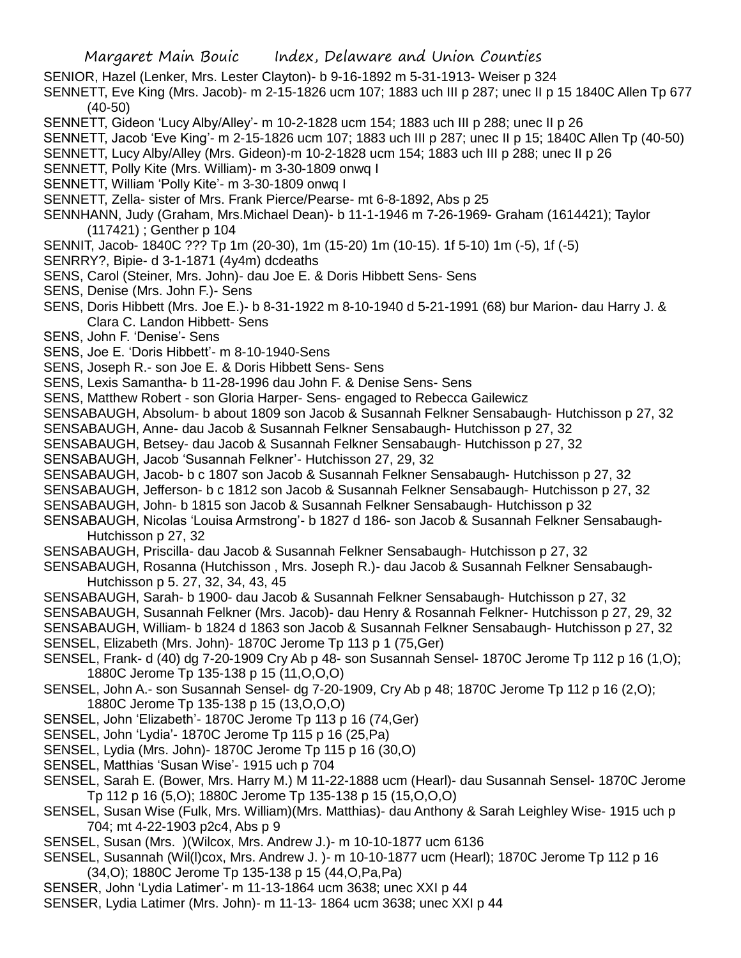SENIOR, Hazel (Lenker, Mrs. Lester Clayton)- b 9-16-1892 m 5-31-1913- Weiser p 324

SENNETT, Eve King (Mrs. Jacob)- m 2-15-1826 ucm 107; 1883 uch III p 287; unec II p 15 1840C Allen Tp 677 (40-50)

SENNETT, Gideon 'Lucy Alby/Alley'- m 10-2-1828 ucm 154; 1883 uch III p 288; unec II p 26

SENNETT, Jacob 'Eve King'- m 2-15-1826 ucm 107; 1883 uch III p 287; unec II p 15; 1840C Allen Tp (40-50)

SENNETT, Lucy Alby/Alley (Mrs. Gideon)-m 10-2-1828 ucm 154; 1883 uch III p 288; unec II p 26

SENNETT, Polly Kite (Mrs. William)- m 3-30-1809 onwq I

SENNETT, William 'Polly Kite'- m 3-30-1809 onwq I

SENNETT, Zella- sister of Mrs. Frank Pierce/Pearse- mt 6-8-1892, Abs p 25

SENNHANN, Judy (Graham, Mrs.Michael Dean)- b 11-1-1946 m 7-26-1969- Graham (1614421); Taylor (117421) ; Genther p 104

SENNIT, Jacob- 1840C ??? Tp 1m (20-30), 1m (15-20) 1m (10-15). 1f 5-10) 1m (-5), 1f (-5)

SENRRY?, Bipie- d 3-1-1871 (4y4m) dcdeaths

SENS, Carol (Steiner, Mrs. John)- dau Joe E. & Doris Hibbett Sens- Sens

SENS, Denise (Mrs. John F.)- Sens

SENS, Doris Hibbett (Mrs. Joe E.)- b 8-31-1922 m 8-10-1940 d 5-21-1991 (68) bur Marion- dau Harry J. & Clara C. Landon Hibbett- Sens

SENS, John F. 'Denise'- Sens

SENS, Joe E. 'Doris Hibbett'- m 8-10-1940-Sens

SENS, Joseph R.- son Joe E. & Doris Hibbett Sens- Sens

SENS, Lexis Samantha- b 11-28-1996 dau John F. & Denise Sens- Sens

SENS, Matthew Robert - son Gloria Harper- Sens- engaged to Rebecca Gailewicz

SENSABAUGH, Absolum- b about 1809 son Jacob & Susannah Felkner Sensabaugh- Hutchisson p 27, 32

SENSABAUGH, Anne- dau Jacob & Susannah Felkner Sensabaugh- Hutchisson p 27, 32

SENSABAUGH, Betsey- dau Jacob & Susannah Felkner Sensabaugh- Hutchisson p 27, 32

SENSABAUGH, Jacob 'Susannah Felkner'- Hutchisson 27, 29, 32

SENSABAUGH, Jacob- b c 1807 son Jacob & Susannah Felkner Sensabaugh- Hutchisson p 27, 32

- SENSABAUGH, Jefferson- b c 1812 son Jacob & Susannah Felkner Sensabaugh- Hutchisson p 27, 32
- SENSABAUGH, John- b 1815 son Jacob & Susannah Felkner Sensabaugh- Hutchisson p 32
- SENSABAUGH, Nicolas 'Louisa Armstrong'- b 1827 d 186- son Jacob & Susannah Felkner Sensabaugh-Hutchisson p 27, 32

SENSABAUGH, Priscilla- dau Jacob & Susannah Felkner Sensabaugh- Hutchisson p 27, 32

SENSABAUGH, Rosanna (Hutchisson , Mrs. Joseph R.)- dau Jacob & Susannah Felkner Sensabaugh-Hutchisson p 5. 27, 32, 34, 43, 45

SENSABAUGH, Sarah- b 1900- dau Jacob & Susannah Felkner Sensabaugh- Hutchisson p 27, 32

SENSABAUGH, Susannah Felkner (Mrs. Jacob)- dau Henry & Rosannah Felkner- Hutchisson p 27, 29, 32 SENSABAUGH, William- b 1824 d 1863 son Jacob & Susannah Felkner Sensabaugh- Hutchisson p 27, 32

SENSEL, Elizabeth (Mrs. John)- 1870C Jerome Tp 113 p 1 (75,Ger)

SENSEL, Frank- d (40) dg 7-20-1909 Cry Ab p 48- son Susannah Sensel- 1870C Jerome Tp 112 p 16 (1,O); 1880C Jerome Tp 135-138 p 15 (11,O,O,O)

SENSEL, John A.- son Susannah Sensel- dg 7-20-1909, Cry Ab p 48; 1870C Jerome Tp 112 p 16 (2,O); 1880C Jerome Tp 135-138 p 15 (13,O,O,O)

SENSEL, John 'Elizabeth'- 1870C Jerome Tp 113 p 16 (74,Ger)

SENSEL, John 'Lydia'- 1870C Jerome Tp 115 p 16 (25,Pa)

SENSEL, Lydia (Mrs. John)- 1870C Jerome Tp 115 p 16 (30,O)

- SENSEL, Matthias 'Susan Wise'- 1915 uch p 704
- SENSEL, Sarah E. (Bower, Mrs. Harry M.) M 11-22-1888 ucm (Hearl)- dau Susannah Sensel- 1870C Jerome Tp 112 p 16 (5,O); 1880C Jerome Tp 135-138 p 15 (15,O,O,O)

SENSEL, Susan Wise (Fulk, Mrs. William)(Mrs. Matthias)- dau Anthony & Sarah Leighley Wise- 1915 uch p 704; mt 4-22-1903 p2c4, Abs p 9

- SENSEL, Susan (Mrs. )(Wilcox, Mrs. Andrew J.)- m 10-10-1877 ucm 6136
- SENSEL, Susannah (Wil(l)cox, Mrs. Andrew J. )- m 10-10-1877 ucm (Hearl); 1870C Jerome Tp 112 p 16 (34,O); 1880C Jerome Tp 135-138 p 15 (44,O,Pa,Pa)

SENSER, John 'Lydia Latimer'- m 11-13-1864 ucm 3638; unec XXI p 44

SENSER, Lydia Latimer (Mrs. John)- m 11-13- 1864 ucm 3638; unec XXI p 44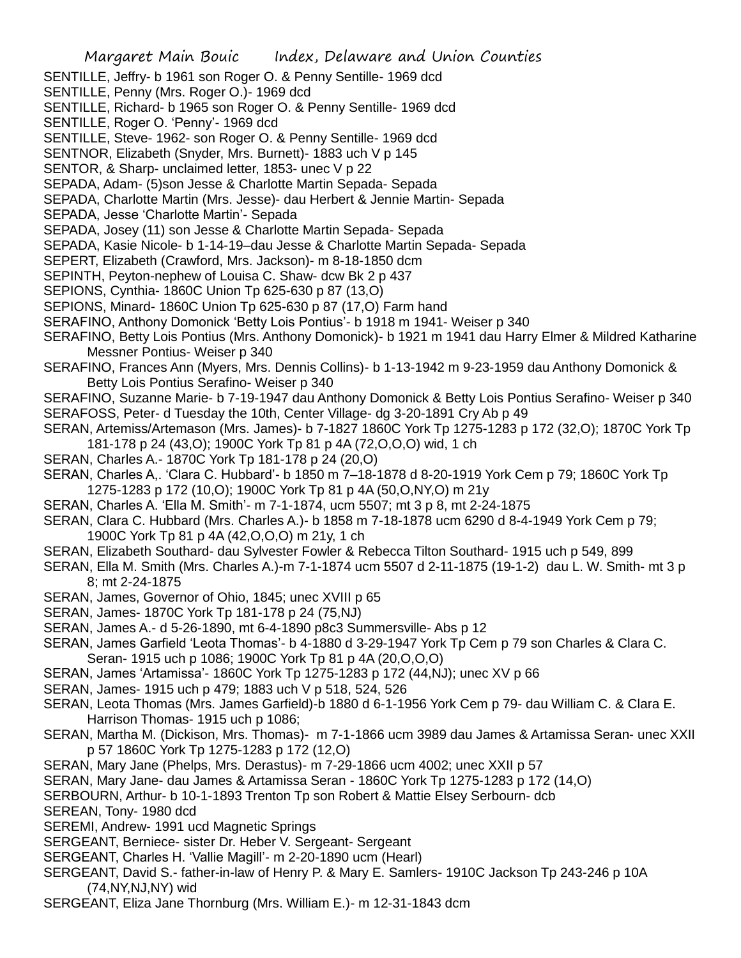- SENTILLE, Jeffry- b 1961 son Roger O. & Penny Sentille- 1969 dcd
- SENTILLE, Penny (Mrs. Roger O.)- 1969 dcd
- SENTILLE, Richard- b 1965 son Roger O. & Penny Sentille- 1969 dcd
- SENTILLE, Roger O. 'Penny'- 1969 dcd
- SENTILLE, Steve- 1962- son Roger O. & Penny Sentille- 1969 dcd
- SENTNOR, Elizabeth (Snyder, Mrs. Burnett)- 1883 uch V p 145
- SENTOR, & Sharp- unclaimed letter, 1853- unec V p 22
- SEPADA, Adam- (5)son Jesse & Charlotte Martin Sepada- Sepada
- SEPADA, Charlotte Martin (Mrs. Jesse)- dau Herbert & Jennie Martin- Sepada
- SEPADA, Jesse 'Charlotte Martin'- Sepada
- SEPADA, Josey (11) son Jesse & Charlotte Martin Sepada- Sepada
- SEPADA, Kasie Nicole- b 1-14-19–dau Jesse & Charlotte Martin Sepada- Sepada
- SEPERT, Elizabeth (Crawford, Mrs. Jackson)- m 8-18-1850 dcm
- SEPINTH, Peyton-nephew of Louisa C. Shaw- dcw Bk 2 p 437
- SEPIONS, Cynthia- 1860C Union Tp 625-630 p 87 (13,O)
- SEPIONS, Minard- 1860C Union Tp 625-630 p 87 (17,O) Farm hand
- SERAFINO, Anthony Domonick 'Betty Lois Pontius'- b 1918 m 1941- Weiser p 340
- SERAFINO, Betty Lois Pontius (Mrs. Anthony Domonick)- b 1921 m 1941 dau Harry Elmer & Mildred Katharine Messner Pontius- Weiser p 340
- SERAFINO, Frances Ann (Myers, Mrs. Dennis Collins)- b 1-13-1942 m 9-23-1959 dau Anthony Domonick & Betty Lois Pontius Serafino- Weiser p 340
- SERAFINO, Suzanne Marie- b 7-19-1947 dau Anthony Domonick & Betty Lois Pontius Serafino- Weiser p 340 SERAFOSS, Peter- d Tuesday the 10th, Center Village- dg 3-20-1891 Cry Ab p 49
- SERAN, Artemiss/Artemason (Mrs. James)- b 7-1827 1860C York Tp 1275-1283 p 172 (32,O); 1870C York Tp 181-178 p 24 (43,O); 1900C York Tp 81 p 4A (72,O,O,O) wid, 1 ch
- SERAN, Charles A.- 1870C York Tp 181-178 p 24 (20,O)
- SERAN, Charles A,. 'Clara C. Hubbard'- b 1850 m 7–18-1878 d 8-20-1919 York Cem p 79; 1860C York Tp 1275-1283 p 172 (10,O); 1900C York Tp 81 p 4A (50,O,NY,O) m 21y
- SERAN, Charles A. 'Ella M. Smith'- m 7-1-1874, ucm 5507; mt 3 p 8, mt 2-24-1875
- SERAN, Clara C. Hubbard (Mrs. Charles A.)- b 1858 m 7-18-1878 ucm 6290 d 8-4-1949 York Cem p 79; 1900C York Tp 81 p 4A (42,O,O,O) m 21y, 1 ch
- SERAN, Elizabeth Southard- dau Sylvester Fowler & Rebecca Tilton Southard- 1915 uch p 549, 899
- SERAN, Ella M. Smith (Mrs. Charles A.)-m 7-1-1874 ucm 5507 d 2-11-1875 (19-1-2) dau L. W. Smith- mt 3 p 8; mt 2-24-1875
- SERAN, James, Governor of Ohio, 1845; unec XVIII p 65
- SERAN, James- 1870C York Tp 181-178 p 24 (75,NJ)
- SERAN, James A.- d 5-26-1890, mt 6-4-1890 p8c3 Summersville- Abs p 12
- SERAN, James Garfield 'Leota Thomas'- b 4-1880 d 3-29-1947 York Tp Cem p 79 son Charles & Clara C. Seran- 1915 uch p 1086; 1900C York Tp 81 p 4A (20,O,O,O)
- SERAN, James 'Artamissa'- 1860C York Tp 1275-1283 p 172 (44,NJ); unec XV p 66
- SERAN, James- 1915 uch p 479; 1883 uch V p 518, 524, 526
- SERAN, Leota Thomas (Mrs. James Garfield)-b 1880 d 6-1-1956 York Cem p 79- dau William C. & Clara E. Harrison Thomas- 1915 uch p 1086;
- SERAN, Martha M. (Dickison, Mrs. Thomas)- m 7-1-1866 ucm 3989 dau James & Artamissa Seran- unec XXII p 57 1860C York Tp 1275-1283 p 172 (12,O)
- SERAN, Mary Jane (Phelps, Mrs. Derastus)- m 7-29-1866 ucm 4002; unec XXII p 57
- SERAN, Mary Jane- dau James & Artamissa Seran 1860C York Tp 1275-1283 p 172 (14,O)
- SERBOURN, Arthur- b 10-1-1893 Trenton Tp son Robert & Mattie Elsey Serbourn- dcb
- SEREAN, Tony- 1980 dcd
- SEREMI, Andrew- 1991 ucd Magnetic Springs
- SERGEANT, Berniece- sister Dr. Heber V. Sergeant- Sergeant
- SERGEANT, Charles H. 'Vallie Magill'- m 2-20-1890 ucm (Hearl)
- SERGEANT, David S.- father-in-law of Henry P. & Mary E. Samlers- 1910C Jackson Tp 243-246 p 10A (74,NY,NJ,NY) wid
- SERGEANT, Eliza Jane Thornburg (Mrs. William E.)- m 12-31-1843 dcm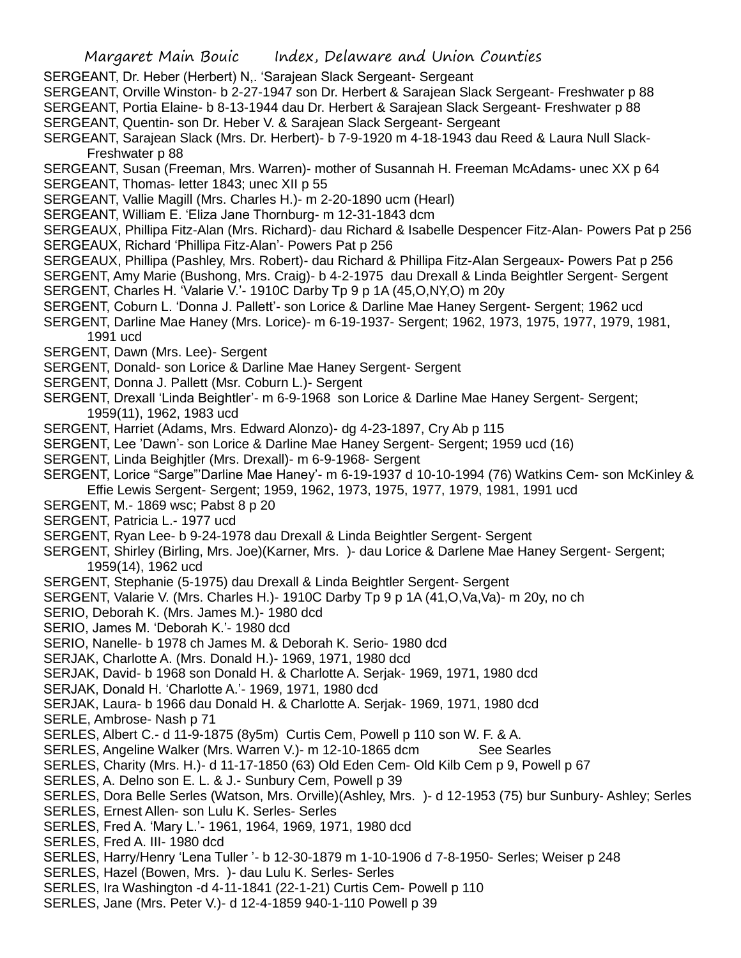- SERGEANT, Dr. Heber (Herbert) N,. 'Sarajean Slack Sergeant- Sergeant
- SERGEANT, Orville Winston- b 2-27-1947 son Dr. Herbert & Sarajean Slack Sergeant- Freshwater p 88
- SERGEANT, Portia Elaine- b 8-13-1944 dau Dr. Herbert & Sarajean Slack Sergeant- Freshwater p 88
- SERGEANT, Quentin- son Dr. Heber V. & Sarajean Slack Sergeant- Sergeant
- SERGEANT, Sarajean Slack (Mrs. Dr. Herbert)- b 7-9-1920 m 4-18-1943 dau Reed & Laura Null Slack-Freshwater p 88
- SERGEANT, Susan (Freeman, Mrs. Warren)- mother of Susannah H. Freeman McAdams- unec XX p 64 SERGEANT, Thomas- letter 1843; unec XII p 55
- SERGEANT, Vallie Magill (Mrs. Charles H.)- m 2-20-1890 ucm (Hearl)
- SERGEANT, William E. 'Eliza Jane Thornburg- m 12-31-1843 dcm
- SERGEAUX, Phillipa Fitz-Alan (Mrs. Richard)- dau Richard & Isabelle Despencer Fitz-Alan- Powers Pat p 256 SERGEAUX, Richard 'Phillipa Fitz-Alan'- Powers Pat p 256
- SERGEAUX, Phillipa (Pashley, Mrs. Robert)- dau Richard & Phillipa Fitz-Alan Sergeaux- Powers Pat p 256
- SERGENT, Amy Marie (Bushong, Mrs. Craig)- b 4-2-1975 dau Drexall & Linda Beightler Sergent- Sergent SERGENT, Charles H. 'Valarie V.'- 1910C Darby Tp 9 p 1A (45,O,NY,O) m 20y
- SERGENT, Coburn L. 'Donna J. Pallett'- son Lorice & Darline Mae Haney Sergent- Sergent; 1962 ucd
- SERGENT, Darline Mae Haney (Mrs. Lorice)- m 6-19-1937- Sergent; 1962, 1973, 1975, 1977, 1979, 1981, 1991 ucd
- SERGENT, Dawn (Mrs. Lee)- Sergent
- SERGENT, Donald- son Lorice & Darline Mae Haney Sergent- Sergent
- SERGENT, Donna J. Pallett (Msr. Coburn L.)- Sergent
- SERGENT, Drexall 'Linda Beightler'- m 6-9-1968 son Lorice & Darline Mae Haney Sergent- Sergent; 1959(11), 1962, 1983 ucd
- SERGENT, Harriet (Adams, Mrs. Edward Alonzo)- dg 4-23-1897, Cry Ab p 115
- SERGENT, Lee 'Dawn'- son Lorice & Darline Mae Haney Sergent- Sergent; 1959 ucd (16)
- SERGENT, Linda Beighjtler (Mrs. Drexall)- m 6-9-1968- Sergent
- SERGENT, Lorice "Sarge"'Darline Mae Haney'- m 6-19-1937 d 10-10-1994 (76) Watkins Cem- son McKinley &
- Effie Lewis Sergent- Sergent; 1959, 1962, 1973, 1975, 1977, 1979, 1981, 1991 ucd
- SERGENT, M.- 1869 wsc; Pabst 8 p 20
- SERGENT, Patricia L.- 1977 ucd
- SERGENT, Ryan Lee- b 9-24-1978 dau Drexall & Linda Beightler Sergent- Sergent
- SERGENT, Shirley (Birling, Mrs. Joe)(Karner, Mrs. )- dau Lorice & Darlene Mae Haney Sergent- Sergent; 1959(14), 1962 ucd
- SERGENT, Stephanie (5-1975) dau Drexall & Linda Beightler Sergent- Sergent
- SERGENT, Valarie V. (Mrs. Charles H.)- 1910C Darby Tp 9 p 1A (41,O,Va,Va)- m 20y, no ch
- SERIO, Deborah K. (Mrs. James M.)- 1980 dcd
- SERIO, James M. 'Deborah K.'- 1980 dcd
- SERIO, Nanelle- b 1978 ch James M. & Deborah K. Serio- 1980 dcd
- SERJAK, Charlotte A. (Mrs. Donald H.)- 1969, 1971, 1980 dcd
- SERJAK, David- b 1968 son Donald H. & Charlotte A. Serjak- 1969, 1971, 1980 dcd
- SERJAK, Donald H. 'Charlotte A.'- 1969, 1971, 1980 dcd
- SERJAK, Laura- b 1966 dau Donald H. & Charlotte A. Serjak- 1969, 1971, 1980 dcd
- SERLE, Ambrose- Nash p 71
- SERLES, Albert C.- d 11-9-1875 (8y5m) Curtis Cem, Powell p 110 son W. F. & A.
- SERLES, Angeline Walker (Mrs. Warren V.)- m 12-10-1865 dcm See Searles
- SERLES, Charity (Mrs. H.)- d 11-17-1850 (63) Old Eden Cem- Old Kilb Cem p 9, Powell p 67
- SERLES, A. Delno son E. L. & J.- Sunbury Cem, Powell p 39
- SERLES, Dora Belle Serles (Watson, Mrs. Orville)(Ashley, Mrs. )- d 12-1953 (75) bur Sunbury- Ashley; Serles
- SERLES, Ernest Allen- son Lulu K. Serles- Serles
- SERLES, Fred A. 'Mary L.'- 1961, 1964, 1969, 1971, 1980 dcd
- SERLES, Fred A. III- 1980 dcd
- SERLES, Harry/Henry 'Lena Tuller '- b 12-30-1879 m 1-10-1906 d 7-8-1950- Serles; Weiser p 248
- SERLES, Hazel (Bowen, Mrs. )- dau Lulu K. Serles- Serles
- SERLES, Ira Washington -d 4-11-1841 (22-1-21) Curtis Cem- Powell p 110
- SERLES, Jane (Mrs. Peter V.)- d 12-4-1859 940-1-110 Powell p 39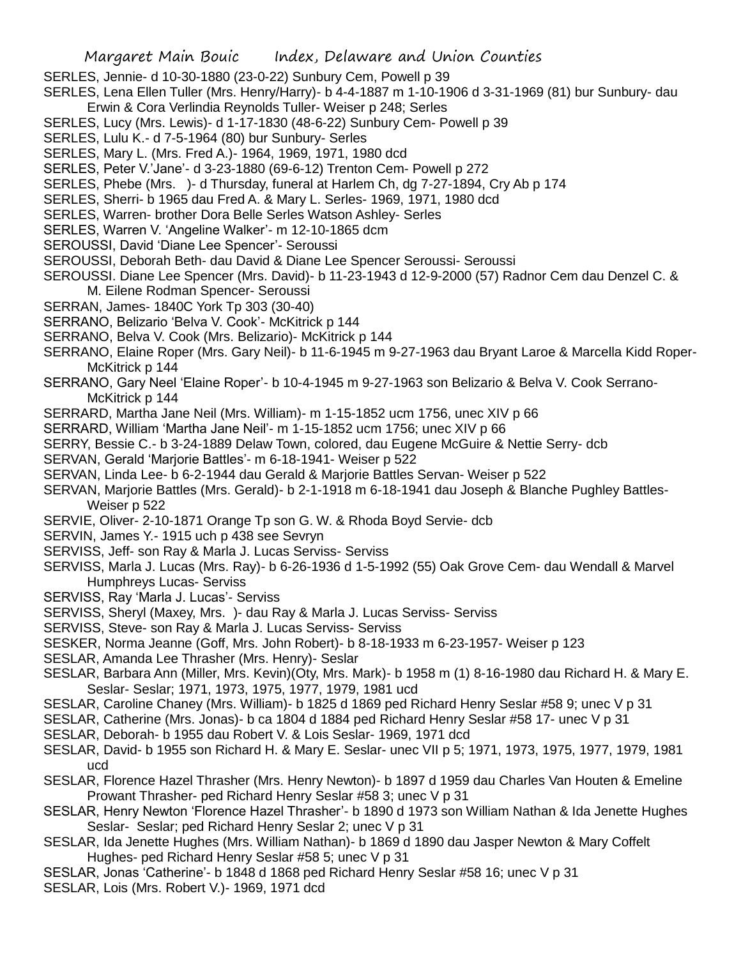- SERLES, Jennie- d 10-30-1880 (23-0-22) Sunbury Cem, Powell p 39
- SERLES, Lena Ellen Tuller (Mrs. Henry/Harry)- b 4-4-1887 m 1-10-1906 d 3-31-1969 (81) bur Sunbury- dau Erwin & Cora Verlindia Reynolds Tuller- Weiser p 248; Serles
- SERLES, Lucy (Mrs. Lewis)- d 1-17-1830 (48-6-22) Sunbury Cem- Powell p 39
- SERLES, Lulu K.- d 7-5-1964 (80) bur Sunbury- Serles
- SERLES, Mary L. (Mrs. Fred A.)- 1964, 1969, 1971, 1980 dcd
- SERLES, Peter V.'Jane'- d 3-23-1880 (69-6-12) Trenton Cem- Powell p 272
- SERLES, Phebe (Mrs. )- d Thursday, funeral at Harlem Ch, dg 7-27-1894, Cry Ab p 174
- SERLES, Sherri- b 1965 dau Fred A. & Mary L. Serles- 1969, 1971, 1980 dcd
- SERLES, Warren- brother Dora Belle Serles Watson Ashley- Serles
- SERLES, Warren V. 'Angeline Walker'- m 12-10-1865 dcm
- SEROUSSI, David 'Diane Lee Spencer'- Seroussi
- SEROUSSI, Deborah Beth- dau David & Diane Lee Spencer Seroussi- Seroussi
- SEROUSSI. Diane Lee Spencer (Mrs. David)- b 11-23-1943 d 12-9-2000 (57) Radnor Cem dau Denzel C. &
- M. Eilene Rodman Spencer- Seroussi
- SERRAN, James- 1840C York Tp 303 (30-40)
- SERRANO, Belizario 'Belva V. Cook'- McKitrick p 144
- SERRANO, Belva V. Cook (Mrs. Belizario)- McKitrick p 144
- SERRANO, Elaine Roper (Mrs. Gary Neil)- b 11-6-1945 m 9-27-1963 dau Bryant Laroe & Marcella Kidd Roper-McKitrick p 144
- SERRANO, Gary Neel 'Elaine Roper'- b 10-4-1945 m 9-27-1963 son Belizario & Belva V. Cook Serrano-McKitrick p 144
- SERRARD, Martha Jane Neil (Mrs. William)- m 1-15-1852 ucm 1756, unec XIV p 66
- SERRARD, William 'Martha Jane Neil'- m 1-15-1852 ucm 1756; unec XIV p 66
- SERRY, Bessie C.- b 3-24-1889 Delaw Town, colored, dau Eugene McGuire & Nettie Serry- dcb
- SERVAN, Gerald 'Marjorie Battles'- m 6-18-1941- Weiser p 522
- SERVAN, Linda Lee- b 6-2-1944 dau Gerald & Marjorie Battles Servan- Weiser p 522
- SERVAN, Marjorie Battles (Mrs. Gerald)- b 2-1-1918 m 6-18-1941 dau Joseph & Blanche Pughley Battles-Weiser p 522
- SERVIE, Oliver- 2-10-1871 Orange Tp son G. W. & Rhoda Boyd Servie- dcb
- SERVIN, James Y.- 1915 uch p 438 see Sevryn
- SERVISS, Jeff- son Ray & Marla J. Lucas Serviss- Serviss
- SERVISS, Marla J. Lucas (Mrs. Ray)- b 6-26-1936 d 1-5-1992 (55) Oak Grove Cem- dau Wendall & Marvel Humphreys Lucas- Serviss
- SERVISS, Ray 'Marla J. Lucas'- Serviss
- SERVISS, Sheryl (Maxey, Mrs. )- dau Ray & Marla J. Lucas Serviss- Serviss
- SERVISS, Steve- son Ray & Marla J. Lucas Serviss- Serviss
- SESKER, Norma Jeanne (Goff, Mrs. John Robert)- b 8-18-1933 m 6-23-1957- Weiser p 123
- SESLAR, Amanda Lee Thrasher (Mrs. Henry)- Seslar
- SESLAR, Barbara Ann (Miller, Mrs. Kevin)(Oty, Mrs. Mark)- b 1958 m (1) 8-16-1980 dau Richard H. & Mary E. Seslar- Seslar; 1971, 1973, 1975, 1977, 1979, 1981 ucd
- SESLAR, Caroline Chaney (Mrs. William)- b 1825 d 1869 ped Richard Henry Seslar #58 9; unec V p 31
- SESLAR, Catherine (Mrs. Jonas)- b ca 1804 d 1884 ped Richard Henry Seslar #58 17- unec V p 31
- SESLAR, Deborah- b 1955 dau Robert V. & Lois Seslar- 1969, 1971 dcd
- SESLAR, David- b 1955 son Richard H. & Mary E. Seslar- unec VII p 5; 1971, 1973, 1975, 1977, 1979, 1981 ucd
- SESLAR, Florence Hazel Thrasher (Mrs. Henry Newton)- b 1897 d 1959 dau Charles Van Houten & Emeline Prowant Thrasher- ped Richard Henry Seslar #58 3; unec V p 31
- SESLAR, Henry Newton 'Florence Hazel Thrasher'- b 1890 d 1973 son William Nathan & Ida Jenette Hughes Seslar- Seslar; ped Richard Henry Seslar 2; unec V p 31
- SESLAR, Ida Jenette Hughes (Mrs. William Nathan)- b 1869 d 1890 dau Jasper Newton & Mary Coffelt Hughes- ped Richard Henry Seslar #58 5; unec V p 31
- SESLAR, Jonas 'Catherine'- b 1848 d 1868 ped Richard Henry Seslar #58 16; unec V p 31
- SESLAR, Lois (Mrs. Robert V.)- 1969, 1971 dcd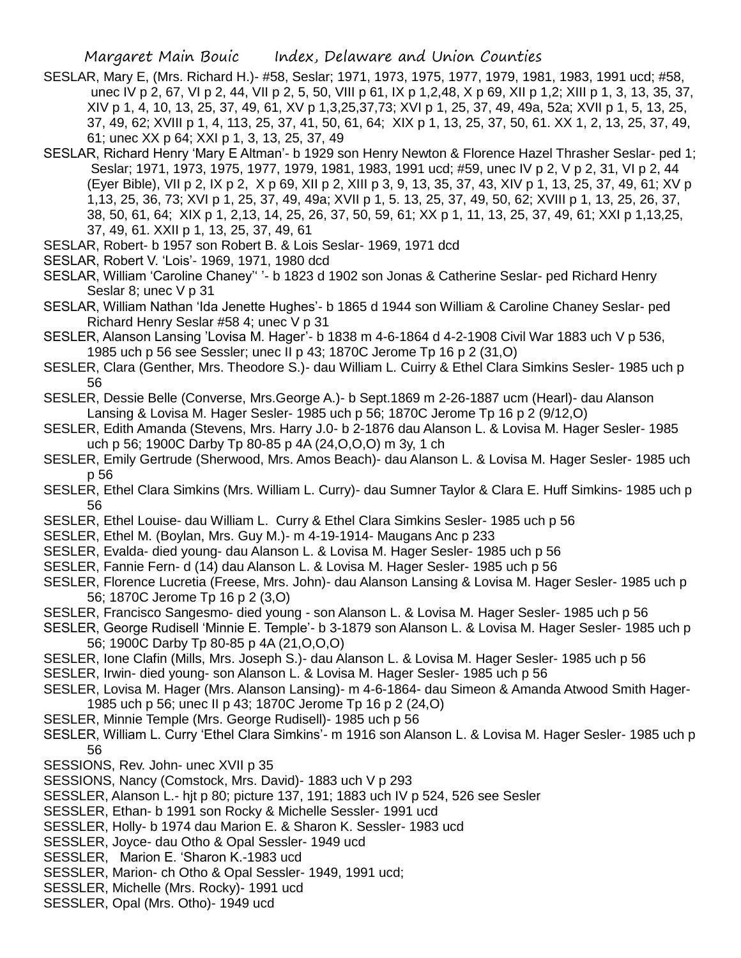- SESLAR, Mary E, (Mrs. Richard H.)- #58, Seslar; 1971, 1973, 1975, 1977, 1979, 1981, 1983, 1991 ucd; #58, unec IV p 2, 67, VI p 2, 44, VII p 2, 5, 50, VIII p 61, IX p 1,2,48, X p 69, XII p 1,2; XIII p 1, 3, 13, 35, 37, XIV p 1, 4, 10, 13, 25, 37, 49, 61, XV p 1,3,25,37,73; XVI p 1, 25, 37, 49, 49a, 52a; XVII p 1, 5, 13, 25, 37, 49, 62; XVIII p 1, 4, 113, 25, 37, 41, 50, 61, 64; XIX p 1, 13, 25, 37, 50, 61. XX 1, 2, 13, 25, 37, 49, 61; unec XX p 64; XXI p 1, 3, 13, 25, 37, 49
- SESLAR, Richard Henry 'Mary E Altman'- b 1929 son Henry Newton & Florence Hazel Thrasher Seslar- ped 1; Seslar; 1971, 1973, 1975, 1977, 1979, 1981, 1983, 1991 ucd; #59, unec IV p 2, V p 2, 31, VI p 2, 44 (Eyer Bible), VII p 2, IX p 2, X p 69, XII p 2, XIII p 3, 9, 13, 35, 37, 43, XIV p 1, 13, 25, 37, 49, 61; XV p 1,13, 25, 36, 73; XVI p 1, 25, 37, 49, 49a; XVII p 1, 5. 13, 25, 37, 49, 50, 62; XVIII p 1, 13, 25, 26, 37, 38, 50, 61, 64; XIX p 1, 2,13, 14, 25, 26, 37, 50, 59, 61; XX p 1, 11, 13, 25, 37, 49, 61; XXI p 1,13,25, 37, 49, 61. XXII p 1, 13, 25, 37, 49, 61
- SESLAR, Robert- b 1957 son Robert B. & Lois Seslar- 1969, 1971 dcd
- SESLAR, Robert V. 'Lois'- 1969, 1971, 1980 dcd
- SESLAR, William 'Caroline Chaney'' '- b 1823 d 1902 son Jonas & Catherine Seslar- ped Richard Henry Seslar 8; unec V p 31
- SESLAR, William Nathan 'Ida Jenette Hughes'- b 1865 d 1944 son William & Caroline Chaney Seslar- ped Richard Henry Seslar #58 4; unec V p 31
- SESLER, Alanson Lansing 'Lovisa M. Hager'- b 1838 m 4-6-1864 d 4-2-1908 Civil War 1883 uch V p 536, 1985 uch p 56 see Sessler; unec II p 43; 1870C Jerome Tp 16 p 2 (31,O)
- SESLER, Clara (Genther, Mrs. Theodore S.)- dau William L. Cuirry & Ethel Clara Simkins Sesler- 1985 uch p 56
- SESLER, Dessie Belle (Converse, Mrs.George A.)- b Sept.1869 m 2-26-1887 ucm (Hearl)- dau Alanson Lansing & Lovisa M. Hager Sesler- 1985 uch p 56; 1870C Jerome Tp 16 p 2 (9/12,O)
- SESLER, Edith Amanda (Stevens, Mrs. Harry J.0- b 2-1876 dau Alanson L. & Lovisa M. Hager Sesler- 1985 uch p 56; 1900C Darby Tp 80-85 p 4A (24,O,O,O) m 3y, 1 ch
- SESLER, Emily Gertrude (Sherwood, Mrs. Amos Beach)- dau Alanson L. & Lovisa M. Hager Sesler- 1985 uch p 56
- SESLER, Ethel Clara Simkins (Mrs. William L. Curry)- dau Sumner Taylor & Clara E. Huff Simkins- 1985 uch p 56
- SESLER, Ethel Louise- dau William L. Curry & Ethel Clara Simkins Sesler- 1985 uch p 56
- SESLER, Ethel M. (Boylan, Mrs. Guy M.)- m 4-19-1914- Maugans Anc p 233
- SESLER, Evalda- died young- dau Alanson L. & Lovisa M. Hager Sesler- 1985 uch p 56
- SESLER, Fannie Fern- d (14) dau Alanson L. & Lovisa M. Hager Sesler- 1985 uch p 56
- SESLER, Florence Lucretia (Freese, Mrs. John)- dau Alanson Lansing & Lovisa M. Hager Sesler- 1985 uch p 56; 1870C Jerome Tp 16 p 2 (3,O)
- SESLER, Francisco Sangesmo- died young son Alanson L. & Lovisa M. Hager Sesler- 1985 uch p 56
- SESLER, George Rudisell 'Minnie E. Temple'- b 3-1879 son Alanson L. & Lovisa M. Hager Sesler- 1985 uch p 56; 1900C Darby Tp 80-85 p 4A (21,O,O,O)
- SESLER, Ione Clafin (Mills, Mrs. Joseph S.)- dau Alanson L. & Lovisa M. Hager Sesler- 1985 uch p 56
- SESLER, Irwin- died young- son Alanson L. & Lovisa M. Hager Sesler- 1985 uch p 56
- SESLER, Lovisa M. Hager (Mrs. Alanson Lansing)- m 4-6-1864- dau Simeon & Amanda Atwood Smith Hager-1985 uch p 56; unec II p 43; 1870C Jerome Tp 16 p 2 (24,O)
- SESLER, Minnie Temple (Mrs. George Rudisell)- 1985 uch p 56
- SESLER, William L. Curry 'Ethel Clara Simkins'- m 1916 son Alanson L. & Lovisa M. Hager Sesler- 1985 uch p 56
- SESSIONS, Rev. John- unec XVII p 35
- SESSIONS, Nancy (Comstock, Mrs. David)- 1883 uch V p 293
- SESSLER, Alanson L.- hjt p 80; picture 137, 191; 1883 uch IV p 524, 526 see Sesler
- SESSLER, Ethan- b 1991 son Rocky & Michelle Sessler- 1991 ucd
- SESSLER, Holly- b 1974 dau Marion E. & Sharon K. Sessler- 1983 ucd
- SESSLER, Joyce- dau Otho & Opal Sessler- 1949 ucd
- SESSLER, Marion E. 'Sharon K.-1983 ucd
- SESSLER, Marion- ch Otho & Opal Sessler- 1949, 1991 ucd;
- SESSLER, Michelle (Mrs. Rocky)- 1991 ucd
- SESSLER, Opal (Mrs. Otho)- 1949 ucd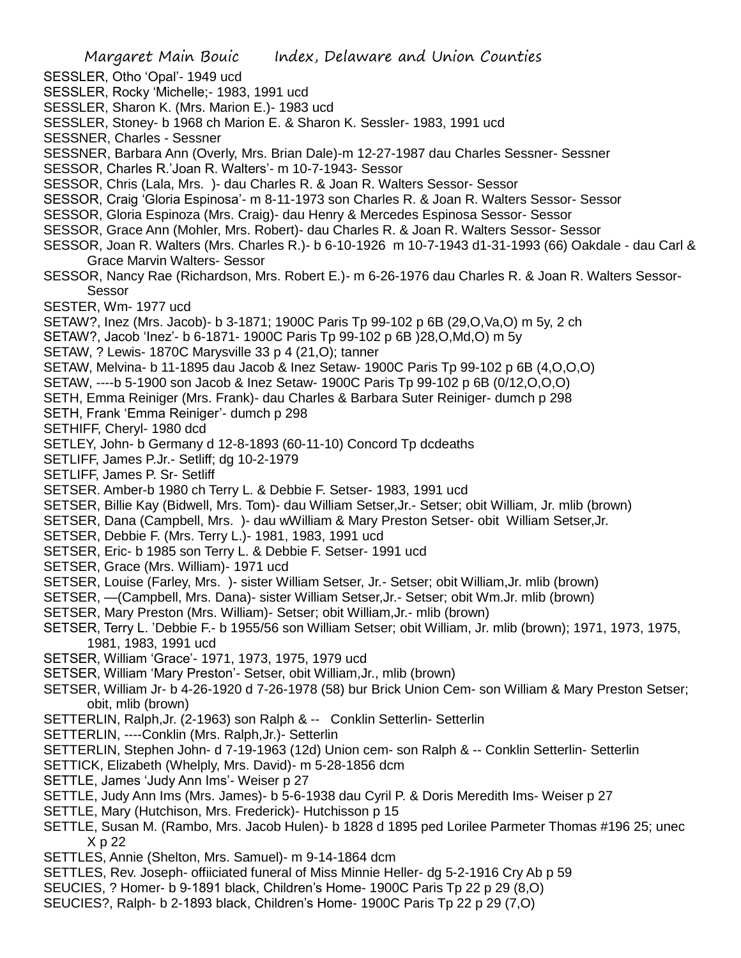- SESSLER, Otho 'Opal'- 1949 ucd
- SESSLER, Rocky 'Michelle;- 1983, 1991 ucd
- SESSLER, Sharon K. (Mrs. Marion E.)- 1983 ucd
- SESSLER, Stoney- b 1968 ch Marion E. & Sharon K. Sessler- 1983, 1991 ucd
- SESSNER, Charles Sessner
- SESSNER, Barbara Ann (Overly, Mrs. Brian Dale)-m 12-27-1987 dau Charles Sessner- Sessner
- SESSOR, Charles R.'Joan R. Walters'- m 10-7-1943- Sessor
- SESSOR, Chris (Lala, Mrs. )- dau Charles R. & Joan R. Walters Sessor- Sessor
- SESSOR, Craig 'Gloria Espinosa'- m 8-11-1973 son Charles R. & Joan R. Walters Sessor- Sessor
- SESSOR, Gloria Espinoza (Mrs. Craig)- dau Henry & Mercedes Espinosa Sessor- Sessor
- SESSOR, Grace Ann (Mohler, Mrs. Robert)- dau Charles R. & Joan R. Walters Sessor- Sessor
- SESSOR, Joan R. Walters (Mrs. Charles R.)- b 6-10-1926 m 10-7-1943 d1-31-1993 (66) Oakdale dau Carl & Grace Marvin Walters- Sessor
- SESSOR, Nancy Rae (Richardson, Mrs. Robert E.)- m 6-26-1976 dau Charles R. & Joan R. Walters Sessor-Sessor
- SESTER, Wm- 1977 ucd
- SETAW?, Inez (Mrs. Jacob)- b 3-1871; 1900C Paris Tp 99-102 p 6B (29,O,Va,O) m 5y, 2 ch
- SETAW?, Jacob 'Inez'- b 6-1871- 1900C Paris Tp 99-102 p 6B )28,O,Md,O) m 5y
- SETAW, ? Lewis- 1870C Marysville 33 p 4 (21,O); tanner
- SETAW, Melvina- b 11-1895 dau Jacob & Inez Setaw- 1900C Paris Tp 99-102 p 6B (4,O,O,O)
- SETAW, ----b 5-1900 son Jacob & Inez Setaw- 1900C Paris Tp 99-102 p 6B (0/12,O,O,O)
- SETH, Emma Reiniger (Mrs. Frank)- dau Charles & Barbara Suter Reiniger- dumch p 298
- SETH, Frank 'Emma Reiniger'- dumch p 298
- SETHIFF, Cheryl- 1980 dcd
- SETLEY, John- b Germany d 12-8-1893 (60-11-10) Concord Tp dcdeaths
- SETLIFF, James P.Jr.- Setliff; dg 10-2-1979
- SETLIFF, James P. Sr- Setliff
- SETSER. Amber-b 1980 ch Terry L. & Debbie F. Setser- 1983, 1991 ucd
- SETSER, Billie Kay (Bidwell, Mrs. Tom)- dau William Setser,Jr.- Setser; obit William, Jr. mlib (brown)
- SETSER, Dana (Campbell, Mrs. )- dau wWilliam & Mary Preston Setser- obit William Setser,Jr.
- SETSER, Debbie F. (Mrs. Terry L.)- 1981, 1983, 1991 ucd
- SETSER, Eric- b 1985 son Terry L. & Debbie F. Setser- 1991 ucd
- SETSER, Grace (Mrs. William)- 1971 ucd
- SETSER, Louise (Farley, Mrs. )- sister William Setser, Jr.- Setser; obit William,Jr. mlib (brown)
- SETSER, —(Campbell, Mrs. Dana)- sister William Setser,Jr.- Setser; obit Wm.Jr. mlib (brown)
- SETSER, Mary Preston (Mrs. William)- Setser; obit William,Jr.- mlib (brown)
- SETSER, Terry L. 'Debbie F.- b 1955/56 son William Setser; obit William, Jr. mlib (brown); 1971, 1973, 1975, 1981, 1983, 1991 ucd
- SETSER, William 'Grace'- 1971, 1973, 1975, 1979 ucd
- SETSER, William 'Mary Preston'- Setser, obit William,Jr., mlib (brown)
- SETSER, William Jr- b 4-26-1920 d 7-26-1978 (58) bur Brick Union Cem- son William & Mary Preston Setser; obit, mlib (brown)
- SETTERLIN, Ralph,Jr. (2-1963) son Ralph & -- Conklin Setterlin- Setterlin
- SETTERLIN, ----Conklin (Mrs. Ralph,Jr.)- Setterlin
- SETTERLIN, Stephen John- d 7-19-1963 (12d) Union cem- son Ralph & -- Conklin Setterlin- Setterlin
- SETTICK, Elizabeth (Whelply, Mrs. David)- m 5-28-1856 dcm
- SETTLE, James 'Judy Ann Ims'- Weiser p 27
- SETTLE, Judy Ann Ims (Mrs. James)- b 5-6-1938 dau Cyril P. & Doris Meredith Ims- Weiser p 27
- SETTLE, Mary (Hutchison, Mrs. Frederick)- Hutchisson p 15
- SETTLE, Susan M. (Rambo, Mrs. Jacob Hulen)- b 1828 d 1895 ped Lorilee Parmeter Thomas #196 25; unec X p 22
- SETTLES, Annie (Shelton, Mrs. Samuel)- m 9-14-1864 dcm
- SETTLES, Rev. Joseph- offiiciated funeral of Miss Minnie Heller- dg 5-2-1916 Cry Ab p 59
- SEUCIES, ? Homer- b 9-1891 black, Children's Home- 1900C Paris Tp 22 p 29 (8,O)
- SEUCIES?, Ralph- b 2-1893 black, Children's Home- 1900C Paris Tp 22 p 29 (7,0)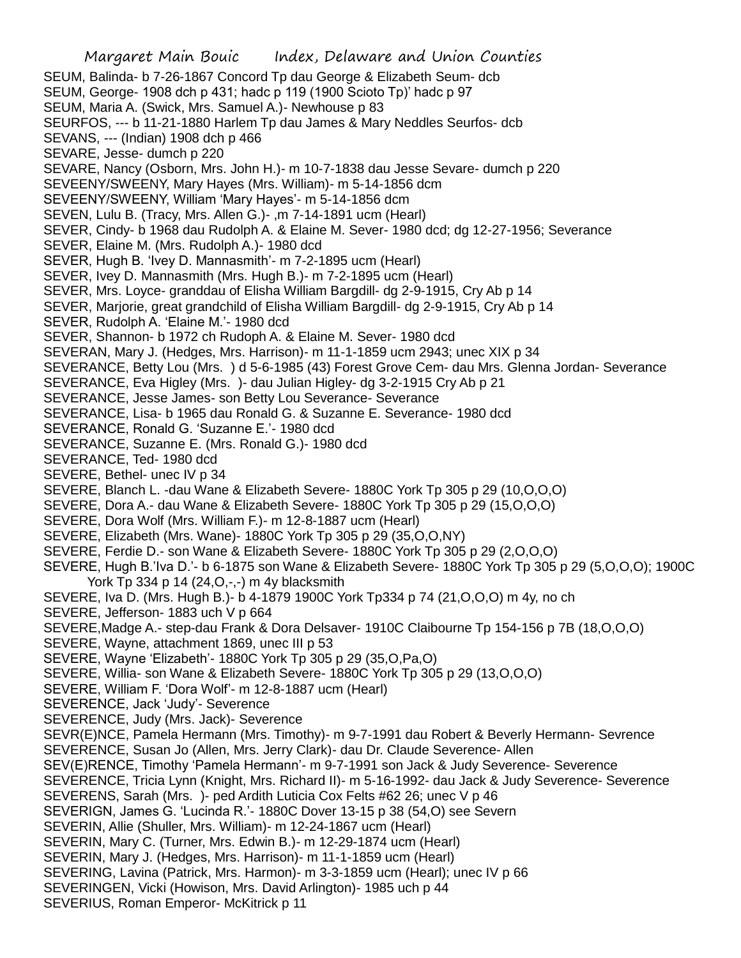Margaret Main Bouic Index, Delaware and Union Counties SEUM, Balinda- b 7-26-1867 Concord Tp dau George & Elizabeth Seum- dcb SEUM, George- 1908 dch p 431; hadc p 119 (1900 Scioto Tp)' hadc p 97 SEUM, Maria A. (Swick, Mrs. Samuel A.)- Newhouse p 83 SEURFOS, --- b 11-21-1880 Harlem Tp dau James & Mary Neddles Seurfos- dcb SEVANS, --- (Indian) 1908 dch p 466 SEVARE, Jesse- dumch p 220 SEVARE, Nancy (Osborn, Mrs. John H.)- m 10-7-1838 dau Jesse Sevare- dumch p 220 SEVEENY/SWEENY, Mary Hayes (Mrs. William)- m 5-14-1856 dcm SEVEENY/SWEENY, William 'Mary Hayes'- m 5-14-1856 dcm SEVEN, Lulu B. (Tracy, Mrs. Allen G.)- ,m 7-14-1891 ucm (Hearl) SEVER, Cindy- b 1968 dau Rudolph A. & Elaine M. Sever- 1980 dcd; dg 12-27-1956; Severance SEVER, Elaine M. (Mrs. Rudolph A.)- 1980 dcd SEVER, Hugh B. 'Ivey D. Mannasmith'- m 7-2-1895 ucm (Hearl) SEVER, Ivey D. Mannasmith (Mrs. Hugh B.)- m 7-2-1895 ucm (Hearl) SEVER, Mrs. Loyce- granddau of Elisha William Bargdill- dg 2-9-1915, Cry Ab p 14 SEVER, Marjorie, great grandchild of Elisha William Bargdill- dg 2-9-1915, Cry Ab p 14 SEVER, Rudolph A. 'Elaine M.'- 1980 dcd SEVER, Shannon- b 1972 ch Rudoph A. & Elaine M. Sever- 1980 dcd SEVERAN, Mary J. (Hedges, Mrs. Harrison)- m 11-1-1859 ucm 2943; unec XIX p 34 SEVERANCE, Betty Lou (Mrs. ) d 5-6-1985 (43) Forest Grove Cem- dau Mrs. Glenna Jordan- Severance SEVERANCE, Eva Higley (Mrs. )- dau Julian Higley- dg 3-2-1915 Cry Ab p 21 SEVERANCE, Jesse James- son Betty Lou Severance- Severance SEVERANCE, Lisa- b 1965 dau Ronald G. & Suzanne E. Severance- 1980 dcd SEVERANCE, Ronald G. 'Suzanne E.'- 1980 dcd SEVERANCE, Suzanne E. (Mrs. Ronald G.)- 1980 dcd SEVERANCE, Ted- 1980 dcd SEVERE, Bethel- unec IV p 34 SEVERE, Blanch L. -dau Wane & Elizabeth Severe- 1880C York Tp 305 p 29 (10,O,O,O) SEVERE, Dora A.- dau Wane & Elizabeth Severe- 1880C York Tp 305 p 29 (15,O,O,O) SEVERE, Dora Wolf (Mrs. William F.)- m 12-8-1887 ucm (Hearl) SEVERE, Elizabeth (Mrs. Wane)- 1880C York Tp 305 p 29 (35,O,O,NY) SEVERE, Ferdie D.- son Wane & Elizabeth Severe- 1880C York Tp 305 p 29 (2,O,O,O) SEVERE, Hugh B.'Iva D.'- b 6-1875 son Wane & Elizabeth Severe- 1880C York Tp 305 p 29 (5,O,O,O); 1900C York Tp 334 p 14 (24, O, -, -) m 4y blacksmith SEVERE, Iva D. (Mrs. Hugh B.)- b 4-1879 1900C York Tp334 p 74 (21,O,O,O) m 4y, no ch SEVERE, Jefferson- 1883 uch V p 664 SEVERE,Madge A.- step-dau Frank & Dora Delsaver- 1910C Claibourne Tp 154-156 p 7B (18,O,O,O) SEVERE, Wayne, attachment 1869, unec III p 53 SEVERE, Wayne 'Elizabeth'- 1880C York Tp 305 p 29 (35,O,Pa,O) SEVERE, Willia- son Wane & Elizabeth Severe- 1880C York Tp 305 p 29 (13,O,O,O) SEVERE, William F. 'Dora Wolf'- m 12-8-1887 ucm (Hearl) SEVERENCE, Jack 'Judy'- Severence SEVERENCE, Judy (Mrs. Jack)- Severence SEVR(E)NCE, Pamela Hermann (Mrs. Timothy)- m 9-7-1991 dau Robert & Beverly Hermann- Sevrence SEVERENCE, Susan Jo (Allen, Mrs. Jerry Clark)- dau Dr. Claude Severence- Allen SEV(E)RENCE, Timothy 'Pamela Hermann'- m 9-7-1991 son Jack & Judy Severence- Severence SEVERENCE, Tricia Lynn (Knight, Mrs. Richard II)- m 5-16-1992- dau Jack & Judy Severence- Severence SEVERENS, Sarah (Mrs. )- ped Ardith Luticia Cox Felts #62 26; unec V p 46 SEVERIGN, James G. 'Lucinda R.'- 1880C Dover 13-15 p 38 (54,O) see Severn SEVERIN, Allie (Shuller, Mrs. William)- m 12-24-1867 ucm (Hearl) SEVERIN, Mary C. (Turner, Mrs. Edwin B.)- m 12-29-1874 ucm (Hearl) SEVERIN, Mary J. (Hedges, Mrs. Harrison)- m 11-1-1859 ucm (Hearl) SEVERING, Lavina (Patrick, Mrs. Harmon)- m 3-3-1859 ucm (Hearl); unec IV p 66 SEVERINGEN, Vicki (Howison, Mrs. David Arlington)- 1985 uch p 44 SEVERIUS, Roman Emperor- McKitrick p 11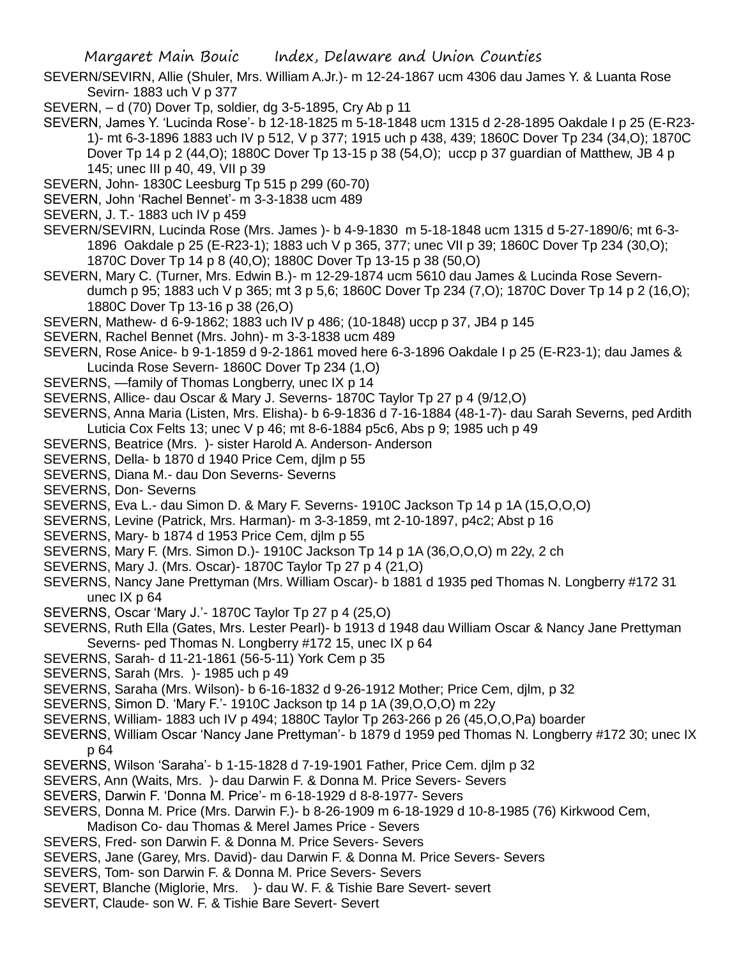SEVERN/SEVIRN, Allie (Shuler, Mrs. William A.Jr.)- m 12-24-1867 ucm 4306 dau James Y. & Luanta Rose Sevirn- 1883 uch V p 377

- SEVERN, d (70) Dover Tp, soldier, dg 3-5-1895, Cry Ab p 11
- SEVERN, James Y. 'Lucinda Rose'- b 12-18-1825 m 5-18-1848 ucm 1315 d 2-28-1895 Oakdale I p 25 (E-R23- 1)- mt 6-3-1896 1883 uch IV p 512, V p 377; 1915 uch p 438, 439; 1860C Dover Tp 234 (34,O); 1870C Dover Tp 14 p 2 (44, O); 1880C Dover Tp 13-15 p 38 (54, O); uccp p 37 guardian of Matthew, JB 4 p 145; unec III p 40, 49, VII p 39
- SEVERN, John- 1830C Leesburg Tp 515 p 299 (60-70)
- SEVERN, John 'Rachel Bennet'- m 3-3-1838 ucm 489
- SEVERN, J. T.- 1883 uch IV p 459
- SEVERN/SEVIRN, Lucinda Rose (Mrs. James )- b 4-9-1830 m 5-18-1848 ucm 1315 d 5-27-1890/6; mt 6-3- 1896 Oakdale p 25 (E-R23-1); 1883 uch V p 365, 377; unec VII p 39; 1860C Dover Tp 234 (30,O); 1870C Dover Tp 14 p 8 (40,O); 1880C Dover Tp 13-15 p 38 (50,O)
- SEVERN, Mary C. (Turner, Mrs. Edwin B.)- m 12-29-1874 ucm 5610 dau James & Lucinda Rose Severndumch p 95; 1883 uch V p 365; mt 3 p 5,6; 1860C Dover Tp 234 (7,O); 1870C Dover Tp 14 p 2 (16,O); 1880C Dover Tp 13-16 p 38 (26,O)
- SEVERN, Mathew- d 6-9-1862; 1883 uch IV p 486; (10-1848) uccp p 37, JB4 p 145
- SEVERN, Rachel Bennet (Mrs. John)- m 3-3-1838 ucm 489
- SEVERN, Rose Anice- b 9-1-1859 d 9-2-1861 moved here 6-3-1896 Oakdale I p 25 (E-R23-1); dau James & Lucinda Rose Severn- 1860C Dover Tp 234 (1,O)
- SEVERNS, —family of Thomas Longberry, unec IX p 14
- SEVERNS, Allice- dau Oscar & Mary J. Severns- 1870C Taylor Tp 27 p 4 (9/12,O)
- SEVERNS, Anna Maria (Listen, Mrs. Elisha)- b 6-9-1836 d 7-16-1884 (48-1-7)- dau Sarah Severns, ped Ardith Luticia Cox Felts 13; unec V p 46; mt 8-6-1884 p5c6, Abs p 9; 1985 uch p 49
- SEVERNS, Beatrice (Mrs. )- sister Harold A. Anderson- Anderson
- SEVERNS, Della- b 1870 d 1940 Price Cem, djlm p 55
- SEVERNS, Diana M.- dau Don Severns- Severns
- SEVERNS, Don- Severns
- SEVERNS, Eva L.- dau Simon D. & Mary F. Severns- 1910C Jackson Tp 14 p 1A (15,O,O,O)
- SEVERNS, Levine (Patrick, Mrs. Harman)- m 3-3-1859, mt 2-10-1897, p4c2; Abst p 16
- SEVERNS, Mary- b 1874 d 1953 Price Cem, djlm p 55
- SEVERNS, Mary F. (Mrs. Simon D.)- 1910C Jackson Tp 14 p 1A (36,O,O,O) m 22y, 2 ch
- SEVERNS, Mary J. (Mrs. Oscar)- 1870C Taylor Tp 27 p 4 (21,O)
- SEVERNS, Nancy Jane Prettyman (Mrs. William Oscar)- b 1881 d 1935 ped Thomas N. Longberry #172 31 unec IX p 64
- SEVERNS, Oscar 'Mary J.'- 1870C Taylor Tp 27 p 4 (25,O)
- SEVERNS, Ruth Ella (Gates, Mrs. Lester Pearl)- b 1913 d 1948 dau William Oscar & Nancy Jane Prettyman Severns- ped Thomas N. Longberry #172 15, unec IX p 64
- SEVERNS, Sarah- d 11-21-1861 (56-5-11) York Cem p 35
- SEVERNS, Sarah (Mrs. )- 1985 uch p 49
- SEVERNS, Saraha (Mrs. Wilson)- b 6-16-1832 d 9-26-1912 Mother; Price Cem, djlm, p 32
- SEVERNS, Simon D. 'Mary F.'- 1910C Jackson tp 14 p 1A (39,O,O,O) m 22y
- SEVERNS, William- 1883 uch IV p 494; 1880C Taylor Tp 263-266 p 26 (45,O,O,Pa) boarder
- SEVERNS, William Oscar 'Nancy Jane Prettyman'- b 1879 d 1959 ped Thomas N. Longberry #172 30; unec IX p 64
- SEVERNS, Wilson 'Saraha'- b 1-15-1828 d 7-19-1901 Father, Price Cem. djlm p 32
- SEVERS, Ann (Waits, Mrs. )- dau Darwin F. & Donna M. Price Severs- Severs
- SEVERS, Darwin F. 'Donna M. Price'- m 6-18-1929 d 8-8-1977- Severs
- SEVERS, Donna M. Price (Mrs. Darwin F.)- b 8-26-1909 m 6-18-1929 d 10-8-1985 (76) Kirkwood Cem,
- Madison Co- dau Thomas & Merel James Price Severs
- SEVERS, Fred- son Darwin F. & Donna M. Price Severs- Severs
- SEVERS, Jane (Garey, Mrs. David)- dau Darwin F. & Donna M. Price Severs- Severs
- SEVERS, Tom- son Darwin F. & Donna M. Price Severs- Severs
- SEVERT, Blanche (Miglorie, Mrs. )- dau W. F. & Tishie Bare Severt- severt
- SEVERT, Claude- son W. F. & Tishie Bare Severt- Severt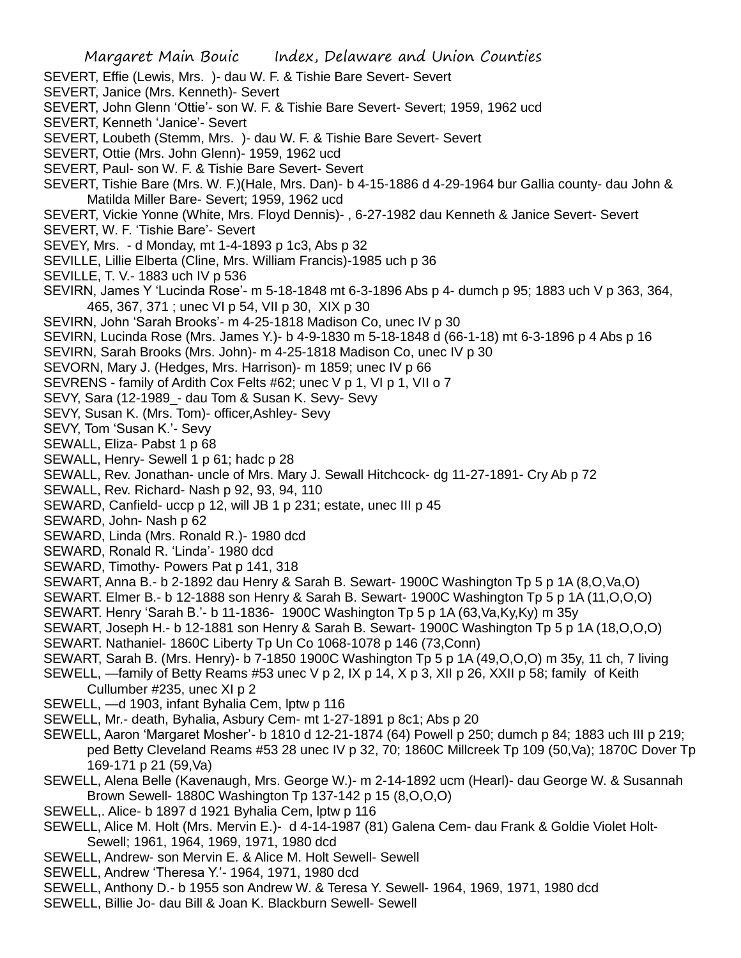- SEVERT, Effie (Lewis, Mrs. )- dau W. F. & Tishie Bare Severt- Severt
- SEVERT, Janice (Mrs. Kenneth)- Severt
- SEVERT, John Glenn 'Ottie'- son W. F. & Tishie Bare Severt- Severt; 1959, 1962 ucd
- SEVERT, Kenneth 'Janice'- Severt
- SEVERT, Loubeth (Stemm, Mrs. )- dau W. F. & Tishie Bare Severt- Severt
- SEVERT, Ottie (Mrs. John Glenn)- 1959, 1962 ucd
- SEVERT, Paul- son W. F. & Tishie Bare Severt- Severt
- SEVERT, Tishie Bare (Mrs. W. F.)(Hale, Mrs. Dan)- b 4-15-1886 d 4-29-1964 bur Gallia county- dau John & Matilda Miller Bare- Severt; 1959, 1962 ucd
- SEVERT, Vickie Yonne (White, Mrs. Floyd Dennis)- , 6-27-1982 dau Kenneth & Janice Severt- Severt
- SEVERT, W. F. 'Tishie Bare'- Severt
- SEVEY, Mrs. d Monday, mt 1-4-1893 p 1c3, Abs p 32
- SEVILLE, Lillie Elberta (Cline, Mrs. William Francis)-1985 uch p 36
- SEVILLE, T. V.- 1883 uch IV p 536
- SEVIRN, James Y 'Lucinda Rose'- m 5-18-1848 mt 6-3-1896 Abs p 4- dumch p 95; 1883 uch V p 363, 364, 465, 367, 371 ; unec VI p 54, VII p 30, XIX p 30
- SEVIRN, John 'Sarah Brooks'- m 4-25-1818 Madison Co, unec IV p 30
- SEVIRN, Lucinda Rose (Mrs. James Y.)- b 4-9-1830 m 5-18-1848 d (66-1-18) mt 6-3-1896 p 4 Abs p 16
- SEVIRN, Sarah Brooks (Mrs. John)- m 4-25-1818 Madison Co, unec IV p 30
- SEVORN, Mary J. (Hedges, Mrs. Harrison)- m 1859; unec IV p 66
- SEVRENS family of Ardith Cox Felts #62; unec V p 1, VI p 1, VII o 7
- SEVY, Sara (12-1989 dau Tom & Susan K. Sevy- Sevy
- SEVY, Susan K. (Mrs. Tom)- officer,Ashley- Sevy
- SEVY, Tom 'Susan K.'- Sevy
- SEWALL, Eliza- Pabst 1 p 68
- SEWALL, Henry- Sewell 1 p 61; hadc p 28
- SEWALL, Rev. Jonathan- uncle of Mrs. Mary J. Sewall Hitchcock- dg 11-27-1891- Cry Ab p 72
- SEWALL, Rev. Richard- Nash p 92, 93, 94, 110
- SEWARD, Canfield- uccp p 12, will JB 1 p 231; estate, unec III p 45
- SEWARD, John- Nash p 62
- SEWARD, Linda (Mrs. Ronald R.)- 1980 dcd
- SEWARD, Ronald R. 'Linda'- 1980 dcd
- SEWARD, Timothy- Powers Pat p 141, 318
- SEWART, Anna B.- b 2-1892 dau Henry & Sarah B. Sewart- 1900C Washington Tp 5 p 1A (8,O,Va,O)
- SEWART. Elmer B.- b 12-1888 son Henry & Sarah B. Sewart- 1900C Washington Tp 5 p 1A (11,O,O,O)
- SEWART. Henry 'Sarah B.'- b 11-1836- 1900C Washington Tp 5 p 1A (63,Va,Ky,Ky) m 35y
- SEWART, Joseph H.- b 12-1881 son Henry & Sarah B. Sewart- 1900C Washington Tp 5 p 1A (18,O,O,O)
- SEWART. Nathaniel- 1860C Liberty Tp Un Co 1068-1078 p 146 (73,Conn)
- SEWART, Sarah B. (Mrs. Henry)- b 7-1850 1900C Washington Tp 5 p 1A (49,O,O,O) m 35y, 11 ch, 7 living
- SEWELL, —family of Betty Reams #53 unec V p 2, IX p 14, X p 3, XII p 26, XXII p 58; family of Keith Cullumber #235, unec XI p 2
- SEWELL, —d 1903, infant Byhalia Cem, lptw p 116
- SEWELL, Mr.- death, Byhalia, Asbury Cem- mt 1-27-1891 p 8c1; Abs p 20
- SEWELL, Aaron 'Margaret Mosher'- b 1810 d 12-21-1874 (64) Powell p 250; dumch p 84; 1883 uch III p 219; ped Betty Cleveland Reams #53 28 unec IV p 32, 70; 1860C Millcreek Tp 109 (50,Va); 1870C Dover Tp 169-171 p 21 (59,Va)
- SEWELL, Alena Belle (Kavenaugh, Mrs. George W.)- m 2-14-1892 ucm (Hearl)- dau George W. & Susannah Brown Sewell- 1880C Washington Tp 137-142 p 15 (8,O,O,O)
- SEWELL,. Alice- b 1897 d 1921 Byhalia Cem, lptw p 116
- SEWELL, Alice M. Holt (Mrs. Mervin E.)- d 4-14-1987 (81) Galena Cem- dau Frank & Goldie Violet Holt-Sewell; 1961, 1964, 1969, 1971, 1980 dcd
- SEWELL, Andrew- son Mervin E. & Alice M. Holt Sewell- Sewell
- SEWELL, Andrew 'Theresa Y.'- 1964, 1971, 1980 dcd
- SEWELL, Anthony D.- b 1955 son Andrew W. & Teresa Y. Sewell- 1964, 1969, 1971, 1980 dcd
- SEWELL, Billie Jo- dau Bill & Joan K. Blackburn Sewell- Sewell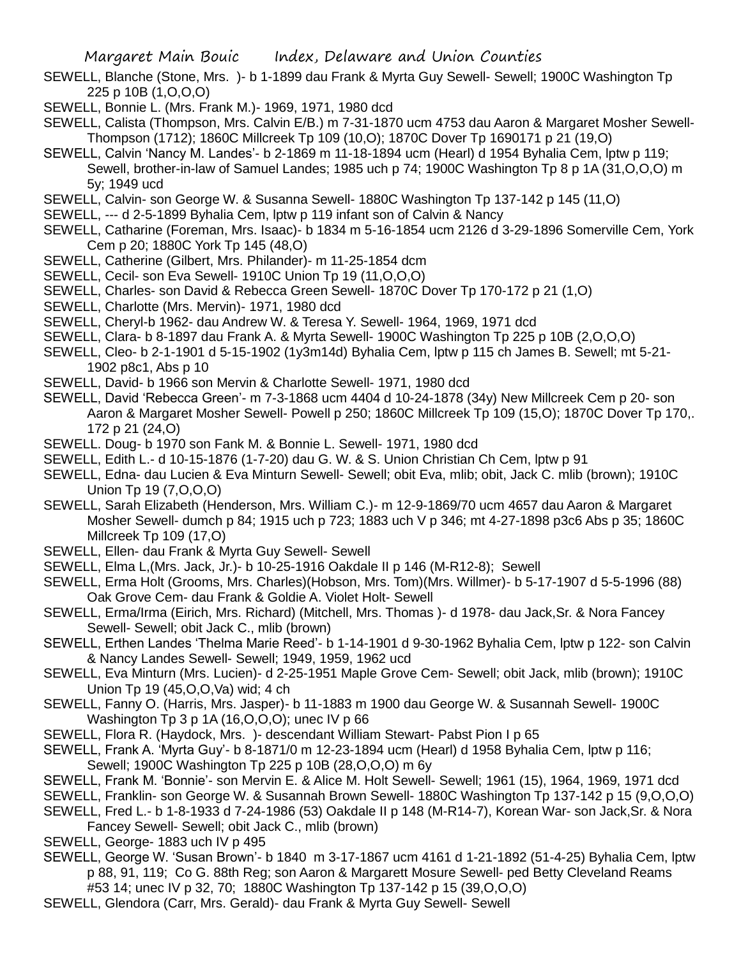- SEWELL, Blanche (Stone, Mrs. )- b 1-1899 dau Frank & Myrta Guy Sewell- Sewell; 1900C Washington Tp 225 p 10B (1,O,O,O)
- SEWELL, Bonnie L. (Mrs. Frank M.)- 1969, 1971, 1980 dcd
- SEWELL, Calista (Thompson, Mrs. Calvin E/B.) m 7-31-1870 ucm 4753 dau Aaron & Margaret Mosher Sewell-Thompson (1712); 1860C Millcreek Tp 109 (10,O); 1870C Dover Tp 1690171 p 21 (19,O)
- SEWELL, Calvin 'Nancy M. Landes'- b 2-1869 m 11-18-1894 ucm (Hearl) d 1954 Byhalia Cem, lptw p 119; Sewell, brother-in-law of Samuel Landes; 1985 uch p 74; 1900C Washington Tp 8 p 1A (31,O,O,O) m 5y; 1949 ucd
- SEWELL, Calvin- son George W. & Susanna Sewell- 1880C Washington Tp 137-142 p 145 (11,O)
- SEWELL, --- d 2-5-1899 Byhalia Cem, lptw p 119 infant son of Calvin & Nancy
- SEWELL, Catharine (Foreman, Mrs. Isaac)- b 1834 m 5-16-1854 ucm 2126 d 3-29-1896 Somerville Cem, York Cem p 20; 1880C York Tp 145 (48,O)
- SEWELL, Catherine (Gilbert, Mrs. Philander)- m 11-25-1854 dcm
- SEWELL, Cecil- son Eva Sewell- 1910C Union Tp 19 (11,O,O,O)
- SEWELL, Charles- son David & Rebecca Green Sewell- 1870C Dover Tp 170-172 p 21 (1,O)
- SEWELL, Charlotte (Mrs. Mervin)- 1971, 1980 dcd
- SEWELL, Cheryl-b 1962- dau Andrew W. & Teresa Y. Sewell- 1964, 1969, 1971 dcd
- SEWELL, Clara- b 8-1897 dau Frank A. & Myrta Sewell- 1900C Washington Tp 225 p 10B (2,O,O,O)
- SEWELL, Cleo- b 2-1-1901 d 5-15-1902 (1y3m14d) Byhalia Cem, lptw p 115 ch James B. Sewell; mt 5-21- 1902 p8c1, Abs p 10
- SEWELL, David- b 1966 son Mervin & Charlotte Sewell- 1971, 1980 dcd
- SEWELL, David 'Rebecca Green'- m 7-3-1868 ucm 4404 d 10-24-1878 (34y) New Millcreek Cem p 20- son Aaron & Margaret Mosher Sewell- Powell p 250; 1860C Millcreek Tp 109 (15,O); 1870C Dover Tp 170,. 172 p 21 (24,O)
- SEWELL. Doug- b 1970 son Fank M. & Bonnie L. Sewell- 1971, 1980 dcd
- SEWELL, Edith L.- d 10-15-1876 (1-7-20) dau G. W. & S. Union Christian Ch Cem, lptw p 91
- SEWELL, Edna- dau Lucien & Eva Minturn Sewell- Sewell; obit Eva, mlib; obit, Jack C. mlib (brown); 1910C Union Tp 19 (7,O,O,O)
- SEWELL, Sarah Elizabeth (Henderson, Mrs. William C.)- m 12-9-1869/70 ucm 4657 dau Aaron & Margaret Mosher Sewell- dumch p 84; 1915 uch p 723; 1883 uch V p 346; mt 4-27-1898 p3c6 Abs p 35; 1860C Millcreek Tp 109 (17,O)
- SEWELL, Ellen- dau Frank & Myrta Guy Sewell- Sewell
- SEWELL, Elma L,(Mrs. Jack, Jr.)- b 10-25-1916 Oakdale II p 146 (M-R12-8); Sewell
- SEWELL, Erma Holt (Grooms, Mrs. Charles)(Hobson, Mrs. Tom)(Mrs. Willmer)- b 5-17-1907 d 5-5-1996 (88) Oak Grove Cem- dau Frank & Goldie A. Violet Holt- Sewell
- SEWELL, Erma/Irma (Eirich, Mrs. Richard) (Mitchell, Mrs. Thomas )- d 1978- dau Jack,Sr. & Nora Fancey Sewell- Sewell; obit Jack C., mlib (brown)
- SEWELL, Erthen Landes 'Thelma Marie Reed'- b 1-14-1901 d 9-30-1962 Byhalia Cem, lptw p 122- son Calvin & Nancy Landes Sewell- Sewell; 1949, 1959, 1962 ucd
- SEWELL, Eva Minturn (Mrs. Lucien)- d 2-25-1951 Maple Grove Cem- Sewell; obit Jack, mlib (brown); 1910C Union Tp 19 (45,O,O,Va) wid; 4 ch
- SEWELL, Fanny O. (Harris, Mrs. Jasper)- b 11-1883 m 1900 dau George W. & Susannah Sewell- 1900C Washington Tp 3 p 1A (16,O,O,O); unec IV p 66
- SEWELL, Flora R. (Haydock, Mrs. )- descendant William Stewart- Pabst Pion I p 65
- SEWELL, Frank A. 'Myrta Guy'- b 8-1871/0 m 12-23-1894 ucm (Hearl) d 1958 Byhalia Cem, lptw p 116; Sewell; 1900C Washington Tp 225 p 10B (28,O,O,O) m 6y
- SEWELL, Frank M. 'Bonnie'- son Mervin E. & Alice M. Holt Sewell- Sewell; 1961 (15), 1964, 1969, 1971 dcd
- SEWELL, Franklin- son George W. & Susannah Brown Sewell- 1880C Washington Tp 137-142 p 15 (9,O,O,O)
- SEWELL, Fred L.- b 1-8-1933 d 7-24-1986 (53) Oakdale II p 148 (M-R14-7), Korean War- son Jack,Sr. & Nora Fancey Sewell- Sewell; obit Jack C., mlib (brown)
- SEWELL, George- 1883 uch IV p 495
- SEWELL, George W. 'Susan Brown'- b 1840 m 3-17-1867 ucm 4161 d 1-21-1892 (51-4-25) Byhalia Cem, lptw p 88, 91, 119; Co G. 88th Reg; son Aaron & Margarett Mosure Sewell- ped Betty Cleveland Reams #53 14; unec IV p 32, 70; 1880C Washington Tp 137-142 p 15 (39,O,O,O)
- SEWELL, Glendora (Carr, Mrs. Gerald)- dau Frank & Myrta Guy Sewell- Sewell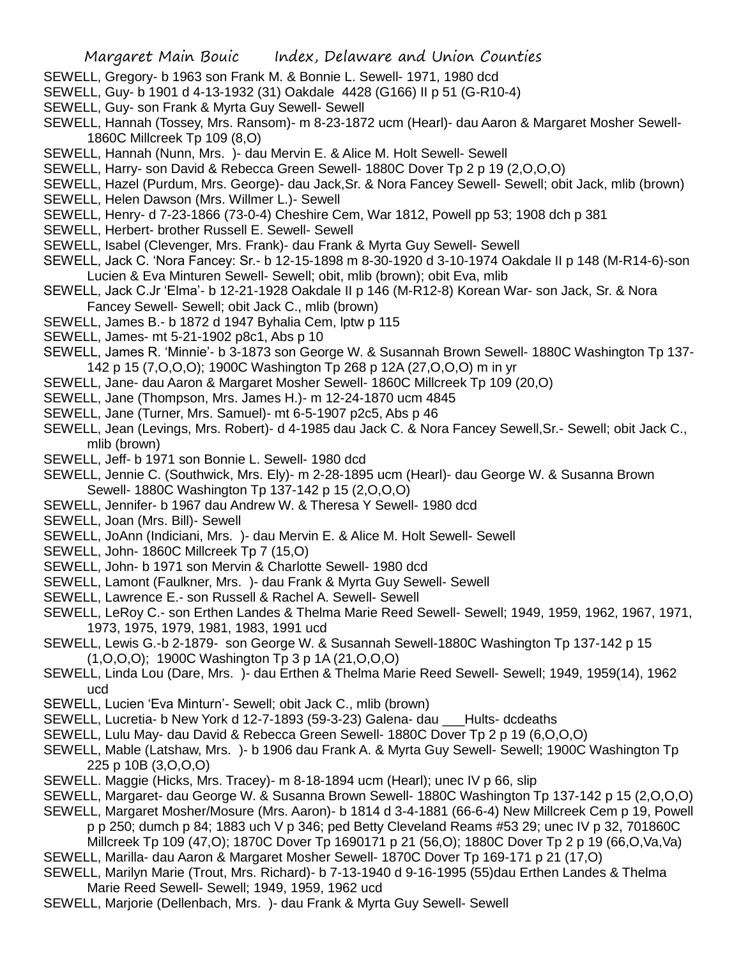- SEWELL, Gregory- b 1963 son Frank M. & Bonnie L. Sewell- 1971, 1980 dcd
- SEWELL, Guy- b 1901 d 4-13-1932 (31) Oakdale 4428 (G166) II p 51 (G-R10-4)
- SEWELL, Guy- son Frank & Myrta Guy Sewell- Sewell
- SEWELL, Hannah (Tossey, Mrs. Ransom)- m 8-23-1872 ucm (Hearl)- dau Aaron & Margaret Mosher Sewell-1860C Millcreek Tp 109 (8,O)
- SEWELL, Hannah (Nunn, Mrs. )- dau Mervin E. & Alice M. Holt Sewell- Sewell
- SEWELL, Harry- son David & Rebecca Green Sewell- 1880C Dover Tp 2 p 19 (2,O,O,O)
- SEWELL, Hazel (Purdum, Mrs. George)- dau Jack,Sr. & Nora Fancey Sewell- Sewell; obit Jack, mlib (brown)
- SEWELL, Helen Dawson (Mrs. Willmer L.)- Sewell
- SEWELL, Henry- d 7-23-1866 (73-0-4) Cheshire Cem, War 1812, Powell pp 53; 1908 dch p 381
- SEWELL, Herbert- brother Russell E. Sewell- Sewell
- SEWELL, Isabel (Clevenger, Mrs. Frank)- dau Frank & Myrta Guy Sewell- Sewell
- SEWELL, Jack C. 'Nora Fancey: Sr.- b 12-15-1898 m 8-30-1920 d 3-10-1974 Oakdale II p 148 (M-R14-6)-son Lucien & Eva Minturen Sewell- Sewell; obit, mlib (brown); obit Eva, mlib
- SEWELL, Jack C.Jr 'Elma'- b 12-21-1928 Oakdale II p 146 (M-R12-8) Korean War- son Jack, Sr. & Nora Fancey Sewell- Sewell; obit Jack C., mlib (brown)
- SEWELL, James B.- b 1872 d 1947 Byhalia Cem, lptw p 115
- SEWELL, James- mt 5-21-1902 p8c1, Abs p 10
- SEWELL, James R. 'Minnie'- b 3-1873 son George W. & Susannah Brown Sewell- 1880C Washington Tp 137- 142 p 15 (7,O,O,O); 1900C Washington Tp 268 p 12A (27,O,O,O) m in yr
- SEWELL, Jane- dau Aaron & Margaret Mosher Sewell- 1860C Millcreek Tp 109 (20,O)
- SEWELL, Jane (Thompson, Mrs. James H.)- m 12-24-1870 ucm 4845
- SEWELL, Jane (Turner, Mrs. Samuel)- mt 6-5-1907 p2c5, Abs p 46
- SEWELL, Jean (Levings, Mrs. Robert)- d 4-1985 dau Jack C. & Nora Fancey Sewell,Sr.- Sewell; obit Jack C., mlib (brown)
- SEWELL, Jeff- b 1971 son Bonnie L. Sewell- 1980 dcd
- SEWELL, Jennie C. (Southwick, Mrs. Ely)- m 2-28-1895 ucm (Hearl)- dau George W. & Susanna Brown Sewell- 1880C Washington Tp 137-142 p 15 (2,O,O,O)
- SEWELL, Jennifer- b 1967 dau Andrew W. & Theresa Y Sewell- 1980 dcd
- SEWELL, Joan (Mrs. Bill)- Sewell
- SEWELL, JoAnn (Indiciani, Mrs. )- dau Mervin E. & Alice M. Holt Sewell- Sewell
- SEWELL, John- 1860C Millcreek Tp 7 (15,O)
- SEWELL, John- b 1971 son Mervin & Charlotte Sewell- 1980 dcd
- SEWELL, Lamont (Faulkner, Mrs. )- dau Frank & Myrta Guy Sewell- Sewell
- SEWELL, Lawrence E.- son Russell & Rachel A. Sewell- Sewell
- SEWELL, LeRoy C.- son Erthen Landes & Thelma Marie Reed Sewell- Sewell; 1949, 1959, 1962, 1967, 1971, 1973, 1975, 1979, 1981, 1983, 1991 ucd
- SEWELL, Lewis G.-b 2-1879- son George W. & Susannah Sewell-1880C Washington Tp 137-142 p 15 (1,O,O,O); 1900C Washington Tp 3 p 1A (21,O,O,O)
- SEWELL, Linda Lou (Dare, Mrs. )- dau Erthen & Thelma Marie Reed Sewell- Sewell; 1949, 1959(14), 1962 ucd
- SEWELL, Lucien 'Eva Minturn'- Sewell; obit Jack C., mlib (brown)
- SEWELL, Lucretia- b New York d 12-7-1893 (59-3-23) Galena- dau \_\_\_Hults- dcdeaths
- SEWELL, Lulu May- dau David & Rebecca Green Sewell- 1880C Dover Tp 2 p 19 (6,O,O,O)
- SEWELL, Mable (Latshaw, Mrs. )- b 1906 dau Frank A. & Myrta Guy Sewell- Sewell; 1900C Washington Tp 225 p 10B (3,O,O,O)
- SEWELL. Maggie (Hicks, Mrs. Tracey)- m 8-18-1894 ucm (Hearl); unec IV p 66, slip
- SEWELL, Margaret- dau George W. & Susanna Brown Sewell- 1880C Washington Tp 137-142 p 15 (2,O,O,O)
- SEWELL, Margaret Mosher/Mosure (Mrs. Aaron)- b 1814 d 3-4-1881 (66-6-4) New Millcreek Cem p 19, Powell
- p p 250; dumch p 84; 1883 uch V p 346; ped Betty Cleveland Reams #53 29; unec IV p 32, 701860C

Millcreek Tp 109 (47,O); 1870C Dover Tp 1690171 p 21 (56,O); 1880C Dover Tp 2 p 19 (66,O,Va,Va) SEWELL, Marilla- dau Aaron & Margaret Mosher Sewell- 1870C Dover Tp 169-171 p 21 (17,O)

- SEWELL, Marilyn Marie (Trout, Mrs. Richard)- b 7-13-1940 d 9-16-1995 (55)dau Erthen Landes & Thelma Marie Reed Sewell- Sewell; 1949, 1959, 1962 ucd
- SEWELL, Marjorie (Dellenbach, Mrs. )- dau Frank & Myrta Guy Sewell- Sewell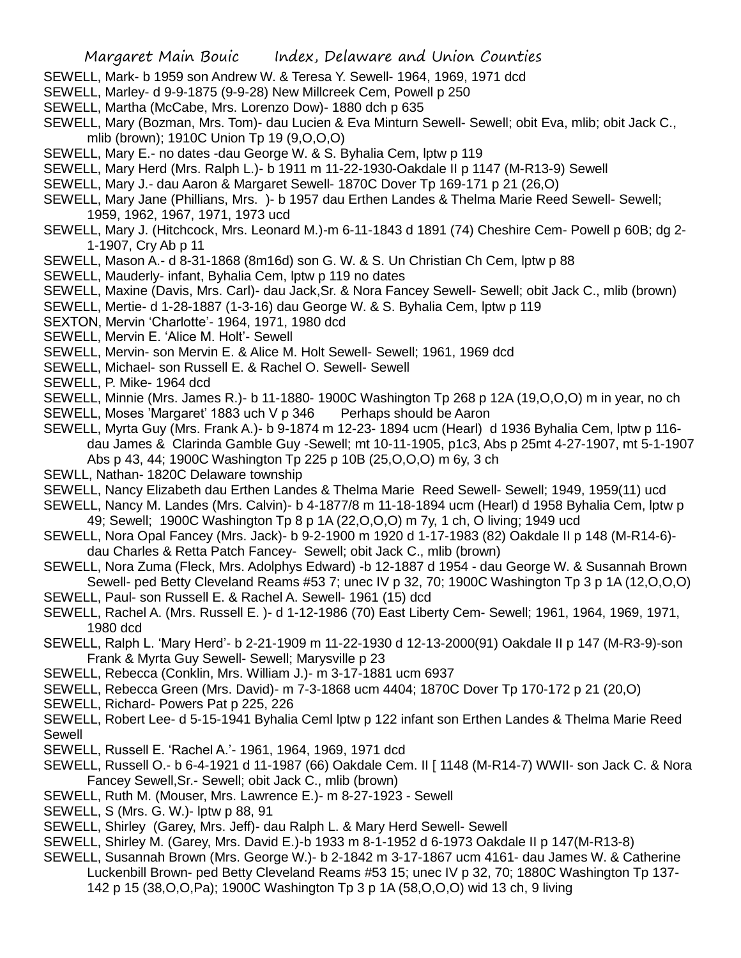- SEWELL, Mark- b 1959 son Andrew W. & Teresa Y. Sewell- 1964, 1969, 1971 dcd
- SEWELL, Marley- d 9-9-1875 (9-9-28) New Millcreek Cem, Powell p 250
- SEWELL, Martha (McCabe, Mrs. Lorenzo Dow)- 1880 dch p 635
- SEWELL, Mary (Bozman, Mrs. Tom)- dau Lucien & Eva Minturn Sewell- Sewell; obit Eva, mlib; obit Jack C., mlib (brown); 1910C Union Tp 19 (9,O,O,O)
- SEWELL, Mary E.- no dates -dau George W. & S. Byhalia Cem, lptw p 119
- SEWELL, Mary Herd (Mrs. Ralph L.)- b 1911 m 11-22-1930-Oakdale II p 1147 (M-R13-9) Sewell
- SEWELL, Mary J.- dau Aaron & Margaret Sewell- 1870C Dover Tp 169-171 p 21 (26,O)
- SEWELL, Mary Jane (Phillians, Mrs. )- b 1957 dau Erthen Landes & Thelma Marie Reed Sewell- Sewell; 1959, 1962, 1967, 1971, 1973 ucd
- SEWELL, Mary J. (Hitchcock, Mrs. Leonard M.)-m 6-11-1843 d 1891 (74) Cheshire Cem- Powell p 60B; dg 2- 1-1907, Cry Ab p 11
- SEWELL, Mason A.- d 8-31-1868 (8m16d) son G. W. & S. Un Christian Ch Cem, lptw p 88
- SEWELL, Mauderly- infant, Byhalia Cem, lptw p 119 no dates
- SEWELL, Maxine (Davis, Mrs. Carl)- dau Jack,Sr. & Nora Fancey Sewell- Sewell; obit Jack C., mlib (brown)
- SEWELL, Mertie- d 1-28-1887 (1-3-16) dau George W. & S. Byhalia Cem, lptw p 119
- SEXTON, Mervin 'Charlotte'- 1964, 1971, 1980 dcd
- SEWELL, Mervin E. 'Alice M. Holt'- Sewell
- SEWELL, Mervin- son Mervin E. & Alice M. Holt Sewell- Sewell; 1961, 1969 dcd
- SEWELL, Michael- son Russell E. & Rachel O. Sewell- Sewell
- SEWELL, P. Mike- 1964 dcd
- SEWELL, Minnie (Mrs. James R.)- b 11-1880- 1900C Washington Tp 268 p 12A (19,O,O,O) m in year, no ch
- SEWELL, Moses 'Margaret' 1883 uch V p 346 Perhaps should be Aaron
- SEWELL, Myrta Guy (Mrs. Frank A.)- b 9-1874 m 12-23- 1894 ucm (Hearl) d 1936 Byhalia Cem, lptw p 116 dau James & Clarinda Gamble Guy -Sewell; mt 10-11-1905, p1c3, Abs p 25mt 4-27-1907, mt 5-1-1907 Abs p 43, 44; 1900C Washington Tp 225 p 10B (25,O,O,O) m 6y, 3 ch
- SEWLL, Nathan- 1820C Delaware township
- SEWELL, Nancy Elizabeth dau Erthen Landes & Thelma Marie Reed Sewell- Sewell; 1949, 1959(11) ucd
- SEWELL, Nancy M. Landes (Mrs. Calvin)- b 4-1877/8 m 11-18-1894 ucm (Hearl) d 1958 Byhalia Cem, lptw p 49; Sewell; 1900C Washington Tp 8 p 1A (22,O,O,O) m 7y, 1 ch, O living; 1949 ucd
- SEWELL, Nora Opal Fancey (Mrs. Jack)- b 9-2-1900 m 1920 d 1-17-1983 (82) Oakdale II p 148 (M-R14-6) dau Charles & Retta Patch Fancey- Sewell; obit Jack C., mlib (brown)
- SEWELL, Nora Zuma (Fleck, Mrs. Adolphys Edward) -b 12-1887 d 1954 dau George W. & Susannah Brown Sewell- ped Betty Cleveland Reams #53 7; unec IV p 32, 70; 1900C Washington Tp 3 p 1A (12,O,O,O)
- SEWELL, Paul- son Russell E. & Rachel A. Sewell- 1961 (15) dcd
- SEWELL, Rachel A. (Mrs. Russell E. )- d 1-12-1986 (70) East Liberty Cem- Sewell; 1961, 1964, 1969, 1971, 1980 dcd
- SEWELL, Ralph L. 'Mary Herd'- b 2-21-1909 m 11-22-1930 d 12-13-2000(91) Oakdale II p 147 (M-R3-9)-son Frank & Myrta Guy Sewell- Sewell; Marysville p 23
- SEWELL, Rebecca (Conklin, Mrs. William J.)- m 3-17-1881 ucm 6937
- SEWELL, Rebecca Green (Mrs. David)- m 7-3-1868 ucm 4404; 1870C Dover Tp 170-172 p 21 (20,O)
- SEWELL, Richard- Powers Pat p 225, 226
- SEWELL, Robert Lee- d 5-15-1941 Byhalia Ceml lptw p 122 infant son Erthen Landes & Thelma Marie Reed Sewell
- SEWELL, Russell E. 'Rachel A.'- 1961, 1964, 1969, 1971 dcd
- SEWELL, Russell O.- b 6-4-1921 d 11-1987 (66) Oakdale Cem. II [ 1148 (M-R14-7) WWII- son Jack C. & Nora Fancey Sewell,Sr.- Sewell; obit Jack C., mlib (brown)
- SEWELL, Ruth M. (Mouser, Mrs. Lawrence E.)- m 8-27-1923 Sewell
- SEWELL, S (Mrs. G. W.)- lptw p 88, 91
- SEWELL, Shirley (Garey, Mrs. Jeff)- dau Ralph L. & Mary Herd Sewell- Sewell
- SEWELL, Shirley M. (Garey, Mrs. David E.)-b 1933 m 8-1-1952 d 6-1973 Oakdale II p 147(M-R13-8)
- SEWELL, Susannah Brown (Mrs. George W.)- b 2-1842 m 3-17-1867 ucm 4161- dau James W. & Catherine Luckenbill Brown- ped Betty Cleveland Reams #53 15; unec IV p 32, 70; 1880C Washington Tp 137- 142 p 15 (38,O,O,Pa); 1900C Washington Tp 3 p 1A (58,O,O,O) wid 13 ch, 9 living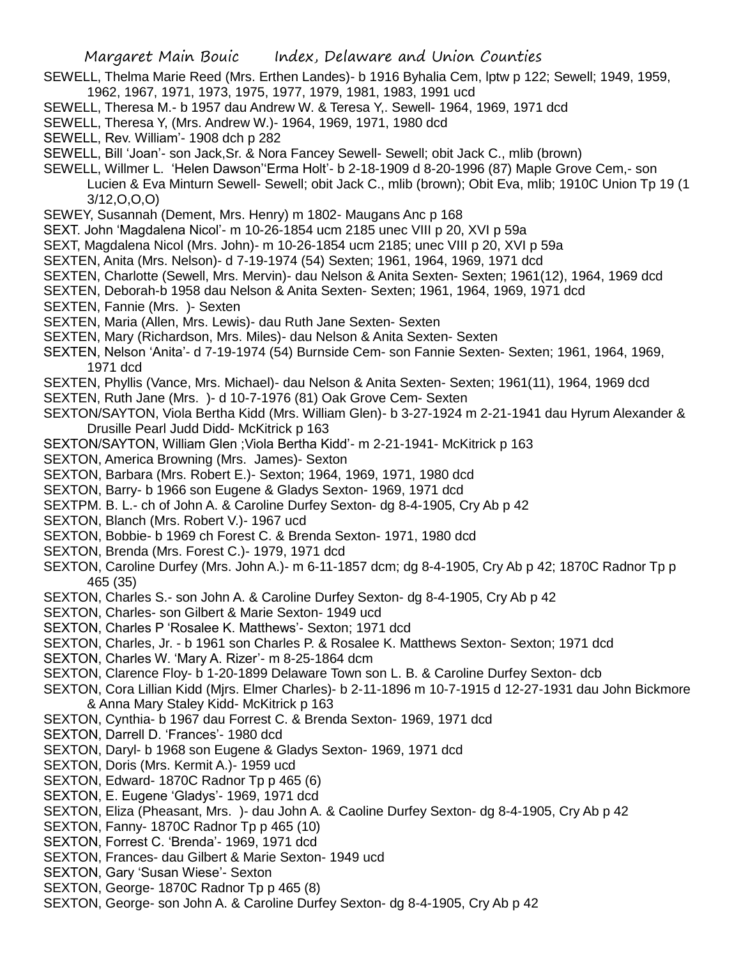- SEWELL, Thelma Marie Reed (Mrs. Erthen Landes)- b 1916 Byhalia Cem, lptw p 122; Sewell; 1949, 1959, 1962, 1967, 1971, 1973, 1975, 1977, 1979, 1981, 1983, 1991 ucd
- SEWELL, Theresa M.- b 1957 dau Andrew W. & Teresa Y,. Sewell- 1964, 1969, 1971 dcd
- SEWELL, Theresa Y, (Mrs. Andrew W.)- 1964, 1969, 1971, 1980 dcd
- SEWELL, Rev. William'- 1908 dch p 282
- SEWELL, Bill 'Joan'- son Jack,Sr. & Nora Fancey Sewell- Sewell; obit Jack C., mlib (brown)
- SEWELL, Willmer L. 'Helen Dawson''Erma Holt'- b 2-18-1909 d 8-20-1996 (87) Maple Grove Cem,- son Lucien & Eva Minturn Sewell- Sewell; obit Jack C., mlib (brown); Obit Eva, mlib; 1910C Union Tp 19 (1 3/12,O,O,O)
- SEWEY, Susannah (Dement, Mrs. Henry) m 1802- Maugans Anc p 168
- SEXT. John 'Magdalena Nicol'- m 10-26-1854 ucm 2185 unec VIII p 20, XVI p 59a
- SEXT, Magdalena Nicol (Mrs. John)- m 10-26-1854 ucm 2185; unec VIII p 20, XVI p 59a
- SEXTEN, Anita (Mrs. Nelson)- d 7-19-1974 (54) Sexten; 1961, 1964, 1969, 1971 dcd
- SEXTEN, Charlotte (Sewell, Mrs. Mervin)- dau Nelson & Anita Sexten- Sexten; 1961(12), 1964, 1969 dcd
- SEXTEN, Deborah-b 1958 dau Nelson & Anita Sexten- Sexten; 1961, 1964, 1969, 1971 dcd
- SEXTEN, Fannie (Mrs. )- Sexten
- SEXTEN, Maria (Allen, Mrs. Lewis)- dau Ruth Jane Sexten- Sexten
- SEXTEN, Mary (Richardson, Mrs. Miles)- dau Nelson & Anita Sexten- Sexten
- SEXTEN, Nelson 'Anita'- d 7-19-1974 (54) Burnside Cem- son Fannie Sexten- Sexten; 1961, 1964, 1969, 1971 dcd
- SEXTEN, Phyllis (Vance, Mrs. Michael)- dau Nelson & Anita Sexten- Sexten; 1961(11), 1964, 1969 dcd
- SEXTEN, Ruth Jane (Mrs. )- d 10-7-1976 (81) Oak Grove Cem- Sexten
- SEXTON/SAYTON, Viola Bertha Kidd (Mrs. William Glen)- b 3-27-1924 m 2-21-1941 dau Hyrum Alexander & Drusille Pearl Judd Didd- McKitrick p 163
- SEXTON/SAYTON, William Glen ;Viola Bertha Kidd'- m 2-21-1941- McKitrick p 163
- SEXTON, America Browning (Mrs. James)- Sexton
- SEXTON, Barbara (Mrs. Robert E.)- Sexton; 1964, 1969, 1971, 1980 dcd
- SEXTON, Barry- b 1966 son Eugene & Gladys Sexton- 1969, 1971 dcd
- SEXTPM. B. L.- ch of John A. & Caroline Durfey Sexton- dg 8-4-1905, Cry Ab p 42
- SEXTON, Blanch (Mrs. Robert V.)- 1967 ucd
- SEXTON, Bobbie- b 1969 ch Forest C. & Brenda Sexton- 1971, 1980 dcd
- SEXTON, Brenda (Mrs. Forest C.)- 1979, 1971 dcd
- SEXTON, Caroline Durfey (Mrs. John A.)- m 6-11-1857 dcm; dg 8-4-1905, Cry Ab p 42; 1870C Radnor Tp p 465 (35)
- SEXTON, Charles S.- son John A. & Caroline Durfey Sexton- dg 8-4-1905, Cry Ab p 42
- SEXTON, Charles- son Gilbert & Marie Sexton- 1949 ucd
- SEXTON, Charles P 'Rosalee K. Matthews'- Sexton; 1971 dcd
- SEXTON, Charles, Jr. b 1961 son Charles P. & Rosalee K. Matthews Sexton- Sexton; 1971 dcd
- SEXTON, Charles W. 'Mary A. Rizer'- m 8-25-1864 dcm
- SEXTON, Clarence Floy- b 1-20-1899 Delaware Town son L. B. & Caroline Durfey Sexton- dcb
- SEXTON, Cora Lillian Kidd (Mjrs. Elmer Charles)- b 2-11-1896 m 10-7-1915 d 12-27-1931 dau John Bickmore & Anna Mary Staley Kidd- McKitrick p 163
- SEXTON, Cynthia- b 1967 dau Forrest C. & Brenda Sexton- 1969, 1971 dcd
- SEXTON, Darrell D. 'Frances'- 1980 dcd
- SEXTON, Daryl- b 1968 son Eugene & Gladys Sexton- 1969, 1971 dcd
- SEXTON, Doris (Mrs. Kermit A.)- 1959 ucd
- SEXTON, Edward- 1870C Radnor Tp p 465 (6)
- SEXTON, E. Eugene 'Gladys'- 1969, 1971 dcd
- SEXTON, Eliza (Pheasant, Mrs. )- dau John A. & Caoline Durfey Sexton- dg 8-4-1905, Cry Ab p 42
- SEXTON, Fanny-1870C Radnor Tp p 465 (10)
- SEXTON, Forrest C. 'Brenda'- 1969, 1971 dcd
- SEXTON, Frances- dau Gilbert & Marie Sexton- 1949 ucd
- SEXTON, Gary 'Susan Wiese'- Sexton
- SEXTON, George- 1870C Radnor Tp p 465 (8)
- SEXTON, George- son John A. & Caroline Durfey Sexton- dg 8-4-1905, Cry Ab p 42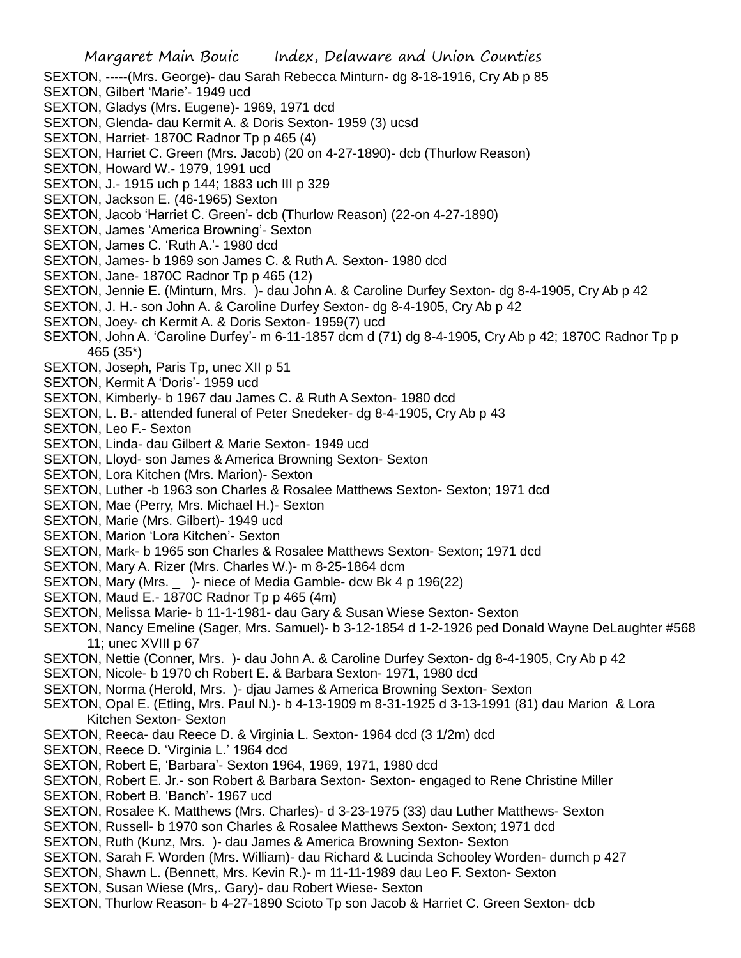- SEXTON, -----(Mrs. George)- dau Sarah Rebecca Minturn- dg 8-18-1916, Cry Ab p 85
- SEXTON, Gilbert 'Marie'- 1949 ucd
- SEXTON, Gladys (Mrs. Eugene)- 1969, 1971 dcd
- SEXTON, Glenda- dau Kermit A. & Doris Sexton- 1959 (3) ucsd
- SEXTON, Harriet- 1870C Radnor Tp p 465 (4)
- SEXTON, Harriet C. Green (Mrs. Jacob) (20 on 4-27-1890)- dcb (Thurlow Reason)
- SEXTON, Howard W.- 1979, 1991 ucd
- SEXTON, J.- 1915 uch p 144; 1883 uch III p 329
- SEXTON, Jackson E. (46-1965) Sexton
- SEXTON, Jacob 'Harriet C. Green'- dcb (Thurlow Reason) (22-on 4-27-1890)
- SEXTON, James 'America Browning'- Sexton
- SEXTON, James C. 'Ruth A.'- 1980 dcd
- SEXTON, James- b 1969 son James C. & Ruth A. Sexton- 1980 dcd
- SEXTON, Jane- 1870C Radnor Tp p 465 (12)
- SEXTON, Jennie E. (Minturn, Mrs. )- dau John A. & Caroline Durfey Sexton- dg 8-4-1905, Cry Ab p 42
- SEXTON, J. H.- son John A. & Caroline Durfey Sexton- dg 8-4-1905, Cry Ab p 42
- SEXTON, Joey- ch Kermit A. & Doris Sexton- 1959(7) ucd
- SEXTON, John A. 'Caroline Durfey'- m 6-11-1857 dcm d (71) dg 8-4-1905, Cry Ab p 42; 1870C Radnor Tp p 465 (35\*)
- SEXTON, Joseph, Paris Tp, unec XII p 51
- SEXTON, Kermit A 'Doris'- 1959 ucd
- SEXTON, Kimberly- b 1967 dau James C. & Ruth A Sexton- 1980 dcd
- SEXTON, L. B.- attended funeral of Peter Snedeker- dg 8-4-1905, Cry Ab p 43
- SEXTON, Leo F.- Sexton
- SEXTON, Linda- dau Gilbert & Marie Sexton- 1949 ucd
- SEXTON, Lloyd- son James & America Browning Sexton- Sexton
- SEXTON, Lora Kitchen (Mrs. Marion)- Sexton
- SEXTON, Luther -b 1963 son Charles & Rosalee Matthews Sexton- Sexton; 1971 dcd
- SEXTON, Mae (Perry, Mrs. Michael H.)- Sexton
- SEXTON, Marie (Mrs. Gilbert)- 1949 ucd
- SEXTON, Marion 'Lora Kitchen'- Sexton
- SEXTON, Mark- b 1965 son Charles & Rosalee Matthews Sexton- Sexton; 1971 dcd
- SEXTON, Mary A. Rizer (Mrs. Charles W.)- m 8-25-1864 dcm
- SEXTON, Mary (Mrs. \_ )- niece of Media Gamble- dcw Bk 4 p 196(22)
- SEXTON, Maud E.- 1870C Radnor Tp p 465 (4m)
- SEXTON, Melissa Marie- b 11-1-1981- dau Gary & Susan Wiese Sexton- Sexton
- SEXTON, Nancy Emeline (Sager, Mrs. Samuel)- b 3-12-1854 d 1-2-1926 ped Donald Wayne DeLaughter #568 11; unec XVIII p 67
- SEXTON, Nettie (Conner, Mrs. )- dau John A. & Caroline Durfey Sexton- dg 8-4-1905, Cry Ab p 42
- SEXTON, Nicole- b 1970 ch Robert E. & Barbara Sexton- 1971, 1980 dcd
- SEXTON, Norma (Herold, Mrs. )- djau James & America Browning Sexton- Sexton
- SEXTON, Opal E. (Etling, Mrs. Paul N.)- b 4-13-1909 m 8-31-1925 d 3-13-1991 (81) dau Marion & Lora Kitchen Sexton- Sexton
- SEXTON, Reeca- dau Reece D. & Virginia L. Sexton- 1964 dcd (3 1/2m) dcd
- SEXTON, Reece D. 'Virginia L.' 1964 dcd
- SEXTON, Robert E, 'Barbara'- Sexton 1964, 1969, 1971, 1980 dcd
- SEXTON, Robert E. Jr.- son Robert & Barbara Sexton- Sexton- engaged to Rene Christine Miller
- SEXTON, Robert B. 'Banch'- 1967 ucd
- SEXTON, Rosalee K. Matthews (Mrs. Charles)- d 3-23-1975 (33) dau Luther Matthews- Sexton
- SEXTON, Russell- b 1970 son Charles & Rosalee Matthews Sexton- Sexton; 1971 dcd
- SEXTON, Ruth (Kunz, Mrs. )- dau James & America Browning Sexton- Sexton
- SEXTON, Sarah F. Worden (Mrs. William)- dau Richard & Lucinda Schooley Worden- dumch p 427
- SEXTON, Shawn L. (Bennett, Mrs. Kevin R.)- m 11-11-1989 dau Leo F. Sexton- Sexton
- SEXTON, Susan Wiese (Mrs,. Gary)- dau Robert Wiese- Sexton
- SEXTON, Thurlow Reason- b 4-27-1890 Scioto Tp son Jacob & Harriet C. Green Sexton- dcb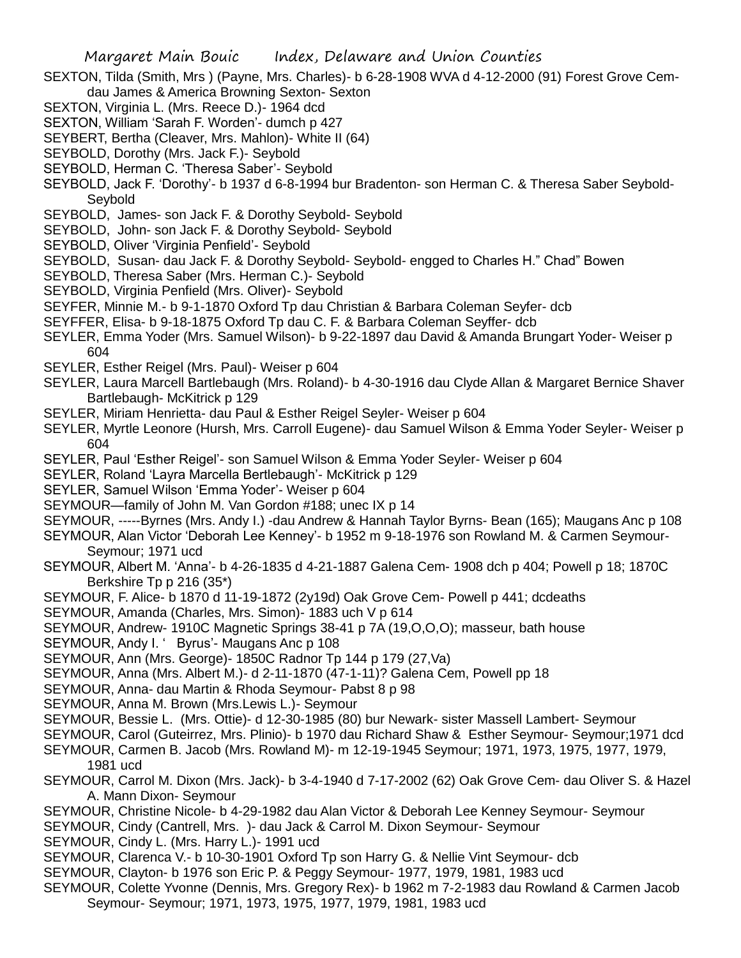- SEXTON, Tilda (Smith, Mrs ) (Payne, Mrs. Charles)- b 6-28-1908 WVA d 4-12-2000 (91) Forest Grove Cemdau James & America Browning Sexton- Sexton
- SEXTON, Virginia L. (Mrs. Reece D.)- 1964 dcd
- SEXTON, William 'Sarah F. Worden'- dumch p 427
- SEYBERT, Bertha (Cleaver, Mrs. Mahlon)- White II (64)
- SEYBOLD, Dorothy (Mrs. Jack F.)- Seybold
- SEYBOLD, Herman C. 'Theresa Saber'- Seybold
- SEYBOLD, Jack F. 'Dorothy'- b 1937 d 6-8-1994 bur Bradenton- son Herman C. & Theresa Saber Seybold-Seybold
- SEYBOLD, James- son Jack F. & Dorothy Seybold- Seybold
- SEYBOLD, John- son Jack F. & Dorothy Seybold- Seybold
- SEYBOLD, Oliver 'Virginia Penfield'- Seybold
- SEYBOLD, Susan- dau Jack F. & Dorothy Seybold- Seybold- engged to Charles H." Chad" Bowen
- SEYBOLD, Theresa Saber (Mrs. Herman C.)- Seybold
- SEYBOLD, Virginia Penfield (Mrs. Oliver)- Seybold
- SEYFER, Minnie M.- b 9-1-1870 Oxford Tp dau Christian & Barbara Coleman Seyfer- dcb
- SEYFFER, Elisa- b 9-18-1875 Oxford Tp dau C. F. & Barbara Coleman Seyffer- dcb
- SEYLER, Emma Yoder (Mrs. Samuel Wilson)- b 9-22-1897 dau David & Amanda Brungart Yoder- Weiser p 604
- SEYLER, Esther Reigel (Mrs. Paul)- Weiser p 604
- SEYLER, Laura Marcell Bartlebaugh (Mrs. Roland)- b 4-30-1916 dau Clyde Allan & Margaret Bernice Shaver Bartlebaugh- McKitrick p 129
- SEYLER, Miriam Henrietta- dau Paul & Esther Reigel Seyler- Weiser p 604
- SEYLER, Myrtle Leonore (Hursh, Mrs. Carroll Eugene)- dau Samuel Wilson & Emma Yoder Seyler- Weiser p 604
- SEYLER, Paul 'Esther Reigel'- son Samuel Wilson & Emma Yoder Seyler- Weiser p 604
- SEYLER, Roland 'Layra Marcella Bertlebaugh'- McKitrick p 129
- SEYLER, Samuel Wilson 'Emma Yoder'- Weiser p 604
- SEYMOUR—family of John M. Van Gordon #188; unec IX p 14
- SEYMOUR, -----Byrnes (Mrs. Andy I.) -dau Andrew & Hannah Taylor Byrns- Bean (165); Maugans Anc p 108
- SEYMOUR, Alan Victor 'Deborah Lee Kenney'- b 1952 m 9-18-1976 son Rowland M. & Carmen Seymour-Seymour; 1971 ucd
- SEYMOUR, Albert M. 'Anna'- b 4-26-1835 d 4-21-1887 Galena Cem- 1908 dch p 404; Powell p 18; 1870C Berkshire Tp p 216 (35\*)
- SEYMOUR, F. Alice- b 1870 d 11-19-1872 (2y19d) Oak Grove Cem- Powell p 441; dcdeaths
- SEYMOUR, Amanda (Charles, Mrs. Simon)- 1883 uch V p 614
- SEYMOUR, Andrew- 1910C Magnetic Springs 38-41 p 7A (19,O,O,O); masseur, bath house
- SEYMOUR, Andy I. ' Byrus'- Maugans Anc p 108
- SEYMOUR, Ann (Mrs. George)- 1850C Radnor Tp 144 p 179 (27,Va)
- SEYMOUR, Anna (Mrs. Albert M.)- d 2-11-1870 (47-1-11)? Galena Cem, Powell pp 18
- SEYMOUR, Anna- dau Martin & Rhoda Seymour- Pabst 8 p 98
- SEYMOUR, Anna M. Brown (Mrs.Lewis L.)- Seymour
- SEYMOUR, Bessie L. (Mrs. Ottie)- d 12-30-1985 (80) bur Newark- sister Massell Lambert- Seymour
- SEYMOUR, Carol (Guteirrez, Mrs. Plinio)- b 1970 dau Richard Shaw & Esther Seymour- Seymour;1971 dcd
- SEYMOUR, Carmen B. Jacob (Mrs. Rowland M)- m 12-19-1945 Seymour; 1971, 1973, 1975, 1977, 1979, 1981 ucd
- SEYMOUR, Carrol M. Dixon (Mrs. Jack)- b 3-4-1940 d 7-17-2002 (62) Oak Grove Cem- dau Oliver S. & Hazel A. Mann Dixon- Seymour
- SEYMOUR, Christine Nicole- b 4-29-1982 dau Alan Victor & Deborah Lee Kenney Seymour- Seymour
- SEYMOUR, Cindy (Cantrell, Mrs. )- dau Jack & Carrol M. Dixon Seymour- Seymour
- SEYMOUR, Cindy L. (Mrs. Harry L.)- 1991 ucd
- SEYMOUR, Clarenca V.- b 10-30-1901 Oxford Tp son Harry G. & Nellie Vint Seymour- dcb
- SEYMOUR, Clayton- b 1976 son Eric P. & Peggy Seymour- 1977, 1979, 1981, 1983 ucd
- SEYMOUR, Colette Yvonne (Dennis, Mrs. Gregory Rex)- b 1962 m 7-2-1983 dau Rowland & Carmen Jacob Seymour- Seymour; 1971, 1973, 1975, 1977, 1979, 1981, 1983 ucd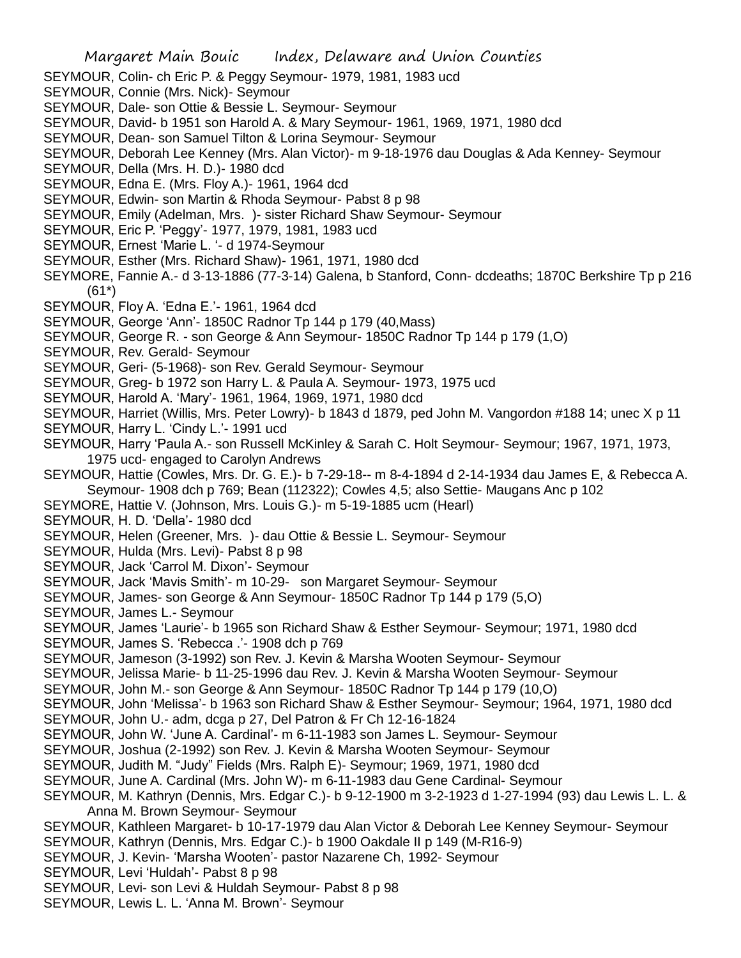- SEYMOUR, Colin- ch Eric P. & Peggy Seymour- 1979, 1981, 1983 ucd
- SEYMOUR, Connie (Mrs. Nick)- Seymour
- SEYMOUR, Dale- son Ottie & Bessie L. Seymour- Seymour
- SEYMOUR, David- b 1951 son Harold A. & Mary Seymour- 1961, 1969, 1971, 1980 dcd
- SEYMOUR, Dean- son Samuel Tilton & Lorina Seymour- Seymour
- SEYMOUR, Deborah Lee Kenney (Mrs. Alan Victor)- m 9-18-1976 dau Douglas & Ada Kenney- Seymour
- SEYMOUR, Della (Mrs. H. D.)- 1980 dcd
- SEYMOUR, Edna E. (Mrs. Floy A.)- 1961, 1964 dcd
- SEYMOUR, Edwin- son Martin & Rhoda Seymour- Pabst 8 p 98
- SEYMOUR, Emily (Adelman, Mrs. )- sister Richard Shaw Seymour- Seymour
- SEYMOUR, Eric P. 'Peggy'- 1977, 1979, 1981, 1983 ucd
- SEYMOUR, Ernest 'Marie L. '- d 1974-Seymour
- SEYMOUR, Esther (Mrs. Richard Shaw)- 1961, 1971, 1980 dcd
- SEYMORE, Fannie A.- d 3-13-1886 (77-3-14) Galena, b Stanford, Conn- dcdeaths; 1870C Berkshire Tp p 216 (61\*)
- SEYMOUR, Floy A. 'Edna E.'- 1961, 1964 dcd
- SEYMOUR, George 'Ann'- 1850C Radnor Tp 144 p 179 (40,Mass)
- SEYMOUR, George R. son George & Ann Seymour- 1850C Radnor Tp 144 p 179 (1,O)
- SEYMOUR, Rev. Gerald- Seymour
- SEYMOUR, Geri- (5-1968)- son Rev. Gerald Seymour- Seymour
- SEYMOUR, Greg- b 1972 son Harry L. & Paula A. Seymour- 1973, 1975 ucd
- SEYMOUR, Harold A. 'Mary'- 1961, 1964, 1969, 1971, 1980 dcd
- SEYMOUR, Harriet (Willis, Mrs. Peter Lowry)- b 1843 d 1879, ped John M. Vangordon #188 14; unec X p 11
- SEYMOUR, Harry L. 'Cindy L.'- 1991 ucd
- SEYMOUR, Harry 'Paula A.- son Russell McKinley & Sarah C. Holt Seymour- Seymour; 1967, 1971, 1973, 1975 ucd- engaged to Carolyn Andrews
- SEYMOUR, Hattie (Cowles, Mrs. Dr. G. E.)- b 7-29-18-- m 8-4-1894 d 2-14-1934 dau James E, & Rebecca A. Seymour- 1908 dch p 769; Bean (112322); Cowles 4,5; also Settie- Maugans Anc p 102
- SEYMORE, Hattie V. (Johnson, Mrs. Louis G.)- m 5-19-1885 ucm (Hearl)
- SEYMOUR, H. D. 'Della'- 1980 dcd
- SEYMOUR, Helen (Greener, Mrs. )- dau Ottie & Bessie L. Seymour- Seymour
- SEYMOUR, Hulda (Mrs. Levi)- Pabst 8 p 98
- SEYMOUR, Jack 'Carrol M. Dixon'- Seymour
- SEYMOUR, Jack 'Mavis Smith'- m 10-29- son Margaret Seymour- Seymour
- SEYMOUR, James- son George & Ann Seymour- 1850C Radnor Tp 144 p 179 (5,O)
- SEYMOUR, James L.- Seymour
- SEYMOUR, James 'Laurie'- b 1965 son Richard Shaw & Esther Seymour- Seymour; 1971, 1980 dcd
- SEYMOUR, James S. 'Rebecca .'- 1908 dch p 769
- SEYMOUR, Jameson (3-1992) son Rev. J. Kevin & Marsha Wooten Seymour- Seymour
- SEYMOUR, Jelissa Marie- b 11-25-1996 dau Rev. J. Kevin & Marsha Wooten Seymour- Seymour
- SEYMOUR, John M.- son George & Ann Seymour- 1850C Radnor Tp 144 p 179 (10,O)
- SEYMOUR, John 'Melissa'- b 1963 son Richard Shaw & Esther Seymour- Seymour; 1964, 1971, 1980 dcd
- SEYMOUR, John U.- adm, dcga p 27, Del Patron & Fr Ch 12-16-1824
- SEYMOUR, John W. 'June A. Cardinal'- m 6-11-1983 son James L. Seymour- Seymour
- SEYMOUR, Joshua (2-1992) son Rev. J. Kevin & Marsha Wooten Seymour- Seymour
- SEYMOUR, Judith M. "Judy" Fields (Mrs. Ralph E)- Seymour; 1969, 1971, 1980 dcd
- SEYMOUR, June A. Cardinal (Mrs. John W)- m 6-11-1983 dau Gene Cardinal- Seymour
- SEYMOUR, M. Kathryn (Dennis, Mrs. Edgar C.)- b 9-12-1900 m 3-2-1923 d 1-27-1994 (93) dau Lewis L. L. & Anna M. Brown Seymour- Seymour
- SEYMOUR, Kathleen Margaret- b 10-17-1979 dau Alan Victor & Deborah Lee Kenney Seymour- Seymour
- SEYMOUR, Kathryn (Dennis, Mrs. Edgar C.)- b 1900 Oakdale II p 149 (M-R16-9)
- SEYMOUR, J. Kevin- 'Marsha Wooten'- pastor Nazarene Ch, 1992- Seymour
- SEYMOUR, Levi 'Huldah'- Pabst 8 p 98
- SEYMOUR, Levi- son Levi & Huldah Seymour- Pabst 8 p 98
- SEYMOUR, Lewis L. L. 'Anna M. Brown'- Seymour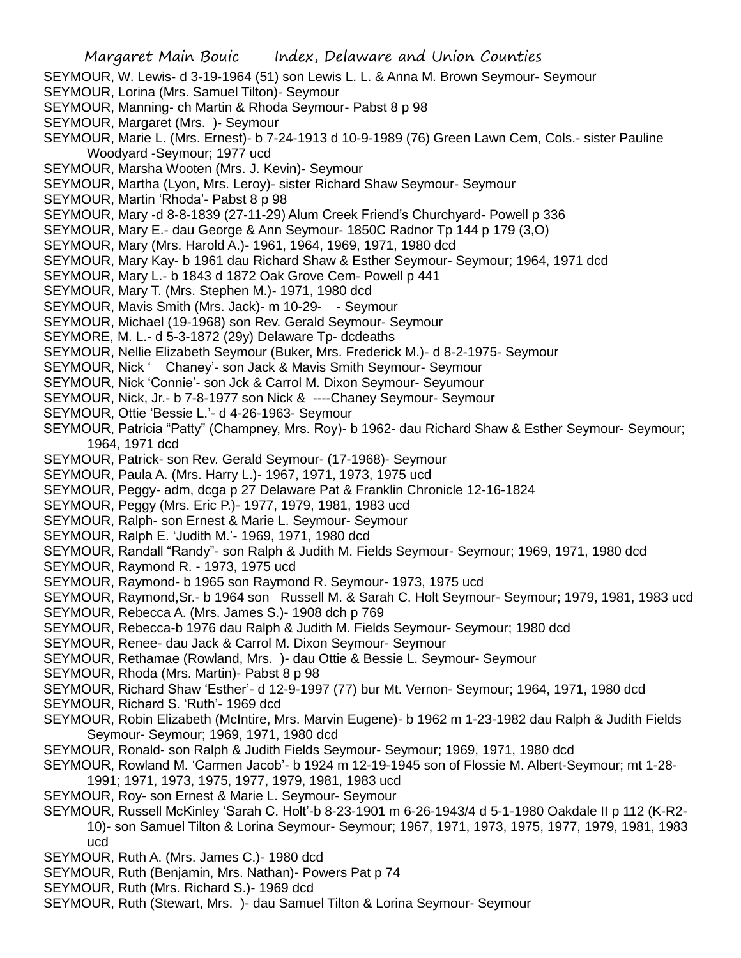- SEYMOUR, W. Lewis- d 3-19-1964 (51) son Lewis L. L. & Anna M. Brown Seymour- Seymour
- SEYMOUR, Lorina (Mrs. Samuel Tilton)- Seymour
- SEYMOUR, Manning- ch Martin & Rhoda Seymour- Pabst 8 p 98
- SEYMOUR, Margaret (Mrs. )- Seymour
- SEYMOUR, Marie L. (Mrs. Ernest)- b 7-24-1913 d 10-9-1989 (76) Green Lawn Cem, Cols.- sister Pauline Woodyard -Seymour; 1977 ucd
- SEYMOUR, Marsha Wooten (Mrs. J. Kevin)- Seymour
- SEYMOUR, Martha (Lyon, Mrs. Leroy)- sister Richard Shaw Seymour- Seymour
- SEYMOUR, Martin 'Rhoda'- Pabst 8 p 98
- SEYMOUR, Mary -d 8-8-1839 (27-11-29) Alum Creek Friend's Churchyard- Powell p 336
- SEYMOUR, Mary E.- dau George & Ann Seymour- 1850C Radnor Tp 144 p 179 (3,O)
- SEYMOUR, Mary (Mrs. Harold A.)- 1961, 1964, 1969, 1971, 1980 dcd
- SEYMOUR, Mary Kay- b 1961 dau Richard Shaw & Esther Seymour- Seymour; 1964, 1971 dcd
- SEYMOUR, Mary L.- b 1843 d 1872 Oak Grove Cem- Powell p 441
- SEYMOUR, Mary T. (Mrs. Stephen M.)- 1971, 1980 dcd
- SEYMOUR, Mavis Smith (Mrs. Jack)- m 10-29- Seymour
- SEYMOUR, Michael (19-1968) son Rev. Gerald Seymour- Seymour
- SEYMORE, M. L.- d 5-3-1872 (29y) Delaware Tp- dcdeaths
- SEYMOUR, Nellie Elizabeth Seymour (Buker, Mrs. Frederick M.)- d 8-2-1975- Seymour
- SEYMOUR, Nick ' Chaney'- son Jack & Mavis Smith Seymour- Seymour
- SEYMOUR, Nick 'Connie'- son Jck & Carrol M. Dixon Seymour- Seyumour
- SEYMOUR, Nick, Jr.- b 7-8-1977 son Nick & ----Chaney Seymour- Seymour
- SEYMOUR, Ottie 'Bessie L.'- d 4-26-1963- Seymour
- SEYMOUR, Patricia "Patty" (Champney, Mrs. Roy)- b 1962- dau Richard Shaw & Esther Seymour- Seymour; 1964, 1971 dcd
- SEYMOUR, Patrick- son Rev. Gerald Seymour- (17-1968)- Seymour
- SEYMOUR, Paula A. (Mrs. Harry L.)- 1967, 1971, 1973, 1975 ucd
- SEYMOUR, Peggy- adm, dcga p 27 Delaware Pat & Franklin Chronicle 12-16-1824
- SEYMOUR, Peggy (Mrs. Eric P.)- 1977, 1979, 1981, 1983 ucd
- SEYMOUR, Ralph- son Ernest & Marie L. Seymour- Seymour
- SEYMOUR, Ralph E. 'Judith M.'- 1969, 1971, 1980 dcd
- SEYMOUR, Randall "Randy"- son Ralph & Judith M. Fields Seymour- Seymour; 1969, 1971, 1980 dcd
- SEYMOUR, Raymond R. 1973, 1975 ucd
- SEYMOUR, Raymond- b 1965 son Raymond R. Seymour- 1973, 1975 ucd
- SEYMOUR, Raymond,Sr.- b 1964 son Russell M. & Sarah C. Holt Seymour- Seymour; 1979, 1981, 1983 ucd
- SEYMOUR, Rebecca A. (Mrs. James S.)- 1908 dch p 769
- SEYMOUR, Rebecca-b 1976 dau Ralph & Judith M. Fields Seymour- Seymour; 1980 dcd
- SEYMOUR, Renee- dau Jack & Carrol M. Dixon Seymour- Seymour
- SEYMOUR, Rethamae (Rowland, Mrs. )- dau Ottie & Bessie L. Seymour- Seymour
- SEYMOUR, Rhoda (Mrs. Martin)- Pabst 8 p 98
- SEYMOUR, Richard Shaw 'Esther'- d 12-9-1997 (77) bur Mt. Vernon- Seymour; 1964, 1971, 1980 dcd
- SEYMOUR, Richard S. 'Ruth'- 1969 dcd
- SEYMOUR, Robin Elizabeth (McIntire, Mrs. Marvin Eugene)- b 1962 m 1-23-1982 dau Ralph & Judith Fields Seymour- Seymour; 1969, 1971, 1980 dcd
- SEYMOUR, Ronald- son Ralph & Judith Fields Seymour- Seymour; 1969, 1971, 1980 dcd
- SEYMOUR, Rowland M. 'Carmen Jacob'- b 1924 m 12-19-1945 son of Flossie M. Albert-Seymour; mt 1-28- 1991; 1971, 1973, 1975, 1977, 1979, 1981, 1983 ucd
- SEYMOUR, Roy- son Ernest & Marie L. Seymour- Seymour
- SEYMOUR, Russell McKinley 'Sarah C. Holt'-b 8-23-1901 m 6-26-1943/4 d 5-1-1980 Oakdale II p 112 (K-R2- 10)- son Samuel Tilton & Lorina Seymour- Seymour; 1967, 1971, 1973, 1975, 1977, 1979, 1981, 1983 ucd
- SEYMOUR, Ruth A. (Mrs. James C.)- 1980 dcd
- SEYMOUR, Ruth (Benjamin, Mrs. Nathan)- Powers Pat p 74
- SEYMOUR, Ruth (Mrs. Richard S.)- 1969 dcd
- SEYMOUR, Ruth (Stewart, Mrs. )- dau Samuel Tilton & Lorina Seymour- Seymour